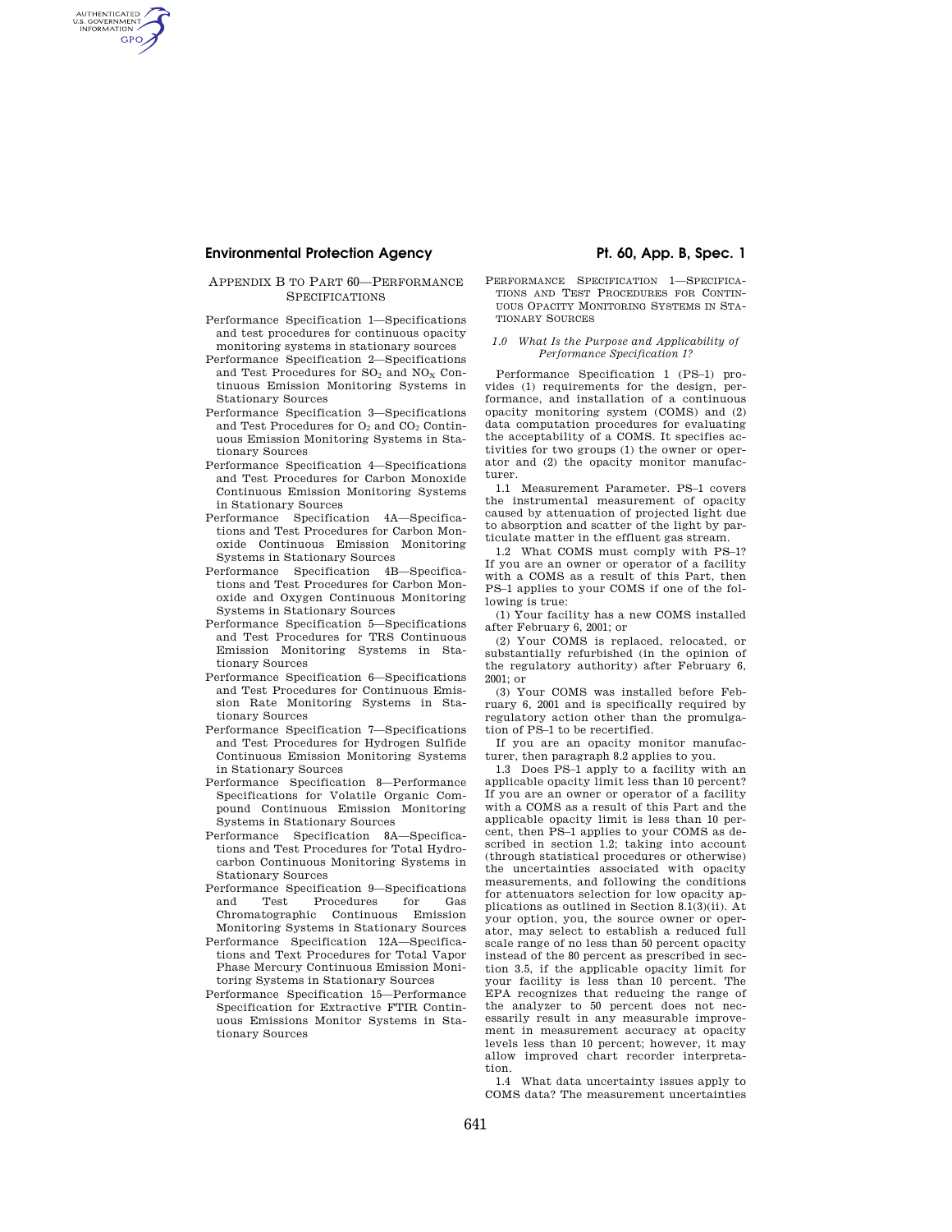# **Environmental Protection Agency The Contract Protection Agency Pt. 60, App. B, Spec. 1**

AUTHENTICATED<br>U.S. GOVERNMENT<br>INFORMATION **GPO** 

### APPENDIX B TO PART 60—PERFORMANCE **SPECIFICATIONS**

- Performance Specification 1—Specifications and test procedures for continuous opacity monitoring systems in stationary sources
- Performance Specification 2—Specifications and Test Procedures for  $SO_2$  and  $NO_X$  Continuous Emission Monitoring Systems in Stationary Sources
- Performance Specification 3—Specifications and Test Procedures for  $O_2$  and  $CO_2$  Continuous Emission Monitoring Systems in Stationary Sources
- Performance Specification 4—Specifications and Test Procedures for Carbon Monoxide Continuous Emission Monitoring Systems in Stationary Sources
- Performance Specification 4A—Specifications and Test Procedures for Carbon Monoxide Continuous Emission Monitoring Systems in Stationary Sources
- Performance Specification 4B—Specifications and Test Procedures for Carbon Monoxide and Oxygen Continuous Monitoring Systems in Stationary Sources
- Performance Specification 5—Specifications and Test Procedures for TRS Continuous Emission Monitoring Systems in Stationary Sources
- Performance Specification 6—Specifications and Test Procedures for Continuous Emission Rate Monitoring Systems in Stationary Sources
- Performance Specification 7—Specifications and Test Procedures for Hydrogen Sulfide Continuous Emission Monitoring Systems in Stationary Sources
- Performance Specification 8—Performance Specifications for Volatile Organic Compound Continuous Emission Monitoring Systems in Stationary Sources
- Performance Specification 8A—Specifications and Test Procedures for Total Hydrocarbon Continuous Monitoring Systems in Stationary Sources
- Performance Specification 9—Specifications and Test Procedures for Gas Chromatographic Continuous Emission Monitoring Systems in Stationary Sources
- Performance Specification 12A—Specifications and Text Procedures for Total Vapor Phase Mercury Continuous Emission Monitoring Systems in Stationary Sources
- Performance Specification 15—Performance Specification for Extractive FTIR Continuous Emissions Monitor Systems in Stationary Sources

PERFORMANCE SPECIFICATION 1—SPECIFICA-TIONS AND TEST PROCEDURES FOR CONTIN-UOUS OPACITY MONITORING SYSTEMS IN STA-TIONARY SOURCES

### *1.0 What Is the Purpose and Applicability of Performance Specification 1?*

Performance Specification 1 (PS–1) provides (1) requirements for the design, performance, and installation of a continuous opacity monitoring system (COMS) and (2) data computation procedures for evaluating the acceptability of a COMS. It specifies activities for two groups (1) the owner or operator and (2) the opacity monitor manufacturer.

1.1 Measurement Parameter. PS–1 covers the instrumental measurement of opacity caused by attenuation of projected light due to absorption and scatter of the light by particulate matter in the effluent gas stream.

1.2 What COMS must comply with PS–1? If you are an owner or operator of a facility with a COMS as a result of this Part, then PS–1 applies to your COMS if one of the following is true:

(1) Your facility has a new COMS installed after February 6, 2001; or

(2) Your COMS is replaced, relocated, or substantially refurbished (in the opinion of the regulatory authority) after February 6, 2001; or

(3) Your COMS was installed before February 6, 2001 and is specifically required by regulatory action other than the promulgation of PS–1 to be recertified.

If you are an opacity monitor manufacturer, then paragraph 8.2 applies to you.

1.3 Does PS–1 apply to a facility with an applicable opacity limit less than 10 percent? If you are an owner or operator of a facility with a COMS as a result of this Part and the applicable opacity limit is less than 10 percent, then PS–1 applies to your COMS as described in section 1.2; taking into account (through statistical procedures or otherwise) the uncertainties associated with opacity measurements, and following the conditions for attenuators selection for low opacity applications as outlined in Section 8.1(3)(ii). At your option, you, the source owner or operator, may select to establish a reduced full scale range of no less than 50 percent opacity instead of the 80 percent as prescribed in section 3.5, if the applicable opacity limit for your facility is less than 10 percent. The EPA recognizes that reducing the range of the analyzer to 50 percent does not necessarily result in any measurable improvement in measurement accuracy at opacity levels less than 10 percent; however, it may allow improved chart recorder interpretation.

1.4 What data uncertainty issues apply to COMS data? The measurement uncertainties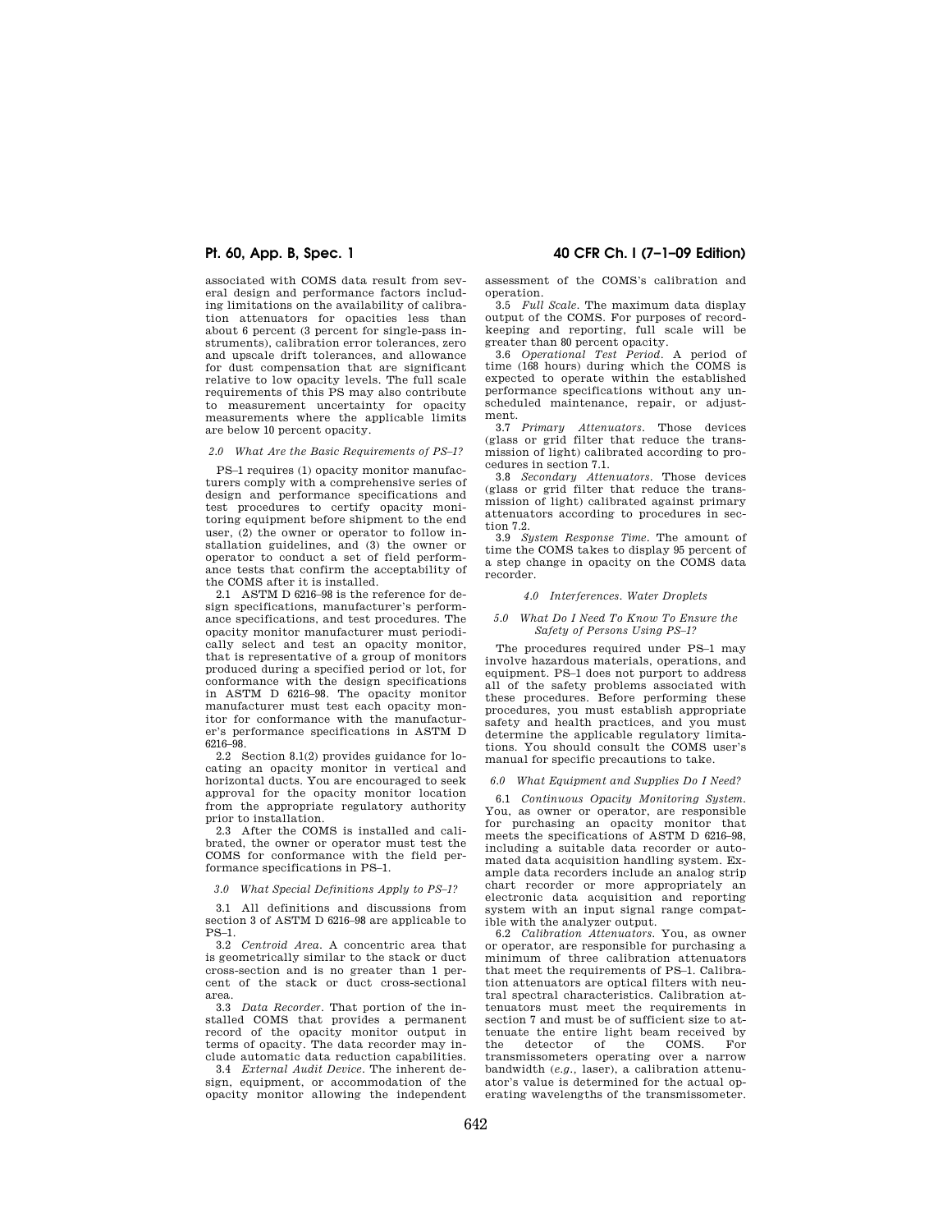associated with COMS data result from several design and performance factors including limitations on the availability of calibration attenuators for opacities less than about 6 percent (3 percent for single-pass instruments), calibration error tolerances, zero and upscale drift tolerances, and allowance for dust compensation that are significant relative to low opacity levels. The full scale requirements of this PS may also contribute to measurement uncertainty for opacity measurements where the applicable limits are below 10 percent opacity.

### *2.0 What Are the Basic Requirements of PS–1?*

PS–1 requires (1) opacity monitor manufacturers comply with a comprehensive series of design and performance specifications and test procedures to certify opacity monitoring equipment before shipment to the end user, (2) the owner or operator to follow installation guidelines, and (3) the owner or operator to conduct a set of field performance tests that confirm the acceptability of the COMS after it is installed.

2.1 ASTM D 6216–98 is the reference for design specifications, manufacturer's performance specifications, and test procedures. The opacity monitor manufacturer must periodically select and test an opacity monitor, that is representative of a group of monitors produced during a specified period or lot, for conformance with the design specifications in ASTM D 6216–98. The opacity monitor manufacturer must test each opacity monitor for conformance with the manufacturer's performance specifications in ASTM D 6216–98.

2.2 Section 8.1(2) provides guidance for locating an opacity monitor in vertical and horizontal ducts. You are encouraged to seek approval for the opacity monitor location from the appropriate regulatory authority prior to installation.

2.3 After the COMS is installed and calibrated, the owner or operator must test the COMS for conformance with the field performance specifications in PS–1.

*3.0 What Special Definitions Apply to PS–1?* 

3.1 All definitions and discussions from section 3 of ASTM D 6216–98 are applicable to PS–1.

3.2 *Centroid Area.* A concentric area that is geometrically similar to the stack or duct cross-section and is no greater than 1 percent of the stack or duct cross-sectional area.

3.3 *Data Recorder.* That portion of the installed COMS that provides a permanent record of the opacity monitor output in terms of opacity. The data recorder may include automatic data reduction capabilities.

3.4 *External Audit Device.* The inherent design, equipment, or accommodation of the opacity monitor allowing the independent

**Pt. 60, App. B, Spec. 1 40 CFR Ch. I (7–1–09 Edition)** 

assessment of the COMS's calibration and operation.

3.5 *Full Scale.* The maximum data display output of the COMS. For purposes of recordkeeping and reporting, full scale will be greater than 80 percent opacity.

3.6 *Operational Test Period.* A period of time (168 hours) during which the COMS is expected to operate within the established performance specifications without any unscheduled maintenance, repair, or adjustment.

3.7 *Primary Attenuators.* Those devices (glass or grid filter that reduce the transmission of light) calibrated according to procedures in section 7.1.

3.8 *Secondary Attenuators.* Those devices (glass or grid filter that reduce the transmission of light) calibrated against primary attenuators according to procedures in section 7.2.

3.9 *System Response Time.* The amount of time the COMS takes to display 95 percent of a step change in opacity on the COMS data recorder.

#### *4.0 Interferences. Water Droplets*

#### *5.0 What Do I Need To Know To Ensure the Safety of Persons Using PS–1?*

The procedures required under PS–1 may involve hazardous materials, operations, and equipment. PS–1 does not purport to address all of the safety problems associated with these procedures. Before performing these procedures, you must establish appropriate safety and health practices, and you must determine the applicable regulatory limitations. You should consult the COMS user's manual for specific precautions to take.

#### *6.0 What Equipment and Supplies Do I Need?*

6.1 *Continuous Opacity Monitoring System.*  You, as owner or operator, are responsible for purchasing an opacity monitor that meets the specifications of ASTM D 6216–98, including a suitable data recorder or automated data acquisition handling system. Example data recorders include an analog strip chart recorder or more appropriately an electronic data acquisition and reporting system with an input signal range compatible with the analyzer output.

6.2 *Calibration Attenuators.* You, as owner or operator, are responsible for purchasing a minimum of three calibration attenuators that meet the requirements of PS–1. Calibration attenuators are optical filters with neutral spectral characteristics. Calibration attenuators must meet the requirements in section 7 and must be of sufficient size to attenuate the entire light beam received by the detector of the COMS. For transmissometers operating over a narrow bandwidth (*e.g.,* laser), a calibration attenuator's value is determined for the actual operating wavelengths of the transmissometer.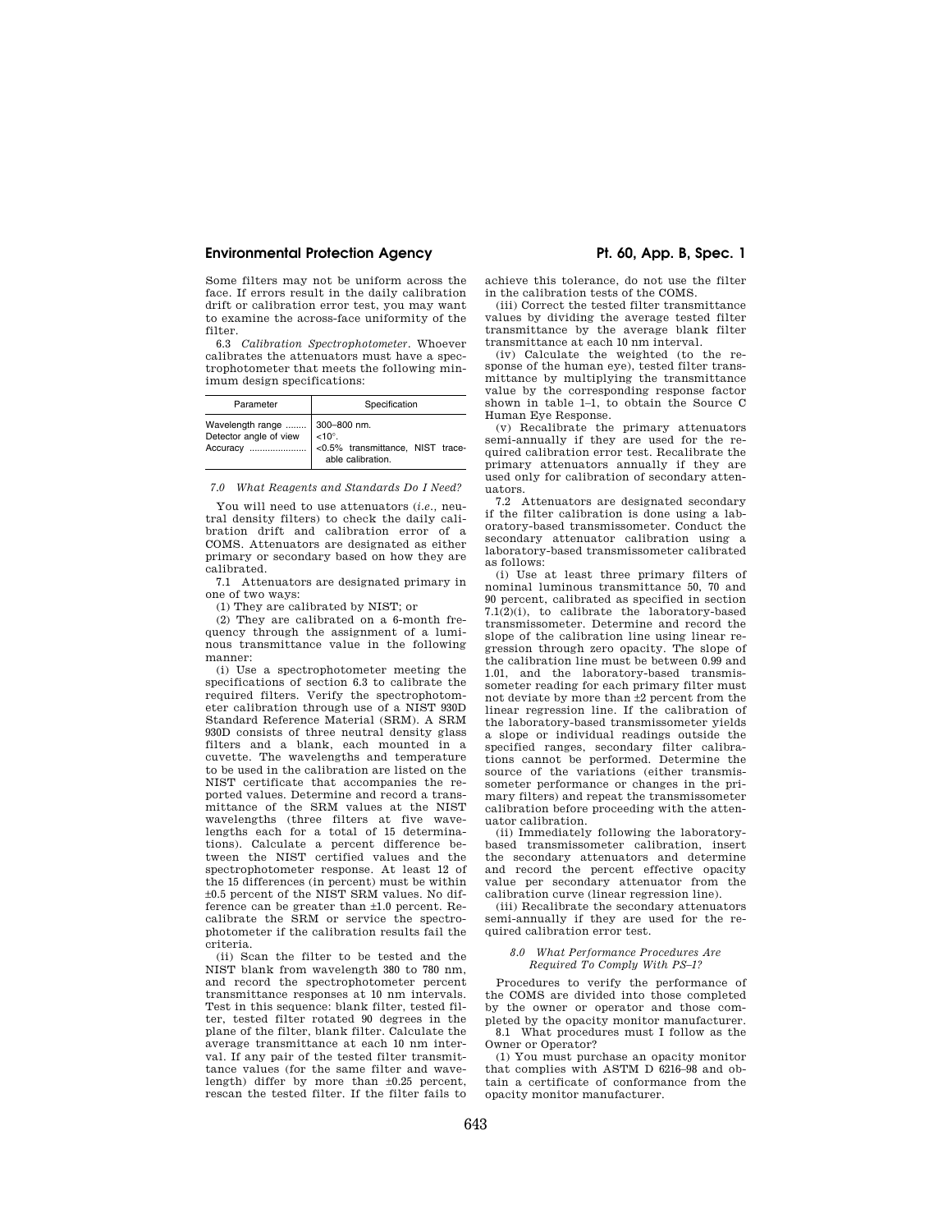# **Environmental Protection Agency The Contract Protection Agency Pt. 60, App. B, Spec. 1**

Some filters may not be uniform across the face. If errors result in the daily calibration drift or calibration error test, you may want to examine the across-face uniformity of the filter.

6.3 *Calibration Spectrophotometer.* Whoever calibrates the attenuators must have a spectrophotometer that meets the following minimum design specifications:

| Parameter                        | Specification                               |
|----------------------------------|---------------------------------------------|
| Wavelength range    300-800 nm.  | Accuracy  < 0.5% transmittance, NIST trace- |
| Detector angle of view $ $ <10°. | able calibration.                           |

*7.0 What Reagents and Standards Do I Need?* 

You will need to use attenuators (*i.e.,* neutral density filters) to check the daily calibration drift and calibration error of a COMS. Attenuators are designated as either primary or secondary based on how they are calibrated.

7.1 Attenuators are designated primary in one of two ways:

(1) They are calibrated by NIST; or

(2) They are calibrated on a 6-month frequency through the assignment of a luminous transmittance value in the following manner:

(i) Use a spectrophotometer meeting the specifications of section 6.3 to calibrate the required filters. Verify the spectrophotometer calibration through use of a NIST 930D Standard Reference Material (SRM). A SRM 930D consists of three neutral density glass filters and a blank, each mounted in a cuvette. The wavelengths and temperature to be used in the calibration are listed on the NIST certificate that accompanies the reported values. Determine and record a transmittance of the SRM values at the NIST wavelengths (three filters at five wavelengths each for a total of 15 determinations). Calculate a percent difference between the NIST certified values and the spectrophotometer response. At least 12 of the 15 differences (in percent) must be within ±0.5 percent of the NIST SRM values. No difference can be greater than ±1.0 percent. Recalibrate the SRM or service the spectrophotometer if the calibration results fail the criteria.

(ii) Scan the filter to be tested and the NIST blank from wavelength 380 to 780 nm, and record the spectrophotometer percent transmittance responses at 10 nm intervals. Test in this sequence: blank filter, tested filter, tested filter rotated 90 degrees in the plane of the filter, blank filter. Calculate the average transmittance at each 10 nm interval. If any pair of the tested filter transmittance values (for the same filter and wavelength) differ by more than  $\pm 0.25$  percent, rescan the tested filter. If the filter fails to

achieve this tolerance, do not use the filter in the calibration tests of the COMS.

(iii) Correct the tested filter transmittance values by dividing the average tested filter transmittance by the average blank filter transmittance at each 10 nm interval.

(iv) Calculate the weighted (to the response of the human eye), tested filter transmittance by multiplying the transmittance value by the corresponding response factor shown in table 1–1, to obtain the Source C Human Eye Response.

(v) Recalibrate the primary attenuators semi-annually if they are used for the required calibration error test. Recalibrate the primary attenuators annually if they are used only for calibration of secondary attenuators.

7.2 Attenuators are designated secondary if the filter calibration is done using a laboratory-based transmissometer. Conduct the secondary attenuator calibration using a laboratory-based transmissometer calibrated as follows:

(i) Use at least three primary filters of nominal luminous transmittance 50, 70 and 90 percent, calibrated as specified in section 7.1(2)(i), to calibrate the laboratory-based transmissometer. Determine and record the slope of the calibration line using linear regression through zero opacity. The slope of the calibration line must be between 0.99 and 1.01, and the laboratory-based transmissometer reading for each primary filter must not deviate by more than ±2 percent from the linear regression line. If the calibration of the laboratory-based transmissometer yields a slope or individual readings outside the specified ranges, secondary filter calibrations cannot be performed. Determine the source of the variations (either transmissometer performance or changes in the primary filters) and repeat the transmissometer calibration before proceeding with the attenuator calibration.

(ii) Immediately following the laboratorybased transmissometer calibration, insert the secondary attenuators and determine and record the percent effective opacity value per secondary attenuator from the calibration curve (linear regression line).

(iii) Recalibrate the secondary attenuators semi-annually if they are used for the required calibration error test.

#### *8.0 What Performance Procedures Are Required To Comply With PS–1?*

Procedures to verify the performance of the COMS are divided into those completed by the owner or operator and those completed by the opacity monitor manufacturer. 8.1 What procedures must I follow as the Owner or Operator?

(1) You must purchase an opacity monitor that complies with ASTM D 6216–98 and obtain a certificate of conformance from the opacity monitor manufacturer.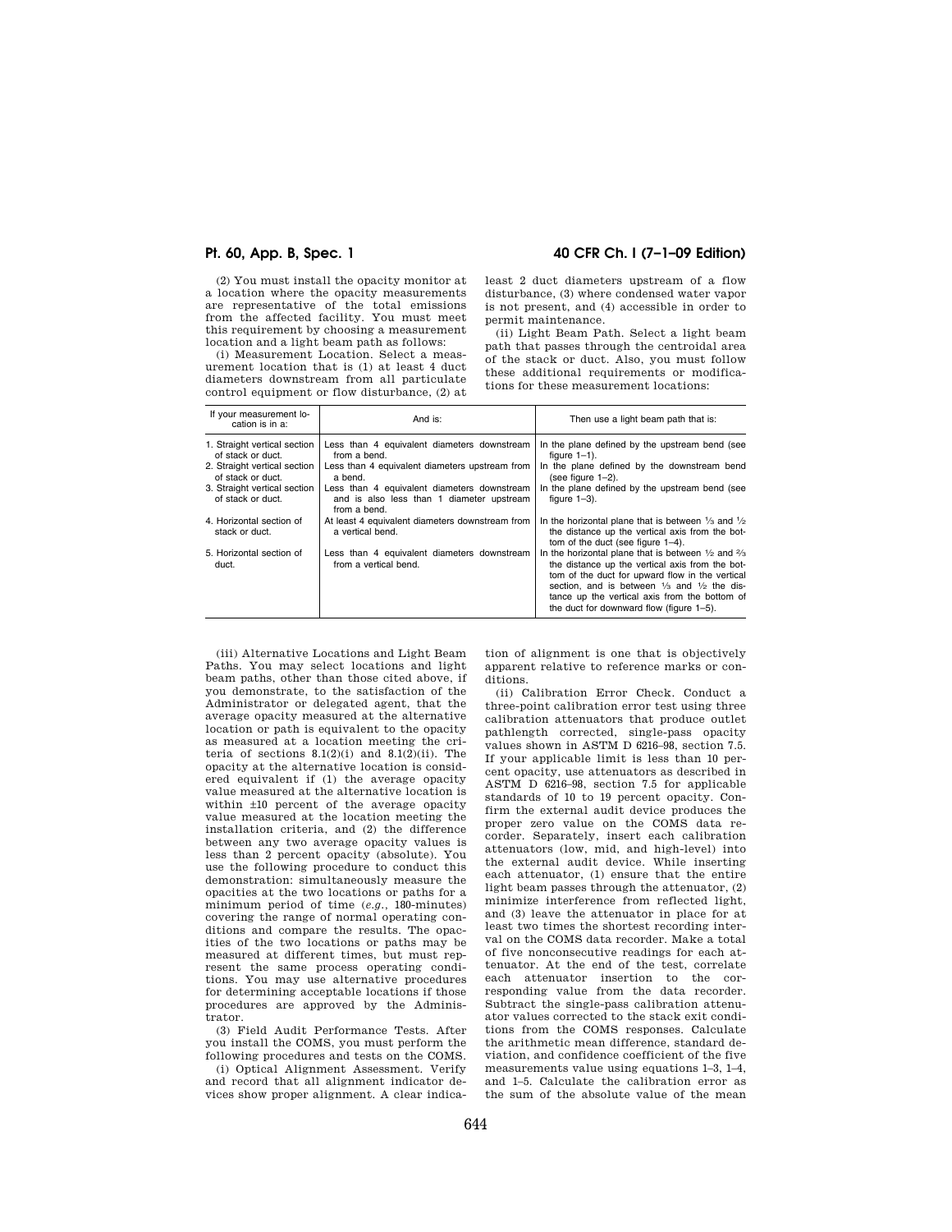(2) You must install the opacity monitor at a location where the opacity measurements are representative of the total emissions from the affected facility. You must meet this requirement by choosing a measurement location and a light beam path as follows:

(i) Measurement Location. Select a measurement location that is (1) at least 4 duct diameters downstream from all particulate control equipment or flow disturbance, (2) at

# **Pt. 60, App. B, Spec. 1 40 CFR Ch. I (7–1–09 Edition)**

least 2 duct diameters upstream of a flow disturbance, (3) where condensed water vapor is not present, and (4) accessible in order to permit maintenance.

(ii) Light Beam Path. Select a light beam path that passes through the centroidal area of the stack or duct. Also, you must follow these additional requirements or modifications for these measurement locations:

| If your measurement lo-<br>cation is in a:                                        | And is:                                                                                                       | Then use a light beam path that is:                                                                                                                                                                                                                                                                                                            |
|-----------------------------------------------------------------------------------|---------------------------------------------------------------------------------------------------------------|------------------------------------------------------------------------------------------------------------------------------------------------------------------------------------------------------------------------------------------------------------------------------------------------------------------------------------------------|
| 1. Straight vertical section<br>of stack or duct.<br>2. Straight vertical section | Less than 4 equivalent diameters downstream<br>from a bend.<br>Less than 4 equivalent diameters upstream from | In the plane defined by the upstream bend (see<br>figure $1-1$ ).<br>In the plane defined by the downstream bend                                                                                                                                                                                                                               |
| of stack or duct.                                                                 | a bend.                                                                                                       | (see figure $1-2$ ).                                                                                                                                                                                                                                                                                                                           |
| 3. Straight vertical section<br>of stack or duct.                                 | Less than 4 equivalent diameters downstream<br>and is also less than 1 diameter upstream<br>from a bend.      | In the plane defined by the upstream bend (see<br>figure $1-3$ ).                                                                                                                                                                                                                                                                              |
| 4. Horizontal section of<br>stack or duct.                                        | At least 4 equivalent diameters downstream from<br>a vertical bend.                                           | In the horizontal plane that is between $\frac{1}{3}$ and $\frac{1}{2}$<br>the distance up the vertical axis from the bot-<br>tom of the duct (see figure 1-4).                                                                                                                                                                                |
| 5. Horizontal section of<br>duct.                                                 | Less than 4 equivalent diameters downstream<br>from a vertical bend.                                          | In the horizontal plane that is between $\frac{1}{2}$ and $\frac{2}{3}$<br>the distance up the vertical axis from the bot-<br>tom of the duct for upward flow in the vertical<br>section, and is between $\frac{1}{3}$ and $\frac{1}{2}$ the dis-<br>tance up the vertical axis from the bottom of<br>the duct for downward flow (figure 1-5). |

(iii) Alternative Locations and Light Beam Paths. You may select locations and light beam paths, other than those cited above, if you demonstrate, to the satisfaction of the Administrator or delegated agent, that the average opacity measured at the alternative location or path is equivalent to the opacity as measured at a location meeting the criteria of sections  $8.1(2)(i)$  and  $8.1(2)(ii)$ . The opacity at the alternative location is considered equivalent if (1) the average opacity value measured at the alternative location is within ±10 percent of the average opacity value measured at the location meeting the installation criteria, and (2) the difference between any two average opacity values is less than 2 percent opacity (absolute). You use the following procedure to conduct this demonstration: simultaneously measure the opacities at the two locations or paths for a minimum period of time (*e.g.,* 180-minutes) covering the range of normal operating conditions and compare the results. The opacities of the two locations or paths may be measured at different times, but must represent the same process operating conditions. You may use alternative procedures for determining acceptable locations if those procedures are approved by the Administrator.

(3) Field Audit Performance Tests. After you install the COMS, you must perform the following procedures and tests on the COMS.

(i) Optical Alignment Assessment. Verify and record that all alignment indicator devices show proper alignment. A clear indica-

tion of alignment is one that is objectively apparent relative to reference marks or conditions.

(ii) Calibration Error Check. Conduct a three-point calibration error test using three calibration attenuators that produce outlet pathlength corrected, single-pass opacity values shown in ASTM D 6216–98, section 7.5. If your applicable limit is less than 10 percent opacity, use attenuators as described in ASTM D 6216–98, section 7.5 for applicable standards of 10 to 19 percent opacity. Confirm the external audit device produces the proper zero value on the COMS data recorder. Separately, insert each calibration attenuators (low, mid, and high-level) into the external audit device. While inserting each attenuator, (1) ensure that the entire light beam passes through the attenuator, (2) minimize interference from reflected light, and (3) leave the attenuator in place for at least two times the shortest recording interval on the COMS data recorder. Make a total of five nonconsecutive readings for each attenuator. At the end of the test, correlate each attenuator insertion to the corresponding value from the data recorder. Subtract the single-pass calibration attenuator values corrected to the stack exit conditions from the COMS responses. Calculate the arithmetic mean difference, standard deviation, and confidence coefficient of the five measurements value using equations 1–3, 1–4, and 1–5. Calculate the calibration error as the sum of the absolute value of the mean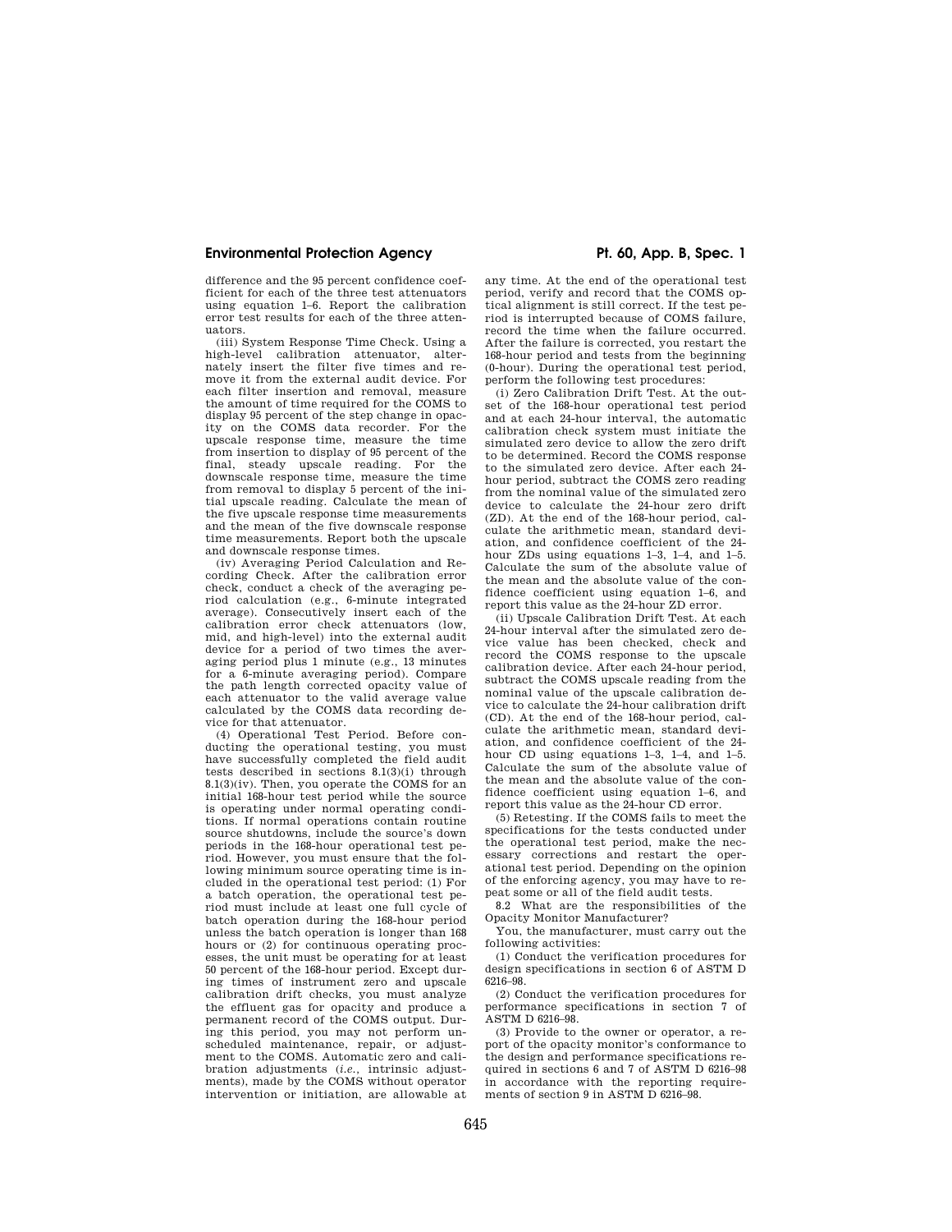# **Environmental Protection Agency The Contract Protection Agency Pt. 60, App. B, Spec. 1**

difference and the 95 percent confidence coefficient for each of the three test attenuators using equation 1–6. Report the calibration error test results for each of the three attenuators.

(iii) System Response Time Check. Using a high-level calibration attenuator, alter-nately insert the filter five times and remove it from the external audit device. For each filter insertion and removal, measure the amount of time required for the COMS to display 95 percent of the step change in opacity on the COMS data recorder. For the upscale response time, measure the time from insertion to display of 95 percent of the final, steady upscale reading. For the downscale response time, measure the time from removal to display 5 percent of the initial upscale reading. Calculate the mean of the five upscale response time measurements and the mean of the five downscale response time measurements. Report both the upscale and downscale response times.

(iv) Averaging Period Calculation and Recording Check. After the calibration error check, conduct a check of the averaging period calculation (e.g., 6-minute integrated average). Consecutively insert each of the calibration error check attenuators (low, mid, and high-level) into the external audit device for a period of two times the averaging period plus 1 minute (e.g., 13 minutes for a 6-minute averaging period). Compare the path length corrected opacity value of each attenuator to the valid average value calculated by the COMS data recording device for that attenuator.

(4) Operational Test Period. Before conducting the operational testing, you must have successfully completed the field audit tests described in sections 8.1(3)(i) through 8.1(3)(iv). Then, you operate the COMS for an initial 168-hour test period while the source is operating under normal operating conditions. If normal operations contain routine source shutdowns, include the source's down periods in the 168-hour operational test period. However, you must ensure that the following minimum source operating time is included in the operational test period: (1) For a batch operation, the operational test period must include at least one full cycle of batch operation during the 168-hour period unless the batch operation is longer than 168 hours or (2) for continuous operating processes, the unit must be operating for at least 50 percent of the 168-hour period. Except during times of instrument zero and upscale calibration drift checks, you must analyze the effluent gas for opacity and produce a permanent record of the COMS output. During this period, you may not perform unscheduled maintenance, repair, or adjustment to the COMS. Automatic zero and calibration adjustments (*i.e.,* intrinsic adjustments), made by the COMS without operator intervention or initiation, are allowable at

any time. At the end of the operational test period, verify and record that the COMS optical alignment is still correct. If the test period is interrupted because of COMS failure, record the time when the failure occurred. After the failure is corrected, you restart the 168-hour period and tests from the beginning (0-hour). During the operational test period, perform the following test procedures:

(i) Zero Calibration Drift Test. At the outset of the 168-hour operational test period and at each 24-hour interval, the automatic calibration check system must initiate the simulated zero device to allow the zero drift to be determined. Record the COMS response to the simulated zero device. After each 24 hour period, subtract the COMS zero reading from the nominal value of the simulated zero device to calculate the 24-hour zero drift (ZD). At the end of the 168-hour period, calculate the arithmetic mean, standard deviation, and confidence coefficient of the 24 hour ZDs using equations 1–3, 1–4, and 1–5. Calculate the sum of the absolute value of the mean and the absolute value of the confidence coefficient using equation 1–6, and report this value as the 24-hour ZD error.

(ii) Upscale Calibration Drift Test. At each 24-hour interval after the simulated zero device value has been checked, check and record the COMS response to the upscale calibration device. After each 24-hour period, subtract the COMS upscale reading from the nominal value of the upscale calibration device to calculate the 24-hour calibration drift (CD). At the end of the 168-hour period, calculate the arithmetic mean, standard deviation, and confidence coefficient of the 24 hour CD using equations 1–3, 1–4, and 1–5. Calculate the sum of the absolute value of the mean and the absolute value of the confidence coefficient using equation 1–6, and report this value as the 24-hour CD error.

(5) Retesting. If the COMS fails to meet the specifications for the tests conducted under the operational test period, make the necessary corrections and restart the operational test period. Depending on the opinion of the enforcing agency, you may have to repeat some or all of the field audit tests.

8.2 What are the responsibilities of the Opacity Monitor Manufacturer?

You, the manufacturer, must carry out the following activities:

(1) Conduct the verification procedures for design specifications in section 6 of ASTM D 6216–98.

(2) Conduct the verification procedures for performance specifications in section 7 of ASTM D 6216–98.

(3) Provide to the owner or operator, a report of the opacity monitor's conformance to the design and performance specifications required in sections 6 and 7 of ASTM D 6216–98 in accordance with the reporting requirements of section 9 in ASTM D 6216–98.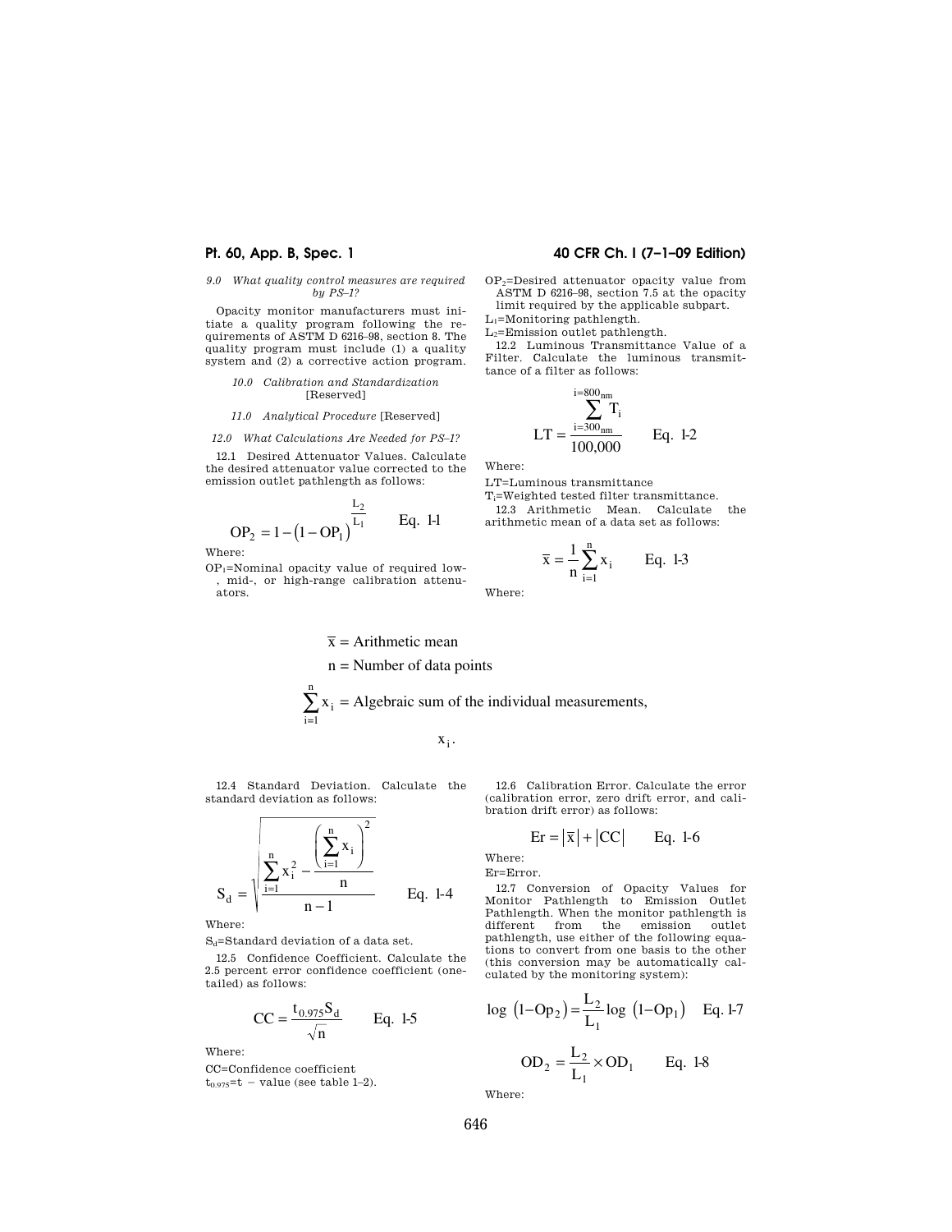# *9.0 What quality control measures are required by PS–1?*

Opacity monitor manufacturers must initiate a quality program following the requirements of ASTM D 6216–98, section 8. The quality program must include (1) a quality system and (2) a corrective action program.

### *10.0 Calibration and Standardization*  [Reserved]

### *11.0 Analytical Procedure* [Reserved]

### *12.0 What Calculations Are Needed for PS–1?*

12.1 Desired Attenuator Values. Calculate the desired attenuator value corrected to the emission outlet pathlength as follows:

$$
OP_2 = 1 - (1 - OP_1)^{\frac{L_2}{L_1}}
$$
 Eq. 1-1

Where:

 $OP<sub>1</sub>=$ Nominal opacity value of required low-, mid-, or high-range calibration attenuators.

# $\bar{x}$  = Arithmetic mean n = Number of data points

$$
\sum_{i=1} x_i = \text{Algebraic sum of the individual measurements},
$$

x x  $x_i$ .

12.4 Standard Deviation. Calculate the standard deviation as follows:

n

$$
S_d = \sqrt{\sum_{i=1}^{n} x_i^2 - \frac{\left(\sum_{i=1}^{n} x_i\right)^2}{n}}{n-1}}
$$
 Eq. 1-4

Where:

S<sub>d</sub>=Standard deviation of a data set.

12.5 Confidence Coefficient. Calculate the 2.5 percent error confidence coefficient (onetailed) as follows:

$$
CC = \frac{t_{0.975} S_d}{\sqrt{n}} \qquad Eq. 1-5
$$

Where:

CC=Confidence coefficient  $t_{0.975}$ =t – value (see table 1–2).

# **Pt. 60, App. B, Spec. 1 40 CFR Ch. I (7–1–09 Edition)**

OP2=Desired attenuator opacity value from ASTM D 6216–98, section 7.5 at the opacity limit required by the applicable subpart.

L1=Monitoring pathlength.

L2=Emission outlet pathlength.

12.2 Luminous Transmittance Value of a Filter. Calculate the luminous transmittance of a filter as follows:

$$
LT = \frac{\sum_{i=300_{nm}}^{1=800_{nm}} T_i}{100,000} \qquad Eq. 1-2
$$

Where:

LT=Luminous transmittance Ti=Weighted tested filter transmittance. 12.3 Arithmetic Mean. Calculate the arithmetic mean of a data set as follows:

$$
\bar{x} = \frac{1}{n} \sum_{i=1}^{n} x_i
$$
 Eq. 1-3

Where:

12.6 Calibration Error. Calculate the error (calibration error, zero drift error, and calibration drift error) as follows:

$$
Er = |\overline{x}| + |CC| \qquad Eq. 1-6
$$

Where:

Er=Error.

12.7 Conversion of Opacity Values for Monitor Pathlength to Emission Outlet Pathlength. When the monitor pathlength is different from the emission outlet pathlength, use either of the following equations to convert from one basis to the other (this conversion may be automatically calculated by the monitoring system):

log 
$$
(1 - Op_2)
$$
 =  $\frac{L_2}{L_1}$ log  $(1 - Op_1)$  Eq. 1-7  
OD<sub>2</sub> =  $\frac{L_2}{L_1} \times OD_1$  Eq. 1-8

Where: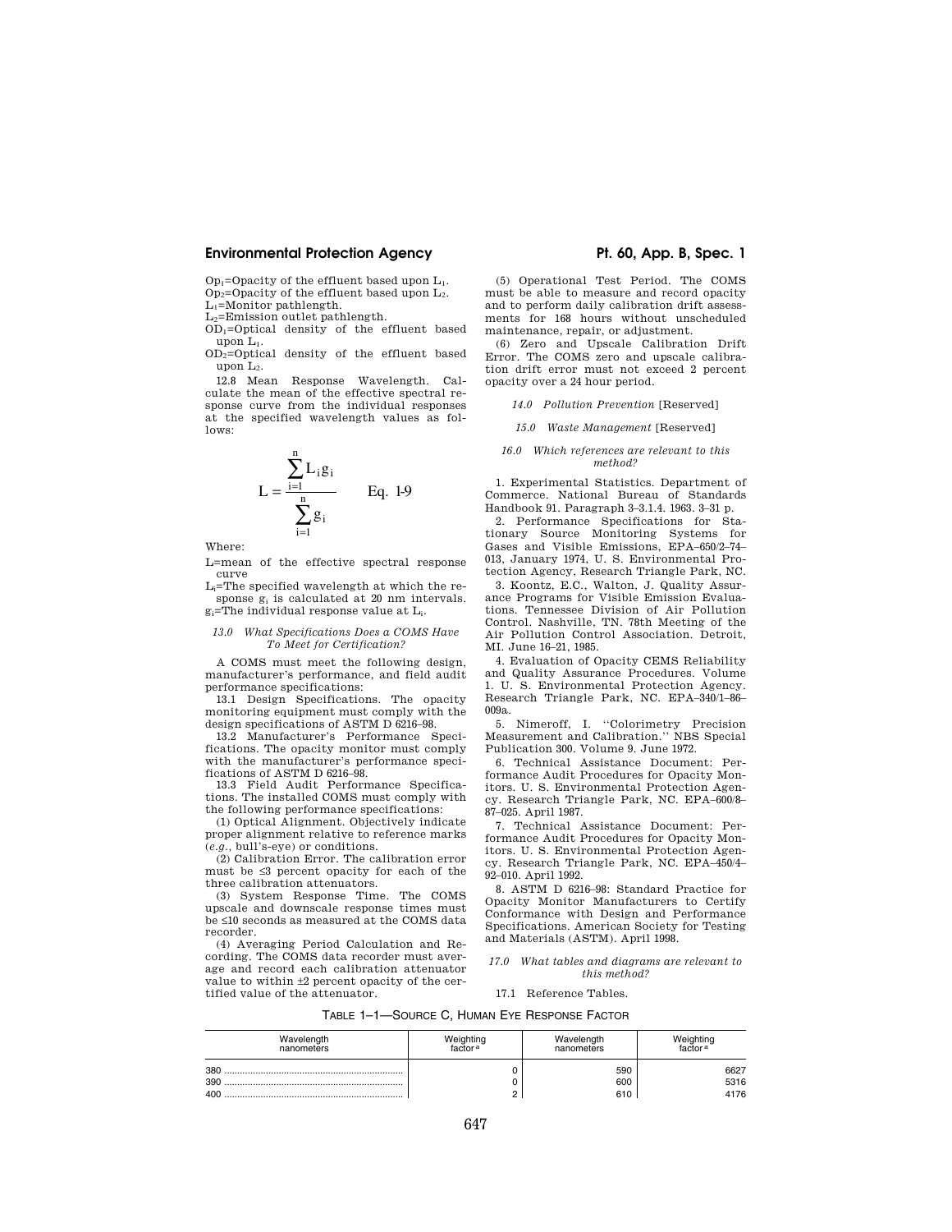# **Environmental Protection Agency The Contract Protection Agency Pt. 60, App. B, Spec. 1**

 $Op<sub>1</sub>=Opacity$  of the effluent based upon  $L<sub>1</sub>$ .  $Op_2=Opacity$  of the effluent based upon  $L_2$ . L1=Monitor pathlength.

 $L_2$ =Emission outlet pathlength.

OD1=Optical density of the effluent based upon L1.

OD2=Optical density of the effluent based upon  $L_2$ .

12.8 Mean Response Wavelength. Calculate the mean of the effective spectral response curve from the individual responses at the specified wavelength values as follows:

$$
L = \frac{\sum_{i=1}^{n} L_i g_i}{\sum_{i=1}^{n} g_i}
$$
 Eq. 1-9

Where:

L=mean of the effective spectral response curve

Li=The specified wavelength at which the response g<sup>i</sup> is calculated at 20 nm intervals. gi=The individual response value at Li.

#### *13.0 What Specifications Does a COMS Have To Meet for Certification?*

A COMS must meet the following design, manufacturer's performance, and field audit performance specifications:

13.1 Design Specifications. The opacity monitoring equipment must comply with the design specifications of ASTM D 6216–98.

13.2 Manufacturer's Performance Specifications. The opacity monitor must comply with the manufacturer's performance specifications of ASTM D 6216-98.

13.3 Field Audit Performance Specifications. The installed COMS must comply with the following performance specifications:

(1) Optical Alignment. Objectively indicate proper alignment relative to reference marks (*e.g.,* bull's-eye) or conditions.

(2) Calibration Error. The calibration error must be ≤3 percent opacity for each of the three calibration attenuators.

(3) System Response Time. The COMS upscale and downscale response times must be ≤10 seconds as measured at the COMS data recorder.

(4) Averaging Period Calculation and Recording. The COMS data recorder must average and record each calibration attenuator value to within ±2 percent opacity of the certified value of the attenuator.

(5) Operational Test Period. The COMS must be able to measure and record opacity and to perform daily calibration drift assessments for 168 hours without unscheduled maintenance, repair, or adjustment.

(6) Zero and Upscale Calibration Drift Error. The COMS zero and upscale calibration drift error must not exceed 2 percent opacity over a 24 hour period.

*14.0 Pollution Prevention* [Reserved]

#### *15.0 Waste Management* [Reserved]

#### *16.0 Which references are relevant to this method?*

1. Experimental Statistics. Department of Commerce. National Bureau of Standards Handbook 91. Paragraph 3–3.1.4. 1963. 3–31 p.

2. Performance Specifications for Stationary Source Monitoring Systems for Gases and Visible Emissions, EPA–650/2–74– 013, January 1974, U. S. Environmental Protection Agency, Research Triangle Park, NC.

3. Koontz, E.C., Walton, J. Quality Assurance Programs for Visible Emission Evaluations. Tennessee Division of Air Pollution Control. Nashville, TN. 78th Meeting of the Air Pollution Control Association. Detroit, MI. June 16–21, 1985.

4. Evaluation of Opacity CEMS Reliability and Quality Assurance Procedures. Volume 1. U. S. Environmental Protection Agency. Research Triangle Park, NC. EPA–340/1–86– 009a.

5. Nimeroff, I. ''Colorimetry Precision Measurement and Calibration.'' NBS Special Publication 300. Volume 9. June 1972.

6. Technical Assistance Document: Performance Audit Procedures for Opacity Monitors. U. S. Environmental Protection Agency. Research Triangle Park, NC. EPA–600/8– 87–025. April 1987.

7. Technical Assistance Document: Performance Audit Procedures for Opacity Monitors. U. S. Environmental Protection Agency. Research Triangle Park, NC. EPA–450/4– 92–010. April 1992.

8. ASTM D 6216–98: Standard Practice for Opacity Monitor Manufacturers to Certify Conformance with Design and Performance Specifications. American Society for Testing and Materials (ASTM). April 1998.

#### *17.0 What tables and diagrams are relevant to this method?*

#### 17.1 Reference Tables.

TABLE 1–1—SOURCE C, HUMAN EYE RESPONSE FACTOR

| Wavelength        | Weiahtina           | Wavelength        | Weighting            |
|-------------------|---------------------|-------------------|----------------------|
| nanometers        | ractor <sup>a</sup> | nanometers        | actor a              |
| 380<br>390<br>400 |                     | 590<br>600<br>610 | 6627<br>5316<br>4176 |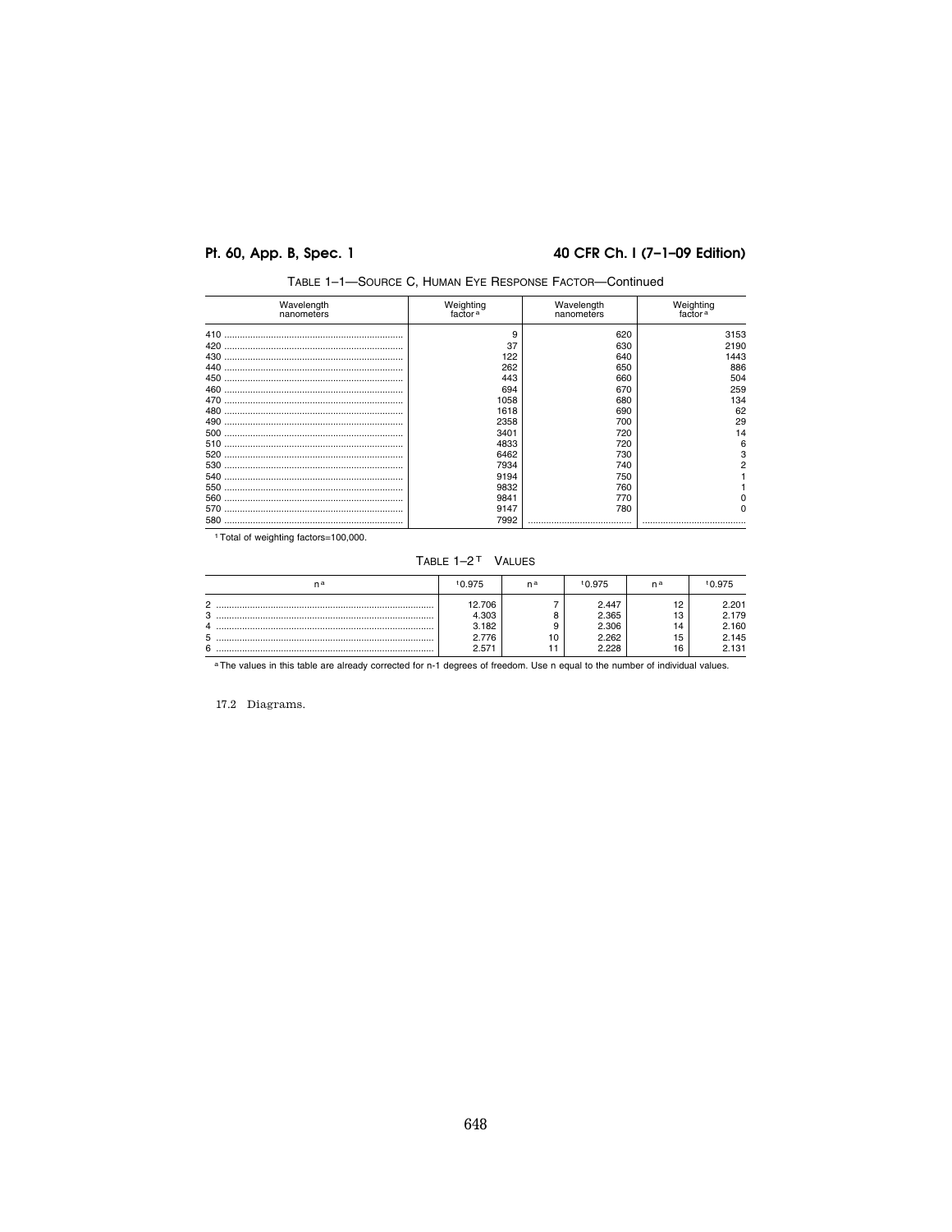# Pt. 60, App. B, Spec. 1

# 40 CFR Ch. I (7-1-09 Edition)

| Wavelength<br>nanometers | Weighting<br>factor <sup>a</sup> | Wavelength<br>nanometers | Weighting<br>factor <sup>a</sup> |
|--------------------------|----------------------------------|--------------------------|----------------------------------|
| 410                      | 9                                | 620                      | 3153                             |
| 420                      | 37                               | 630                      | 2190                             |
|                          | 122                              | 640                      | 1443                             |
|                          | 262                              | 650                      | 886                              |
|                          | 443                              | 660                      | 504                              |
|                          | 694                              | 670                      | 259                              |
|                          | 1058                             | 680                      | 134                              |
|                          | 1618                             | 690                      | 62                               |
|                          | 2358                             | 700                      | 29                               |
|                          | 3401                             | 720                      | 14                               |
|                          | 4833                             | 720                      | 6                                |
| 520                      | 6462                             | 730                      | 3                                |
|                          | 7934                             | 740                      |                                  |
|                          | 9194                             | 750                      |                                  |
|                          | 9832                             | 760                      |                                  |
|                          | 9841                             | 770                      |                                  |
|                          | 9147                             | 780                      |                                  |
|                          | 7992                             |                          |                                  |

TABLE 1-1-SOURCE C, HUMAN EYE RESPONSE FACTOR-Continued

TABLE 1-2<sup>T</sup> VALUES

| na                                        | t0.975                                     | na | 0.975 '                                   | na                          | <u>ነበ 975</u>                             |
|-------------------------------------------|--------------------------------------------|----|-------------------------------------------|-----------------------------|-------------------------------------------|
| c<br>C<br>л.<br>7<br>$\ddot{\phantom{a}}$ | 12.706<br>4.303<br>3.182<br>2.776<br>2.571 | 10 | 2.447<br>2.365<br>2.306<br>2.262<br>2.228 | י י<br>ıз<br>ıΔ<br>15<br>16 | 2.201<br>2.179<br>2.160<br>2.145<br>2.131 |

<sup>a</sup>The values in this table are already corrected for n-1 degrees of freedom. Use n equal to the number of individual values.

17.2 Diagrams.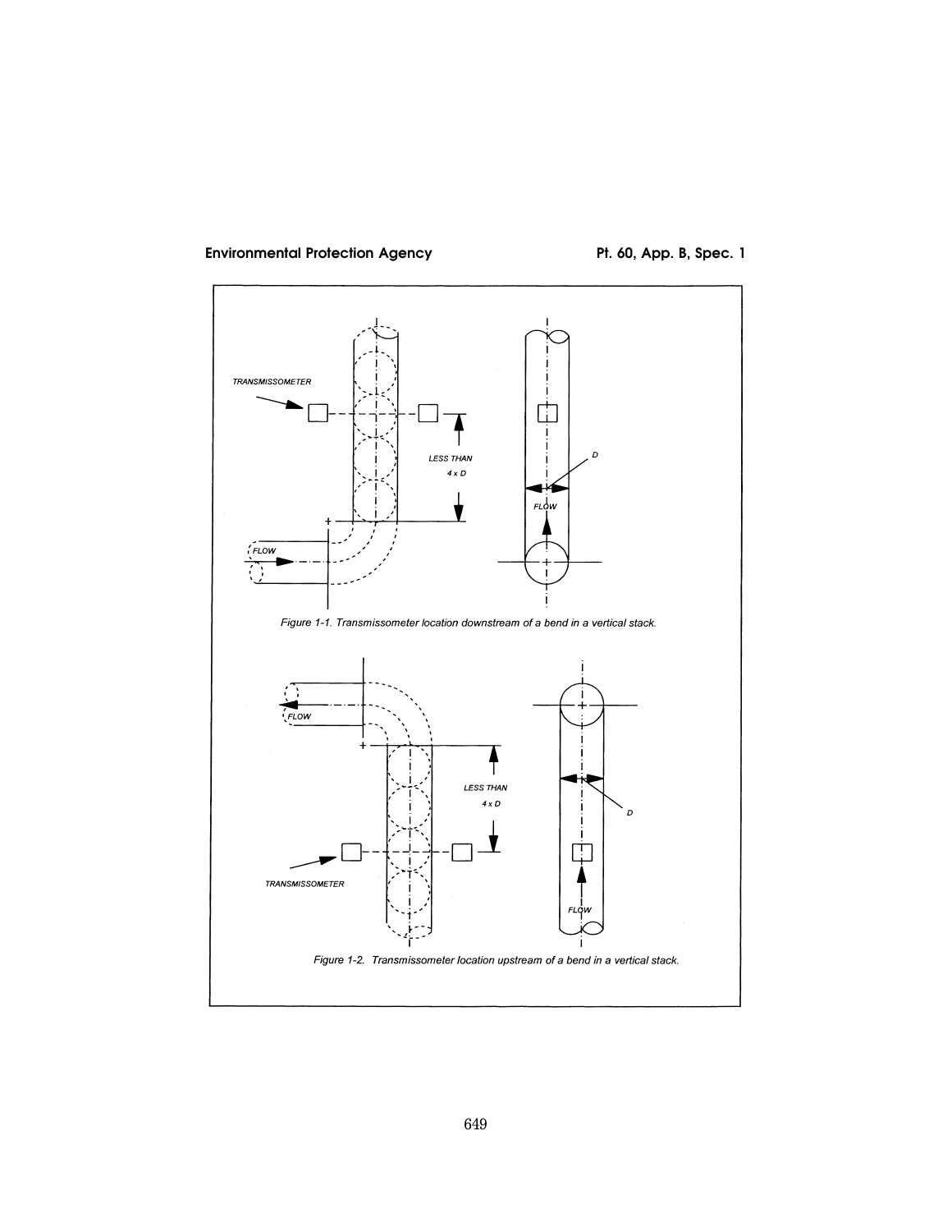# Environmental Protection Agency **Pt. 60, App. B, Spec. 1**

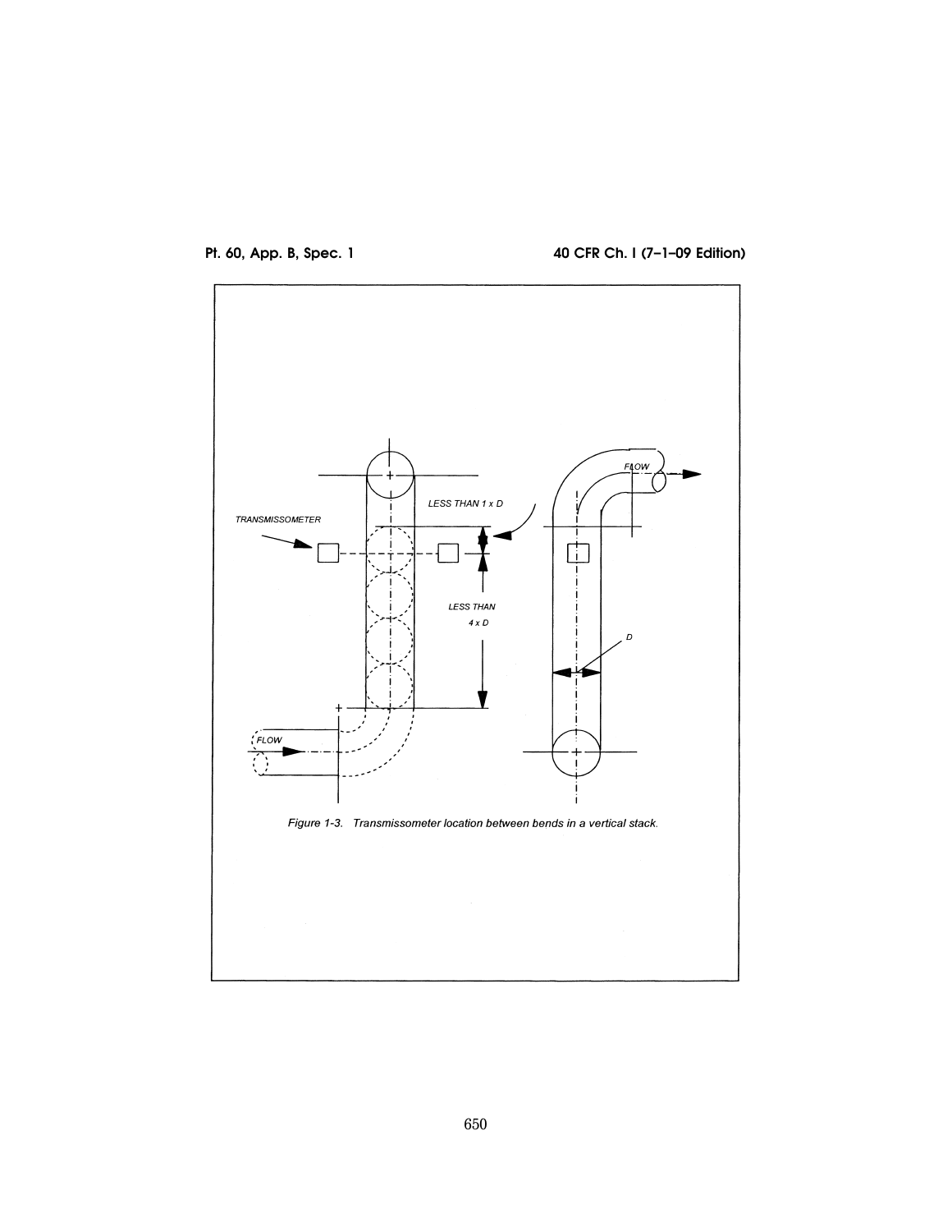

**Pt. 60, App. B, Spec. 1 40 CFR Ch. I (7–1–09 Edition)** 

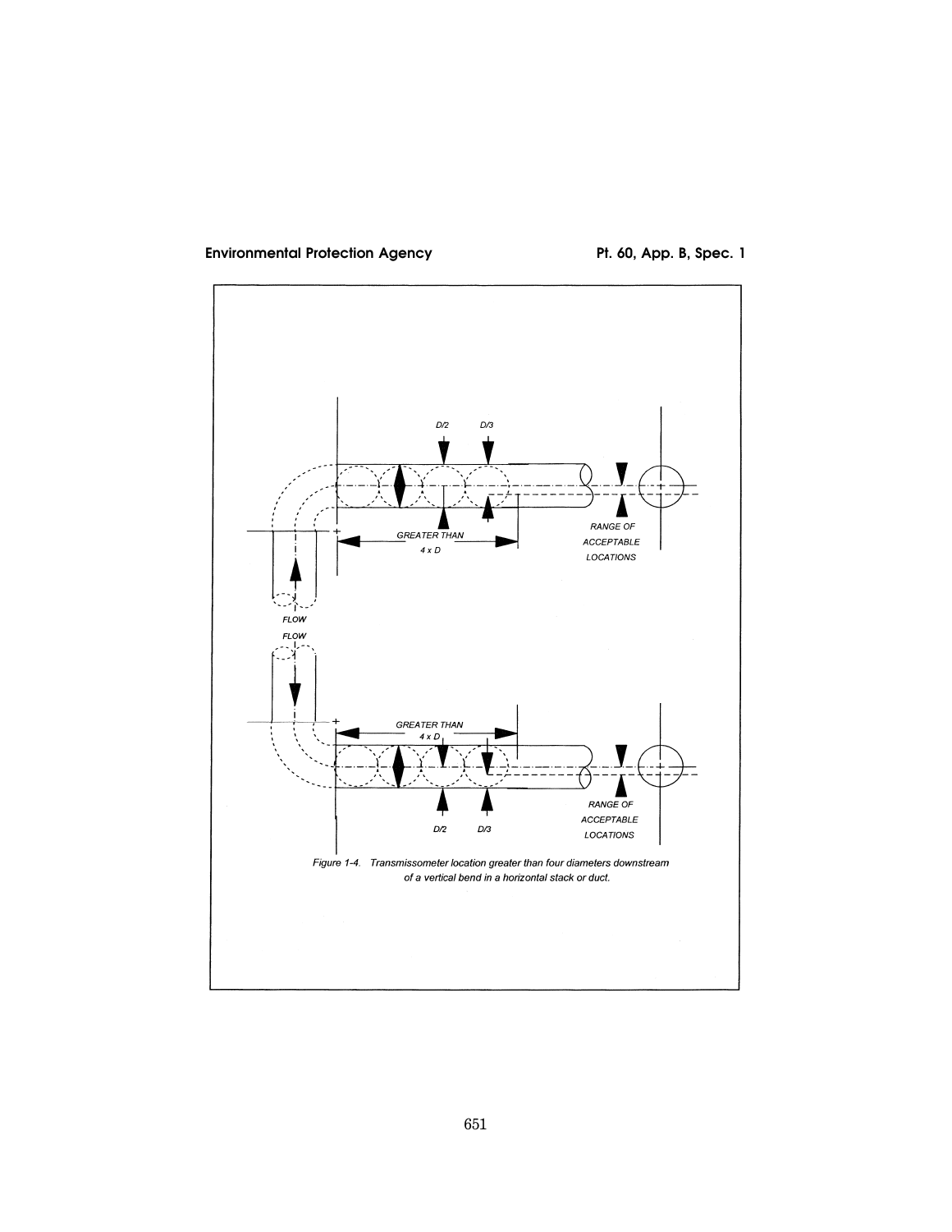

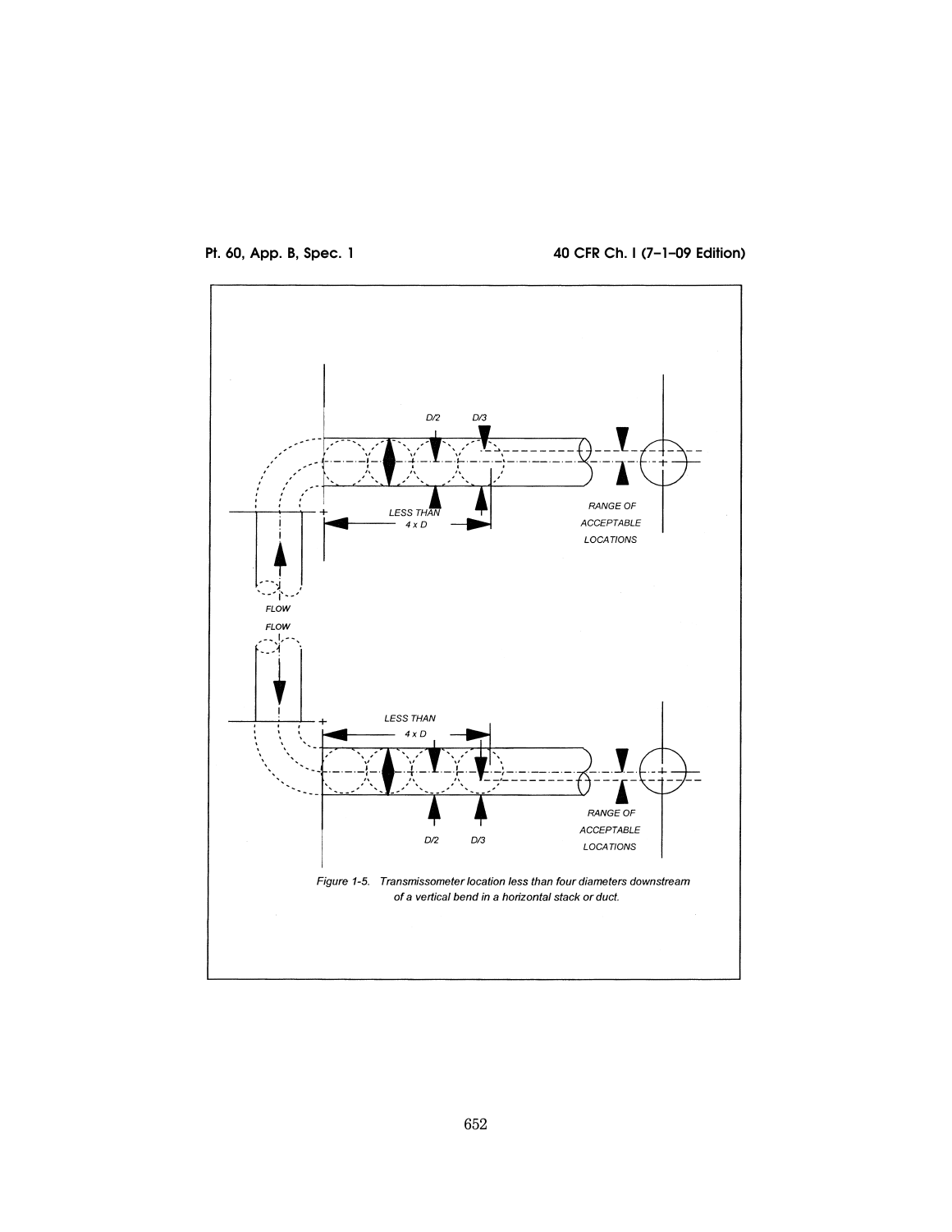



**Pt. 60, App. B, Spec. 1 40 CFR Ch. I (7–1–09 Edition)**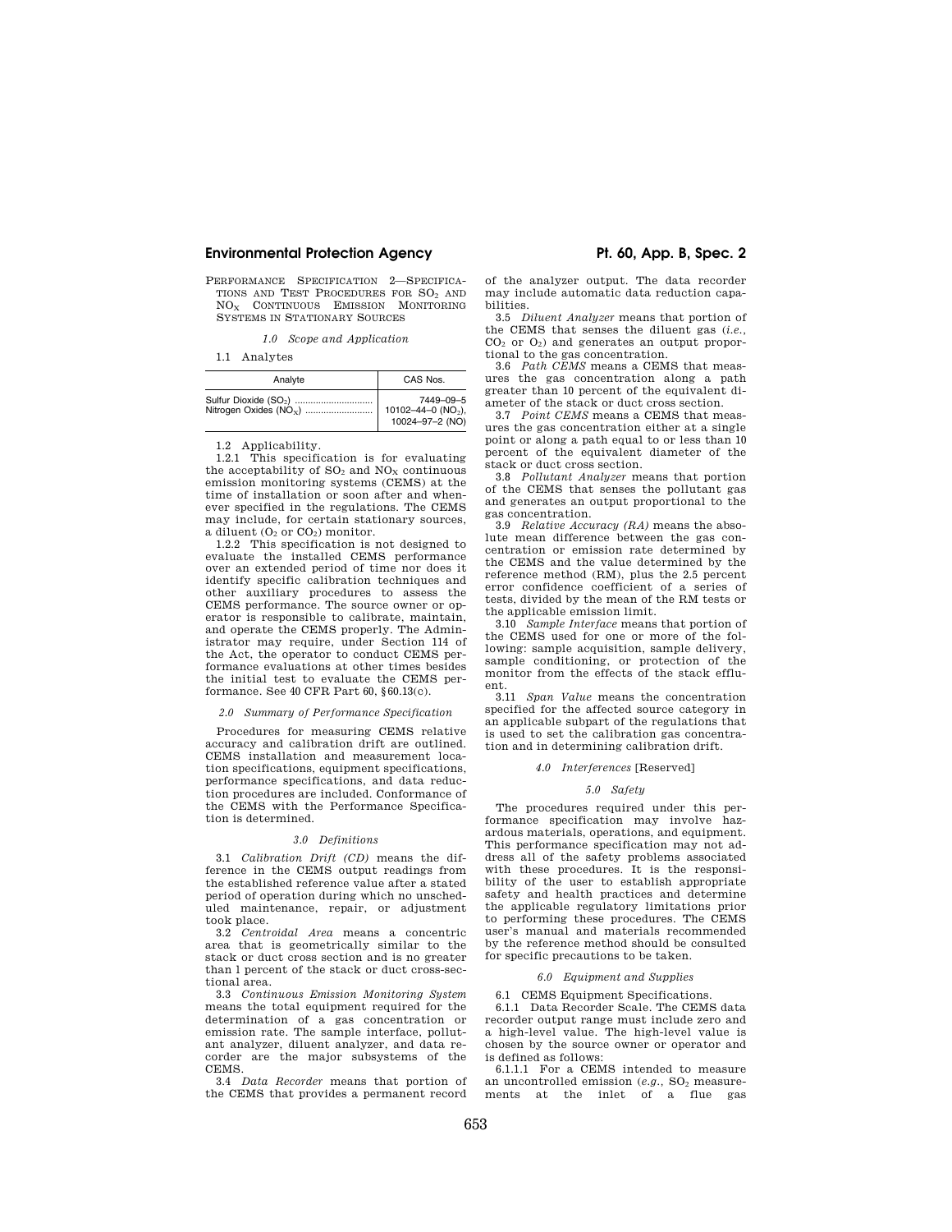# **Environmental Protection Agency The Contract Contract Pt. 60, App. B, Spec. 2**

PERFORMANCE SPECIFICATION 2—SPECIFICA-TIONS AND TEST PROCEDURES FOR SO<sup>2</sup> AND NO<sub>x</sub> CONTINUOUS EMISSION MONITORING SYSTEMS IN STATIONARY SOURCES

*1.0 Scope and Application* 

1.1 Analytes

| Analyte                            | CAS Nos.                                                       |
|------------------------------------|----------------------------------------------------------------|
| Nitrogen Oxides (NO <sub>x</sub> ) | 7449-09-5<br>10102-44-0 (NO <sub>2</sub> ),<br>10024-97-2 (NO) |

1.2 Applicability.

1.2.1 This specification is for evaluating the acceptability of  $SO_2$  and  $NO_X$  continuous emission monitoring systems (CEMS) at the time of installation or soon after and whenever specified in the regulations. The CEMS may include, for certain stationary sources, a diluent  $(O_2 \text{ or } CO_2)$  monitor.

1.2.2 This specification is not designed to evaluate the installed CEMS performance over an extended period of time nor does it identify specific calibration techniques and other auxiliary procedures to assess the CEMS performance. The source owner or operator is responsible to calibrate, maintain, and operate the CEMS properly. The Administrator may require, under Section 114 of the Act, the operator to conduct CEMS performance evaluations at other times besides the initial test to evaluate the CEMS performance. See 40 CFR Part 60, §60.13(c).

### *2.0 Summary of Performance Specification*

Procedures for measuring CEMS relative accuracy and calibration drift are outlined. CEMS installation and measurement location specifications, equipment specifications, performance specifications, and data reduction procedures are included. Conformance of the CEMS with the Performance Specification is determined.

#### *3.0 Definitions*

3.1 *Calibration Drift (CD)* means the difference in the CEMS output readings from the established reference value after a stated period of operation during which no unscheduled maintenance, repair, or adjustment took place.

3.2 *Centroidal Area* means a concentric area that is geometrically similar to the stack or duct cross section and is no greater than l percent of the stack or duct cross-sectional area.

3.3 *Continuous Emission Monitoring System*  means the total equipment required for the determination of a gas concentration or emission rate. The sample interface, pollutant analyzer, diluent analyzer, and data recorder are the major subsystems of the CEMS.

3.4 *Data Recorder* means that portion of the CEMS that provides a permanent record

of the analyzer output. The data recorder may include automatic data reduction capabilities.

3.5 *Diluent Analyzer* means that portion of the CEMS that senses the diluent gas (*i.e.,*  CO<sup>2</sup> or O2) and generates an output proportional to the gas concentration.

3.6 *Path CEMS* means a CEMS that measures the gas concentration along a path greater than 10 percent of the equivalent diameter of the stack or duct cross section.

3.7 *Point CEMS* means a CEMS that measures the gas concentration either at a single point or along a path equal to or less than 10 percent of the equivalent diameter of the stack or duct cross section.

3.8 *Pollutant Analyzer* means that portion of the CEMS that senses the pollutant gas and generates an output proportional to the gas concentration.

3.9 *Relative Accuracy (RA)* means the absolute mean difference between the gas concentration or emission rate determined by the CEMS and the value determined by the reference method (RM), plus the 2.5 percent error confidence coefficient of a series of tests, divided by the mean of the RM tests or the applicable emission limit.

3.10 *Sample Interface* means that portion of the CEMS used for one or more of the following: sample acquisition, sample delivery, sample conditioning, or protection of the monitor from the effects of the stack effluent.

3.11 *Span Value* means the concentration specified for the affected source category in an applicable subpart of the regulations that is used to set the calibration gas concentration and in determining calibration drift.

### *4.0 Interferences* [Reserved]

#### *5.0 Safety*

The procedures required under this performance specification may involve hazardous materials, operations, and equipment. This performance specification may not address all of the safety problems associated with these procedures. It is the responsibility of the user to establish appropriate safety and health practices and determine the applicable regulatory limitations prior to performing these procedures. The CEMS user's manual and materials recommended by the reference method should be consulted for specific precautions to be taken.

### *6.0 Equipment and Supplies*

6.1 CEMS Equipment Specifications. 6.1.1 Data Recorder Scale. The CEMS data recorder output range must include zero and a high-level value. The high-level value is chosen by the source owner or operator and is defined as follows:

6.1.1.1 For a CEMS intended to measure an uncontrolled emission (*e.g.*, SO<sub>2</sub> measure-<br>ments at the inlet of a flue gas ments at the inlet of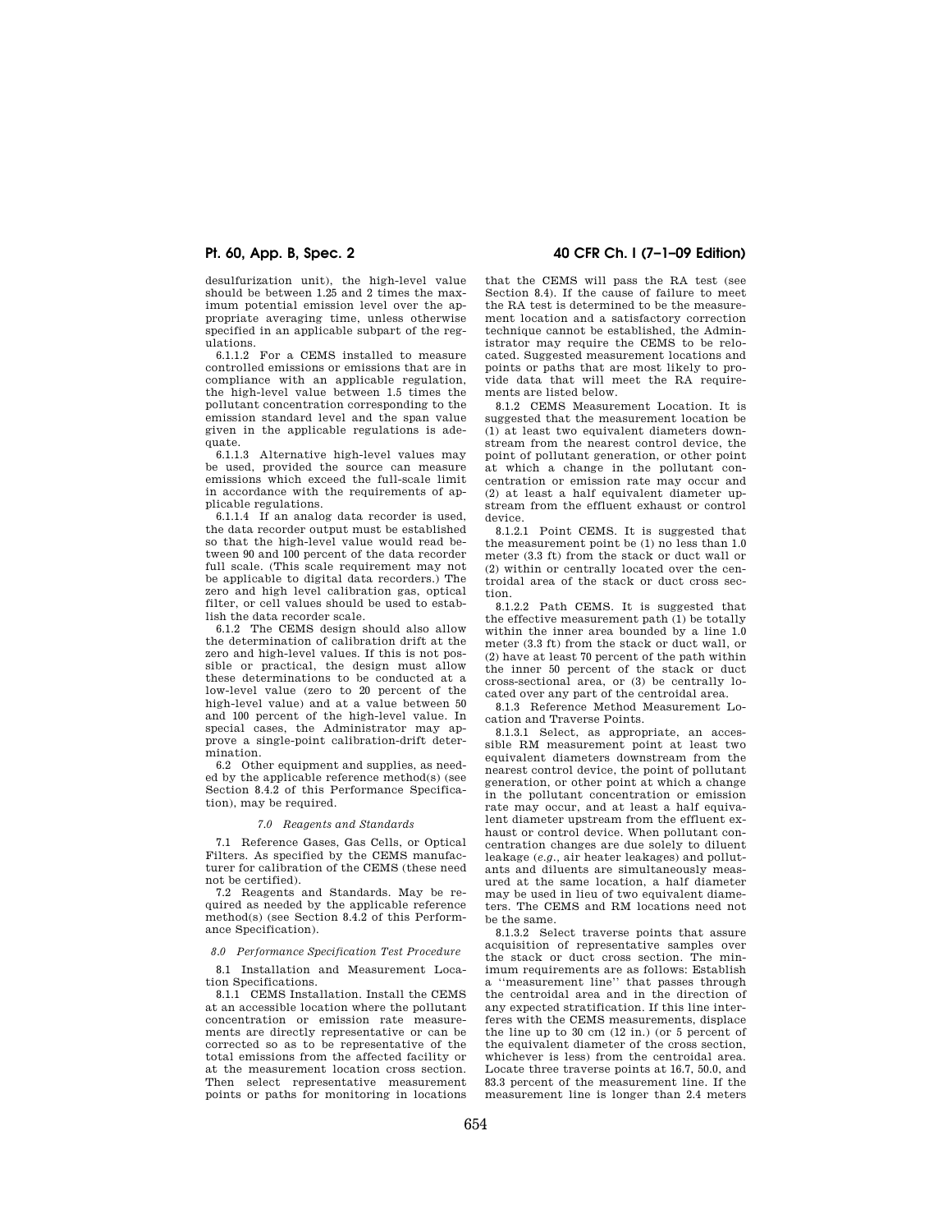desulfurization unit), the high-level value should be between 1.25 and 2 times the maximum potential emission level over the appropriate averaging time, unless otherwise specified in an applicable subpart of the regulations.

6.1.1.2 For a CEMS installed to measure controlled emissions or emissions that are in compliance with an applicable regulation, the high-level value between 1.5 times the pollutant concentration corresponding to the emission standard level and the span value given in the applicable regulations is adequate.

6.1.1.3 Alternative high-level values may be used, provided the source can measure emissions which exceed the full-scale limit in accordance with the requirements of applicable regulations.

6.1.1.4 If an analog data recorder is used, the data recorder output must be established so that the high-level value would read between 90 and 100 percent of the data recorder full scale. (This scale requirement may not be applicable to digital data recorders.) The zero and high level calibration gas, optical filter, or cell values should be used to establish the data recorder scale.

6.1.2 The CEMS design should also allow the determination of calibration drift at the zero and high-level values. If this is not possible or practical, the design must allow these determinations to be conducted at a low-level value (zero to 20 percent of the high-level value) and at a value between 50 and 100 percent of the high-level value. In special cases, the Administrator may approve a single-point calibration-drift determination.

6.2 Other equipment and supplies, as needed by the applicable reference method(s) (see Section 8.4.2 of this Performance Specification), may be required.

#### *7.0 Reagents and Standards*

7.1 Reference Gases, Gas Cells, or Optical Filters. As specified by the CEMS manufacturer for calibration of the CEMS (these need not be certified).

7.2 Reagents and Standards. May be required as needed by the applicable reference method(s) (see Section 8.4.2 of this Performance Specification).

*8.0 Performance Specification Test Procedure* 

8.1 Installation and Measurement Location Specifications.

8.1.1 CEMS Installation. Install the CEMS at an accessible location where the pollutant concentration or emission rate measurements are directly representative or can be corrected so as to be representative of the total emissions from the affected facility or at the measurement location cross section. Then select representative measurement points or paths for monitoring in locations

# **Pt. 60, App. B, Spec. 2 40 CFR Ch. I (7–1–09 Edition)**

that the CEMS will pass the RA test (see Section 8.4). If the cause of failure to meet the RA test is determined to be the measurement location and a satisfactory correction technique cannot be established, the Administrator may require the CEMS to be relocated. Suggested measurement locations and points or paths that are most likely to provide data that will meet the RA requirements are listed below.

8.1.2 CEMS Measurement Location. It is suggested that the measurement location be (1) at least two equivalent diameters downstream from the nearest control device, the point of pollutant generation, or other point at which a change in the pollutant concentration or emission rate may occur and (2) at least a half equivalent diameter upstream from the effluent exhaust or control device.

8.1.2.1 Point CEMS. It is suggested that the measurement point be (1) no less than 1.0 meter (3.3 ft) from the stack or duct wall or (2) within or centrally located over the centroidal area of the stack or duct cross section.

8.1.2.2 Path CEMS. It is suggested that the effective measurement path (1) be totally within the inner area bounded by a line 1.0 meter (3.3 ft) from the stack or duct wall, or (2) have at least 70 percent of the path within the inner 50 percent of the stack or duct cross-sectional area, or (3) be centrally located over any part of the centroidal area.

8.1.3 Reference Method Measurement Location and Traverse Points.

8.1.3.1 Select, as appropriate, an accessible RM measurement point at least two equivalent diameters downstream from the nearest control device, the point of pollutant generation, or other point at which a change in the pollutant concentration or emission rate may occur, and at least a half equivalent diameter upstream from the effluent exhaust or control device. When pollutant concentration changes are due solely to diluent leakage (*e.g.,* air heater leakages) and pollutants and diluents are simultaneously measured at the same location, a half diameter may be used in lieu of two equivalent diameters. The CEMS and RM locations need not be the same.

8.1.3.2 Select traverse points that assure acquisition of representative samples over the stack or duct cross section. The minimum requirements are as follows: Establish a ''measurement line'' that passes through the centroidal area and in the direction of any expected stratification. If this line interferes with the CEMS measurements, displace the line up to 30 cm (12 in.) (or 5 percent of the equivalent diameter of the cross section, whichever is less) from the centroidal area. Locate three traverse points at 16.7, 50.0, and 83.3 percent of the measurement line. If the measurement line is longer than 2.4 meters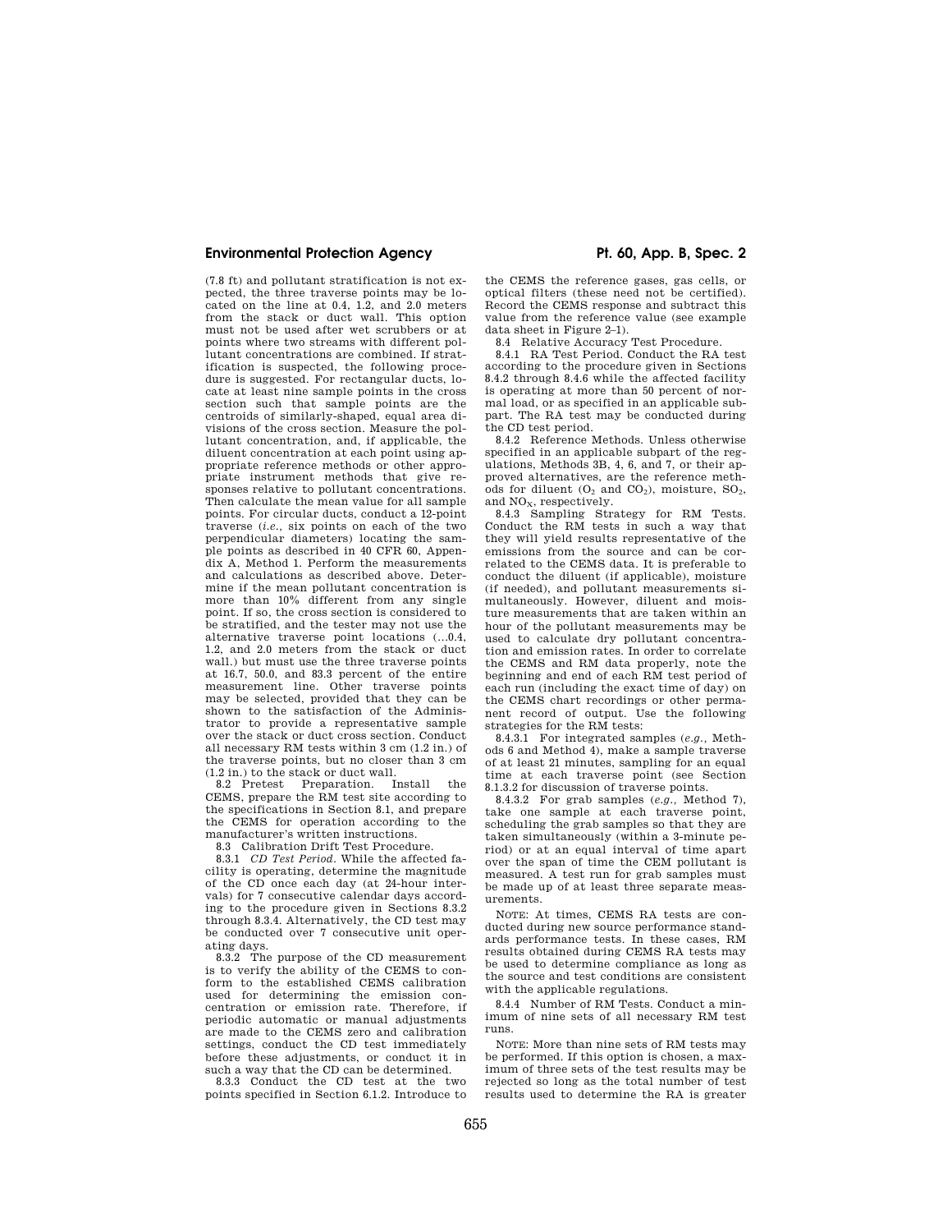# **Environmental Protection Agency The Contract Contract Pt. 60, App. B, Spec. 2**

(7.8 ft) and pollutant stratification is not expected, the three traverse points may be located on the line at 0.4, 1.2, and 2.0 meters from the stack or duct wall. This option must not be used after wet scrubbers or at points where two streams with different pollutant concentrations are combined. If stratification is suspected, the following procedure is suggested. For rectangular ducts, locate at least nine sample points in the cross section such that sample points are the centroids of similarly-shaped, equal area divisions of the cross section. Measure the pollutant concentration, and, if applicable, the diluent concentration at each point using appropriate reference methods or other appropriate instrument methods that give responses relative to pollutant concentrations. Then calculate the mean value for all sample points. For circular ducts, conduct a 12-point traverse (*i.e.,* six points on each of the two perpendicular diameters) locating the sample points as described in 40 CFR 60, Appendix A, Method 1. Perform the measurements and calculations as described above. Determine if the mean pollutant concentration is more than 10% different from any single point. If so, the cross section is considered to be stratified, and the tester may not use the alternative traverse point locations (...0.4, 1.2, and 2.0 meters from the stack or duct wall.) but must use the three traverse points at 16.7, 50.0, and 83.3 percent of the entire measurement line. Other traverse points may be selected, provided that they can be shown to the satisfaction of the Administrator to provide a representative sample over the stack or duct cross section. Conduct all necessary RM tests within 3 cm (1.2 in.) of the traverse points, but no closer than 3 cm (1.2 in.) to the stack or duct wall.

8.2 Pretest Preparation. Install CEMS, prepare the RM test site according to the specifications in Section 8.1, and prepare the CEMS for operation according to the manufacturer's written instructions.

8.3 Calibration Drift Test Procedure.

8.3.1 *CD Test Period.* While the affected facility is operating, determine the magnitude of the CD once each day (at 24-hour intervals) for 7 consecutive calendar days according to the procedure given in Sections 8.3.2 through 8.3.4. Alternatively, the CD test may be conducted over 7 consecutive unit operating days.

8.3.2 The purpose of the CD measurement is to verify the ability of the CEMS to conform to the established CEMS calibration used for determining the emission concentration or emission rate. Therefore, if periodic automatic or manual adjustments are made to the CEMS zero and calibration settings, conduct the CD test immediately before these adjustments, or conduct it in such a way that the CD can be determined.

8.3.3 Conduct the CD test at the two points specified in Section 6.1.2. Introduce to

the CEMS the reference gases, gas cells, or optical filters (these need not be certified). Record the CEMS response and subtract this value from the reference value (see example data sheet in Figure 2–1).

8.4 Relative Accuracy Test Procedure.

8.4.1 RA Test Period. Conduct the RA test according to the procedure given in Sections 8.4.2 through 8.4.6 while the affected facility is operating at more than 50 percent of normal load, or as specified in an applicable subpart. The RA test may be conducted during the CD test period.

8.4.2 Reference Methods. Unless otherwise specified in an applicable subpart of the regulations, Methods 3B, 4, 6, and 7, or their approved alternatives, are the reference methods for diluent  $(O_2 \text{ and } CO_2)$ , moisture,  $SO_2$ , and NO<sub>x</sub>, respectively.

8.4.3 Sampling Strategy for RM Tests. Conduct the RM tests in such a way that they will yield results representative of the emissions from the source and can be correlated to the CEMS data. It is preferable to conduct the diluent (if applicable), moisture (if needed), and pollutant measurements simultaneously. However, diluent and moisture measurements that are taken within an hour of the pollutant measurements may be used to calculate dry pollutant concentration and emission rates. In order to correlate the CEMS and RM data properly, note the beginning and end of each RM test period of each run (including the exact time of day) on the CEMS chart recordings or other permanent record of output. Use the following strategies for the RM tests:

8.4.3.1 For integrated samples (*e.g.,* Methods 6 and Method 4), make a sample traverse of at least 21 minutes, sampling for an equal time at each traverse point (see Section 8.1.3.2 for discussion of traverse points.

8.4.3.2 For grab samples (*e.g.,* Method 7), take one sample at each traverse point, scheduling the grab samples so that they are taken simultaneously (within a 3-minute period) or at an equal interval of time apart over the span of time the CEM pollutant is measured. A test run for grab samples must be made up of at least three separate measurements.

NOTE: At times, CEMS RA tests are conducted during new source performance standards performance tests. In these cases, RM results obtained during CEMS RA tests may be used to determine compliance as long as the source and test conditions are consistent with the applicable regulations.

8.4.4 Number of RM Tests. Conduct a minimum of nine sets of all necessary RM test runs.

NOTE: More than nine sets of RM tests may be performed. If this option is chosen, a maximum of three sets of the test results may be rejected so long as the total number of test results used to determine the RA is greater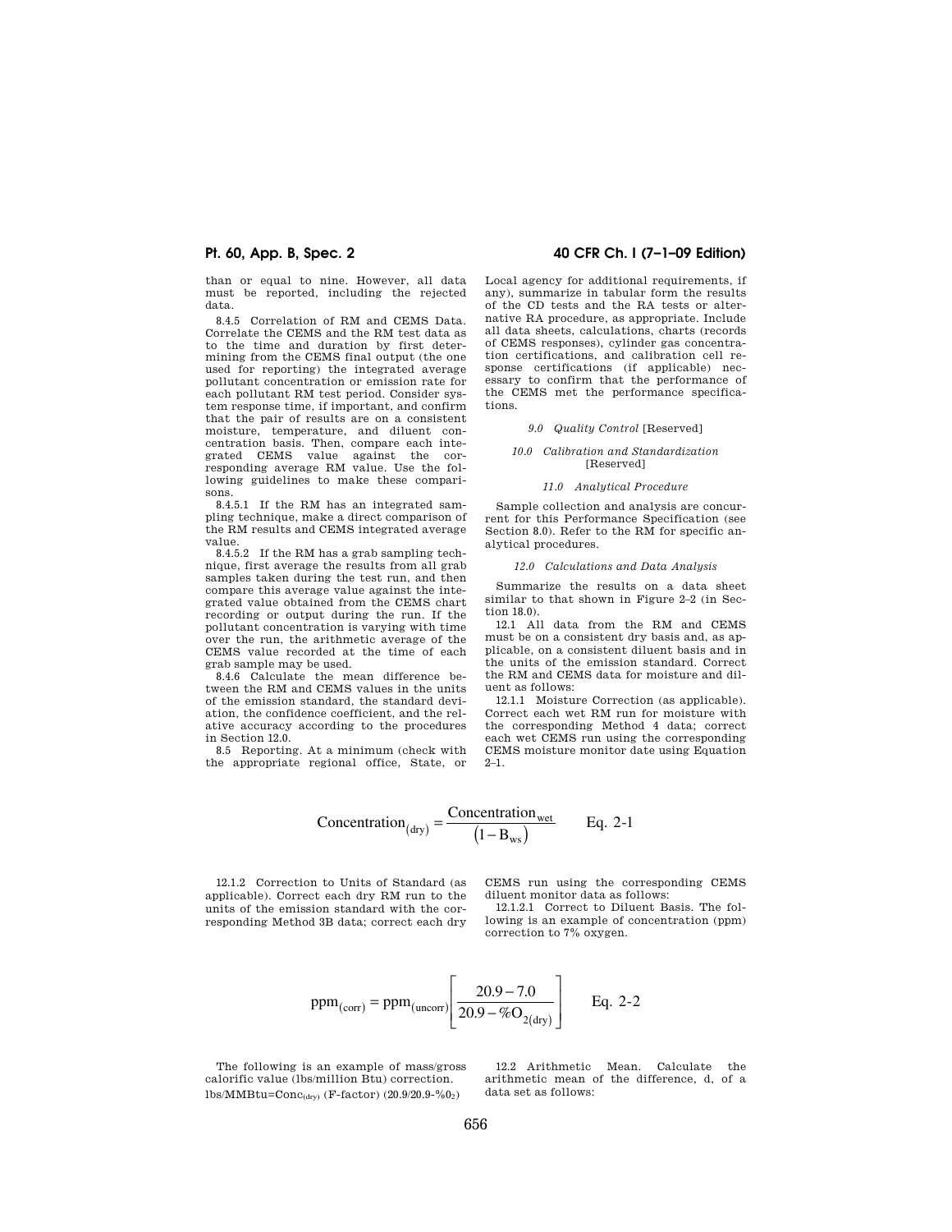than or equal to nine. However, all data must be reported, including the rejected data.

8.4.5 Correlation of RM and CEMS Data. Correlate the CEMS and the RM test data as to the time and duration by first determining from the CEMS final output (the one used for reporting) the integrated average pollutant concentration or emission rate for each pollutant RM test period. Consider system response time, if important, and confirm that the pair of results are on a consistent moisture, temperature, and diluent concentration basis. Then, compare each integrated CEMS value against the corresponding average RM value. Use the following guidelines to make these comparisons.

8.4.5.1 If the RM has an integrated sampling technique, make a direct comparison of the RM results and CEMS integrated average value.

8.4.5.2 If the RM has a grab sampling technique, first average the results from all grab samples taken during the test run, and then compare this average value against the integrated value obtained from the CEMS chart recording or output during the run. If the pollutant concentration is varying with time over the run, the arithmetic average of the CEMS value recorded at the time of each grab sample may be used.

8.4.6 Calculate the mean difference between the RM and CEMS values in the units of the emission standard, the standard deviation, the confidence coefficient, and the relative accuracy according to the procedures in Section 12.0.

8.5 Reporting. At a minimum (check with the appropriate regional office, State, or

# **Pt. 60, App. B, Spec. 2 40 CFR Ch. I (7–1–09 Edition)**

Local agency for additional requirements, if any), summarize in tabular form the results of the CD tests and the RA tests or alternative RA procedure, as appropriate. Include all data sheets, calculations, charts (records of CEMS responses), cylinder gas concentration certifications, and calibration cell response certifications (if applicable) necessary to confirm that the performance of the CEMS met the performance specifications.

#### *9.0 Quality Control* [Reserved]

#### *10.0 Calibration and Standardization*  [Reserved]

#### *11.0 Analytical Procedure*

Sample collection and analysis are concurrent for this Performance Specification (see Section 8.0). Refer to the RM for specific analytical procedures.

#### *12.0 Calculations and Data Analysis*

Summarize the results on a data sheet similar to that shown in Figure 2–2 (in Section 18.0).

12.1 All data from the RM and CEMS must be on a consistent dry basis and, as applicable, on a consistent diluent basis and in the units of the emission standard. Correct the RM and CEMS data for moisture and diluent as follows:

12.1.1 Moisture Correction (as applicable). Correct each wet RM run for moisture with the corresponding Method 4 data; correct each wet CEMS run using the corresponding CEMS moisture monitor date using Equation  $2 - 1$ .

$$
Concentration_{(dry)} = \frac{Concentration_{wet}}{(1 - B_{ws})}
$$
 Eq. 2-1

12.1.2 Correction to Units of Standard (as applicable). Correct each dry RM run to the units of the emission standard with the corresponding Method 3B data; correct each dry

CEMS run using the corresponding CEMS diluent monitor data as follows:

12.1.2.1 Correct to Diluent Basis. The following is an example of concentration (ppm) correction to 7% oxygen.

$$
ppm_{(corr)} = ppm_{(uncorr)} \left[ \frac{20.9 - 7.0}{20.9 - \%O_{2(dry)}} \right]
$$
 Eq. 2-2

The following is an example of mass/gross calorific value (lbs/million Btu) correction.  $lbs/MMBtu=Conc_{(dry)} (F-factor) (20.9/20.9-%0<sub>2</sub>)$ 

12.2 Arithmetic Mean. Calculate the arithmetic mean of the difference, d, of a data set as follows: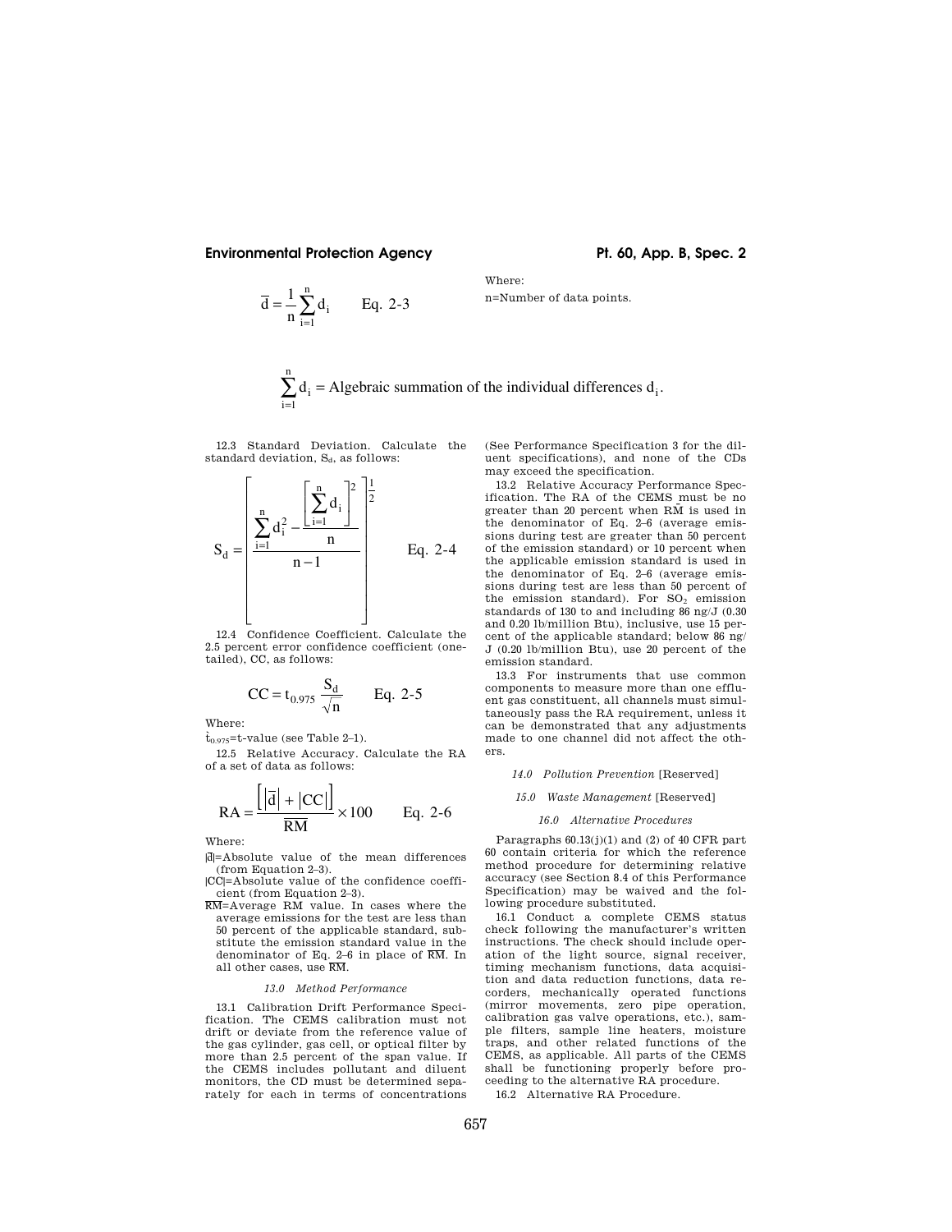# **Environmental Protection Agency The Contract Contract Pt. 60, App. B, Spec. 2**

$$
\overline{d} = \frac{1}{n} \sum_{i=1}^{n} d_i
$$
 Eq. 2-3

n=Number of data points.

$$
\sum_{i=1}^{n} d_i = Algebraic summation of the individual differences d_i.
$$

Where:

12.3 Standard Deviation. Calculate the standard deviation,  $S_d$ , as follows:

$$
S_d = \left[\frac{\sum_{i=1}^{n} d_i^2 - \frac{\left[\sum_{i=1}^{n} d_i\right]^2}{n}\right]^{\frac{1}{2}}}{n-1}
$$
 Eq. 2-4

12.4 Confidence Coefficient. Calculate the 2.5 percent error confidence coefficient (onetailed), CC, as follows:

$$
CC = t_{0.975} \frac{S_d}{\sqrt{n}} \qquad Eq. 2-5
$$

Where:

# $\dot{t}_{0.975}$ =t-value (see Table 2–1).

12.5 Relative Accuracy. Calculate the RA of a set of data as follows:

$$
RA = \frac{\left[ \left| \overline{d} \right| + \left| CC \right| \right]}{\overline{RM}} \times 100 \qquad Eq. 2-6
$$

Where:

|d|=Absolute value of the mean differences (from Equation 2–3).

|CC|=Absolute value of the confidence coefficient (from Equation 2–3).

RM=Average RM value. In cases where the average emissions for the test are less than 50 percent of the applicable standard, substitute the emission standard value in the denominator of Eq. 2–6 in place of RM. In all other cases, use RM.

#### *13.0 Method Performance*

13.1 Calibration Drift Performance Specification. The CEMS calibration must not drift or deviate from the reference value of the gas cylinder, gas cell, or optical filter by more than 2.5 percent of the span value. If the CEMS includes pollutant and diluent monitors, the CD must be determined separately for each in terms of concentrations

(See Performance Specification 3 for the diluent specifications), and none of the CDs may exceed the specification.

13.2 Relative Accuracy Performance Specification. The RA of the CEMS must be no greater than 20 percent when  $R\bar{M}$  is used in the denominator of Eq. 2–6 (average emissions during test are greater than 50 percent of the emission standard) or 10 percent when the applicable emission standard is used in the denominator of Eq. 2–6 (average emissions during test are less than 50 percent of the emission standard). For  $SO_2$  emission standards of 130 to and including 86 ng/J (0.30 and 0.20 lb/million Btu), inclusive, use 15 percent of the applicable standard; below 86 ng/ J (0.20 lb/million Btu), use 20 percent of the emission standard.

13.3 For instruments that use common components to measure more than one effluent gas constituent, all channels must simultaneously pass the RA requirement, unless it can be demonstrated that any adjustments made to one channel did not affect the others.

### *14.0 Pollution Prevention* [Reserved]

# *15.0 Waste Management* [Reserved]

#### *16.0 Alternative Procedures*

Paragraphs 60.13(j)(1) and (2) of 40 CFR part 60 contain criteria for which the reference method procedure for determining relative accuracy (see Section 8.4 of this Performance Specification) may be waived and the following procedure substituted.

16.1 Conduct a complete CEMS status check following the manufacturer's written instructions. The check should include operation of the light source, signal receiver, timing mechanism functions, data acquisition and data reduction functions, data recorders, mechanically operated functions (mirror movements, zero pipe operation, calibration gas valve operations, etc.), sample filters, sample line heaters, moisture traps, and other related functions of the CEMS, as applicable. All parts of the CEMS shall be functioning properly before proceeding to the alternative RA procedure.

16.2 Alternative RA Procedure.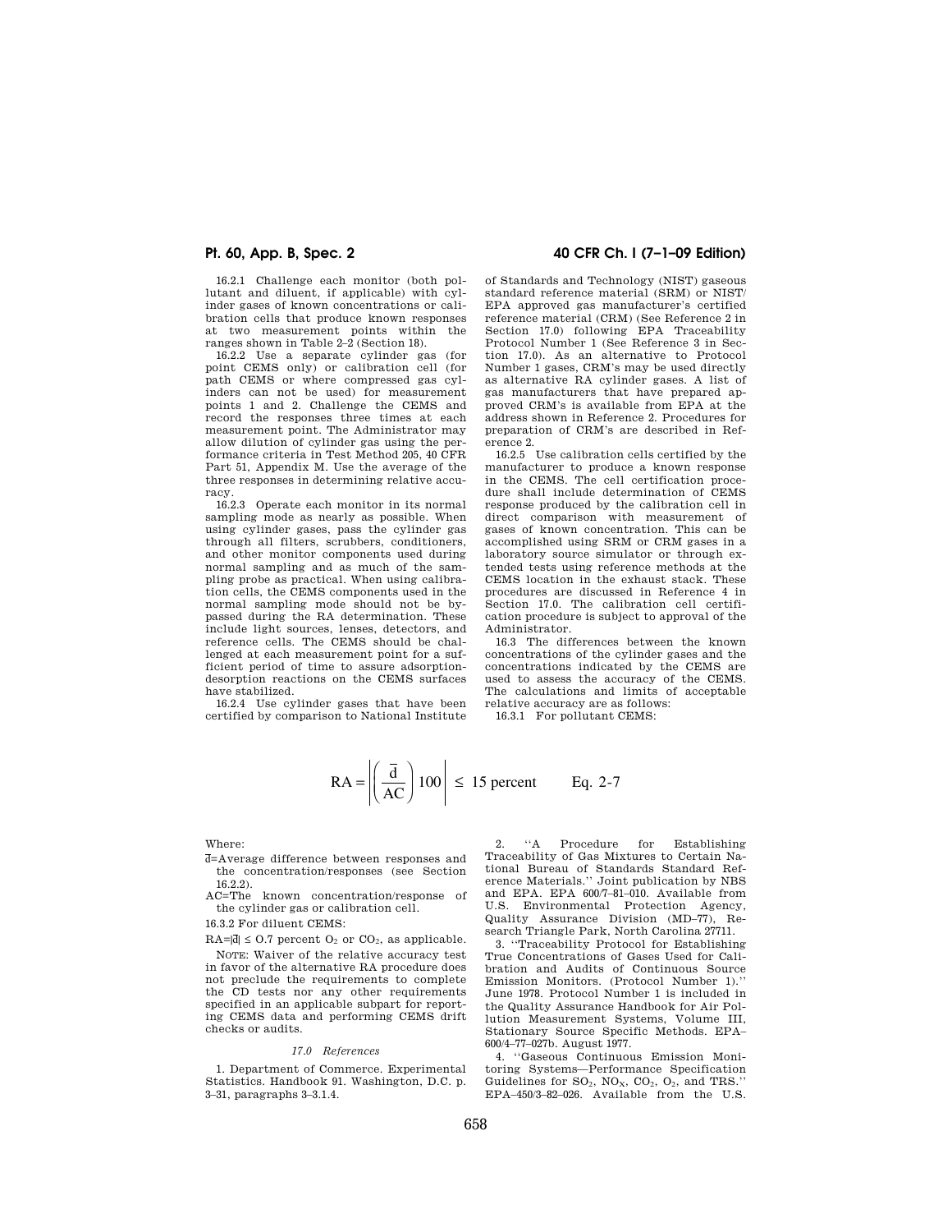16.2.1 Challenge each monitor (both pollutant and diluent, if applicable) with cylinder gases of known concentrations or calibration cells that produce known responses at two measurement points within the ranges shown in Table 2–2 (Section 18).

16.2.2 Use a separate cylinder gas (for point CEMS only) or calibration cell (for path CEMS or where compressed gas cylinders can not be used) for measurement points 1 and 2. Challenge the CEMS and record the responses three times at each measurement point. The Administrator may allow dilution of cylinder gas using the performance criteria in Test Method 205, 40 CFR Part 51, Appendix M. Use the average of the three responses in determining relative accuracy.

16.2.3 Operate each monitor in its normal sampling mode as nearly as possible. When using cylinder gases, pass the cylinder gas through all filters, scrubbers, conditioners, and other monitor components used during normal sampling and as much of the sampling probe as practical. When using calibration cells, the CEMS components used in the normal sampling mode should not be bypassed during the RA determination. These include light sources, lenses, detectors, and reference cells. The CEMS should be challenged at each measurement point for a sufficient period of time to assure adsorptiondesorption reactions on the CEMS surfaces have stabilized.

16.2.4 Use cylinder gases that have been certified by comparison to National Institute

# **Pt. 60, App. B, Spec. 2 40 CFR Ch. I (7–1–09 Edition)**

of Standards and Technology (NIST) gaseous standard reference material (SRM) or NIST/ EPA approved gas manufacturer's certified reference material (CRM) (See Reference 2 in Section 17.0) following EPA Traceability Protocol Number 1 (See Reference 3 in Section 17.0). As an alternative to Protocol Number 1 gases, CRM's may be used directly as alternative RA cylinder gases. A list of gas manufacturers that have prepared approved CRM's is available from EPA at the address shown in Reference 2. Procedures for preparation of CRM's are described in Reference 2.

16.2.5 Use calibration cells certified by the manufacturer to produce a known response in the CEMS. The cell certification procedure shall include determination of CEMS response produced by the calibration cell in direct comparison with measurement of gases of known concentration. This can be accomplished using SRM or CRM gases in a laboratory source simulator or through extended tests using reference methods at the CEMS location in the exhaust stack. These procedures are discussed in Reference 4 in Section 17.0. The calibration cell certification procedure is subject to approval of the Administrator.

16.3 The differences between the known concentrations of the cylinder gases and the concentrations indicated by the CEMS are used to assess the accuracy of the CEMS. The calculations and limits of acceptable relative accuracy are as follows:

16.3.1 For pollutant CEMS:

$$
RA = \left| \left( \frac{\overline{d}}{AC} \right) 100 \right| \le 15 \text{ percent} \qquad \text{Eq. 2-7}
$$

### Where:

- d=Average difference between responses and the concentration/responses (see Section
- $16.2.2$ ).<br>AC=The known concentration/response of the cylinder gas or calibration cell.
- 16.3.2 For diluent CEMS:
- $RA = |\overline{d}| \leq 0.7$  percent  $O_2$  or  $CO_2$ , as applicable.

NOTE: Waiver of the relative accuracy test in favor of the alternative RA procedure does not preclude the requirements to complete the CD tests nor any other requirements specified in an applicable subpart for reporting CEMS data and performing CEMS drift checks or audits.

#### *17.0 References*

1. Department of Commerce. Experimental Statistics. Handbook 91. Washington, D.C. p. 3–31, paragraphs 3–3.1.4.

2. ''A Procedure for Establishing Traceability of Gas Mixtures to Certain National Bureau of Standards Standard Reference Materials." Joint publication by NBS and EPA. EPA 600/7–81–010. Available from U.S. Environmental Protection Agency, Quality Assurance Division (MD–77), Research Triangle Park, North Carolina 27711.

3. ''Traceability Protocol for Establishing True Concentrations of Gases Used for Calibration and Audits of Continuous Source Emission Monitors. (Protocol Number 1).'' June 1978. Protocol Number 1 is included in the Quality Assurance Handbook for Air Pollution Measurement Systems, Volume III, Stationary Source Specific Methods. EPA– 600/4–77–027b. August 1977.

4. ''Gaseous Continuous Emission Monitoring Systems—Performance Specification Guidelines for  $SO_2$ ,  $NO_X$ ,  $CO_2$ ,  $O_2$ , and TRS.' EPA–450/3–82–026. Available from the U.S.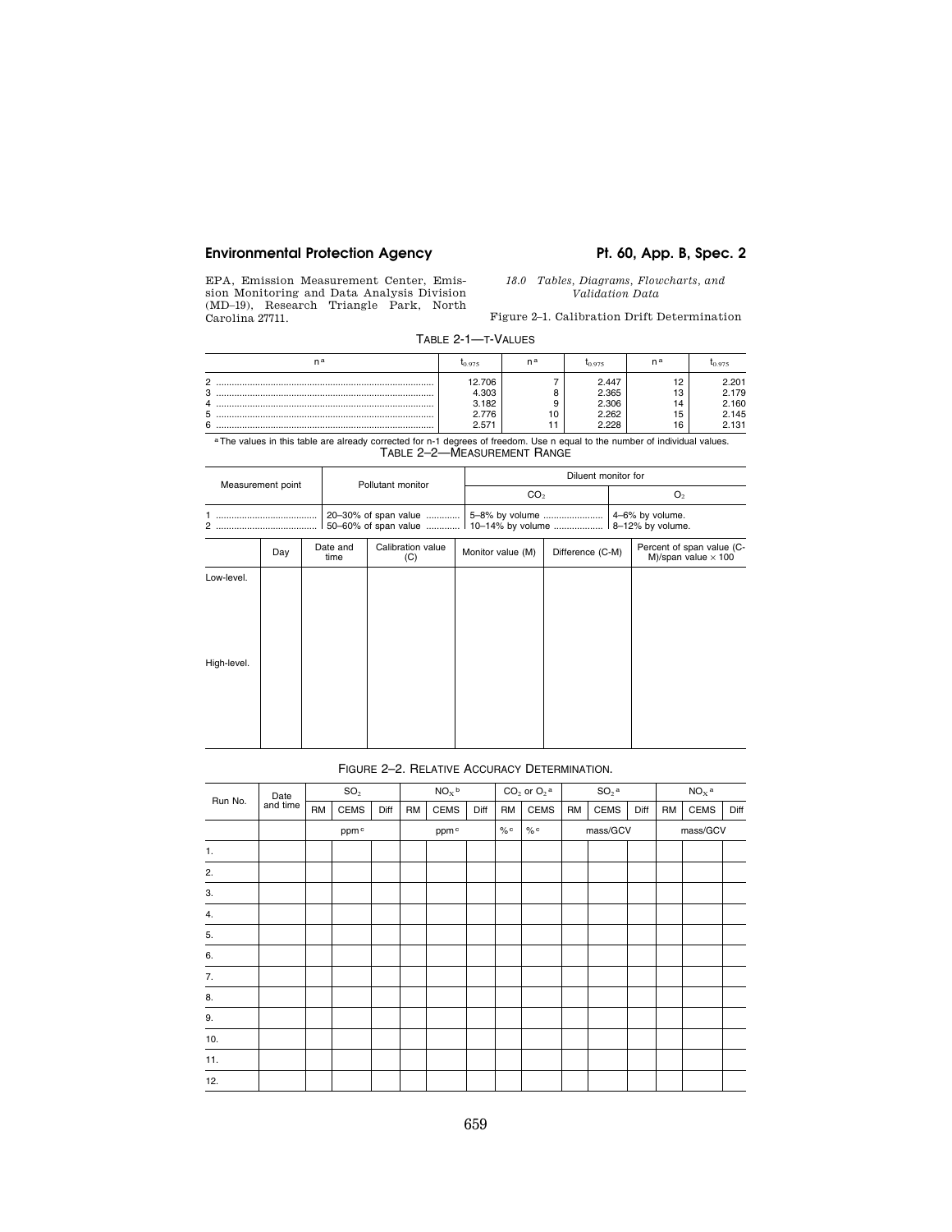# Environmental Protection Agency **Pt. 60, App. B, Spec. 2**

EPA, Emission Measurement Center, Emission Monitoring and Data Analysis Division (MD–19), Research Triangle Park, North Carolina 27711.

*18.0 Tables, Diagrams, Flowcharts, and Validation Data* 

Figure 2–1. Calibration Drift Determination

TABLE 2-1—T-VALUES

| n a            | 10.975 | na | 10.975 | na     | ln 975 |
|----------------|--------|----|--------|--------|--------|
| $\circ$        | 12.706 |    | 2.447  | $\sim$ | : 201  |
| 3              | 4.303  |    | 2.365  | $\sim$ | 2.179  |
| $\overline{4}$ | 3.182  | Ω  | 2.306' | 14     | 2.160  |
| 5              | 776    | 10 | 2.262  | 15.    | 2.145  |
| 6              | 2.571  |    | 228    | 16     | 2.131  |

aThe values in this table are already corrected for n-1 degrees of freedom. Use n equal to the number of individual values. TABLE 2–2—MEASUREMENT RANGE

|                           | Measurement point |                  | Pollutant monitor        |                                                           | Diluent monitor for |  |                                                         |  |  |  |  |  |
|---------------------------|-------------------|------------------|--------------------------|-----------------------------------------------------------|---------------------|--|---------------------------------------------------------|--|--|--|--|--|
|                           |                   |                  |                          | CO <sub>2</sub>                                           |                     |  | O <sub>2</sub>                                          |  |  |  |  |  |
|                           |                   |                  | 20-30% of span value     | 50–60% of span value  10–14% by volume  18–12% by volume. |                     |  | 4-6% by volume.                                         |  |  |  |  |  |
|                           | Day               | Date and<br>time | Calibration value<br>(C) | Monitor value (M)                                         | Difference (C-M)    |  | Percent of span value (C-<br>M)/span value $\times$ 100 |  |  |  |  |  |
| Low-level.<br>High-level. |                   |                  |                          |                                                           |                     |  |                                                         |  |  |  |  |  |
|                           |                   |                  |                          |                                                           |                     |  |                                                         |  |  |  |  |  |

# FIGURE 2–2. RELATIVE ACCURACY DETERMINATION.

| Run No. | Date     |           | SO <sub>2</sub> |      |           | NO <sub>x</sub> b |      | $CO2$ or $O2$ <sup>a</sup> |             | $\mathsf{SO}_2{}^{\mathsf{a}}$ |          |      | $NOx$ a   |      |      |
|---------|----------|-----------|-----------------|------|-----------|-------------------|------|----------------------------|-------------|--------------------------------|----------|------|-----------|------|------|
|         | and time | <b>RM</b> | <b>CEMS</b>     | Diff | <b>RM</b> | CEMS              | Diff | RM                         | <b>CEMS</b> | <b>RM</b>                      | CEMS     | Diff | <b>RM</b> | CEMS | Diff |
|         |          |           | ppmc            |      |           | ppm <sup>c</sup>  |      | % $\circ$                  | $\%$ c      |                                | mass/GCV |      | mass/GCV  |      |      |
| 1.      |          |           |                 |      |           |                   |      |                            |             |                                |          |      |           |      |      |
| 2.      |          |           |                 |      |           |                   |      |                            |             |                                |          |      |           |      |      |
| 3.      |          |           |                 |      |           |                   |      |                            |             |                                |          |      |           |      |      |
| 4.      |          |           |                 |      |           |                   |      |                            |             |                                |          |      |           |      |      |
| 5.      |          |           |                 |      |           |                   |      |                            |             |                                |          |      |           |      |      |
| 6.      |          |           |                 |      |           |                   |      |                            |             |                                |          |      |           |      |      |
| 7.      |          |           |                 |      |           |                   |      |                            |             |                                |          |      |           |      |      |
| 8.      |          |           |                 |      |           |                   |      |                            |             |                                |          |      |           |      |      |
| 9.      |          |           |                 |      |           |                   |      |                            |             |                                |          |      |           |      |      |
| 10.     |          |           |                 |      |           |                   |      |                            |             |                                |          |      |           |      |      |
| 11.     |          |           |                 |      |           |                   |      |                            |             |                                |          |      |           |      |      |
| 12.     |          |           |                 |      |           |                   |      |                            |             |                                |          |      |           |      |      |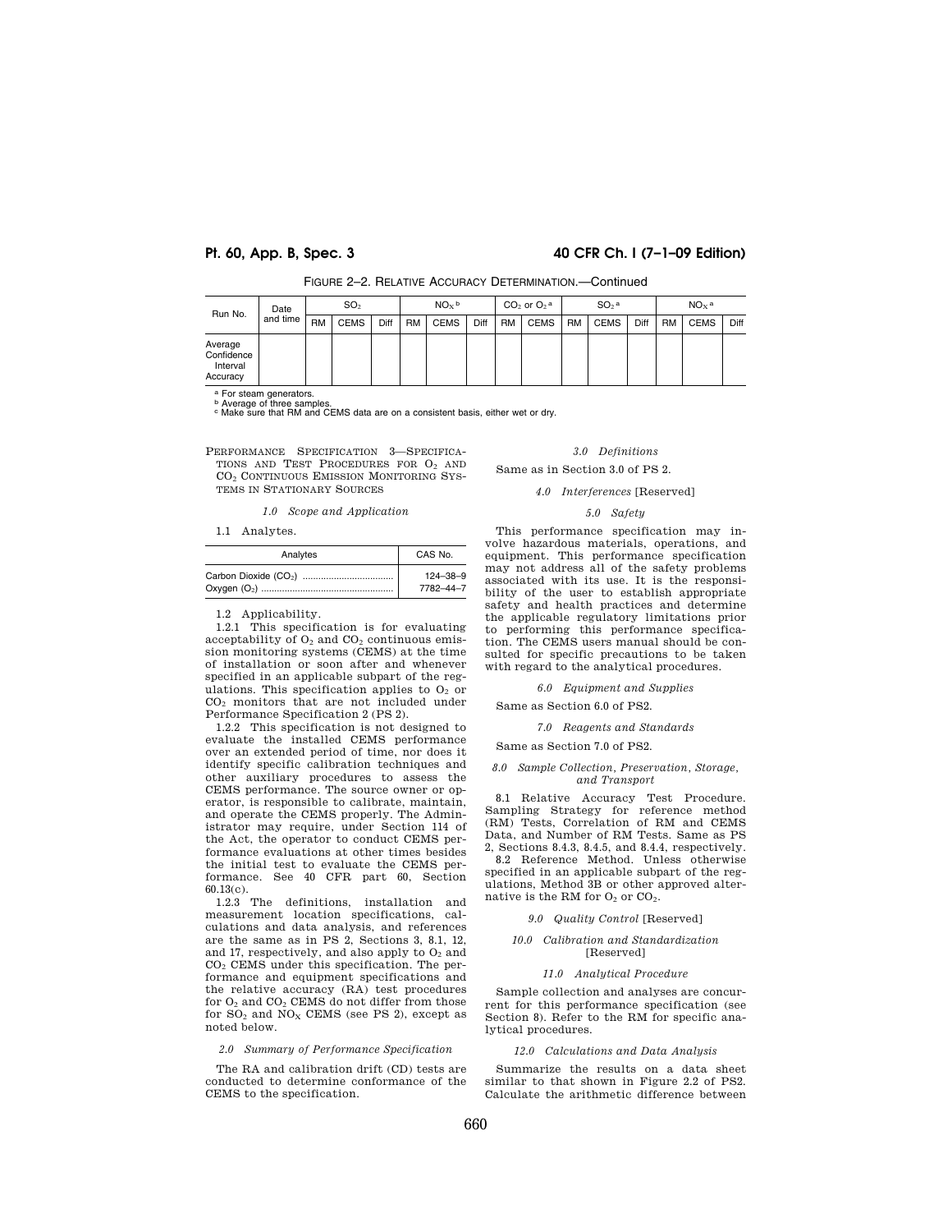# **Pt. 60, App. B, Spec. 3 40 CFR Ch. I (7–1–09 Edition)**

| Run No.                                       | Date     |           | SO <sub>2</sub> |      |           | NO <sub>x</sub> b |      |           | $CO2$ or $O2$ <sup>a</sup> |           | $SO2$ a     |      |           | $NOx$ a     |      |
|-----------------------------------------------|----------|-----------|-----------------|------|-----------|-------------------|------|-----------|----------------------------|-----------|-------------|------|-----------|-------------|------|
|                                               | and time | <b>RM</b> | <b>CEMS</b>     | Diff | <b>RM</b> | CEMS              | Diff | <b>RM</b> | <b>CEMS</b>                | <b>RM</b> | <b>CEMS</b> | Diff | <b>RM</b> | <b>CEMS</b> | Diff |
| Average<br>Confidence<br>Interval<br>Accuracy |          |           |                 |      |           |                   |      |           |                            |           |             |      |           |             |      |

FIGURE 2–2. RELATIVE ACCURACY DETERMINATION.—Continued

a For steam generators.<br><sup>b</sup> Average of three samples.<br><sup>c</sup> Make sure that RM and CEMS data are on a consistent basis, either wet or dry.

PERFORMANCE SPECIFICATION 3—SPECIFICA-TIONS AND TEST PROCEDURES FOR O<sup>2</sup> AND CO<sup>2</sup> CONTINUOUS EMISSION MONITORING SYS-TEMS IN STATIONARY SOURCES

*1.0 Scope and Application* 

#### 1.1 Analytes.

| Analytes | CAS No.        |
|----------|----------------|
|          | $124 - 38 - 9$ |
|          | 7782-44-7      |

1.2 Applicability.

1.2.1 This specification is for evaluating acceptability of  $O_2$  and  $CO_2$  continuous emission monitoring systems (CEMS) at the time of installation or soon after and whenever specified in an applicable subpart of the regulations. This specification applies to  $O<sub>2</sub>$  or CO<sup>2</sup> monitors that are not included under Performance Specification 2 (PS 2).

1.2.2 This specification is not designed to evaluate the installed CEMS performance over an extended period of time, nor does it identify specific calibration techniques and other auxiliary procedures to assess the CEMS performance. The source owner or operator, is responsible to calibrate, maintain, and operate the CEMS properly. The Administrator may require, under Section 114 of the Act, the operator to conduct CEMS performance evaluations at other times besides the initial test to evaluate the CEMS performance. See 40 CFR part 60, Section 60.13(c).

1.2.3 The definitions, installation and measurement location specifications, calculations and data analysis, and references are the same as in PS 2, Sections 3, 8.1, 12, and 17, respectively, and also apply to  $O<sub>2</sub>$  and CO<sup>2</sup> CEMS under this specification. The performance and equipment specifications and the relative accuracy (RA) test procedures for O<sub>2</sub> and CO<sub>2</sub> CEMS do not differ from those for  $SO_2$  and  $NO_X$  CEMS (see PS 2), except as noted below.

### *2.0 Summary of Performance Specification*

The RA and calibration drift (CD) tests are conducted to determine conformance of the CEMS to the specification.

### *3.0 Definitions*

Same as in Section 3.0 of PS 2.

#### *4.0 Interferences* [Reserved]

# *5.0 Safety*

This performance specification may involve hazardous materials, operations, and equipment. This performance specification may not address all of the safety problems associated with its use. It is the responsibility of the user to establish appropriate safety and health practices and determine the applicable regulatory limitations prior to performing this performance specification. The CEMS users manual should be consulted for specific precautions to be taken with regard to the analytical procedures.

#### *6.0 Equipment and Supplies*

Same as Section 6.0 of PS2.

#### *7.0 Reagents and Standards*

Same as Section 7.0 of PS2.

### *8.0 Sample Collection, Preservation, Storage, and Transport*

8.1 Relative Accuracy Test Procedure. Sampling Strategy for reference method (RM) Tests, Correlation of RM and CEMS Data, and Number of RM Tests. Same as PS 2, Sections 8.4.3, 8.4.5, and 8.4.4, respectively.

8.2 Reference Method. Unless otherwise specified in an applicable subpart of the regulations, Method 3B or other approved alternative is the RM for  $O<sub>2</sub>$  or  $CO<sub>2</sub>$ .

#### *9.0 Quality Control* [Reserved]

#### *10.0 Calibration and Standardization*  [Reserved]

### *11.0 Analytical Procedure*

Sample collection and analyses are concurrent for this performance specification (see Section 8). Refer to the RM for specific analytical procedures.

*12.0 Calculations and Data Analysis* 

Summarize the results on a data sheet similar to that shown in Figure 2.2 of PS2. Calculate the arithmetic difference between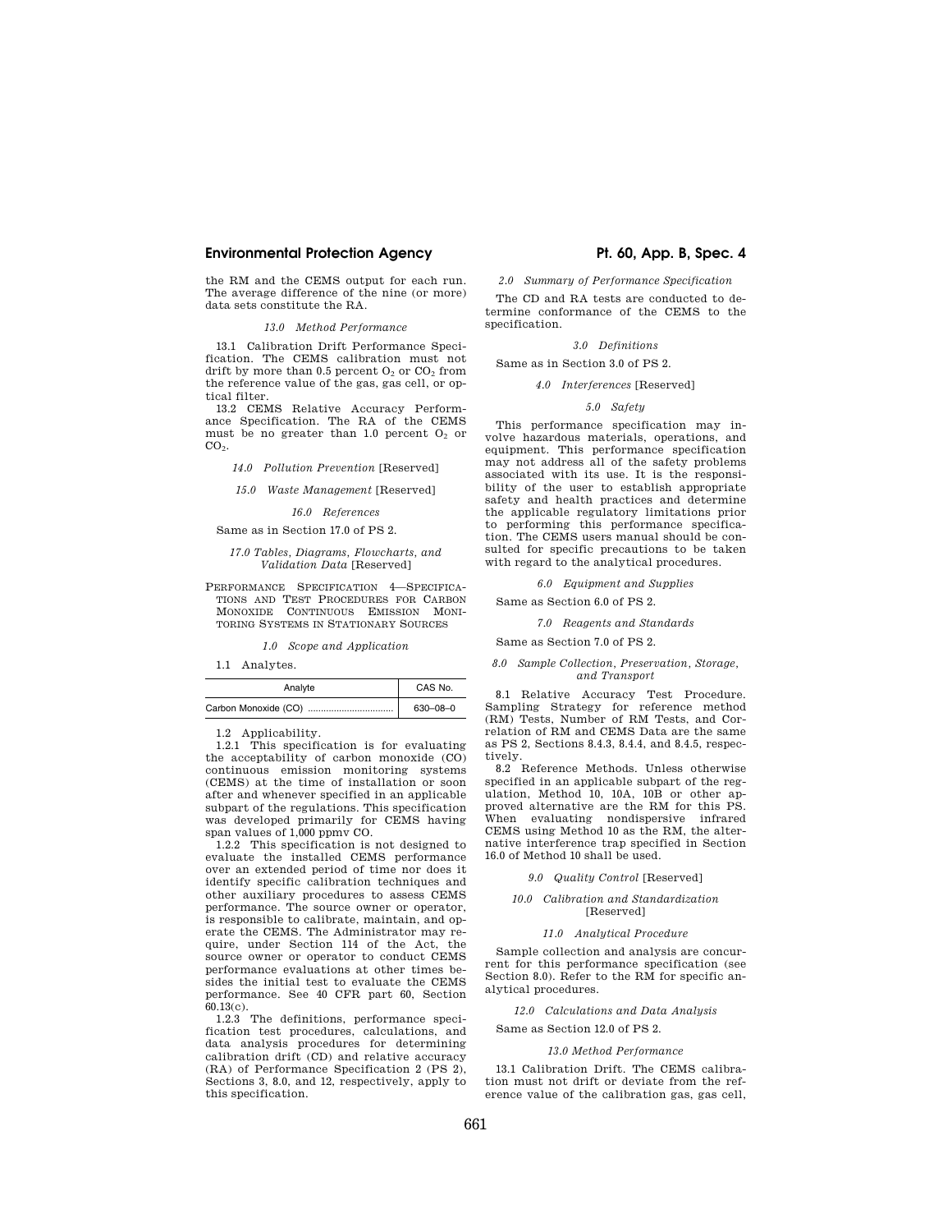# **Environmental Protection Agency The Contract Pt. 60, App. B, Spec. 4**

the RM and the CEMS output for each run. The average difference of the nine (or more) data sets constitute the RA.

# *13.0 Method Performance*

13.1 Calibration Drift Performance Specification. The CEMS calibration must not drift by more than  $0.5$  percent  $O_2$  or  $CO_2$  from the reference value of the gas, gas cell, or optical filter.

13.2 CEMS Relative Accuracy Performance Specification. The RA of the CEMS must be no greater than 1.0 percent  $O<sub>2</sub>$  or  $CO<sub>2</sub>$ .

*14.0 Pollution Prevention* [Reserved]

*15.0 Waste Management* [Reserved]

*16.0 References* 

#### Same as in Section 17.0 of PS 2.

#### *17.0 Tables, Diagrams, Flowcharts, and Validation Data* [Reserved]

PERFORMANCE SPECIFICATION 4—SPECIFICA-TIONS AND TEST PROCEDURES FOR CARBON MONOXIDE CONTINUOUS EMISSION MONI-TORING SYSTEMS IN STATIONARY SOURCES

#### *1.0 Scope and Application*

1.1 Analytes.

| Analyte | CAS No.        |
|---------|----------------|
|         | $630 - 08 - 0$ |

1.2 Applicability.

1.2.1 This specification is for evaluating the acceptability of carbon monoxide (CO) continuous emission monitoring systems (CEMS) at the time of installation or soon after and whenever specified in an applicable subpart of the regulations. This specification was developed primarily for CEMS having span values of 1,000 ppmv CO.

1.2.2 This specification is not designed to evaluate the installed CEMS performance over an extended period of time nor does it identify specific calibration techniques and other auxiliary procedures to assess CEMS performance. The source owner or operator, is responsible to calibrate, maintain, and operate the CEMS. The Administrator may require, under Section 114 of the Act, the source owner or operator to conduct CEMS performance evaluations at other times besides the initial test to evaluate the CEMS performance. See 40 CFR part 60, Section  $60.13(c)$ .

1.2.3 The definitions, performance specification test procedures, calculations, and data analysis procedures for determining calibration drift (CD) and relative accuracy (RA) of Performance Specification 2 (PS 2), Sections 3, 8.0, and 12, respectively, apply to this specification.

*2.0 Summary of Performance Specification* 

The CD and RA tests are conducted to determine conformance of the CEMS to the specification.

### *3.0 Definitions*

Same as in Section 3.0 of PS 2.

# *4.0 Interferences* [Reserved]

### *5.0 Safety*

This performance specification may involve hazardous materials, operations, and equipment. This performance specification may not address all of the safety problems associated with its use. It is the responsibility of the user to establish appropriate safety and health practices and determine the applicable regulatory limitations prior to performing this performance specification. The CEMS users manual should be consulted for specific precautions to be taken with regard to the analytical procedures.

*6.0 Equipment and Supplies* 

Same as Section 6.0 of PS 2.

### *7.0 Reagents and Standards*

Same as Section 7.0 of PS 2.

#### *8.0 Sample Collection, Preservation, Storage, and Transport*

8.1 Relative Accuracy Test Procedure. Sampling Strategy for reference method (RM) Tests, Number of RM Tests, and Correlation of RM and CEMS Data are the same as PS 2, Sections 8.4.3, 8.4.4, and 8.4.5, respectively.

8.2 Reference Methods. Unless otherwise specified in an applicable subpart of the regulation, Method 10, 10A, 10B or other approved alternative are the RM for this PS. When evaluating nondispersive infrared CEMS using Method 10 as the RM, the alternative interference trap specified in Section 16.0 of Method 10 shall be used.

*9.0 Quality Control* [Reserved]

### *10.0 Calibration and Standardization*  [Reserved]

#### *11.0 Analytical Procedure*

Sample collection and analysis are concurrent for this performance specification (see Section 8.0). Refer to the RM for specific analytical procedures.

#### *12.0 Calculations and Data Analysis*

Same as Section 12.0 of PS 2.

*13.0 Method Performance* 

13.1 Calibration Drift. The CEMS calibration must not drift or deviate from the reference value of the calibration gas, gas cell,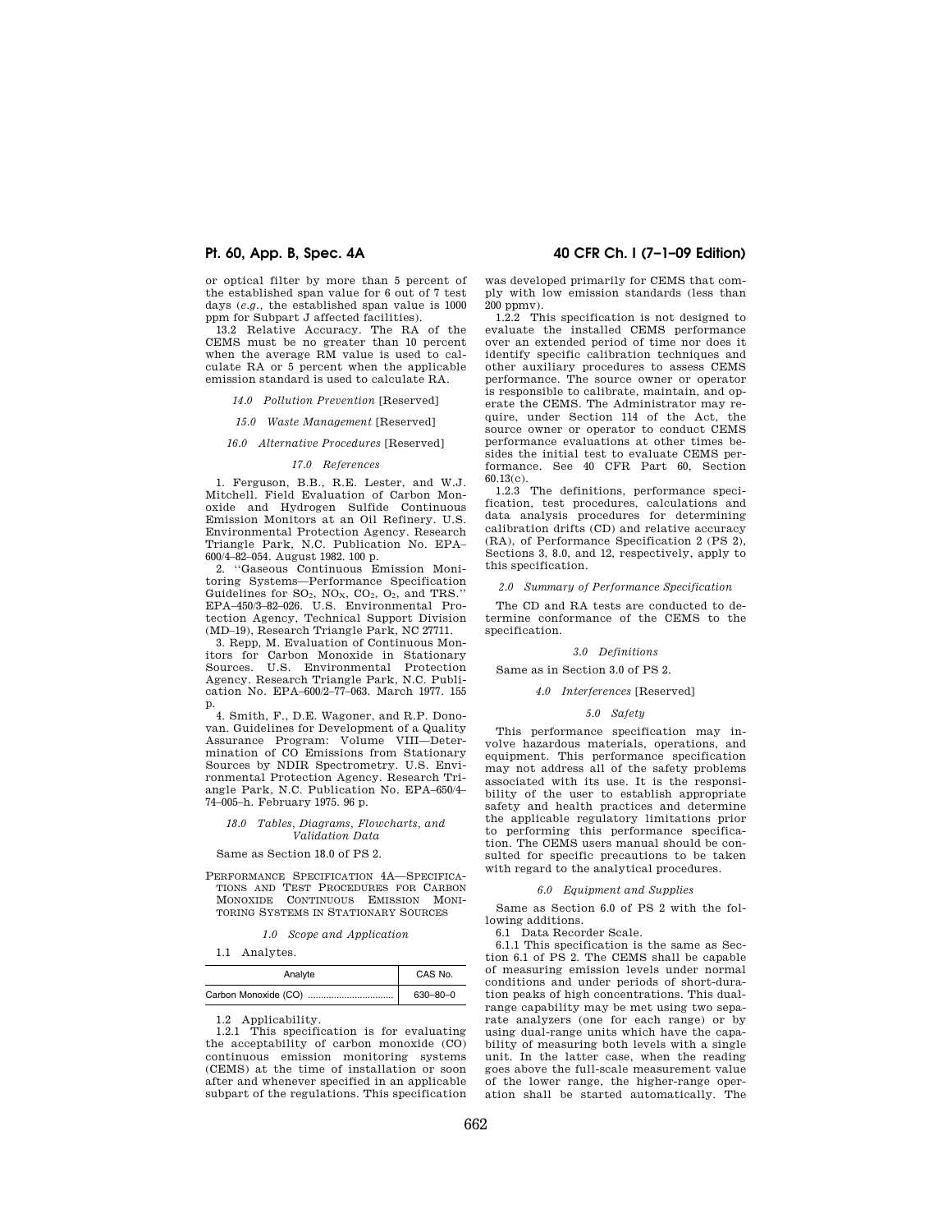or optical filter by more than 5 percent of the established span value for 6 out of 7 test days (*e.g.,* the established span value is 1000 ppm for Subpart J affected facilities).

13.2 Relative Accuracy. The RA of the CEMS must be no greater than 10 percent when the average RM value is used to calculate RA or 5 percent when the applicable emission standard is used to calculate RA.

*14.0 Pollution Prevention* [Reserved]

*15.0 Waste Management* [Reserved]

# *16.0 Alternative Procedures* [Reserved]

#### *17.0 References*

1. Ferguson, B.B., R.E. Lester, and W.J. Mitchell. Field Evaluation of Carbon Monoxide and Hydrogen Sulfide Continuous Emission Monitors at an Oil Refinery. U.S. Environmental Protection Agency. Research Triangle Park, N.C. Publication No. EPA– 600/4–82–054. August 1982. 100 p.

2. ''Gaseous Continuous Emission Monitoring Systems—Performance Specification Guidelines for  $SO_2$ ,  $NO_X$ ,  $CO_2$ ,  $O_2$ , and TRS.' EPA–450/3–82–026. U.S. Environmental Pro-tection Agency, Technical Support Division (MD–19), Research Triangle Park, NC 27711.

3. Repp, M. Evaluation of Continuous Monitors for Carbon Monoxide in Stationary Sources. U.S. Environmental Protection Agency. Research Triangle Park, N.C. Publication No. EPA–600/2–77–063. March 1977. 155 p.

4. Smith, F., D.E. Wagoner, and R.P. Donovan. Guidelines for Development of a Quality Assurance Program: Volume VIII—Determination of CO Emissions from Stationary Sources by NDIR Spectrometry. U.S. Environmental Protection Agency. Research Triangle Park, N.C. Publication No. EPA–650/4– 74–005–h. February 1975. 96 p.

#### *18.0 Tables, Diagrams, Flowcharts, and Validation Data*

Same as Section 18.0 of PS 2.

PERFORMANCE SPECIFICATION 4A—SPECIFICA-TIONS AND TEST PROCEDURES FOR CARBON MONOXIDE CONTINUOUS EMISSION MONI-TORING SYSTEMS IN STATIONARY SOURCES

|  | 1.0 |  |  | Scope and Application |
|--|-----|--|--|-----------------------|
|--|-----|--|--|-----------------------|

1.1 Analytes.

| Analyte | CAS No.        |
|---------|----------------|
|         | $630 - 80 - 0$ |

1.2 Applicability.

1.2.1 This specification is for evaluating the acceptability of carbon monoxide (CO) continuous emission monitoring systems (CEMS) at the time of installation or soon after and whenever specified in an applicable subpart of the regulations. This specification

# **Pt. 60, App. B, Spec. 4A 40 CFR Ch. I (7–1–09 Edition)**

was developed primarily for CEMS that comply with low emission standards (less than 200 ppmv).

1.2.2 This specification is not designed to evaluate the installed CEMS performance over an extended period of time nor does it identify specific calibration techniques and other auxiliary procedures to assess CEMS performance. The source owner or operator is responsible to calibrate, maintain, and operate the CEMS. The Administrator may require, under Section 114 of the Act, the source owner or operator to conduct CEMS performance evaluations at other times besides the initial test to evaluate CEMS performance. See 40 CFR Part 60, Section 60.13(c).

1.2.3 The definitions, performance specification, test procedures, calculations and data analysis procedures for determining calibration drifts (CD) and relative accuracy (RA), of Performance Specification 2 (PS 2), Sections 3, 8.0, and 12, respectively, apply to this specification.

*2.0 Summary of Performance Specification* 

The CD and RA tests are conducted to determine conformance of the CEMS to the specification.

### *3.0 Definitions*

Same as in Section 3.0 of PS 2.

# *4.0 Interferences* [Reserved]

# *5.0 Safety*

This performance specification may involve hazardous materials, operations, and equipment. This performance specification may not address all of the safety problems associated with its use. It is the responsibility of the user to establish appropriate safety and health practices and determine the applicable regulatory limitations prior to performing this performance specification. The CEMS users manual should be consulted for specific precautions to be taken with regard to the analytical procedures.

#### *6.0 Equipment and Supplies*

Same as Section 6.0 of PS 2 with the following additions.

6.1 Data Recorder Scale.

6.1.1 This specification is the same as Section 6.1 of PS 2. The CEMS shall be capable of measuring emission levels under normal conditions and under periods of short-duration peaks of high concentrations. This dualrange capability may be met using two separate analyzers (one for each range) or by using dual-range units which have the capability of measuring both levels with a single unit. In the latter case, when the reading goes above the full-scale measurement value of the lower range, the higher-range operation shall be started automatically. The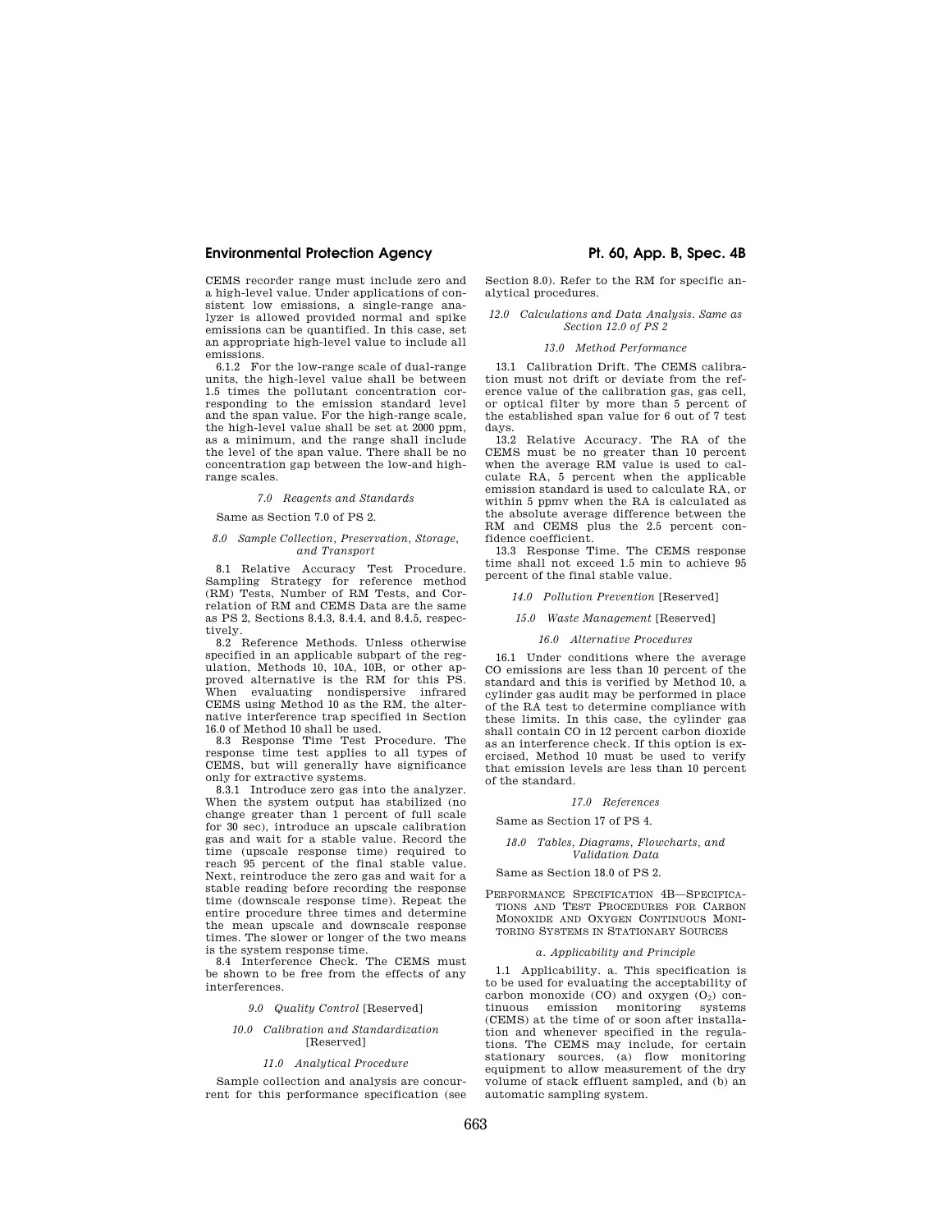# **Environmental Protection Agency Pt. 60, App. B, Spec. 4B**

CEMS recorder range must include zero and a high-level value. Under applications of consistent low emissions, a single-range analyzer is allowed provided normal and spike emissions can be quantified. In this case, set an appropriate high-level value to include all emissions.

6.1.2 For the low-range scale of dual-range units, the high-level value shall be between 1.5 times the pollutant concentration corresponding to the emission standard level and the span value. For the high-range scale, the high-level value shall be set at 2000 ppm, as a minimum, and the range shall include the level of the span value. There shall be no concentration gap between the low-and highrange scales.

#### *7.0 Reagents and Standards*

Same as Section 7.0 of PS 2.

#### *8.0 Sample Collection, Preservation, Storage, and Transport*

8.1 Relative Accuracy Test Procedure. Sampling Strategy for reference method (RM) Tests, Number of RM Tests, and Correlation of RM and CEMS Data are the same as PS 2, Sections 8.4.3, 8.4.4, and 8.4.5, respectively.

8.2 Reference Methods. Unless otherwise specified in an applicable subpart of the regulation, Methods 10, 10A, 10B, or other approved alternative is the RM for this PS. When evaluating nondispersive infrared CEMS using Method 10 as the RM, the alternative interference trap specified in Section 16.0 of Method 10 shall be used.

8.3 Response Time Test Procedure. The response time test applies to all types of CEMS, but will generally have significance only for extractive systems.

8.3.1 Introduce zero gas into the analyzer. When the system output has stabilized (no change greater than 1 percent of full scale for 30 sec), introduce an upscale calibration gas and wait for a stable value. Record the time (upscale response time) required to reach 95 percent of the final stable value. Next, reintroduce the zero gas and wait for a stable reading before recording the response time (downscale response time). Repeat the entire procedure three times and determine the mean upscale and downscale response times. The slower or longer of the two means is the system response time.

8.4 Interference Check. The CEMS must be shown to be free from the effects of any interferences.

*9.0 Quality Control* [Reserved]

### *10.0 Calibration and Standardization*  [Reserved]

#### *11.0 Analytical Procedure*

Sample collection and analysis are concurrent for this performance specification (see

Section 8.0). Refer to the RM for specific analytical procedures.

#### *12.0 Calculations and Data Analysis. Same as Section 12.0 of PS 2*

# *13.0 Method Performance*

13.1 Calibration Drift. The CEMS calibration must not drift or deviate from the reference value of the calibration gas, gas cell, or optical filter by more than 5 percent of the established span value for 6 out of 7 test days.

13.2 Relative Accuracy. The RA of the CEMS must be no greater than 10 percent when the average RM value is used to calculate RA, 5 percent when the applicable emission standard is used to calculate RA, or within 5 ppmv when the RA is calculated as the absolute average difference between the RM and CEMS plus the 2.5 percent confidence coefficient.

13.3 Response Time. The CEMS response time shall not exceed 1.5 min to achieve 95 percent of the final stable value.

### *14.0 Pollution Prevention* [Reserved]

*15.0 Waste Management* [Reserved]

#### *16.0 Alternative Procedures*

16.1 Under conditions where the average CO emissions are less than 10 percent of the standard and this is verified by Method 10, a cylinder gas audit may be performed in place of the RA test to determine compliance with these limits. In this case, the cylinder gas shall contain CO in 12 percent carbon dioxide as an interference check. If this option is exercised, Method 10 must be used to verify that emission levels are less than 10 percent of the standard.

#### *17.0 References*

Same as Section 17 of PS 4.

#### *18.0 Tables, Diagrams, Flowcharts, and Validation Data*

# Same as Section 18.0 of PS 2.

PERFORMANCE SPECIFICATION 4B—SPECIFICA-TIONS AND TEST PROCEDURES FOR CARBON MONOXIDE AND OXYGEN CONTINUOUS MONI-TORING SYSTEMS IN STATIONARY SOURCES

#### *a. Applicability and Principle*

1.1 Applicability. a. This specification is to be used for evaluating the acceptability of carbon monoxide  $(CO)$  and oxygen  $(O_2)$  continuous emission monitoring systems monitoring (CEMS) at the time of or soon after installation and whenever specified in the regulations. The CEMS may include, for certain stationary sources, (a) flow monitoring equipment to allow measurement of the dry volume of stack effluent sampled, and (b) an automatic sampling system.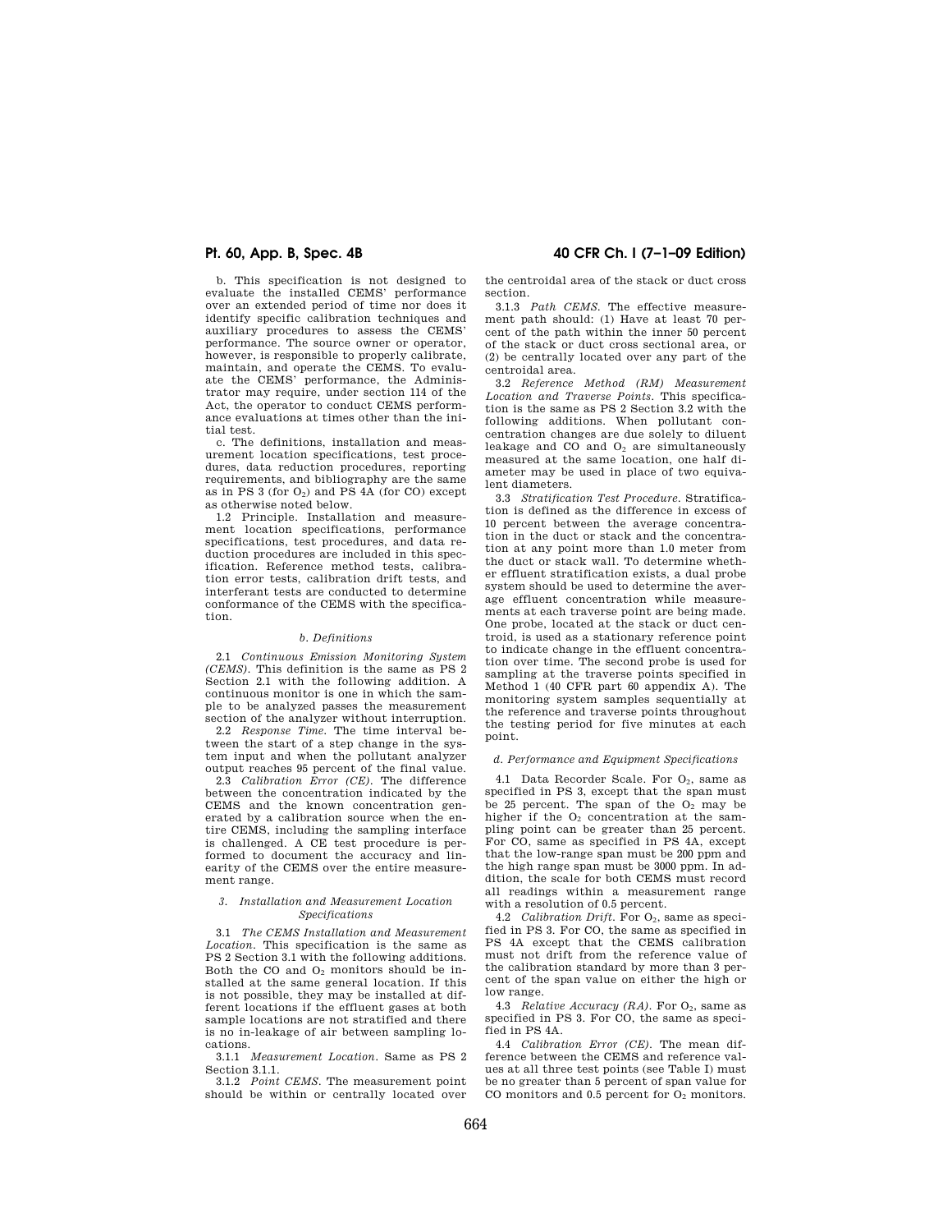b. This specification is not designed to evaluate the installed CEMS' performance over an extended period of time nor does it identify specific calibration techniques and auxiliary procedures to assess the CEMS' performance. The source owner or operator, however, is responsible to properly calibrate, maintain, and operate the CEMS. To evaluate the CEMS' performance, the Administrator may require, under section 114 of the Act, the operator to conduct CEMS performance evaluations at times other than the initial test.

c. The definitions, installation and measurement location specifications, test procedures, data reduction procedures, reporting requirements, and bibliography are the same as in PS  $3$  (for  $O_2$ ) and PS  $4A$  (for CO) except as otherwise noted below.

1.2 Principle. Installation and measurement location specifications, performance specifications, test procedures, and data reduction procedures are included in this specification. Reference method tests, calibration error tests, calibration drift tests, and interferant tests are conducted to determine conformance of the CEMS with the specification.

#### *b. Definitions*

2.1 *Continuous Emission Monitoring System (CEMS).* This definition is the same as PS 2 Section 2.1 with the following addition. A continuous monitor is one in which the sample to be analyzed passes the measurement section of the analyzer without interruption.

2.2 *Response Time.* The time interval between the start of a step change in the system input and when the pollutant analyzer output reaches 95 percent of the final value.

2.3 *Calibration Error (CE).* The difference between the concentration indicated by the CEMS and the known concentration generated by a calibration source when the entire CEMS, including the sampling interface is challenged. A CE test procedure is performed to document the accuracy and linearity of the CEMS over the entire measurement range.

#### *3. Installation and Measurement Location Specifications*

3.1 *The CEMS Installation and Measurement Location.* This specification is the same as PS 2 Section 3.1 with the following additions. Both the CO and  $O<sub>2</sub>$  monitors should be installed at the same general location. If this is not possible, they may be installed at different locations if the effluent gases at both sample locations are not stratified and there is no in-leakage of air between sampling locations.

3.1.1 *Measurement Location.* Same as PS 2 Section 3.1.1.

3.1.2 *Point CEMS.* The measurement point should be within or centrally located over

# **Pt. 60, App. B, Spec. 4B 40 CFR Ch. I (7–1–09 Edition)**

the centroidal area of the stack or duct cross section.

3.1.3 *Path CEMS.* The effective measurement path should: (1) Have at least 70 percent of the path within the inner 50 percent of the stack or duct cross sectional area, or (2) be centrally located over any part of the centroidal area.

3.2 *Reference Method (RM) Measurement Location and Traverse Points.* This specification is the same as PS 2 Section 3.2 with the following additions. When pollutant concentration changes are due solely to diluent leakage and CO and O<sub>2</sub> are simultaneously measured at the same location, one half diameter may be used in place of two equivalent diameters.

3.3 *Stratification Test Procedure.* Stratification is defined as the difference in excess of 10 percent between the average concentration in the duct or stack and the concentration at any point more than 1.0 meter from the duct or stack wall. To determine whether effluent stratification exists, a dual probe system should be used to determine the average effluent concentration while measurements at each traverse point are being made. One probe, located at the stack or duct centroid, is used as a stationary reference point to indicate change in the effluent concentration over time. The second probe is used for sampling at the traverse points specified in Method 1 (40 CFR part 60 appendix A). The monitoring system samples sequentially at the reference and traverse points throughout the testing period for five minutes at each point.

### *d. Performance and Equipment Specifications*

4.1 Data Recorder Scale. For O<sub>2</sub>, same as specified in PS 3, except that the span must be 25 percent. The span of the  $O<sub>2</sub>$  may be higher if the O<sub>2</sub> concentration at the sampling point can be greater than 25 percent. For CO, same as specified in PS 4A, except that the low-range span must be 200 ppm and the high range span must be 3000 ppm. In addition, the scale for both CEMS must record all readings within a measurement range with a resolution of 0.5 percent.

4.2 *Calibration Drift.* For O<sub>2</sub>, same as specified in PS 3. For CO, the same as specified in PS 4A except that the CEMS calibration must not drift from the reference value of the calibration standard by more than 3 percent of the span value on either the high or low range.

4.3 *Relative Accuracy (RA)*. For O<sub>2</sub>, same as specified in PS 3. For CO, the same as specified in PS 4A.

4.4 *Calibration Error (CE).* The mean difference between the CEMS and reference values at all three test points (see Table I) must be no greater than 5 percent of span value for CO monitors and 0.5 percent for  $O_2$  monitors.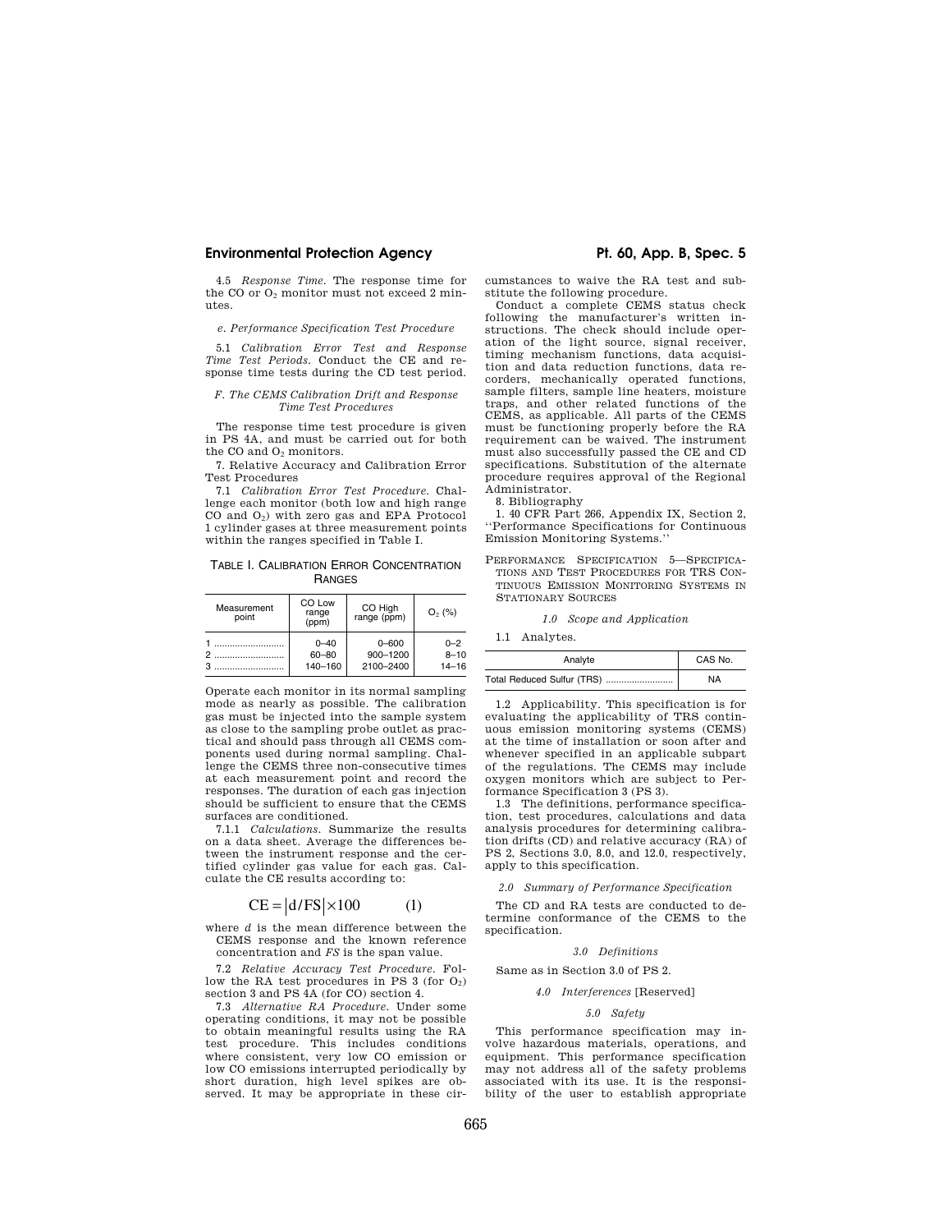### **Environmental Protection Agency The Constant Constant Protection Agency Pt. 60, App. B, Spec. 5**

4.5 *Response Time.* The response time for the CO or  $O_2$  monitor must not exceed 2 minutes.

#### *e. Performance Specification Test Procedure*

5.1 *Calibration Error Test and Response Time Test Periods.* Conduct the CE and response time tests during the CD test period.

#### *F. The CEMS Calibration Drift and Response Time Test Procedures*

The response time test procedure is given in PS 4A, and must be carried out for both the CO and O<sub>2</sub> monitors.

7. Relative Accuracy and Calibration Error Test Procedures

7.1 *Calibration Error Test Procedure.* Challenge each monitor (both low and high range CO and  $O_2$ ) with zero gas and EPA Protocol 1 cylinder gases at three measurement points within the ranges specified in Table I.

TABLE I. CALIBRATION ERROR CONCENTRATION RANGES

| Measurement<br>point | CO Low<br>range<br>(ppm) | CO High<br>range (ppm) | $O_2$ (%) |
|----------------------|--------------------------|------------------------|-----------|
|                      | $0 - 40$                 | $0 - 600$              | $0 - 2$   |
|                      | $60 - 80$                | 900-1200               | $8 - 10$  |
|                      | 140-160                  | 2100-2400              | $14 - 16$ |

Operate each monitor in its normal sampling mode as nearly as possible. The calibration gas must be injected into the sample system as close to the sampling probe outlet as practical and should pass through all CEMS components used during normal sampling. Challenge the CEMS three non-consecutive times at each measurement point and record the responses. The duration of each gas injection should be sufficient to ensure that the CEMS surfaces are conditioned.

7.1.1 *Calculations.* Summarize the results on a data sheet. Average the differences between the instrument response and the certified cylinder gas value for each gas. Calculate the CE results according to:

# $CE = |d/FS| \times 100$  (1)

where *d* is the mean difference between the CEMS response and the known reference concentration and *FS* is the span value.

7.2 *Relative Accuracy Test Procedure.* Follow the RA test procedures in PS 3 (for  $O_2$ ) section 3 and PS 4A (for CO) section 4.

7.3 *Alternative RA Procedure.* Under some operating conditions, it may not be possible to obtain meaningful results using the RA test procedure. This includes conditions where consistent, very low CO emission or low CO emissions interrupted periodically by short duration, high level spikes are observed. It may be appropriate in these cir-

cumstances to waive the RA test and substitute the following procedure.

Conduct a complete CEMS status check following the manufacturer's written instructions. The check should include operation of the light source, signal receiver, timing mechanism functions, data acquisition and data reduction functions, data recorders, mechanically operated functions, sample filters, sample line heaters, moisture traps, and other related functions of the CEMS, as applicable. All parts of the CEMS must be functioning properly before the RA requirement can be waived. The instrument must also successfully passed the CE and CD specifications. Substitution of the alternate procedure requires approval of the Regional Administrator.

8. Bibliography

1. 40 CFR Part 266, Appendix IX, Section 2, ''Performance Specifications for Continuous Emission Monitoring Systems.''

PERFORMANCE SPECIFICATION 5—SPECIFICA-TIONS AND TEST PROCEDURES FOR TRS CON-TINUOUS EMISSION MONITORING SYSTEMS IN STATIONARY SOURCES

*1.0 Scope and Application* 

1.1 Analytes.

| Analyte                    | CAS No.   |
|----------------------------|-----------|
| Total Reduced Sulfur (TRS) | <b>NA</b> |

1.2 Applicability. This specification is for evaluating the applicability of TRS continuous emission monitoring systems (CEMS) at the time of installation or soon after and whenever specified in an applicable subpart of the regulations. The CEMS may include oxygen monitors which are subject to Performance Specification 3 (PS 3).

1.3 The definitions, performance specification, test procedures, calculations and data analysis procedures for determining calibration drifts (CD) and relative accuracy (RA) of PS 2, Sections 3.0, 8.0, and 12.0, respectively, apply to this specification.

*2.0 Summary of Performance Specification* 

The CD and RA tests are conducted to determine conformance of the CEMS to the specification.

#### *3.0 Definitions*

#### Same as in Section 3.0 of PS 2.

#### *4.0 Interferences* [Reserved]

#### *5.0 Safety*

This performance specification may involve hazardous materials, operations, and equipment. This performance specification may not address all of the safety problems associated with its use. It is the responsibility of the user to establish appropriate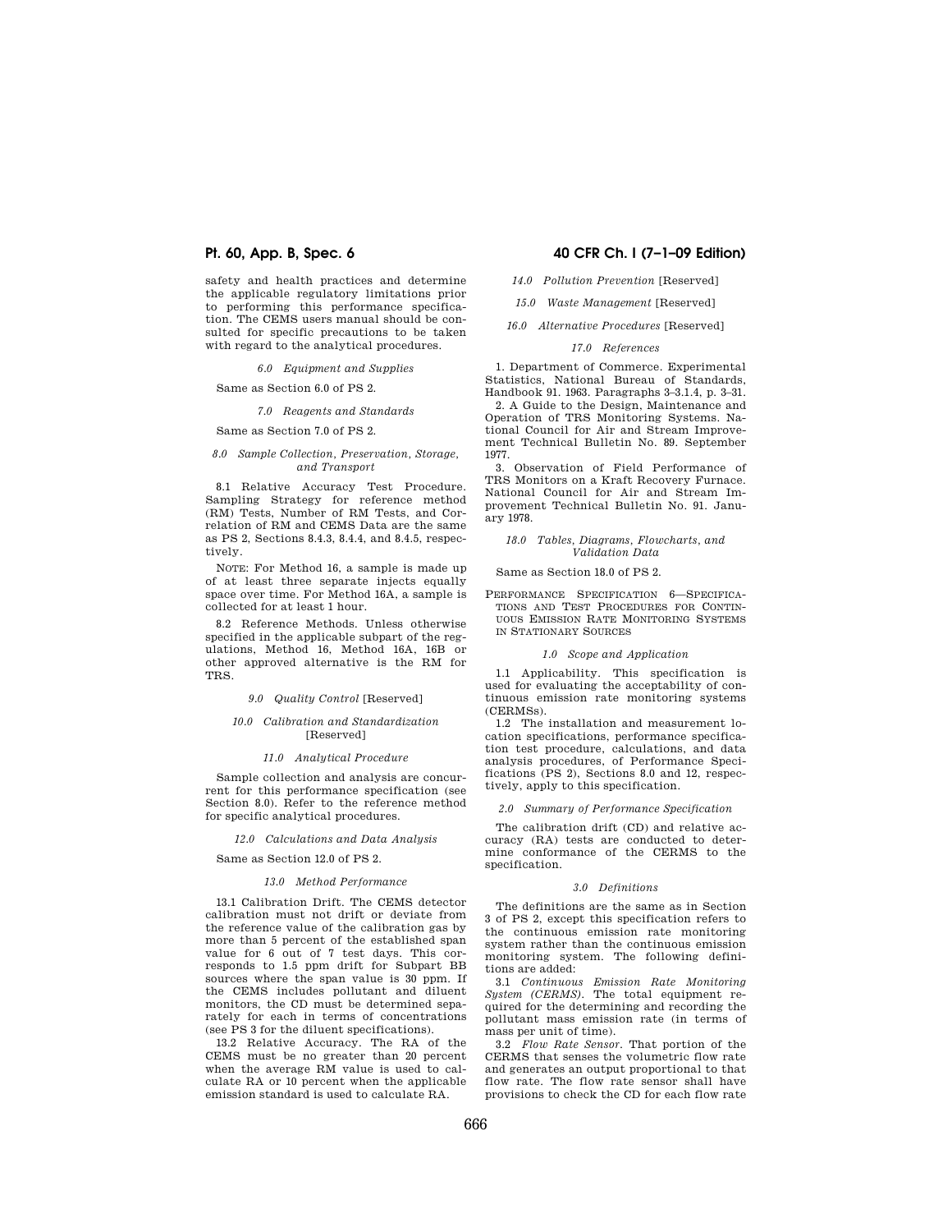safety and health practices and determine the applicable regulatory limitations prior to performing this performance specification. The CEMS users manual should be consulted for specific precautions to be taken with regard to the analytical procedures.

*6.0 Equipment and Supplies* 

Same as Section 6.0 of PS 2.

# *7.0 Reagents and Standards*

Same as Section 7.0 of PS 2.

#### *8.0 Sample Collection, Preservation, Storage, and Transport*

8.1 Relative Accuracy Test Procedure. Sampling Strategy for reference method (RM) Tests, Number of RM Tests, and Correlation of RM and CEMS Data are the same as PS 2, Sections 8.4.3, 8.4.4, and 8.4.5, respectively.

NOTE: For Method 16, a sample is made up of at least three separate injects equally space over time. For Method 16A, a sample is collected for at least 1 hour.

8.2 Reference Methods. Unless otherwise specified in the applicable subpart of the regulations, Method 16, Method 16A, 16B or other approved alternative is the RM for TRS.

*9.0 Quality Control* [Reserved]

#### *10.0 Calibration and Standardization*  [Reserved]

#### *11.0 Analytical Procedure*

Sample collection and analysis are concurrent for this performance specification (see Section 8.0). Refer to the reference method for specific analytical procedures.

#### *12.0 Calculations and Data Analysis*

Same as Section 12.0 of PS 2.

#### *13.0 Method Performance*

13.1 Calibration Drift. The CEMS detector calibration must not drift or deviate from the reference value of the calibration gas by more than 5 percent of the established span value for 6 out of 7 test days. This corresponds to 1.5 ppm drift for Subpart BB sources where the span value is 30 ppm. If the CEMS includes pollutant and diluent monitors, the CD must be determined separately for each in terms of concentrations (see PS 3 for the diluent specifications).

13.2 Relative Accuracy. The RA of the CEMS must be no greater than 20 percent when the average RM value is used to calculate RA or 10 percent when the applicable emission standard is used to calculate RA.

# **Pt. 60, App. B, Spec. 6 40 CFR Ch. I (7–1–09 Edition)**

*14.0 Pollution Prevention* [Reserved]

*15.0 Waste Management* [Reserved]

*16.0 Alternative Procedures* [Reserved]

### *17.0 References*

1. Department of Commerce. Experimental Statistics, National Bureau of Standards, Handbook 91. 1963. Paragraphs 3–3.1.4, p. 3–31.

2. A Guide to the Design, Maintenance and Operation of TRS Monitoring Systems. National Council for Air and Stream Improvement Technical Bulletin No. 89. September 1977.

3. Observation of Field Performance of TRS Monitors on a Kraft Recovery Furnace. National Council for Air and Stream Improvement Technical Bulletin No. 91. January 1978.

#### *18.0 Tables, Diagrams, Flowcharts, and Validation Data*

Same as Section 18.0 of PS 2.

PERFORMANCE SPECIFICATION 6—SPECIFICA-TIONS AND TEST PROCEDURES FOR CONTIN-UOUS EMISSION RATE MONITORING SYSTEMS IN STATIONARY SOURCES

#### *1.0 Scope and Application*

1.1 Applicability. This specification is used for evaluating the acceptability of continuous emission rate monitoring systems (CERMSs).

1.2 The installation and measurement location specifications, performance specification test procedure, calculations, and data analysis procedures, of Performance Specifications (PS 2), Sections 8.0 and 12, respectively, apply to this specification.

#### *2.0 Summary of Performance Specification*

The calibration drift (CD) and relative accuracy (RA) tests are conducted to determine conformance of the CERMS to the specification.

#### *3.0 Definitions*

The definitions are the same as in Section 3 of PS 2, except this specification refers to the continuous emission rate monitoring system rather than the continuous emission monitoring system. The following definitions are added:

3.1 *Continuous Emission Rate Monitoring System (CERMS).* The total equipment required for the determining and recording the pollutant mass emission rate (in terms of mass per unit of time).

3.2 *Flow Rate Sensor.* That portion of the CERMS that senses the volumetric flow rate and generates an output proportional to that flow rate. The flow rate sensor shall have provisions to check the CD for each flow rate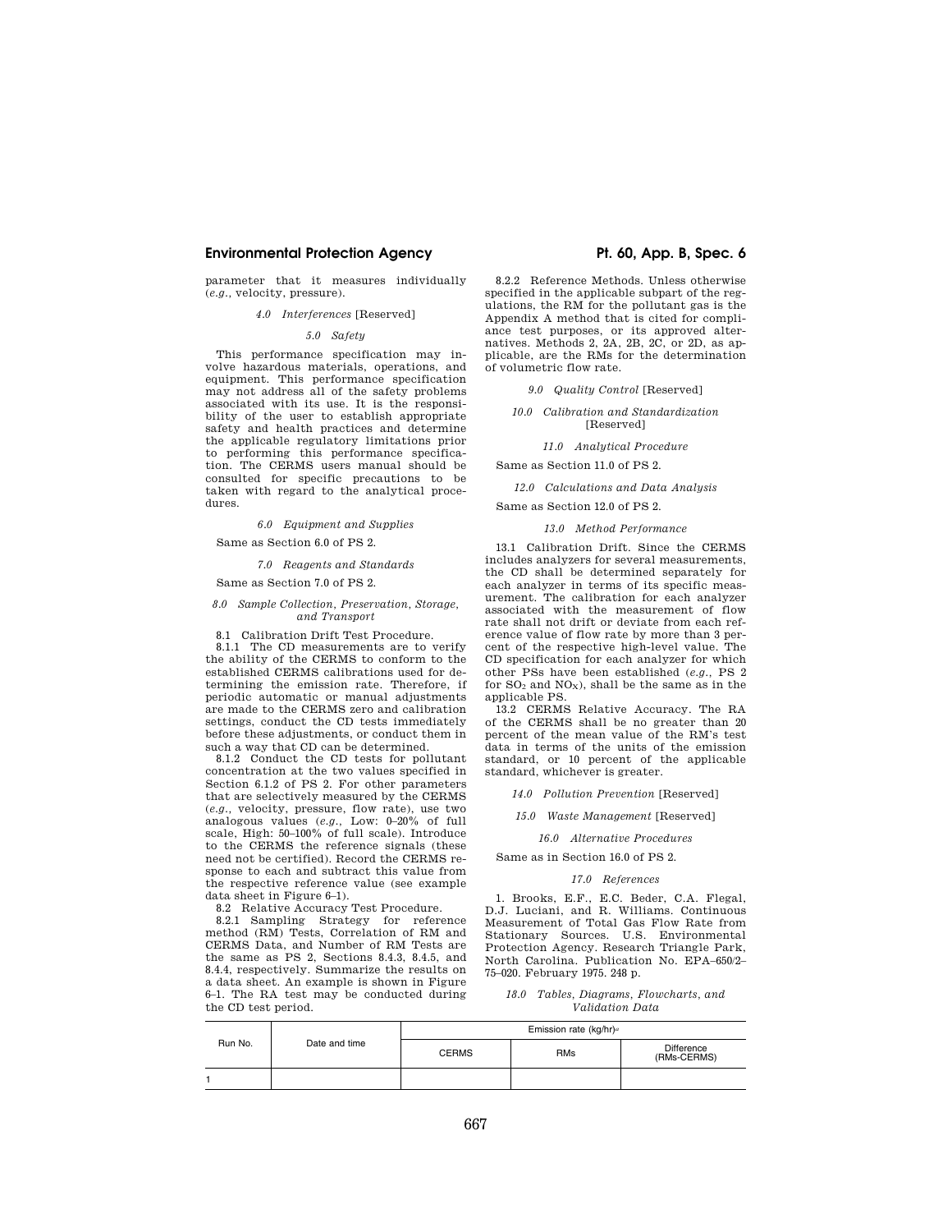# **Environmental Protection Agency The Contract Protection Agency Pt. 60, App. B, Spec. 6**

parameter that it measures individually (*e.g.,* velocity, pressure).

# *4.0 Interferences* [Reserved]

### *5.0 Safety*

This performance specification may involve hazardous materials, operations, and equipment. This performance specification may not address all of the safety problems associated with its use. It is the responsibility of the user to establish appropriate safety and health practices and determine the applicable regulatory limitations prior to performing this performance specification. The CERMS users manual should be consulted for specific precautions to be taken with regard to the analytical procedures.

*6.0 Equipment and Supplies* 

Same as Section 6.0 of PS 2.

#### *7.0 Reagents and Standards*

Same as Section 7.0 of PS 2.

#### *8.0 Sample Collection, Preservation, Storage, and Transport*

8.1 Calibration Drift Test Procedure.

8.1.1 The CD measurements are to verify the ability of the CERMS to conform to the established CERMS calibrations used for determining the emission rate. Therefore, if periodic automatic or manual adjustments are made to the CERMS zero and calibration settings, conduct the CD tests immediately before these adjustments, or conduct them in such a way that CD can be determined.

8.1.2 Conduct the CD tests for pollutant concentration at the two values specified in Section 6.1.2 of PS 2. For other parameters that are selectively measured by the CERMS (*e.g.,* velocity, pressure, flow rate), use two analogous values (*e.g.,* Low: 0–20% of full scale, High: 50–100% of full scale). Introduce to the CERMS the reference signals (these need not be certified). Record the CERMS response to each and subtract this value from the respective reference value (see example data sheet in Figure 6–1).

8.2 Relative Accuracy Test Procedure.

8.2.1 Sampling Strategy for reference method (RM) Tests, Correlation of RM and CERMS Data, and Number of RM Tests are the same as PS 2, Sections 8.4.3, 8.4.5, and 8.4.4, respectively. Summarize the results on a data sheet. An example is shown in Figure 6–1. The RA test may be conducted during the CD test period.

8.2.2 Reference Methods. Unless otherwise specified in the applicable subpart of the regulations, the RM for the pollutant gas is the Appendix A method that is cited for compliance test purposes, or its approved alternatives. Methods 2, 2A, 2B, 2C, or 2D, as applicable, are the RMs for the determination of volumetric flow rate.

*9.0 Quality Control* [Reserved]

#### *10.0 Calibration and Standardization*  [Reserved]

*11.0 Analytical Procedure* 

Same as Section 11.0 of PS 2.

*12.0 Calculations and Data Analysis* 

Same as Section 12.0 of PS 2.

#### *13.0 Method Performance*

13.1 Calibration Drift. Since the CERMS includes analyzers for several measurements, the CD shall be determined separately for each analyzer in terms of its specific measurement. The calibration for each analyzer associated with the measurement of flow rate shall not drift or deviate from each reference value of flow rate by more than 3 percent of the respective high-level value. The CD specification for each analyzer for which other PSs have been established (*e.g.,* PS 2 for  $SO_2$  and  $NO_X$ ), shall be the same as in the applicable PS.

13.2 CERMS Relative Accuracy. The RA of the CERMS shall be no greater than 20 percent of the mean value of the RM's test data in terms of the units of the emission standard, or 10 percent of the applicable standard, whichever is greater.

*14.0 Pollution Prevention* [Reserved]

*15.0 Waste Management* [Reserved]

*16.0 Alternative Procedures* 

Same as in Section 16.0 of PS 2.

#### *17.0 References*

1. Brooks, E.F., E.C. Beder, C.A. Flegal, D.J. Luciani, and R. Williams. Continuous Measurement of Total Gas Flow Rate from Stationary Sources. U.S. Environmental Protection Agency. Research Triangle Park, North Carolina. Publication No. EPA–650/2– 75–020. February 1975. 248 p.

*18.0 Tables, Diagrams, Flowcharts, and Validation Data* 

| Run No. | Date and time | Emission rate (kg/hr) <sup>a</sup> |            |                           |
|---------|---------------|------------------------------------|------------|---------------------------|
|         |               | <b>CERMS</b>                       | <b>RMs</b> | Difference<br>(RMs-CERMS) |
|         |               |                                    |            |                           |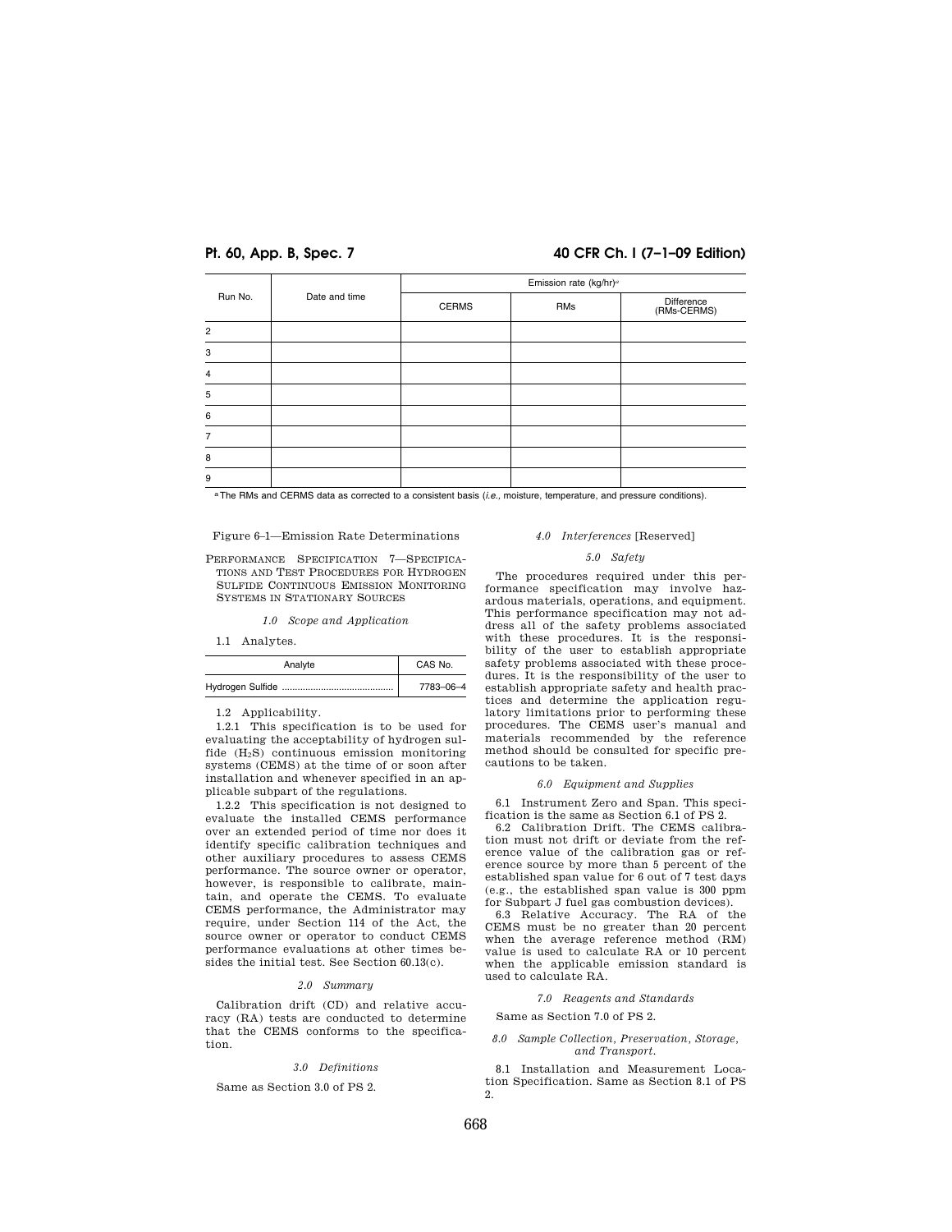# **Pt. 60, App. B, Spec. 7 40 CFR Ch. I (7–1–09 Edition)**

| Run No.        | Date and time | Emission rate (kg/hr) <sup>a</sup> |     |                           |  |  |
|----------------|---------------|------------------------------------|-----|---------------------------|--|--|
|                |               | <b>CERMS</b>                       | RMs | Difference<br>(RMs-CERMS) |  |  |
| $\overline{2}$ |               |                                    |     |                           |  |  |
| 3              |               |                                    |     |                           |  |  |
| $\overline{4}$ |               |                                    |     |                           |  |  |
| 5              |               |                                    |     |                           |  |  |
| 6              |               |                                    |     |                           |  |  |
| 7              |               |                                    |     |                           |  |  |
| 8              |               |                                    |     |                           |  |  |
| 9              |               |                                    |     |                           |  |  |

aThe RMs and CERMS data as corrected to a consistent basis (*i.e.,* moisture, temperature, and pressure conditions).

# Figure 6–1—Emission Rate Determinations

PERFORMANCE SPECIFICATION 7—SPECIFICA-TIONS AND TEST PROCEDURES FOR HYDROGEN SULFIDE CONTINUOUS EMISSION MONITORING SYSTEMS IN STATIONARY SOURCES

*1.0 Scope and Application* 

1.1 Analytes.

| Analyte | CAS No.   |
|---------|-----------|
|         | 7783-06-4 |

1.2 Applicability.

1.2.1 This specification is to be used for evaluating the acceptability of hydrogen sulfide  $(H_2S)$  continuous emission monitoring systems (CEMS) at the time of or soon after installation and whenever specified in an applicable subpart of the regulations.

1.2.2 This specification is not designed to evaluate the installed CEMS performance over an extended period of time nor does it identify specific calibration techniques and other auxiliary procedures to assess CEMS performance. The source owner or operator, however, is responsible to calibrate, maintain, and operate the CEMS. To evaluate CEMS performance, the Administrator may require, under Section 114 of the Act, the source owner or operator to conduct CEMS performance evaluations at other times besides the initial test. See Section 60.13(c).

#### *2.0 Summary*

Calibration drift (CD) and relative accuracy (RA) tests are conducted to determine that the CEMS conforms to the specification.

# *3.0 Definitions*

#### Same as Section 3.0 of PS 2.

# *4.0 Interferences* [Reserved]

#### *5.0 Safety*

The procedures required under this performance specification may involve hazardous materials, operations, and equipment. This performance specification may not address all of the safety problems associated with these procedures. It is the responsibility of the user to establish appropriate safety problems associated with these procedures. It is the responsibility of the user to establish appropriate safety and health practices and determine the application regulatory limitations prior to performing these procedures. The CEMS user's manual and materials recommended by the reference method should be consulted for specific precautions to be taken.

### *6.0 Equipment and Supplies*

6.1 Instrument Zero and Span. This specification is the same as Section 6.1 of PS 2.

6.2 Calibration Drift. The CEMS calibration must not drift or deviate from the reference value of the calibration gas or reference source by more than 5 percent of the established span value for 6 out of 7 test days (e.g., the established span value is 300 ppm for Subpart J fuel gas combustion devices).

6.3 Relative Accuracy. The RA of the CEMS must be no greater than 20 percent when the average reference method (RM) value is used to calculate RA or 10 percent when the applicable emission standard is used to calculate RA.

# *7.0 Reagents and Standards*

Same as Section 7.0 of PS 2.

*8.0 Sample Collection, Preservation, Storage, and Transport.* 

8.1 Installation and Measurement Location Specification. Same as Section 8.1 of PS 2.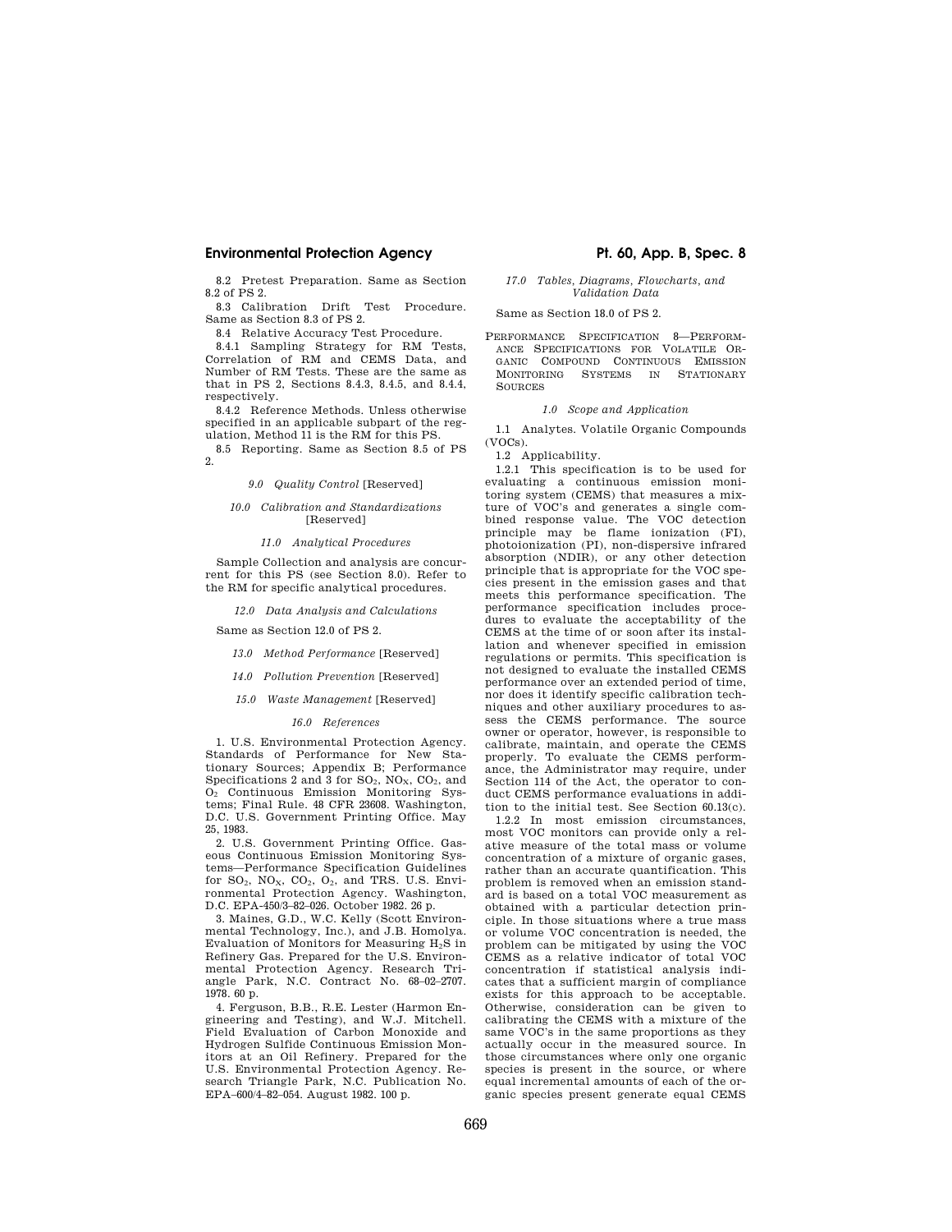# **Environmental Protection Agency The Contract Protection Agency Pt. 60, App. B, Spec. 8**

8.2 Pretest Preparation. Same as Section 8.2 of PS 2.

8.3 Calibration Drift Test Procedure. Same as Section 8.3 of PS 2.

8.4 Relative Accuracy Test Procedure.

8.4.1 Sampling Strategy for RM Tests, Correlation of RM and CEMS Data, and Number of RM Tests. These are the same as that in PS 2, Sections 8.4.3, 8.4.5, and 8.4.4, respectively.

8.4.2 Reference Methods. Unless otherwise specified in an applicable subpart of the regulation, Method 11 is the RM for this PS.

8.5 Reporting. Same as Section 8.5 of PS 2.

*9.0 Quality Control* [Reserved]

#### *10.0 Calibration and Standardizations*  [Reserved]

#### *11.0 Analytical Procedures*

Sample Collection and analysis are concurrent for this PS (see Section 8.0). Refer to the RM for specific analytical procedures.

*12.0 Data Analysis and Calculations* 

Same as Section 12.0 of PS 2.

*13.0 Method Performance* [Reserved]

- *14.0 Pollution Prevention* [Reserved]
- *15.0 Waste Management* [Reserved]

#### *16.0 References*

1. U.S. Environmental Protection Agency. Standards of Performance for New Stationary Sources; Appendix B; Performance Specifications 2 and 3 for  $SO_2$ ,  $NO_X$ ,  $CO_2$ , and O<sup>2</sup> Continuous Emission Monitoring Systems; Final Rule. 48 CFR 23608. Washington, D.C. U.S. Government Printing Office. May 25, 1983.

2. U.S. Government Printing Office. Gaseous Continuous Emission Monitoring Systems—Performance Specification Guidelines for  $SO_2$ ,  $NO_X$ ,  $CO_2$ ,  $O_2$ , and TRS. U.S. Environmental Protection Agency. Washington, D.C. EPA-450/3–82–026. October 1982. 26 p.

3. Maines, G.D., W.C. Kelly (Scott Environmental Technology, Inc.), and J.B. Homolya. Evaluation of Monitors for Measuring H2S in Refinery Gas. Prepared for the U.S. Environmental Protection Agency. Research Triangle Park, N.C. Contract No. 68–02–2707. 1978. 60 p.

4. Ferguson, B.B., R.E. Lester (Harmon Engineering and Testing), and W.J. Mitchell. Field Evaluation of Carbon Monoxide and Hydrogen Sulfide Continuous Emission Monitors at an Oil Refinery. Prepared for the U.S. Environmental Protection Agency. Research Triangle Park, N.C. Publication No. EPA–600/4–82–054. August 1982. 100 p.

### *17.0 Tables, Diagrams, Flowcharts, and Validation Data*

Same as Section 18.0 of PS 2.

PERFORMANCE SPECIFICATION 8—PERFORM-ANCE SPECIFICATIONS FOR VOLATILE OR-GANIC COMPOUND CONTINUOUS EMISSION MONITORING SYSTEMS IN STATIONARY **SOURCES** 

# *1.0 Scope and Application*

1.1 Analytes. Volatile Organic Compounds (VOCs).

1.2 Applicability.

1.2.1 This specification is to be used for evaluating a continuous emission monitoring system (CEMS) that measures a mixture of VOC's and generates a single combined response value. The VOC detection principle may be flame ionization (FI), photoionization (PI), non-dispersive infrared absorption (NDIR), or any other detection principle that is appropriate for the VOC species present in the emission gases and that meets this performance specification. The performance specification includes procedures to evaluate the acceptability of the CEMS at the time of or soon after its installation and whenever specified in emission regulations or permits. This specification is not designed to evaluate the installed CEMS performance over an extended period of time, nor does it identify specific calibration techniques and other auxiliary procedures to assess the CEMS performance. The source owner or operator, however, is responsible to calibrate, maintain, and operate the CEMS properly. To evaluate the CEMS performance, the Administrator may require, under Section 114 of the Act, the operator to conduct CEMS performance evaluations in addition to the initial test. See Section 60.13(c).

1.2.2 In most emission circumstances, most VOC monitors can provide only a relative measure of the total mass or volume concentration of a mixture of organic gases, rather than an accurate quantification. This problem is removed when an emission standard is based on a total VOC measurement as obtained with a particular detection principle. In those situations where a true mass or volume VOC concentration is needed, the problem can be mitigated by using the VOC CEMS as a relative indicator of total VOC concentration if statistical analysis indicates that a sufficient margin of compliance exists for this approach to be acceptable. Otherwise, consideration can be given to calibrating the CEMS with a mixture of the same VOC's in the same proportions as they actually occur in the measured source. In those circumstances where only one organic species is present in the source, or where equal incremental amounts of each of the organic species present generate equal CEMS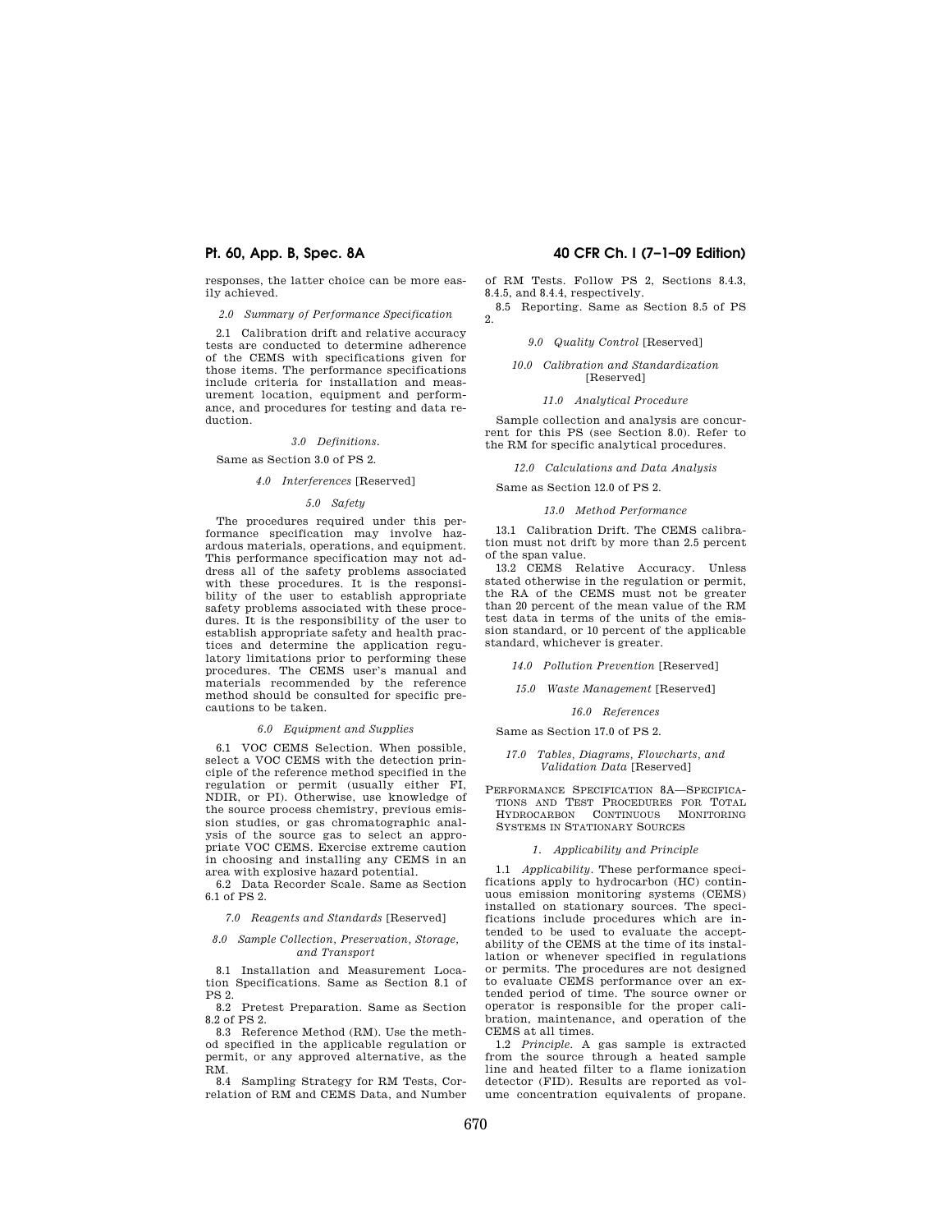responses, the latter choice can be more easily achieved.

*2.0 Summary of Performance Specification* 

2.1 Calibration drift and relative accuracy tests are conducted to determine adherence of the CEMS with specifications given for those items. The performance specifications include criteria for installation and measurement location, equipment and performance, and procedures for testing and data reduction.

### *3.0 Definitions.*

#### Same as Section 3.0 of PS 2.

#### *4.0 Interferences* [Reserved]

### *5.0 Safety*

The procedures required under this performance specification may involve hazardous materials, operations, and equipment. This performance specification may not address all of the safety problems associated with these procedures. It is the responsibility of the user to establish appropriate safety problems associated with these procedures. It is the responsibility of the user to establish appropriate safety and health practices and determine the application regulatory limitations prior to performing these procedures. The CEMS user's manual and materials recommended by the reference method should be consulted for specific precautions to be taken.

#### *6.0 Equipment and Supplies*

6.1 VOC CEMS Selection. When possible, select a VOC CEMS with the detection principle of the reference method specified in the regulation or permit (usually either FI, NDIR, or PI). Otherwise, use knowledge of the source process chemistry, previous emission studies, or gas chromatographic analysis of the source gas to select an appropriate VOC CEMS. Exercise extreme caution in choosing and installing any CEMS in an area with explosive hazard potential.

6.2 Data Recorder Scale. Same as Section 6.1 of PS 2.

#### *7.0 Reagents and Standards* [Reserved]

#### *8.0 Sample Collection, Preservation, Storage, and Transport*

8.1 Installation and Measurement Location Specifications. Same as Section 8.1 of PS 2.

8.2 Pretest Preparation. Same as Section 8.2 of PS 2.

8.3 Reference Method (RM). Use the method specified in the applicable regulation or permit, or any approved alternative, as the RM.

8.4 Sampling Strategy for RM Tests, Correlation of RM and CEMS Data, and Number

# **Pt. 60, App. B, Spec. 8A 40 CFR Ch. I (7–1–09 Edition)**

of RM Tests. Follow PS 2, Sections 8.4.3, 8.4.5, and 8.4.4, respectively.

8.5 Reporting. Same as Section 8.5 of PS  $2^{\circ}$ 

#### *9.0 Quality Control* [Reserved]

#### *10.0 Calibration and Standardization*  [Reserved]

#### *11.0 Analytical Procedure*

Sample collection and analysis are concurrent for this PS (see Section 8.0). Refer to the RM for specific analytical procedures.

*12.0 Calculations and Data Analysis* 

Same as Section 12.0 of PS 2.

### *13.0 Method Performance*

13.1 Calibration Drift. The CEMS calibration must not drift by more than 2.5 percent of the span value.

13.2 CEMS Relative Accuracy. Unless stated otherwise in the regulation or permit, the RA of the CEMS must not be greater than 20 percent of the mean value of the RM test data in terms of the units of the emission standard, or 10 percent of the applicable standard, whichever is greater.

*14.0 Pollution Prevention* [Reserved]

*15.0 Waste Management* [Reserved]

*16.0 References* 

#### Same as Section 17.0 of PS 2.

#### *17.0 Tables, Diagrams, Flowcharts, and Validation Data* [Reserved]

PERFORMANCE SPECIFICATION 8A—SPECIFICA-TIONS AND TEST PROCEDURES FOR TOTAL HYDROCARBON CONTINUOUS MONITORING SYSTEMS IN STATIONARY SOURCES

#### *1. Applicability and Principle*

1.1 *Applicability.* These performance specifications apply to hydrocarbon (HC) continuous emission monitoring systems (CEMS) installed on stationary sources. The specifications include procedures which are intended to be used to evaluate the acceptability of the CEMS at the time of its installation or whenever specified in regulations or permits. The procedures are not designed to evaluate CEMS performance over an extended period of time. The source owner or operator is responsible for the proper calibration, maintenance, and operation of the CEMS at all times.

1.2 *Principle.* A gas sample is extracted from the source through a heated sample line and heated filter to a flame ionization detector (FID). Results are reported as volume concentration equivalents of propane.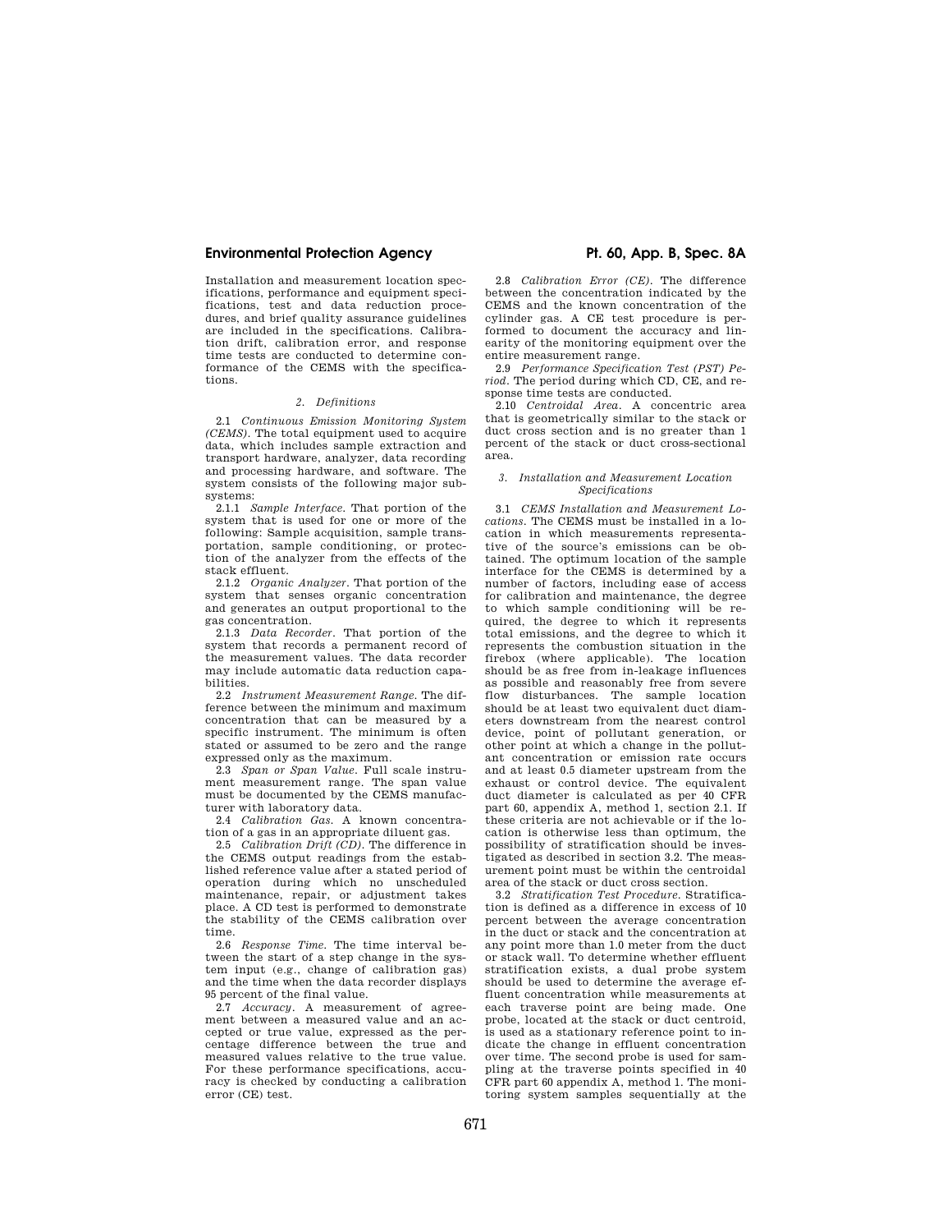# **Environmental Protection Agency The Constant Protection Agency Pt. 60, App. B, Spec. 8A**

Installation and measurement location specifications, performance and equipment specifications, test and data reduction procedures, and brief quality assurance guidelines are included in the specifications. Calibration drift, calibration error, and response time tests are conducted to determine conformance of the CEMS with the specifications.

### *2. Definitions*

2.1 *Continuous Emission Monitoring System (CEMS).* The total equipment used to acquire data, which includes sample extraction and transport hardware, analyzer, data recording and processing hardware, and software. The system consists of the following major subsystems:

2.1.1 *Sample Interface.* That portion of the system that is used for one or more of the following: Sample acquisition, sample transportation, sample conditioning, or protection of the analyzer from the effects of the stack effluent.

2.1.2 *Organic Analyzer.* That portion of the system that senses organic concentration and generates an output proportional to the gas concentration.

2.1.3 *Data Recorder.* That portion of the system that records a permanent record of the measurement values. The data recorder may include automatic data reduction capabilities.

2.2 *Instrument Measurement Range.* The difference between the minimum and maximum concentration that can be measured by a specific instrument. The minimum is often stated or assumed to be zero and the range expressed only as the maximum.

2.3 *Span or Span Value.* Full scale instrument measurement range. The span value must be documented by the CEMS manufacturer with laboratory data.

2.4 *Calibration Gas.* A known concentration of a gas in an appropriate diluent gas.

2.5 *Calibration Drift (CD).* The difference in the CEMS output readings from the established reference value after a stated period of operation during which no unscheduled maintenance, repair, or adjustment takes place. A CD test is performed to demonstrate the stability of the CEMS calibration over time.

2.6 *Response Time.* The time interval between the start of a step change in the system input (e.g., change of calibration gas) and the time when the data recorder displays 95 percent of the final value.

2.7 *Accuracy.* A measurement of agreement between a measured value and an accepted or true value, expressed as the percentage difference between the true and measured values relative to the true value. For these performance specifications, accuracy is checked by conducting a calibration error (CE) test.

2.8 *Calibration Error (CE).* The difference between the concentration indicated by the CEMS and the known concentration of the cylinder gas. A CE test procedure is performed to document the accuracy and linearity of the monitoring equipment over the entire measurement range.

2.9 *Performance Specification Test (PST) Period.* The period during which CD, CE, and response time tests are conducted.

2.10 *Centroidal Area.* A concentric area that is geometrically similar to the stack or duct cross section and is no greater than 1 percent of the stack or duct cross-sectional area.

#### *3. Installation and Measurement Location Specifications*

3.1 *CEMS Installation and Measurement Locations.* The CEMS must be installed in a location in which measurements representative of the source's emissions can be obtained. The optimum location of the sample interface for the CEMS is determined by a number of factors, including ease of access for calibration and maintenance, the degree to which sample conditioning will be required, the degree to which it represents total emissions, and the degree to which it represents the combustion situation in the firebox (where applicable). The location should be as free from in-leakage influences as possible and reasonably free from severe flow disturbances. The sample location should be at least two equivalent duct diameters downstream from the nearest control device, point of pollutant generation, or other point at which a change in the pollutant concentration or emission rate occurs and at least 0.5 diameter upstream from the exhaust or control device. The equivalent duct diameter is calculated as per 40 CFR part 60, appendix A, method 1, section 2.1. If these criteria are not achievable or if the location is otherwise less than optimum, the possibility of stratification should be investigated as described in section 3.2. The measurement point must be within the centroidal area of the stack or duct cross section.

3.2 *Stratification Test Procedure.* Stratification is defined as a difference in excess of 10 percent between the average concentration in the duct or stack and the concentration at any point more than 1.0 meter from the duct or stack wall. To determine whether effluent stratification exists, a dual probe system should be used to determine the average effluent concentration while measurements at each traverse point are being made. One probe, located at the stack or duct centroid, is used as a stationary reference point to indicate the change in effluent concentration over time. The second probe is used for sampling at the traverse points specified in 40 CFR part 60 appendix A, method 1. The monitoring system samples sequentially at the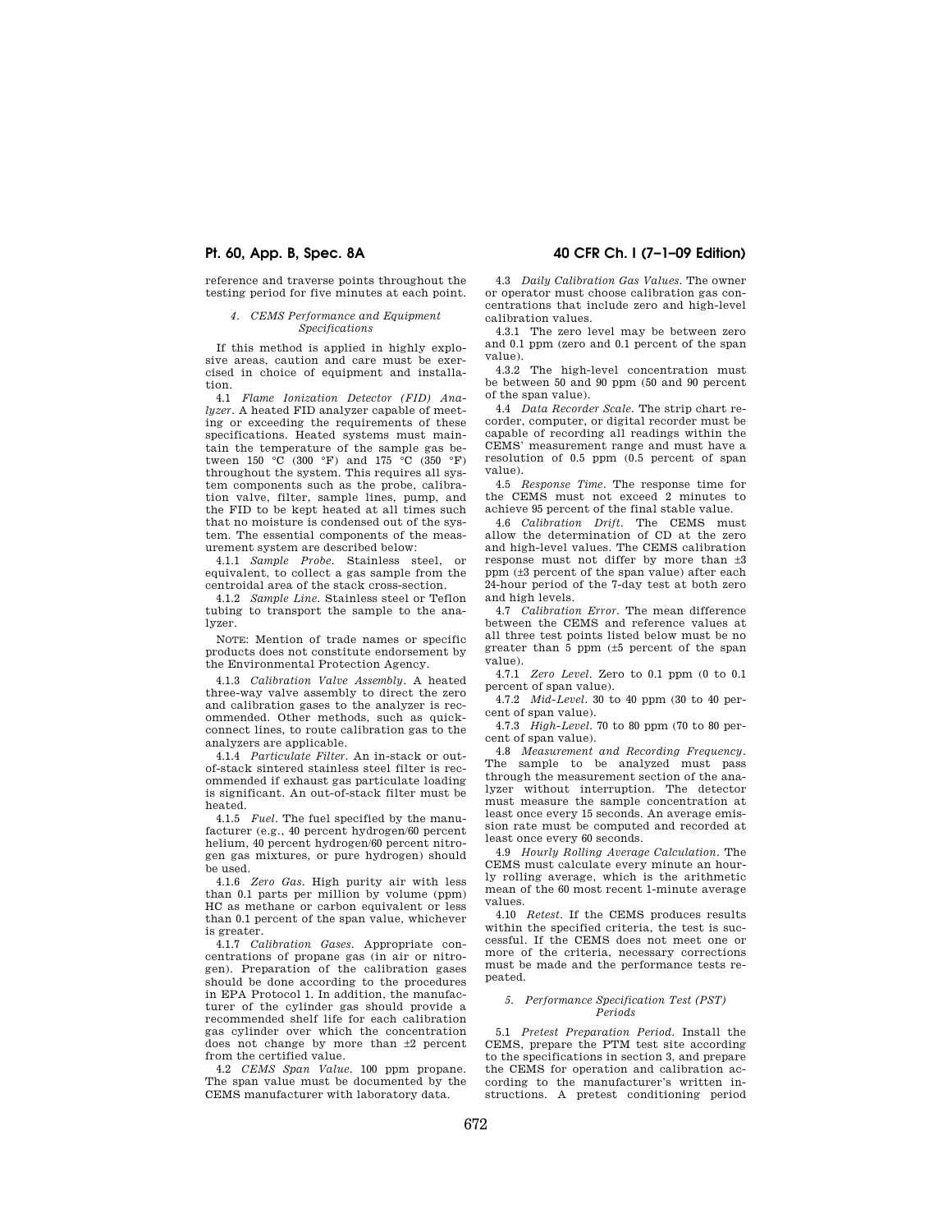reference and traverse points throughout the testing period for five minutes at each point.

### *4. CEMS Performance and Equipment Specifications*

If this method is applied in highly explosive areas, caution and care must be exercised in choice of equipment and installation.

4.1 *Flame Ionization Detector (FID) Analyzer.* A heated FID analyzer capable of meeting or exceeding the requirements of these specifications. Heated systems must maintain the temperature of the sample gas between 150 °C (300 °F) and 175 °C (350 °F) throughout the system. This requires all system components such as the probe, calibration valve, filter, sample lines, pump, and the FID to be kept heated at all times such that no moisture is condensed out of the system. The essential components of the measurement system are described below:

4.1.1 *Sample Probe.* Stainless steel, or equivalent, to collect a gas sample from the centroidal area of the stack cross-section.

4.1.2 *Sample Line.* Stainless steel or Teflon tubing to transport the sample to the analyzer.

NOTE: Mention of trade names or specific products does not constitute endorsement by the Environmental Protection Agency.

4.1.3 *Calibration Valve Assembly.* A heated three-way valve assembly to direct the zero and calibration gases to the analyzer is recommended. Other methods, such as quickconnect lines, to route calibration gas to the analyzers are applicable.

4.1.4 *Particulate Filter.* An in-stack or outof-stack sintered stainless steel filter is recommended if exhaust gas particulate loading is significant. An out-of-stack filter must be heated.

4.1.5 *Fuel.* The fuel specified by the manufacturer (e.g., 40 percent hydrogen/60 percent helium, 40 percent hydrogen/60 percent nitrogen gas mixtures, or pure hydrogen) should be used.

4.1.6 *Zero Gas.* High purity air with less than 0.1 parts per million by volume (ppm) HC as methane or carbon equivalent or less than 0.1 percent of the span value, whichever is greater.

4.1.7 *Calibration Gases.* Appropriate concentrations of propane gas (in air or nitrogen). Preparation of the calibration gases should be done according to the procedures in EPA Protocol 1. In addition, the manufacturer of the cylinder gas should provide a recommended shelf life for each calibration gas cylinder over which the concentration does not change by more than ±2 percent from the certified value.

4.2 *CEMS Span Value.* 100 ppm propane. The span value must be documented by the CEMS manufacturer with laboratory data.

# **Pt. 60, App. B, Spec. 8A 40 CFR Ch. I (7–1–09 Edition)**

4.3 *Daily Calibration Gas Values.* The owner or operator must choose calibration gas concentrations that include zero and high-level calibration values.

4.3.1 The zero level may be between zero and 0.1 ppm (zero and 0.1 percent of the span value).

4.3.2 The high-level concentration must be between 50 and 90 ppm (50 and 90 percent of the span value).

4.4 *Data Recorder Scale.* The strip chart recorder, computer, or digital recorder must be capable of recording all readings within the CEMS' measurement range and must have a resolution of 0.5 ppm (0.5 percent of span value).

4.5 *Response Time.* The response time for the CEMS must not exceed 2 minutes to achieve 95 percent of the final stable value.

4.6 *Calibration Drift.* The CEMS must allow the determination of CD at the zero and high-level values. The CEMS calibration response must not differ by more than ±3 ppm (±3 percent of the span value) after each 24-hour period of the 7-day test at both zero and high levels.

4.7 *Calibration Error.* The mean difference between the CEMS and reference values at all three test points listed below must be no greater than 5 ppm (±5 percent of the span value).

4.7.1 *Zero Level.* Zero to 0.1 ppm (0 to 0.1 percent of span value).

4.7.2 *Mid-Level.* 30 to 40 ppm (30 to 40 percent of span value).

4.7.3 *High-Level.* 70 to 80 ppm (70 to 80 percent of span value).

4.8 *Measurement and Recording Frequency.*  The sample to be analyzed must pass through the measurement section of the analyzer without interruption. The detector must measure the sample concentration at least once every 15 seconds. An average emission rate must be computed and recorded at least once every 60 seconds.

4.9 *Hourly Rolling Average Calculation.* The CEMS must calculate every minute an hourly rolling average, which is the arithmetic mean of the 60 most recent 1-minute average values.

4.10 *Retest.* If the CEMS produces results within the specified criteria, the test is successful. If the CEMS does not meet one or more of the criteria, necessary corrections must be made and the performance tests repeated.

#### *5. Performance Specification Test (PST) Periods*

5.1 *Pretest Preparation Period.* Install the CEMS, prepare the PTM test site according to the specifications in section 3, and prepare the CEMS for operation and calibration according to the manufacturer's written instructions. A pretest conditioning period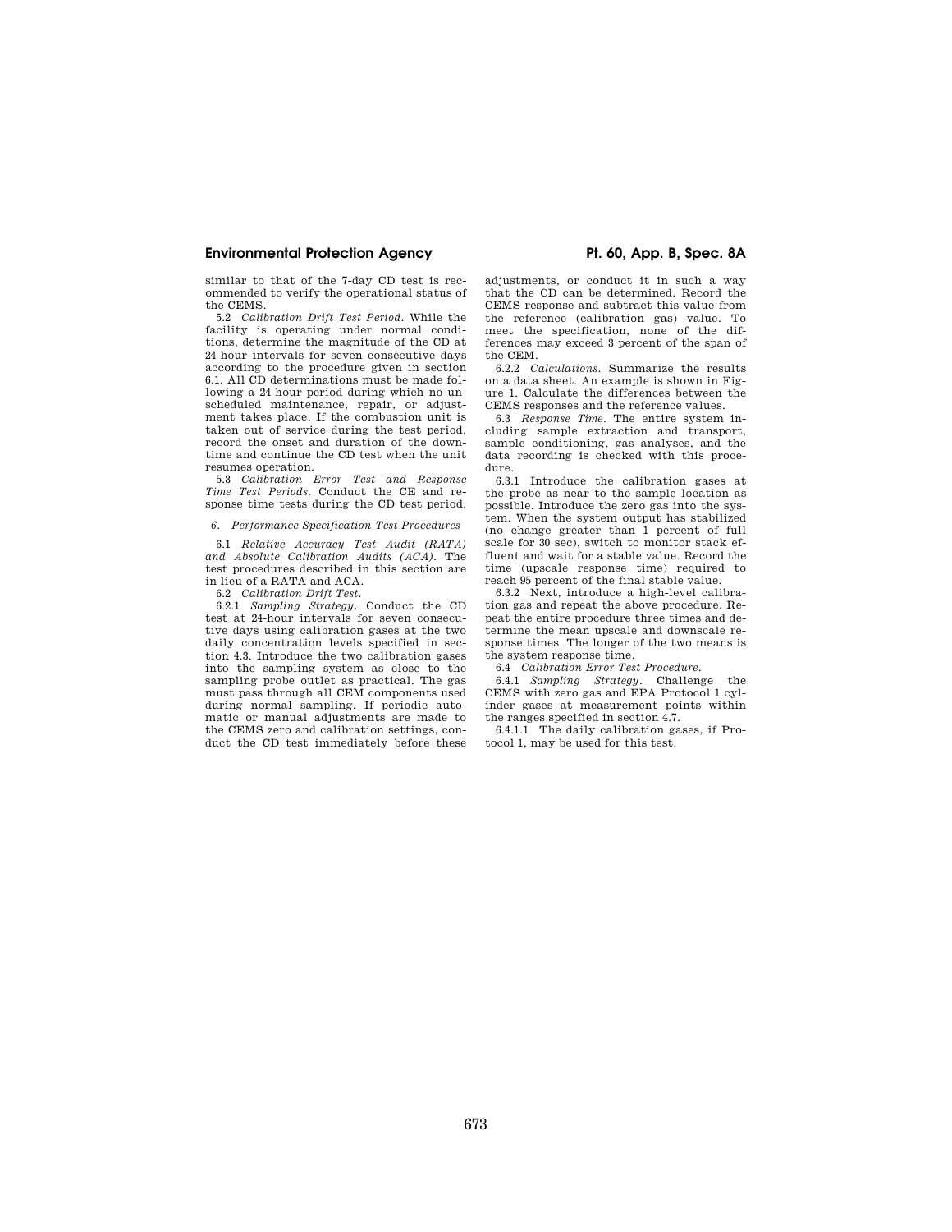# **Environmental Protection Agency The Constant Protection Agency Pt. 60, App. B, Spec. 8A**

similar to that of the 7-day CD test is recommended to verify the operational status of the CEMS.

5.2 *Calibration Drift Test Period.* While the facility is operating under normal conditions, determine the magnitude of the CD at 24-hour intervals for seven consecutive days according to the procedure given in section 6.1. All CD determinations must be made following a 24-hour period during which no unscheduled maintenance, repair, or adjustment takes place. If the combustion unit is taken out of service during the test period, record the onset and duration of the downtime and continue the CD test when the unit resumes operation.

5.3 *Calibration Error Test and Response Time Test Periods.* Conduct the CE and response time tests during the CD test period.

#### *6. Performance Specification Test Procedures*

6.1 *Relative Accuracy Test Audit (RATA) and Absolute Calibration Audits (ACA).* The test procedures described in this section are in lieu of a RATA and ACA.

6.2 *Calibration Drift Test.* 

6.2.1 *Sampling Strategy.* Conduct the CD test at 24-hour intervals for seven consecutive days using calibration gases at the two daily concentration levels specified in section 4.3. Introduce the two calibration gases into the sampling system as close to the sampling probe outlet as practical. The gas must pass through all CEM components used during normal sampling. If periodic automatic or manual adjustments are made to the CEMS zero and calibration settings, conduct the CD test immediately before these

adjustments, or conduct it in such a way that the CD can be determined. Record the CEMS response and subtract this value from the reference (calibration gas) value. To meet the specification, none of the differences may exceed 3 percent of the span of the CEM.

6.2.2 *Calculations.* Summarize the results on a data sheet. An example is shown in Figure 1. Calculate the differences between the CEMS responses and the reference values.

6.3 *Response Time.* The entire system including sample extraction and transport, sample conditioning, gas analyses, and the data recording is checked with this procedure.

6.3.1 Introduce the calibration gases at the probe as near to the sample location as possible. Introduce the zero gas into the system. When the system output has stabilized (no change greater than 1 percent of full scale for 30 sec), switch to monitor stack effluent and wait for a stable value. Record the time (upscale response time) required to reach 95 percent of the final stable value.

6.3.2 Next, introduce a high-level calibration gas and repeat the above procedure. Repeat the entire procedure three times and determine the mean upscale and downscale response times. The longer of the two means is the system response time.

6.4 *Calibration Error Test Procedure.* 

6.4.1 *Sampling Strategy.* Challenge the CEMS with zero gas and EPA Protocol 1 cylinder gases at measurement points within the ranges specified in section 4.7.

6.4.1.1 The daily calibration gases, if Protocol 1, may be used for this test.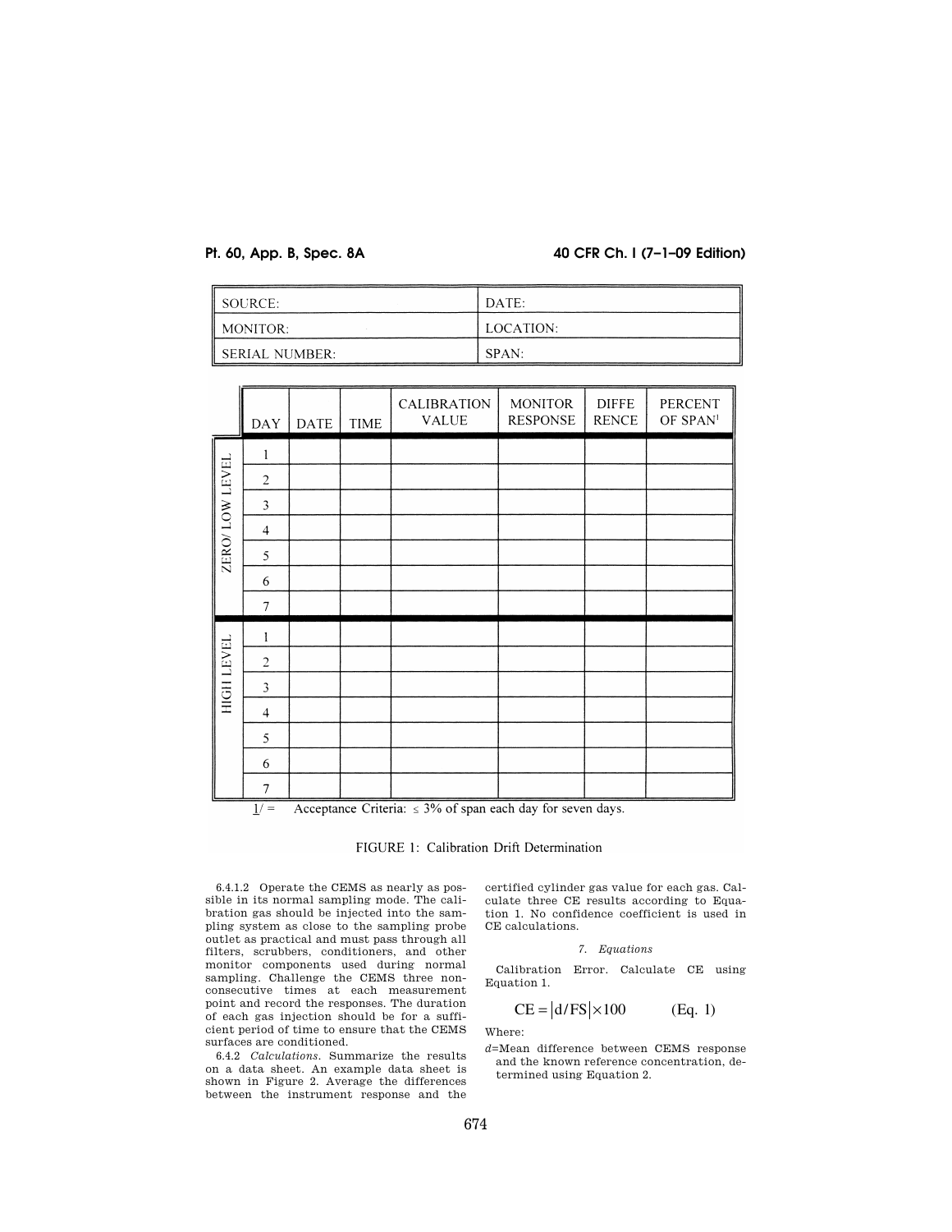# **Pt. 60, App. B, Spec. 8A 40 CFR Ch. I (7–1–09 Edition)**

| $\parallel$ SOURCE:  | DATE:     |
|----------------------|-----------|
| $\parallel$ MONITOR: | LOCATION: |
| SERIAL NUMBER:       | SPAN:     |

|                   | <b>DAY</b>     | <b>DATE</b> | <b>TIME</b> | CALIBRATION<br><b>VALUE</b> | <b>MONITOR</b><br><b>RESPONSE</b> | <b>DIFFE</b><br><b>RENCE</b> | PERCENT<br>OF SPAN <sup>1</sup> |
|-------------------|----------------|-------------|-------------|-----------------------------|-----------------------------------|------------------------------|---------------------------------|
|                   | 1              |             |             |                             |                                   |                              |                                 |
|                   | $\overline{2}$ |             |             |                             |                                   |                              |                                 |
|                   | 3              |             |             |                             |                                   |                              |                                 |
| ZERO/LOW LEVEL    | $\overline{4}$ |             |             |                             |                                   |                              |                                 |
|                   | 5              |             |             |                             |                                   |                              |                                 |
|                   | 6              |             |             |                             |                                   |                              |                                 |
|                   | 7              |             |             |                             |                                   |                              |                                 |
|                   | 1              |             |             |                             |                                   |                              |                                 |
| <b>HIGH LEVEL</b> | $\overline{2}$ |             |             |                             |                                   |                              |                                 |
|                   | 3              |             |             |                             |                                   |                              |                                 |
|                   | $\overline{4}$ |             |             |                             |                                   |                              |                                 |
|                   | 5              |             |             |                             |                                   |                              |                                 |
|                   | 6              |             |             |                             |                                   |                              |                                 |
|                   | $\overline{7}$ |             |             |                             |                                   |                              |                                 |



FIGURE 1: Calibration Drift Determination

6.4.1.2 Operate the CEMS as nearly as possible in its normal sampling mode. The calibration gas should be injected into the sampling system as close to the sampling probe outlet as practical and must pass through all filters, scrubbers, conditioners, and other monitor components used during normal sampling. Challenge the CEMS three nonconsecutive times at each measurement point and record the responses. The duration of each gas injection should be for a sufficient period of time to ensure that the CEMS surfaces are conditioned.

6.4.2 *Calculations.* Summarize the results on a data sheet. An example data sheet is shown in Figure 2. Average the differences between the instrument response and the

certified cylinder gas value for each gas. Calculate three CE results according to Equation 1. No confidence coefficient is used in CE calculations.

*7. Equations* 

Calibration Error. Calculate CE using Equation 1.

$$
CE = |d/FS| \times 100 \qquad (Eq. 1)
$$

Where:

*d*=Mean difference between CEMS response and the known reference concentration, determined using Equation 2.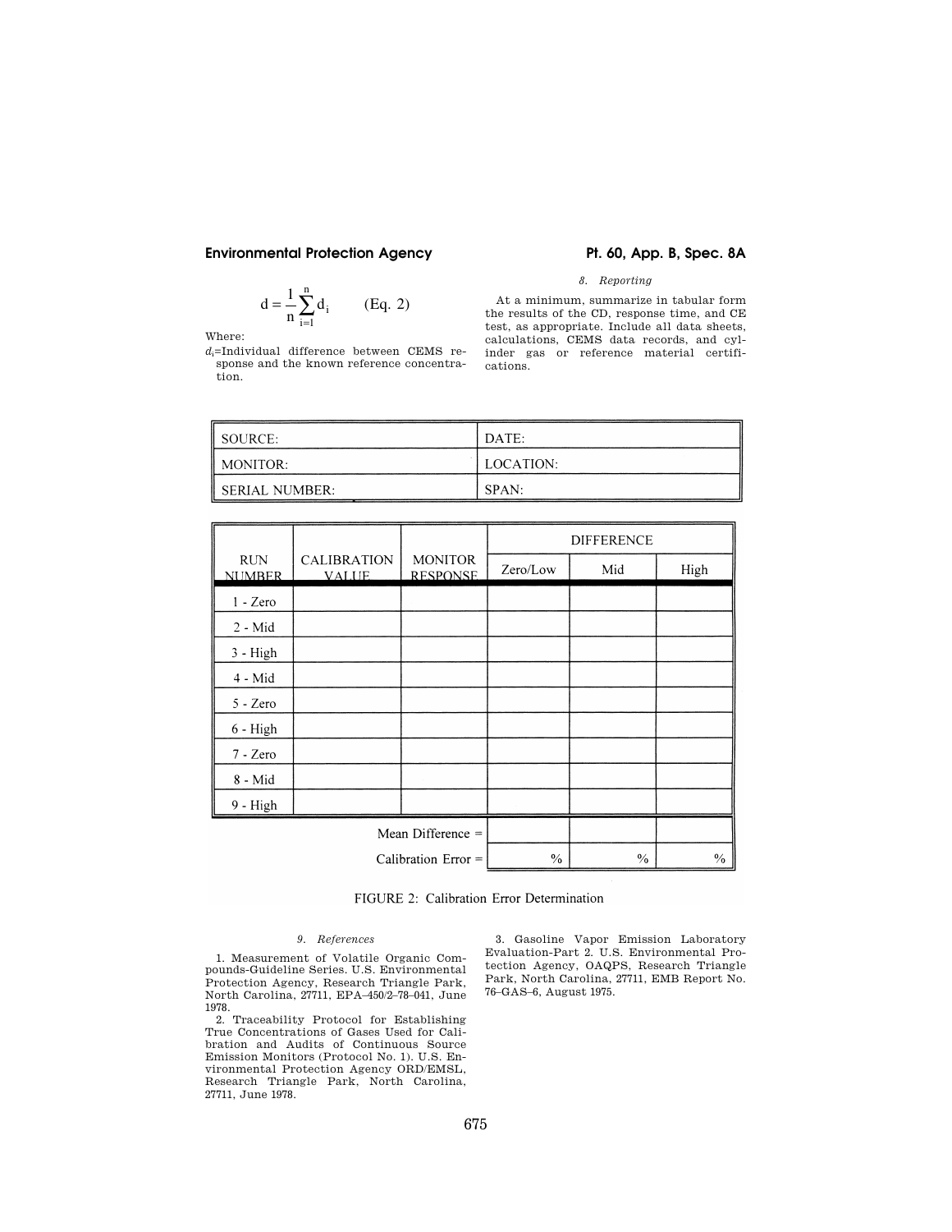# Environmental Protection Agency **Pt. 60, App. B, Spec. 8A**

$$
d = \frac{1}{n} \sum_{i=1}^{n} d_i
$$
 (Eq. 2)

Where:

*d*i=Individual difference between CEMS response and the known reference concentration.

# *8. Reporting*

At a minimum, summarize in tabular form the results of the CD, response time, and CE test, as appropriate. Include all data sheets, calculations, CEMS data records, and cylinder gas or reference material certifications.

| $\parallel$ SOURCE:   | DATE:     |
|-----------------------|-----------|
| $\parallel$ MONITOR:  | LOCATION: |
| <b>SERIAL NUMBER:</b> | SPAN:     |

|                             |                                    |                                   | <b>DIFFERENCE</b> |      |      |
|-----------------------------|------------------------------------|-----------------------------------|-------------------|------|------|
| <b>RUN</b><br><b>NUMBER</b> | <b>CALIBRATION</b><br><b>VALUE</b> | <b>MONITOR</b><br><b>RESPONSE</b> | Zero/Low          | Mid  | High |
| $1 - Zero$                  |                                    |                                   |                   |      |      |
| $2 - Mid$                   |                                    |                                   |                   |      |      |
| $3 - High$                  |                                    |                                   |                   |      |      |
| $4 - Mid$                   |                                    |                                   |                   |      |      |
| $5 - Zero$                  |                                    |                                   |                   |      |      |
| $6 - High$                  |                                    |                                   |                   |      |      |
| $7 - Zero$                  |                                    |                                   |                   |      |      |
| 8 - Mid                     |                                    |                                   |                   |      |      |
| 9 - High                    |                                    |                                   |                   |      |      |
| Mean Difference =           |                                    |                                   |                   |      |      |
| Calibration Error $=$       |                                    | $\frac{0}{0}$                     | $\frac{0}{0}$     | $\%$ |      |

FIGURE 2: Calibration Error Determination

# *9. References*

1. Measurement of Volatile Organic Compounds-Guideline Series. U.S. Environmental Protection Agency, Research Triangle Park, North Carolina, 27711, EPA–450/2–78–041, June 1978.

2. Traceability Protocol for Establishing True Concentrations of Gases Used for Calibration and Audits of Continuous Source Emission Monitors (Protocol No. 1). U.S. Environmental Protection Agency ORD/EMSL, Research Triangle Park, North Carolina, 27711, June 1978.

3. Gasoline Vapor Emission Laboratory Evaluation-Part 2. U.S. Environmental Protection Agency, OAQPS, Research Triangle Park, North Carolina, 27711, EMB Report No. 76–GAS–6, August 1975.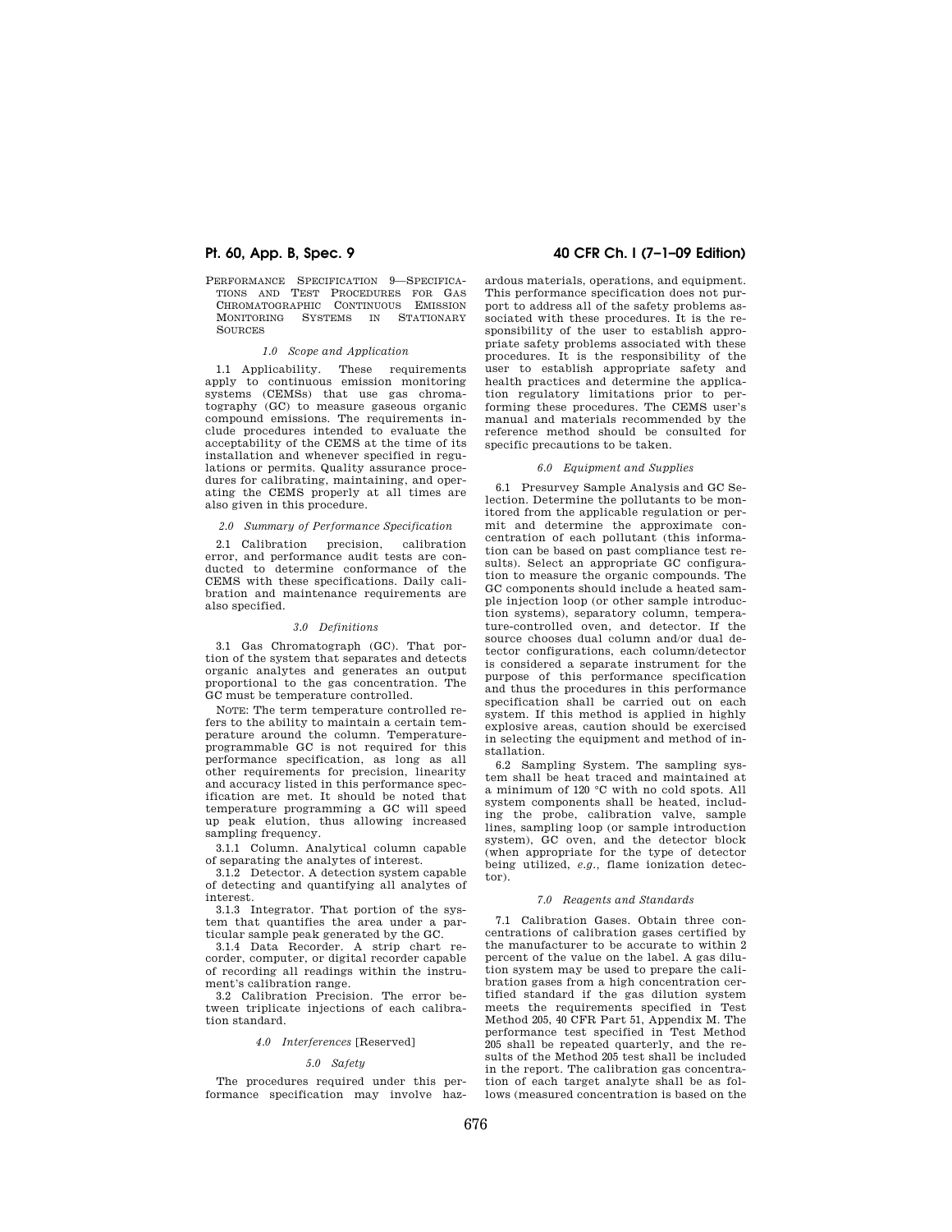PERFORMANCE SPECIFICATION 9—SPECIFICA-TIONS AND TEST PROCEDURES FOR GAS CHROMATOGRAPHIC CONTINUOUS EMISSION MONITORING SYSTEMS IN STATIONARY **SOURCES** 

#### *1.0 Scope and Application*

1.1 Applicability. These requirements apply to continuous emission monitoring systems (CEMSs) that use gas chromatography (GC) to measure gaseous organic compound emissions. The requirements include procedures intended to evaluate the acceptability of the CEMS at the time of its installation and whenever specified in regulations or permits. Quality assurance procedures for calibrating, maintaining, and operating the CEMS properly at all times are also given in this procedure.

# *2.0 Summary of Performance Specification*

2.1 Calibration precision, calibration error, and performance audit tests are conducted to determine conformance of the CEMS with these specifications. Daily calibration and maintenance requirements are also specified.

#### *3.0 Definitions*

3.1 Gas Chromatograph (GC). That portion of the system that separates and detects organic analytes and generates an output proportional to the gas concentration. The GC must be temperature controlled.

NOTE: The term temperature controlled refers to the ability to maintain a certain temperature around the column. Temperatureprogrammable GC is not required for this performance specification, as long as all other requirements for precision, linearity and accuracy listed in this performance specification are met. It should be noted that temperature programming a GC will speed up peak elution, thus allowing increased sampling frequency.

3.1.1 Column. Analytical column capable of separating the analytes of interest.

3.1.2 Detector. A detection system capable of detecting and quantifying all analytes of interest.

3.1.3 Integrator. That portion of the system that quantifies the area under a particular sample peak generated by the GC.

3.1.4 Data Recorder. A strip chart recorder, computer, or digital recorder capable of recording all readings within the instrument's calibration range.

3.2 Calibration Precision. The error between triplicate injections of each calibration standard.

#### *4.0 Interferences* [Reserved]

### *5.0 Safety*

The procedures required under this performance specification may involve haz-

# **Pt. 60, App. B, Spec. 9 40 CFR Ch. I (7–1–09 Edition)**

ardous materials, operations, and equipment. This performance specification does not purport to address all of the safety problems associated with these procedures. It is the responsibility of the user to establish appropriate safety problems associated with these procedures. It is the responsibility of the user to establish appropriate safety and health practices and determine the application regulatory limitations prior to performing these procedures. The CEMS user's manual and materials recommended by the reference method should be consulted for specific precautions to be taken.

#### *6.0 Equipment and Supplies*

6.1 Presurvey Sample Analysis and GC Selection. Determine the pollutants to be monitored from the applicable regulation or permit and determine the approximate concentration of each pollutant (this information can be based on past compliance test results). Select an appropriate GC configuration to measure the organic compounds. The GC components should include a heated sample injection loop (or other sample introduction systems), separatory column, temperature-controlled oven, and detector. If the source chooses dual column and/or dual detector configurations, each column/detector is considered a separate instrument for the purpose of this performance specification and thus the procedures in this performance specification shall be carried out on each system. If this method is applied in highly explosive areas, caution should be exercised in selecting the equipment and method of installation.

6.2 Sampling System. The sampling system shall be heat traced and maintained at a minimum of 120 °C with no cold spots. All system components shall be heated, including the probe, calibration valve, sample lines, sampling loop (or sample introduction system), GC oven, and the detector block (when appropriate for the type of detector being utilized, *e.g.,* flame ionization detector).

### *7.0 Reagents and Standards*

7.1 Calibration Gases. Obtain three concentrations of calibration gases certified by the manufacturer to be accurate to within 2 percent of the value on the label. A gas dilution system may be used to prepare the calibration gases from a high concentration certified standard if the gas dilution system meets the requirements specified in Test Method 205, 40 CFR Part 51, Appendix M. The performance test specified in Test Method 205 shall be repeated quarterly, and the results of the Method 205 test shall be included in the report. The calibration gas concentration of each target analyte shall be as follows (measured concentration is based on the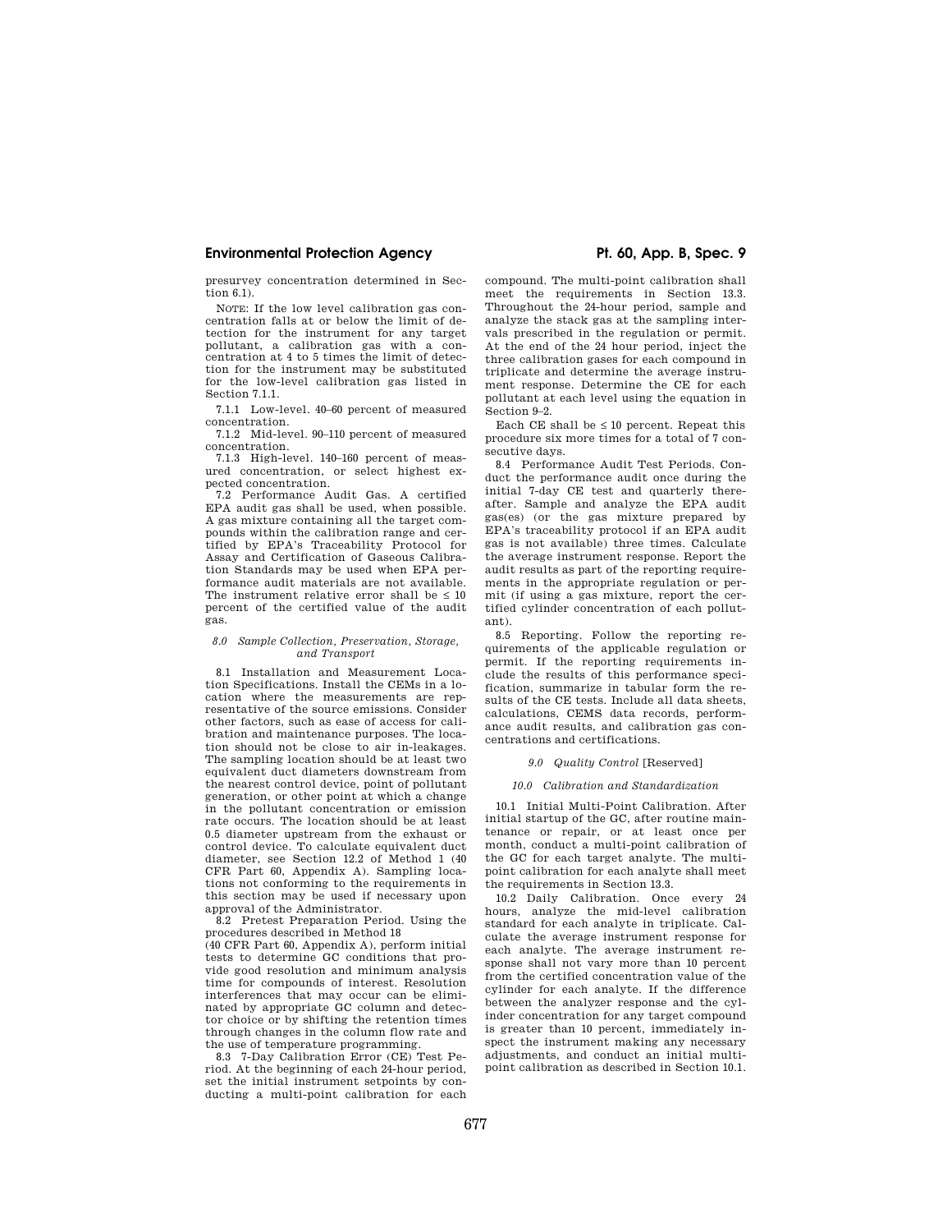presurvey concentration determined in Section 6.1).

NOTE: If the low level calibration gas concentration falls at or below the limit of detection for the instrument for any target pollutant, a calibration gas with a concentration at 4 to 5 times the limit of detection for the instrument may be substituted for the low-level calibration gas listed in Section 7.1.1.

7.1.1 Low-level. 40–60 percent of measured concentration.

7.1.2 Mid-level. 90–110 percent of measured concentration.

7.1.3 High-level. 140–160 percent of measured concentration, or select highest expected concentration.

7.2 Performance Audit Gas. A certified EPA audit gas shall be used, when possible. A gas mixture containing all the target compounds within the calibration range and certified by EPA's Traceability Protocol for Assay and Certification of Gaseous Calibration Standards may be used when EPA performance audit materials are not available. The instrument relative error shall be  $\leq 10$ percent of the certified value of the audit gas.

#### *8.0 Sample Collection, Preservation, Storage, and Transport*

8.1 Installation and Measurement Location Specifications. Install the CEMs in a location where the measurements are representative of the source emissions. Consider other factors, such as ease of access for calibration and maintenance purposes. The location should not be close to air in-leakages. The sampling location should be at least two equivalent duct diameters downstream from the nearest control device, point of pollutant generation, or other point at which a change in the pollutant concentration or emission rate occurs. The location should be at least 0.5 diameter upstream from the exhaust or control device. To calculate equivalent duct diameter, see Section 12.2 of Method 1 (40 CFR Part 60, Appendix A). Sampling locations not conforming to the requirements in this section may be used if necessary upon approval of the Administrator.

8.2 Pretest Preparation Period. Using the procedures described in Method 18

(40 CFR Part 60, Appendix A), perform initial tests to determine GC conditions that provide good resolution and minimum analysis time for compounds of interest. Resolution interferences that may occur can be eliminated by appropriate GC column and detector choice or by shifting the retention times through changes in the column flow rate and the use of temperature programming.

8.3 7-Day Calibration Error (CE) Test Period. At the beginning of each 24-hour period, set the initial instrument setpoints by conducting a multi-point calibration for each compound. The multi-point calibration shall meet the requirements in Section 13.3. Throughout the 24-hour period, sample and analyze the stack gas at the sampling intervals prescribed in the regulation or permit. At the end of the 24 hour period, inject the three calibration gases for each compound in triplicate and determine the average instrument response. Determine the CE for each pollutant at each level using the equation in Section 9–2.

Each CE shall be  $\leq 10$  percent. Repeat this procedure six more times for a total of 7 consecutive days.

8.4 Performance Audit Test Periods. Conduct the performance audit once during the initial 7-day CE test and quarterly thereafter. Sample and analyze the EPA audit gas(es) (or the gas mixture prepared by EPA's traceability protocol if an EPA audit gas is not available) three times. Calculate the average instrument response. Report the audit results as part of the reporting requirements in the appropriate regulation or permit (if using a gas mixture, report the certified cylinder concentration of each pollutant).

8.5 Reporting. Follow the reporting requirements of the applicable regulation or permit. If the reporting requirements include the results of this performance specification, summarize in tabular form the results of the CE tests. Include all data sheets, calculations, CEMS data records, performance audit results, and calibration gas concentrations and certifications.

### *9.0 Quality Control* [Reserved]

### *10.0 Calibration and Standardization*

10.1 Initial Multi-Point Calibration. After initial startup of the GC, after routine maintenance or repair, or at least once per month, conduct a multi-point calibration of the GC for each target analyte. The multipoint calibration for each analyte shall meet the requirements in Section 13.3.

10.2 Daily Calibration. Once every 24 hours, analyze the mid-level calibration standard for each analyte in triplicate. Calculate the average instrument response for each analyte. The average instrument response shall not vary more than 10 percent from the certified concentration value of the cylinder for each analyte. If the difference between the analyzer response and the cylinder concentration for any target compound is greater than 10 percent, immediately inspect the instrument making any necessary adjustments, and conduct an initial multipoint calibration as described in Section 10.1.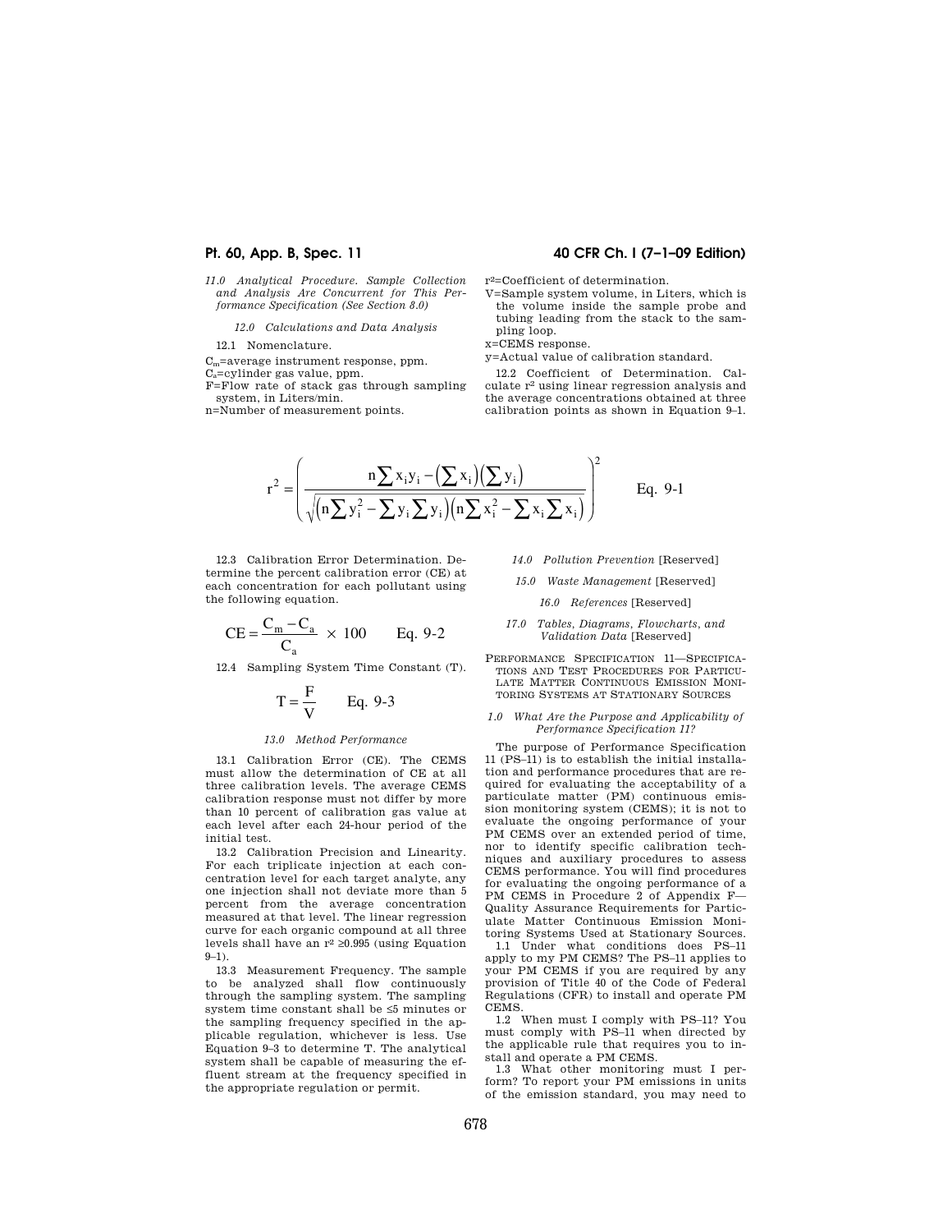*11.0 Analytical Procedure. Sample Collection and Analysis Are Concurrent for This Performance Specification (See Section 8.0)* 

*12.0 Calculations and Data Analysis* 

12.1 Nomenclature.

Cm=average instrument response, ppm.

Ca=cylinder gas value, ppm.

F=Flow rate of stack gas through sampling system, in Liters/min.

n=Number of measurement points.

# **Pt. 60, App. B, Spec. 11 40 CFR Ch. I (7–1–09 Edition)**

r2=Coefficient of determination.

V=Sample system volume, in Liters, which is the volume inside the sample probe and tubing leading from the stack to the sampling loop.

x=CEMS response.

y=Actual value of calibration standard.

12.2 Coefficient of Determination. Calculate r2 using linear regression analysis and the average concentrations obtained at three calibration points as shown in Equation 9–1.

$$
r^{2} = \left(\frac{n\sum x_{i}y_{i} - (\sum x_{i})(\sum y_{i})}{\sqrt{(n\sum y_{i}^{2} - \sum y_{i}\sum y_{i})(n\sum x_{i}^{2} - \sum x_{i}\sum x_{i})}}\right)^{2}
$$
 Eq. 9-1

12.3 Calibration Error Determination. Determine the percent calibration error (CE) at each concentration for each pollutant using the following equation.

$$
CE = \frac{C_m - C_a}{C_a} \times 100
$$
 Eq. 9-2

12.4 Sampling System Time Constant (T).

$$
T = \frac{F}{V} \qquad Eq. 9-3
$$

#### *13.0 Method Performance*

13.1 Calibration Error (CE). The CEMS must allow the determination of CE at all three calibration levels. The average CEMS calibration response must not differ by more than 10 percent of calibration gas value at each level after each 24-hour period of the initial test.

13.2 Calibration Precision and Linearity. For each triplicate injection at each concentration level for each target analyte, any one injection shall not deviate more than 5 percent from the average concentration measured at that level. The linear regression curve for each organic compound at all three levels shall have an  $r^2 \geq 0.995$  (using Equation 9–1).

13.3 Measurement Frequency. The sample to be analyzed shall flow continuously through the sampling system. The sampling system time constant shall be ≤5 minutes or the sampling frequency specified in the applicable regulation, whichever is less. Use Equation 9–3 to determine T. The analytical system shall be capable of measuring the effluent stream at the frequency specified in the appropriate regulation or permit.

- *14.0 Pollution Prevention* [Reserved]
- *15.0 Waste Management* [Reserved]

*16.0 References* [Reserved]

### *17.0 Tables, Diagrams, Flowcharts, and Validation Data* [Reserved]

PERFORMANCE SPECIFICATION 11—SPECIFICA-TIONS AND TEST PROCEDURES FOR PARTICU-LATE MATTER CONTINUOUS EMISSION MONI-TORING SYSTEMS AT STATIONARY SOURCES

### *1.0 What Are the Purpose and Applicability of Performance Specification 11?*

The purpose of Performance Specification 11 (PS–11) is to establish the initial installation and performance procedures that are required for evaluating the acceptability of a particulate matter (PM) continuous emission monitoring system (CEMS); it is not to evaluate the ongoing performance of your PM CEMS over an extended period of time, nor to identify specific calibration techniques and auxiliary procedures to assess CEMS performance. You will find procedures for evaluating the ongoing performance of a PM CEMS in Procedure 2 of Appendix F-Quality Assurance Requirements for Particulate Matter Continuous Emission Monitoring Systems Used at Stationary Sources.

1.1 Under what conditions does PS–11 apply to my PM CEMS? The PS–11 applies to your PM CEMS if you are required by any provision of Title 40 of the Code of Federal Regulations (CFR) to install and operate PM CEMS.

1.2 When must I comply with PS–11? You must comply with PS–11 when directed by the applicable rule that requires you to install and operate a PM CEMS.

1.3 What other monitoring must I perform? To report your PM emissions in units of the emission standard, you may need to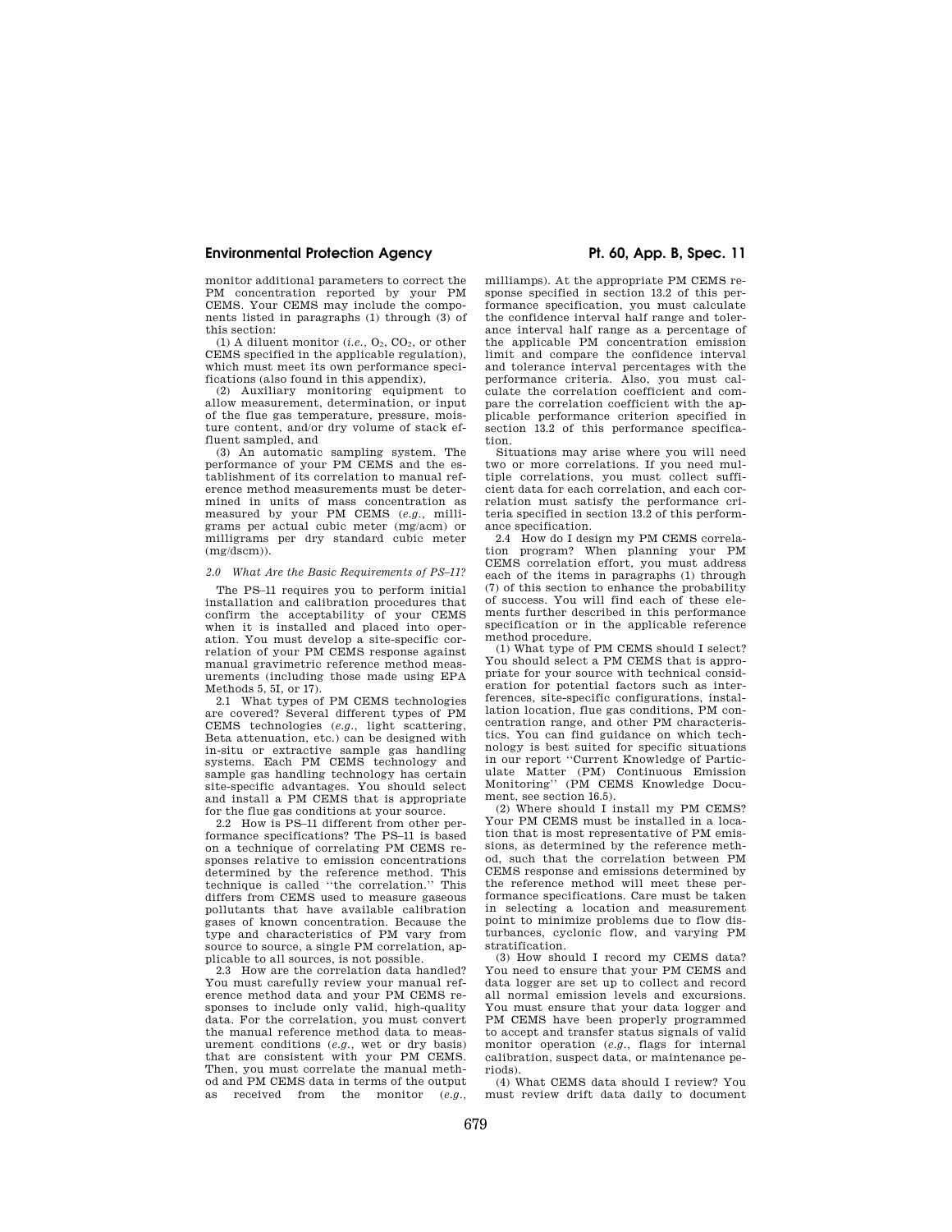monitor additional parameters to correct the PM concentration reported by your PM CEMS. Your CEMS may include the components listed in paragraphs (1) through (3) of this section:

(1) A diluent monitor  $(i.e., O_2, CO_2,$  or other CEMS specified in the applicable regulation), which must meet its own performance specifications (also found in this appendix),

(2) Auxiliary monitoring equipment to allow measurement, determination, or input of the flue gas temperature, pressure, moisture content, and/or dry volume of stack effluent sampled, and

(3) An automatic sampling system. The performance of your PM CEMS and the establishment of its correlation to manual reference method measurements must be determined in units of mass concentration as measured by your PM CEMS (*e.g.,* milligrams per actual cubic meter (mg/acm) or milligrams per dry standard cubic meter  $(mg/dscm)$ ).

### *2.0 What Are the Basic Requirements of PS–11?*

The PS–11 requires you to perform initial installation and calibration procedures that confirm the acceptability of your CEMS when it is installed and placed into operation. You must develop a site-specific correlation of your PM CEMS response against manual gravimetric reference method measurements (including those made using EPA Methods 5, 5I, or 17).

2.1 What types of PM CEMS technologies are covered? Several different types of PM CEMS technologies (*e.g.,* light scattering, Beta attenuation, etc.) can be designed with in-situ or extractive sample gas handling systems. Each PM CEMS technology and sample gas handling technology has certain site-specific advantages. You should select and install a PM CEMS that is appropriate for the flue gas conditions at your source.

2.2 How is PS–11 different from other performance specifications? The PS–11 is based on a technique of correlating PM CEMS responses relative to emission concentrations determined by the reference method. This technique is called ''the correlation.'' This differs from CEMS used to measure gaseous pollutants that have available calibration gases of known concentration. Because the type and characteristics of PM vary from source to source, a single PM correlation, applicable to all sources, is not possible.

2.3 How are the correlation data handled? You must carefully review your manual reference method data and your PM CEMS responses to include only valid, high-quality data. For the correlation, you must convert the manual reference method data to measurement conditions (*e.g.,* wet or dry basis) that are consistent with your PM CEMS. Then, you must correlate the manual method and PM CEMS data in terms of the output as received from the monitor (*e.g.,* 

milliamps). At the appropriate PM CEMS response specified in section 13.2 of this performance specification, you must calculate the confidence interval half range and tolerance interval half range as a percentage of the applicable PM concentration emission limit and compare the confidence interval and tolerance interval percentages with the performance criteria. Also, you must calculate the correlation coefficient and compare the correlation coefficient with the applicable performance criterion specified in section 13.2 of this performance specification.

Situations may arise where you will need two or more correlations. If you need multiple correlations, you must collect sufficient data for each correlation, and each correlation must satisfy the performance criteria specified in section 13.2 of this performance specification.

2.4 How do I design my PM CEMS correlation program? When planning your PM CEMS correlation effort, you must address each of the items in paragraphs (1) through (7) of this section to enhance the probability of success. You will find each of these elements further described in this performance specification or in the applicable reference method procedure.

(1) What type of PM CEMS should I select? You should select a PM CEMS that is appropriate for your source with technical consideration for potential factors such as interferences, site-specific configurations, installation location, flue gas conditions, PM concentration range, and other PM characteristics. You can find guidance on which technology is best suited for specific situations in our report ''Current Knowledge of Particulate Matter (PM) Continuous Emission Monitoring'' (PM CEMS Knowledge Document, see section 16.5).

(2) Where should I install my PM CEMS? Your PM CEMS must be installed in a location that is most representative of PM emissions, as determined by the reference method, such that the correlation between PM CEMS response and emissions determined by the reference method will meet these performance specifications. Care must be taken in selecting a location and measurement point to minimize problems due to flow disturbances, cyclonic flow, and varying PM stratification.

(3) How should I record my CEMS data? You need to ensure that your PM CEMS and data logger are set up to collect and record all normal emission levels and excursions. You must ensure that your data logger and PM CEMS have been properly programmed to accept and transfer status signals of valid monitor operation (*e.g.,* flags for internal calibration, suspect data, or maintenance periods).

(4) What CEMS data should I review? You must review drift data daily to document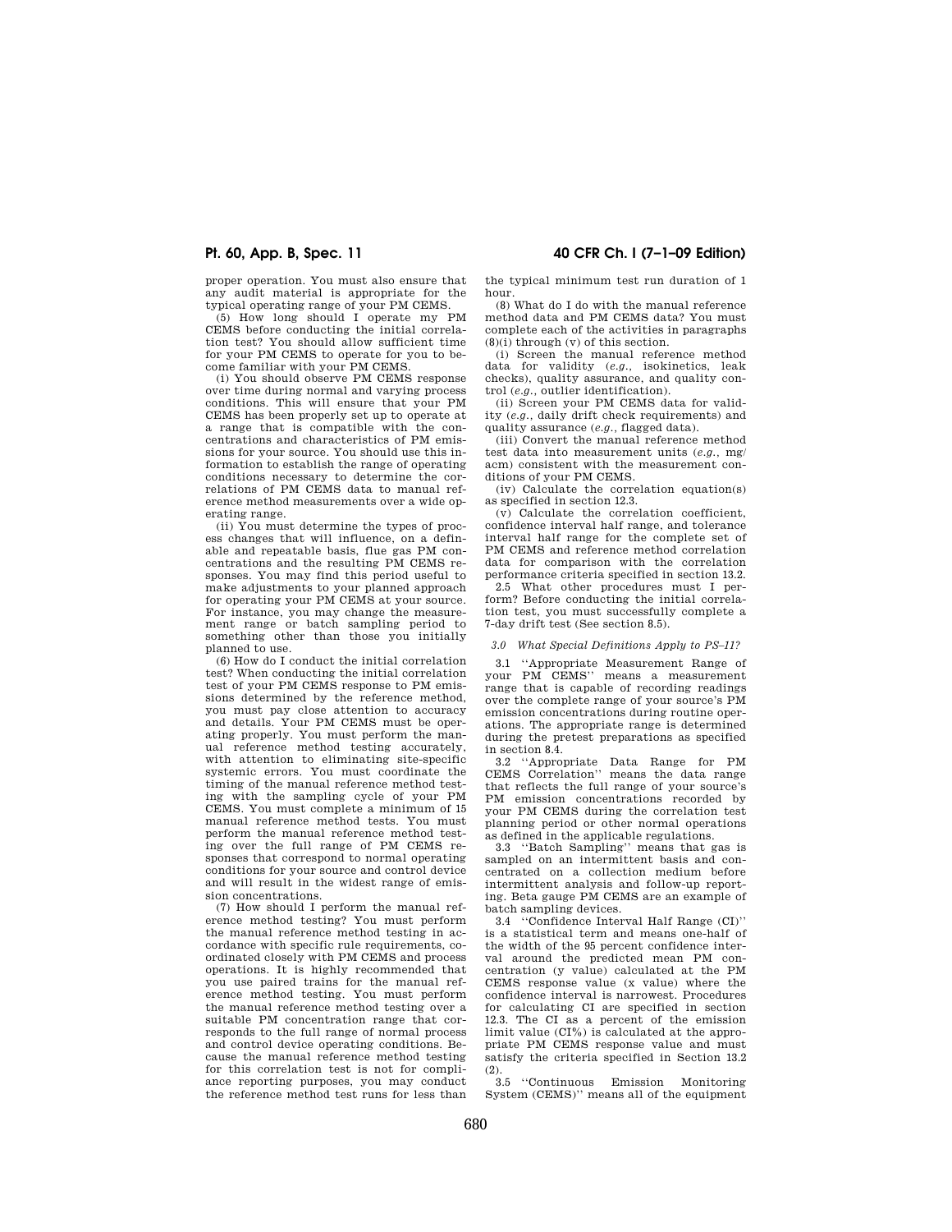proper operation. You must also ensure that any audit material is appropriate for the

typical operating range of your PM CEMS. (5) How long should I operate my PM CEMS before conducting the initial correlation test? You should allow sufficient time for your PM CEMS to operate for you to become familiar with your PM CEMS.

(i) You should observe PM CEMS response over time during normal and varying process conditions. This will ensure that your PM CEMS has been properly set up to operate at a range that is compatible with the concentrations and characteristics of PM emissions for your source. You should use this information to establish the range of operating conditions necessary to determine the correlations of PM CEMS data to manual reference method measurements over a wide operating range.

(ii) You must determine the types of process changes that will influence, on a definable and repeatable basis, flue gas PM concentrations and the resulting PM CEMS responses. You may find this period useful to make adjustments to your planned approach for operating your PM CEMS at your source. For instance, you may change the measurement range or batch sampling period to something other than those you initially planned to use.

(6) How do I conduct the initial correlation test? When conducting the initial correlation test of your PM CEMS response to PM emissions determined by the reference method, you must pay close attention to accuracy and details. Your PM CEMS must be operating properly. You must perform the manual reference method testing accurately, with attention to eliminating site-specific systemic errors. You must coordinate the timing of the manual reference method testing with the sampling cycle of your PM CEMS. You must complete a minimum of 15 manual reference method tests. You must perform the manual reference method testing over the full range of PM CEMS responses that correspond to normal operating conditions for your source and control device and will result in the widest range of emission concentrations.

(7) How should I perform the manual reference method testing? You must perform the manual reference method testing in accordance with specific rule requirements, coordinated closely with PM CEMS and process operations. It is highly recommended that you use paired trains for the manual reference method testing. You must perform the manual reference method testing over a suitable PM concentration range that corresponds to the full range of normal process and control device operating conditions. Because the manual reference method testing for this correlation test is not for compliance reporting purposes, you may conduct the reference method test runs for less than

**Pt. 60, App. B, Spec. 11 40 CFR Ch. I (7–1–09 Edition)** 

the typical minimum test run duration of 1 hour.

(8) What do I do with the manual reference method data and PM CEMS data? You must complete each of the activities in paragraphs  $(8)(i)$  through  $(v)$  of this section.

(i) Screen the manual reference method data for validity (*e.g.,* isokinetics, leak checks), quality assurance, and quality control (*e.g.,* outlier identification).

(ii) Screen your PM CEMS data for validity (*e.g.,* daily drift check requirements) and quality assurance (*e.g.,* flagged data).

(iii) Convert the manual reference method test data into measurement units (*e.g.,* mg/ acm) consistent with the measurement conditions of your PM CEMS.

(iv) Calculate the correlation equation(s) as specified in section 12.3.

(v) Calculate the correlation coefficient, confidence interval half range, and tolerance interval half range for the complete set of PM CEMS and reference method correlation data for comparison with the correlation performance criteria specified in section 13.2.

2.5 What other procedures must I perform? Before conducting the initial correlation test, you must successfully complete a 7-day drift test (See section 8.5).

#### *3.0 What Special Definitions Apply to PS–11?*

3.1 ''Appropriate Measurement Range of your PM CEMS'' means a measurement range that is capable of recording readings over the complete range of your source's PM emission concentrations during routine operations. The appropriate range is determined during the pretest preparations as specified in section 8.4.

3.2 ''Appropriate Data Range for PM CEMS Correlation'' means the data range that reflects the full range of your source's PM emission concentrations recorded by your PM CEMS during the correlation test planning period or other normal operations as defined in the applicable regulations.

3.3 ''Batch Sampling'' means that gas is sampled on an intermittent basis and concentrated on a collection medium before intermittent analysis and follow-up reporting. Beta gauge PM CEMS are an example of batch sampling devices.

3.4 ''Confidence Interval Half Range (CI)'' is a statistical term and means one-half of the width of the 95 percent confidence interval around the predicted mean PM concentration (y value) calculated at the PM CEMS response value (x value) where the confidence interval is narrowest. Procedures for calculating CI are specified in section 12.3. The CI as a percent of the emission limit value (CI%) is calculated at the appropriate PM CEMS response value and must satisfy the criteria specified in Section 13.2  $(2)$ 

3.5 ''Continuous Emission Monitoring System (CEMS)'' means all of the equipment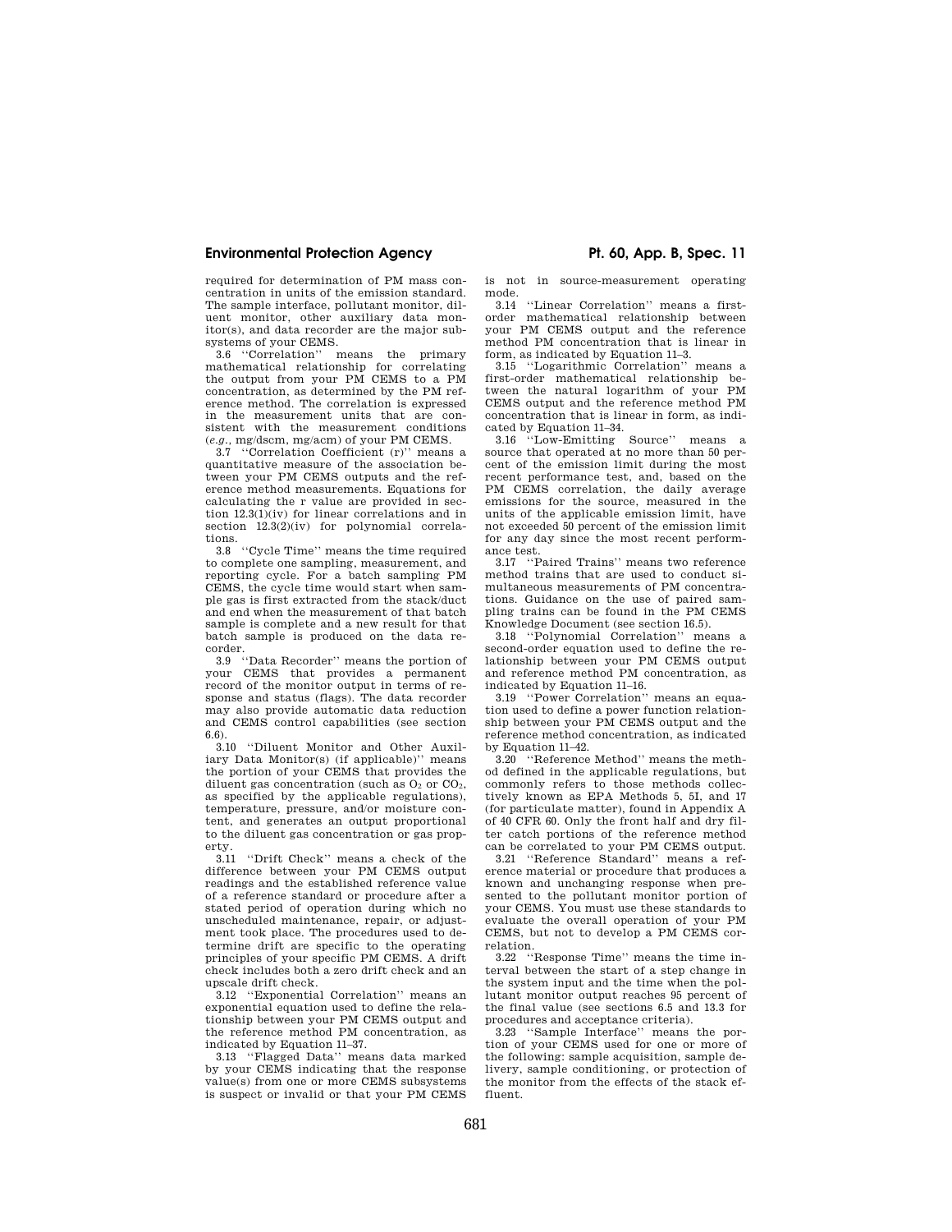required for determination of PM mass concentration in units of the emission standard. The sample interface, pollutant monitor, diluent monitor, other auxiliary data monitor(s), and data recorder are the major subsystems of your CEMS.<br>3.6 "Correlation" n

means the primary mathematical relationship for correlating the output from your PM CEMS to a PM concentration, as determined by the PM reference method. The correlation is expressed in the measurement units that are consistent with the measurement conditions (*e.g.,* mg/dscm, mg/acm) of your PM CEMS.

3.7 ''Correlation Coefficient (r)'' means a quantitative measure of the association between your PM CEMS outputs and the reference method measurements. Equations for calculating the r value are provided in section  $12.3(1)(iv)$  for linear correlations and in section  $12.3(2)(iv)$  for polynomial correlations.

3.8 ''Cycle Time'' means the time required to complete one sampling, measurement, and reporting cycle. For a batch sampling PM CEMS, the cycle time would start when sample gas is first extracted from the stack/duct and end when the measurement of that batch sample is complete and a new result for that batch sample is produced on the data recorder.

3.9 ''Data Recorder'' means the portion of your CEMS that provides a permanent record of the monitor output in terms of response and status (flags). The data recorder may also provide automatic data reduction and CEMS control capabilities (see section 6.6).

3.10 ''Diluent Monitor and Other Auxiliary Data Monitor(s) (if applicable)'' means the portion of your CEMS that provides the diluent gas concentration (such as  $O_2$  or  $CO_2$ , as specified by the applicable regulations), temperature, pressure, and/or moisture content, and generates an output proportional to the diluent gas concentration or gas property.

3.11 ''Drift Check'' means a check of the difference between your PM CEMS output readings and the established reference value of a reference standard or procedure after a stated period of operation during which no unscheduled maintenance, repair, or adjustment took place. The procedures used to determine drift are specific to the operating principles of your specific PM CEMS. A drift check includes both a zero drift check and an upscale drift check.

3.12 ''Exponential Correlation'' means an exponential equation used to define the relationship between your PM CEMS output and the reference method PM concentration, as indicated by Equation 11–37.

3.13 ''Flagged Data'' means data marked by your CEMS indicating that the response value(s) from one or more CEMS subsystems is suspect or invalid or that your PM CEMS

is not in source-measurement operating mode.

3.14 ''Linear Correlation'' means a firstorder mathematical relationship between your PM CEMS output and the reference method PM concentration that is linear in form, as indicated by Equation 11–3.

3.15 ''Logarithmic Correlation'' means a first-order mathematical relationship between the natural logarithm of your PM CEMS output and the reference method PM concentration that is linear in form, as indicated by Equation 11–34.

3.16 ''Low-Emitting Source'' means a source that operated at no more than 50 percent of the emission limit during the most recent performance test, and, based on the PM CEMS correlation, the daily average emissions for the source, measured in the units of the applicable emission limit, have not exceeded 50 percent of the emission limit for any day since the most recent performance test.

3.17 ''Paired Trains'' means two reference method trains that are used to conduct simultaneous measurements of PM concentrations. Guidance on the use of paired sampling trains can be found in the PM CEMS Knowledge Document (see section 16.5).

3.18 ''Polynomial Correlation'' means a second-order equation used to define the relationship between your PM CEMS output and reference method PM concentration, as

indicated by Equation 11–16. 3.19 ''Power Correlation'' means an equation used to define a power function relationship between your PM CEMS output and the reference method concentration, as indicated by Equation 11–42.

3.20 ''Reference Method'' means the method defined in the applicable regulations, but commonly refers to those methods collectively known as EPA Methods 5, 5I, and 17 (for particulate matter), found in Appendix A of 40 CFR 60. Only the front half and dry filter catch portions of the reference method can be correlated to your PM CEMS output.

3.21 ''Reference Standard'' means a reference material or procedure that produces a known and unchanging response when presented to the pollutant monitor portion of your CEMS. You must use these standards to evaluate the overall operation of your PM CEMS, but not to develop a PM CEMS correlation.

3.22 ''Response Time'' means the time interval between the start of a step change in the system input and the time when the pollutant monitor output reaches 95 percent of the final value (see sections 6.5 and 13.3 for procedures and acceptance criteria).

3.23 ''Sample Interface'' means the portion of your CEMS used for one or more of the following: sample acquisition, sample delivery, sample conditioning, or protection of the monitor from the effects of the stack effluent.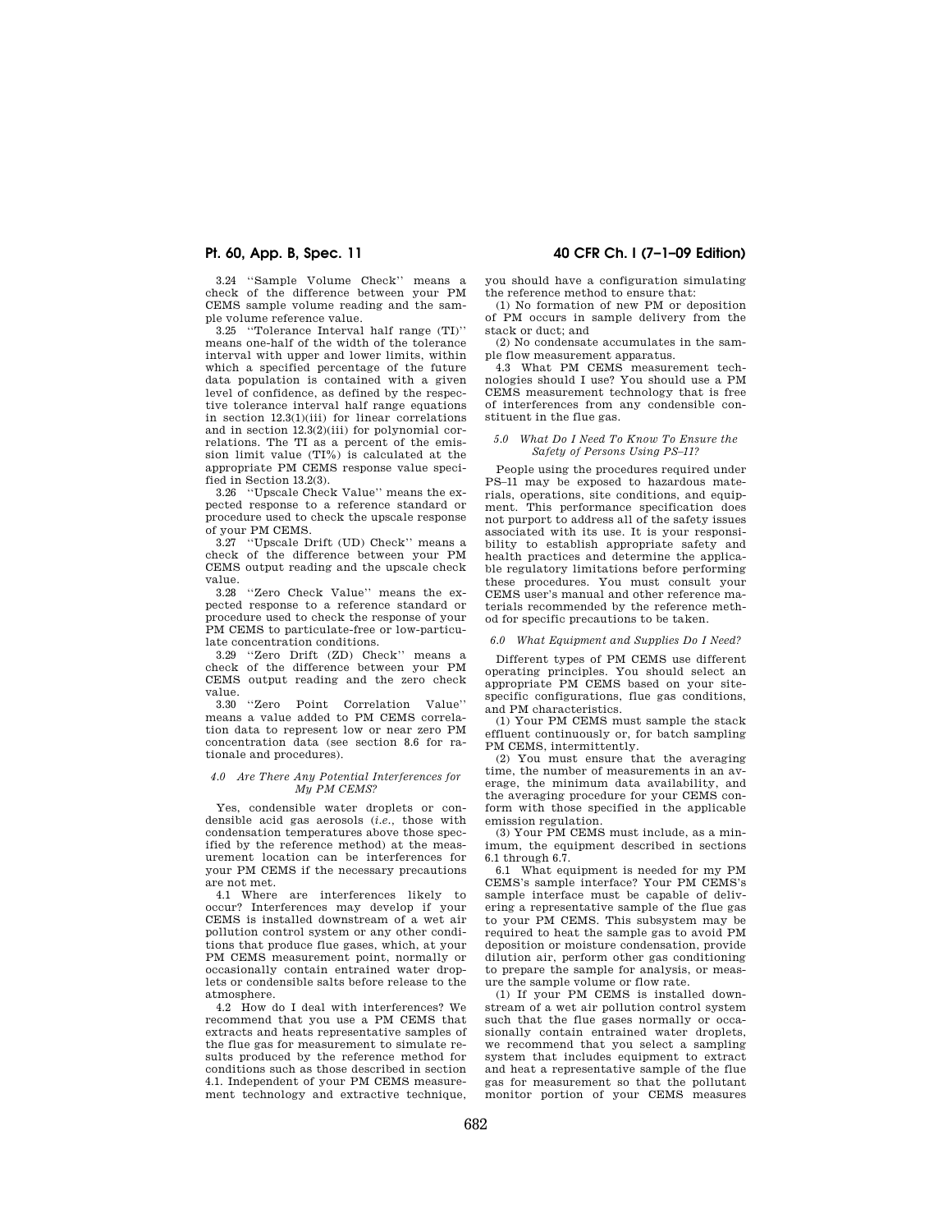3.24 ''Sample Volume Check'' means a check of the difference between your PM CEMS sample volume reading and the sam-

ple volume reference value. 3.25 ''Tolerance Interval half range (TI)'' means one-half of the width of the tolerance interval with upper and lower limits, within which a specified percentage of the future data population is contained with a given level of confidence, as defined by the respective tolerance interval half range equations in section 12.3(1)(iii) for linear correlations and in section 12.3(2)(iii) for polynomial correlations. The TI as a percent of the emission limit value (TI%) is calculated at the appropriate PM CEMS response value specified in Section 13.2(3).

3.26 ''Upscale Check Value'' means the expected response to a reference standard or procedure used to check the upscale response of your PM CEMS.

3.27 ''Upscale Drift (UD) Check'' means a check of the difference between your PM CEMS output reading and the upscale check  $\begin{array}{c}\n\text{value.} \\
3.28\n\end{array}$ 

"Zero Check Value" means the expected response to a reference standard or procedure used to check the response of your PM CEMS to particulate-free or low-particulate concentration conditions.

3.29 ''Zero Drift (ZD) Check'' means a check of the difference between your PM CEMS output reading and the zero check value.

3.30 ''Zero Point Correlation Value'' means a value added to PM CEMS correlation data to represent low or near zero PM concentration data (see section 8.6 for rationale and procedures).

### *4.0 Are There Any Potential Interferences for My PM CEMS?*

Yes, condensible water droplets or condensible acid gas aerosols (*i.e.,* those with condensation temperatures above those specified by the reference method) at the measurement location can be interferences for your PM CEMS if the necessary precautions are not met.

4.1 Where are interferences likely to occur? Interferences may develop if your CEMS is installed downstream of a wet air pollution control system or any other conditions that produce flue gases, which, at your PM CEMS measurement point, normally or occasionally contain entrained water droplets or condensible salts before release to the atmosphere.

4.2 How do I deal with interferences? We recommend that you use a PM CEMS that extracts and heats representative samples of the flue gas for measurement to simulate results produced by the reference method for conditions such as those described in section 4.1. Independent of your PM CEMS measurement technology and extractive technique,

**Pt. 60, App. B, Spec. 11 40 CFR Ch. I (7–1–09 Edition)** 

you should have a configuration simulating the reference method to ensure that:

(1) No formation of new PM or deposition of PM occurs in sample delivery from the stack or duct; and

(2) No condensate accumulates in the sample flow measurement apparatus.

4.3 What PM CEMS measurement technologies should I use? You should use a PM CEMS measurement technology that is free of interferences from any condensible constituent in the flue gas.

### *5.0 What Do I Need To Know To Ensure the Safety of Persons Using PS–11?*

People using the procedures required under PS–11 may be exposed to hazardous materials, operations, site conditions, and equipment. This performance specification does not purport to address all of the safety issues associated with its use. It is your responsibility to establish appropriate safety and health practices and determine the applicable regulatory limitations before performing these procedures. You must consult your CEMS user's manual and other reference materials recommended by the reference method for specific precautions to be taken.

### *6.0 What Equipment and Supplies Do I Need?*

Different types of PM CEMS use different operating principles. You should select an appropriate PM CEMS based on your sitespecific configurations, flue gas conditions, and PM characteristics.

(1) Your PM CEMS must sample the stack effluent continuously or, for batch sampling PM CEMS, intermittently.

(2) You must ensure that the averaging time, the number of measurements in an average, the minimum data availability, and the averaging procedure for your CEMS conform with those specified in the applicable emission regulation.

(3) Your PM CEMS must include, as a minimum, the equipment described in sections 6.1 through 6.7.

6.1 What equipment is needed for my PM CEMS's sample interface? Your PM CEMS's sample interface must be capable of delivering a representative sample of the flue gas to your PM CEMS. This subsystem may be required to heat the sample gas to avoid PM deposition or moisture condensation, provide dilution air, perform other gas conditioning to prepare the sample for analysis, or measure the sample volume or flow rate.

(1) If your PM CEMS is installed downstream of a wet air pollution control system such that the flue gases normally or occasionally contain entrained water droplets, we recommend that you select a sampling system that includes equipment to extract and heat a representative sample of the flue gas for measurement so that the pollutant monitor portion of your CEMS measures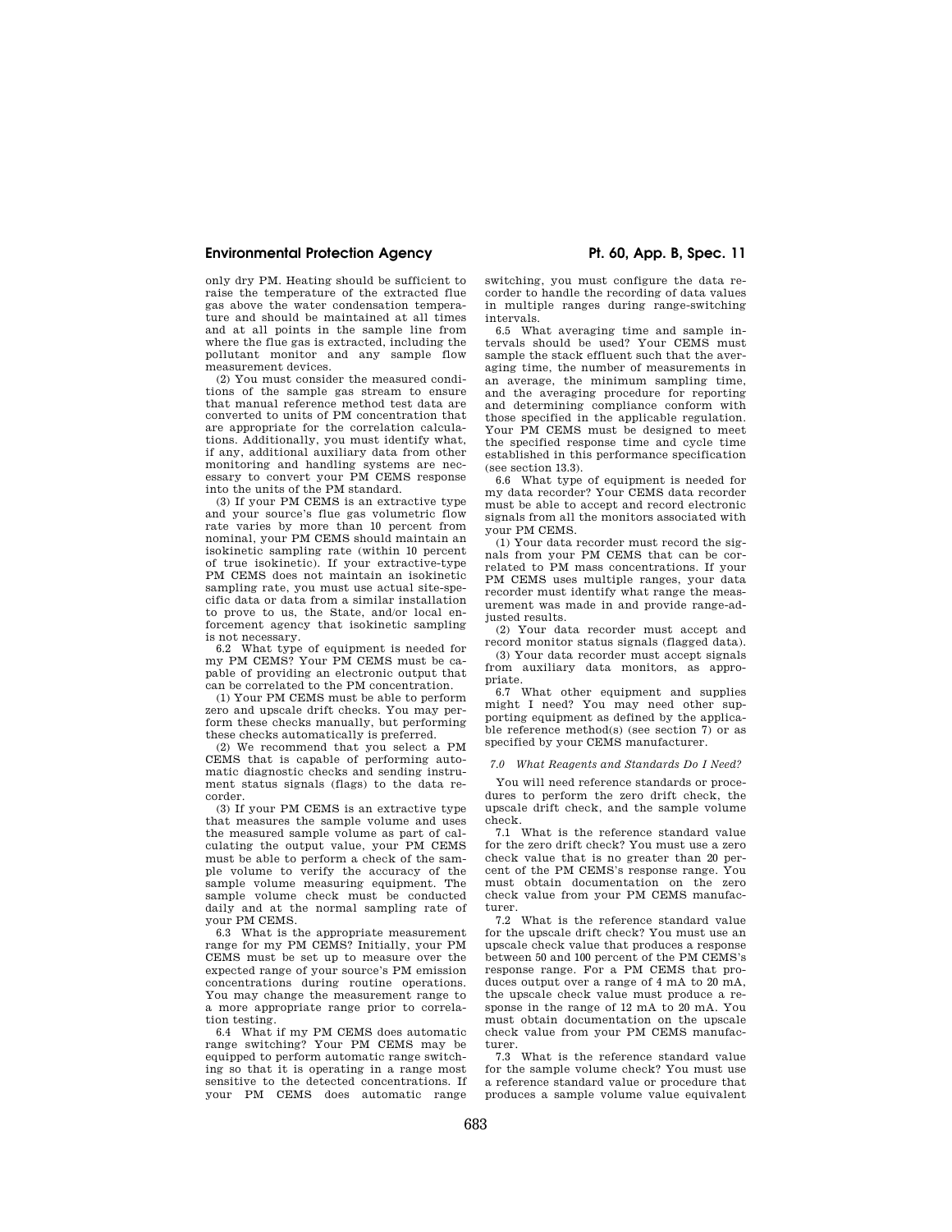only dry PM. Heating should be sufficient to raise the temperature of the extracted flue gas above the water condensation temperature and should be maintained at all times and at all points in the sample line from where the flue gas is extracted, including the pollutant monitor and any sample flow measurement devices.

(2) You must consider the measured conditions of the sample gas stream to ensure that manual reference method test data are converted to units of PM concentration that are appropriate for the correlation calculations. Additionally, you must identify what, if any, additional auxiliary data from other monitoring and handling systems are necessary to convert your PM CEMS response into the units of the PM standard.

(3) If your PM CEMS is an extractive type and your source's flue gas volumetric flow rate varies by more than 10 percent from nominal, your PM CEMS should maintain an isokinetic sampling rate (within 10 percent of true isokinetic). If your extractive-type PM CEMS does not maintain an isokinetic sampling rate, you must use actual site-specific data or data from a similar installation to prove to us, the State, and/or local enforcement agency that isokinetic sampling is not necessary.

6.2 What type of equipment is needed for my PM CEMS? Your PM CEMS must be capable of providing an electronic output that can be correlated to the PM concentration.

(1) Your PM CEMS must be able to perform zero and upscale drift checks. You may perform these checks manually, but performing these checks automatically is preferred.

(2) We recommend that you select a PM CEMS that is capable of performing automatic diagnostic checks and sending instrument status signals (flags) to the data recorder.

(3) If your PM CEMS is an extractive type that measures the sample volume and uses the measured sample volume as part of calculating the output value, your PM CEMS must be able to perform a check of the sample volume to verify the accuracy of the sample volume measuring equipment. The sample volume check must be conducted daily and at the normal sampling rate of your PM CEMS.

6.3 What is the appropriate measurement range for my PM CEMS? Initially, your PM CEMS must be set up to measure over the expected range of your source's PM emission concentrations during routine operations. You may change the measurement range to a more appropriate range prior to correlation testing.

6.4 What if my PM CEMS does automatic range switching? Your PM CEMS may be equipped to perform automatic range switching so that it is operating in a range most sensitive to the detected concentrations. If your PM CEMS does automatic range

switching, you must configure the data recorder to handle the recording of data values in multiple ranges during range-switching intervals.

6.5 What averaging time and sample intervals should be used? Your CEMS must sample the stack effluent such that the averaging time, the number of measurements in an average, the minimum sampling time, and the averaging procedure for reporting and determining compliance conform with those specified in the applicable regulation. Your PM CEMS must be designed to meet the specified response time and cycle time established in this performance specification (see section 13.3).

6.6 What type of equipment is needed for my data recorder? Your CEMS data recorder must be able to accept and record electronic signals from all the monitors associated with your PM CEMS.

(1) Your data recorder must record the signals from your PM CEMS that can be correlated to PM mass concentrations. If your PM CEMS uses multiple ranges, your data recorder must identify what range the measurement was made in and provide range-adjusted results.

(2) Your data recorder must accept and record monitor status signals (flagged data).

(3) Your data recorder must accept signals from auxiliary data monitors, as appropriate.

6.7 What other equipment and supplies might I need? You may need other supporting equipment as defined by the applicable reference method(s) (see section 7) or as specified by your CEMS manufacturer.

### *7.0 What Reagents and Standards Do I Need?*

You will need reference standards or procedures to perform the zero drift check, the upscale drift check, and the sample volume check.

7.1 What is the reference standard value for the zero drift check? You must use a zero check value that is no greater than 20 percent of the PM CEMS's response range. You must obtain documentation on the zero check value from your PM CEMS manufacturer.

7.2 What is the reference standard value for the upscale drift check? You must use an upscale check value that produces a response between 50 and 100 percent of the PM CEMS's response range. For a PM CEMS that produces output over a range of 4 mA to 20 mA, the upscale check value must produce a response in the range of 12 mA to 20 mA. You must obtain documentation on the upscale check value from your PM CEMS manufacturer.

7.3 What is the reference standard value for the sample volume check? You must use a reference standard value or procedure that produces a sample volume value equivalent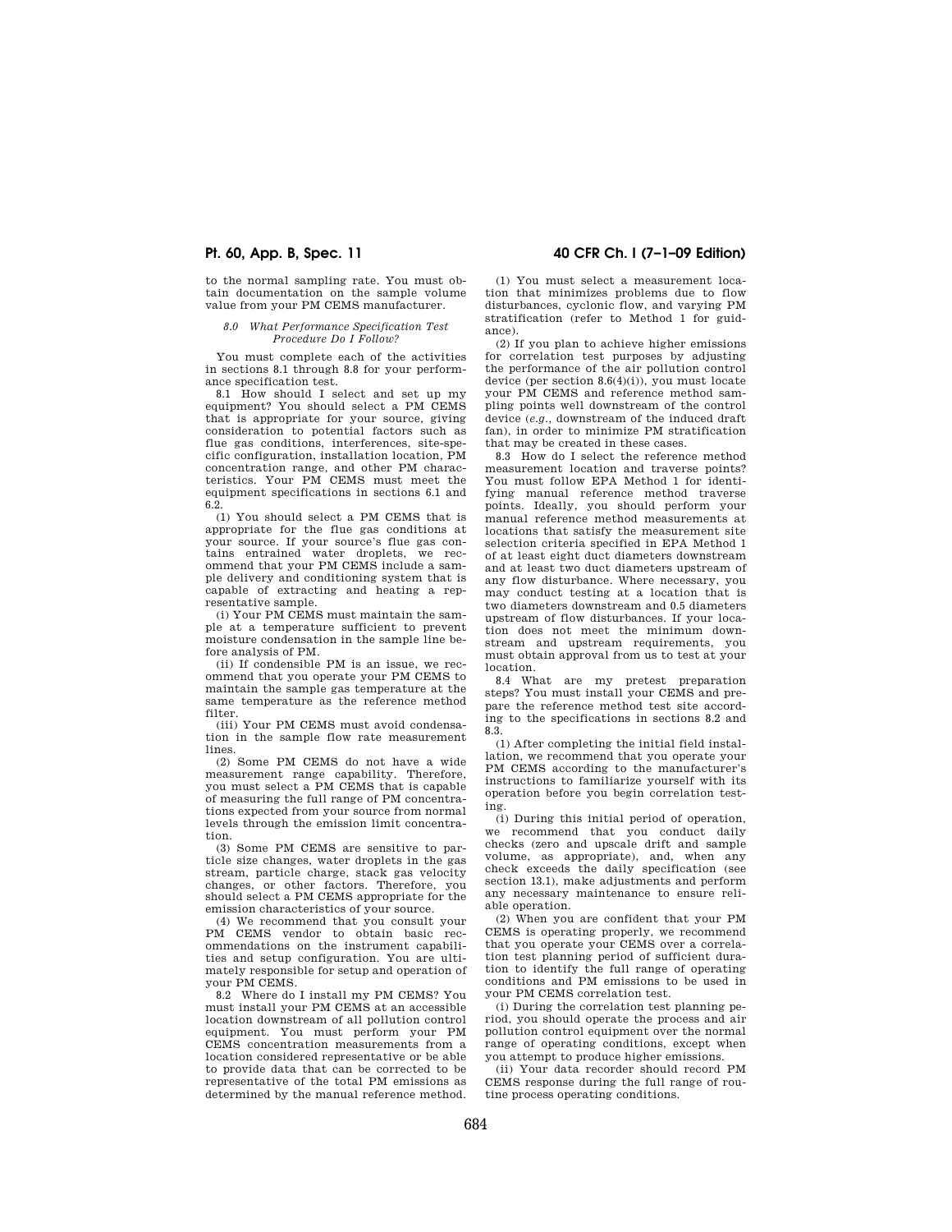to the normal sampling rate. You must obtain documentation on the sample volume value from your PM CEMS manufacturer.

### *8.0 What Performance Specification Test Procedure Do I Follow?*

You must complete each of the activities in sections 8.1 through 8.8 for your performance specification test.

8.1 How should I select and set up my equipment? You should select a PM CEMS that is appropriate for your source, giving consideration to potential factors such as flue gas conditions, interferences, site-specific configuration, installation location, PM concentration range, and other PM characteristics. Your PM CEMS must meet the equipment specifications in sections 6.1 and 6.2.

(1) You should select a PM CEMS that is appropriate for the flue gas conditions at your source. If your source's flue gas contains entrained water droplets, we recommend that your PM CEMS include a sample delivery and conditioning system that is capable of extracting and heating a representative sample.

(i) Your PM CEMS must maintain the sample at a temperature sufficient to prevent moisture condensation in the sample line before analysis of PM.

(ii) If condensible PM is an issue, we recommend that you operate your PM CEMS to maintain the sample gas temperature at the same temperature as the reference method filter.

(iii) Your PM CEMS must avoid condensation in the sample flow rate measurement lines.

(2) Some PM CEMS do not have a wide measurement range capability. Therefore, you must select a PM CEMS that is capable of measuring the full range of PM concentrations expected from your source from normal levels through the emission limit concentration.

(3) Some PM CEMS are sensitive to particle size changes, water droplets in the gas stream, particle charge, stack gas velocity changes, or other factors. Therefore, you should select a PM CEMS appropriate for the emission characteristics of your source.

(4) We recommend that you consult your PM CEMS vendor to obtain basic recommendations on the instrument capabilities and setup configuration. You are ultimately responsible for setup and operation of your PM CEMS.

8.2 Where do I install my PM CEMS? You must install your PM CEMS at an accessible location downstream of all pollution control equipment. You must perform your PM CEMS concentration measurements from a location considered representative or be able to provide data that can be corrected to be representative of the total PM emissions as determined by the manual reference method.

# **Pt. 60, App. B, Spec. 11 40 CFR Ch. I (7–1–09 Edition)**

(1) You must select a measurement location that minimizes problems due to flow disturbances, cyclonic flow, and varying PM stratification (refer to Method 1 for guidance).

(2) If you plan to achieve higher emissions for correlation test purposes by adjusting the performance of the air pollution control device (per section 8.6(4)(i)), you must locate your PM CEMS and reference method sampling points well downstream of the control device (*e.g.,* downstream of the induced draft fan), in order to minimize PM stratification that may be created in these cases.

8.3 How do I select the reference method measurement location and traverse points? You must follow EPA Method 1 for identifying manual reference method traverse points. Ideally, you should perform your manual reference method measurements at locations that satisfy the measurement site selection criteria specified in EPA Method 1 of at least eight duct diameters downstream and at least two duct diameters upstream of any flow disturbance. Where necessary, you may conduct testing at a location that is two diameters downstream and 0.5 diameters upstream of flow disturbances. If your location does not meet the minimum downstream and upstream requirements, you must obtain approval from us to test at your location.

8.4 What are my pretest preparation steps? You must install your CEMS and prepare the reference method test site according to the specifications in sections 8.2 and 8.3.

(1) After completing the initial field installation, we recommend that you operate your PM CEMS according to the manufacturer's instructions to familiarize yourself with its operation before you begin correlation testing.

(i) During this initial period of operation, we recommend that you conduct daily checks (zero and upscale drift and sample volume, as appropriate), and, when any check exceeds the daily specification (see section 13.1), make adjustments and perform any necessary maintenance to ensure reliable operation.

(2) When you are confident that your PM CEMS is operating properly, we recommend that you operate your CEMS over a correlation test planning period of sufficient duration to identify the full range of operating conditions and PM emissions to be used in your PM CEMS correlation test.

(i) During the correlation test planning period, you should operate the process and air pollution control equipment over the normal range of operating conditions, except when you attempt to produce higher emissions.

(ii) Your data recorder should record PM CEMS response during the full range of routine process operating conditions.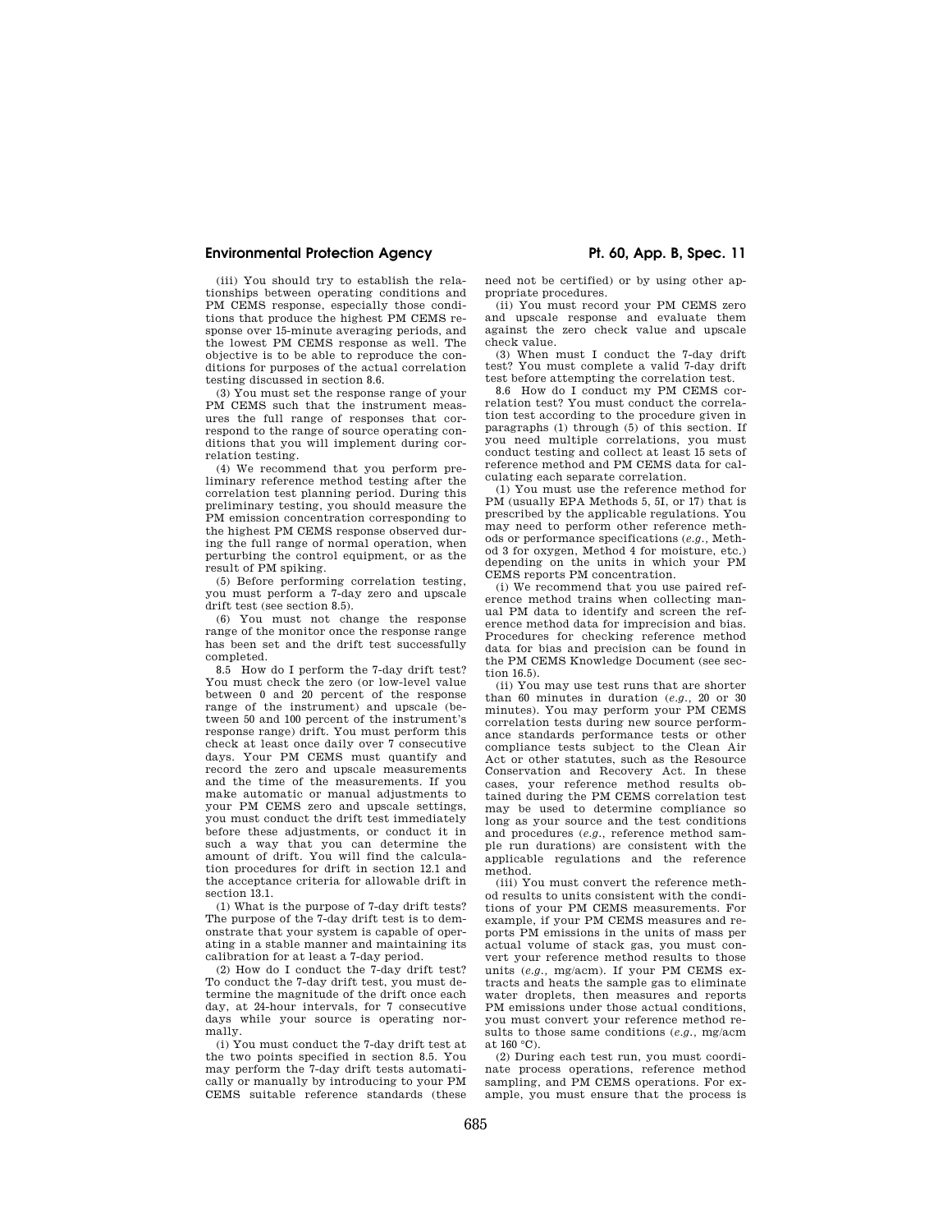(iii) You should try to establish the relationships between operating conditions and PM CEMS response, especially those conditions that produce the highest PM CEMS response over 15-minute averaging periods, and the lowest PM CEMS response as well. The objective is to be able to reproduce the conditions for purposes of the actual correlation testing discussed in section 8.6.

(3) You must set the response range of your PM CEMS such that the instrument measures the full range of responses that correspond to the range of source operating conditions that you will implement during correlation testing.

(4) We recommend that you perform preliminary reference method testing after the correlation test planning period. During this preliminary testing, you should measure the PM emission concentration corresponding to the highest PM CEMS response observed during the full range of normal operation, when perturbing the control equipment, or as the result of PM spiking.

(5) Before performing correlation testing, you must perform a 7-day zero and upscale drift test (see section 8.5).

(6) You must not change the response range of the monitor once the response range has been set and the drift test successfully completed.

8.5 How do I perform the 7-day drift test? You must check the zero (or low-level value between 0 and 20 percent of the response range of the instrument) and upscale (between 50 and 100 percent of the instrument's response range) drift. You must perform this check at least once daily over 7 consecutive days. Your PM CEMS must quantify and record the zero and upscale measurements and the time of the measurements. If you make automatic or manual adjustments to your PM CEMS zero and upscale settings, you must conduct the drift test immediately before these adjustments, or conduct it in such a way that you can determine the amount of drift. You will find the calculation procedures for drift in section 12.1 and the acceptance criteria for allowable drift in section 13.1.

(1) What is the purpose of 7-day drift tests? The purpose of the 7-day drift test is to demonstrate that your system is capable of operating in a stable manner and maintaining its calibration for at least a 7-day period.

(2) How do I conduct the 7-day drift test? To conduct the 7-day drift test, you must determine the magnitude of the drift once each day, at 24-hour intervals, for 7 consecutive days while your source is operating normally.

(i) You must conduct the 7-day drift test at the two points specified in section 8.5. You may perform the 7-day drift tests automatically or manually by introducing to your PM CEMS suitable reference standards (these

need not be certified) or by using other appropriate procedures.

(ii) You must record your PM CEMS zero and upscale response and evaluate them against the zero check value and upscale check value.

(3) When must I conduct the 7-day drift test? You must complete a valid 7-day drift test before attempting the correlation test.

8.6 How do I conduct my PM CEMS correlation test? You must conduct the correlation test according to the procedure given in paragraphs (1) through (5) of this section. If you need multiple correlations, you must conduct testing and collect at least 15 sets of reference method and PM CEMS data for calculating each separate correlation.

(1) You must use the reference method for PM (usually EPA Methods 5, 5I, or 17) that is prescribed by the applicable regulations. You may need to perform other reference methods or performance specifications (*e.g.,* Method 3 for oxygen, Method 4 for moisture, etc.) depending on the units in which your PM CEMS reports PM concentration.

(i) We recommend that you use paired reference method trains when collecting manual PM data to identify and screen the reference method data for imprecision and bias. Procedures for checking reference method data for bias and precision can be found in the PM CEMS Knowledge Document (see section 16.5).

(ii) You may use test runs that are shorter than 60 minutes in duration (*e.g.,* 20 or 30 minutes). You may perform your PM CEMS correlation tests during new source performance standards performance tests or other compliance tests subject to the Clean Air Act or other statutes, such as the Resource Conservation and Recovery Act. In these cases, your reference method results obtained during the PM CEMS correlation test may be used to determine compliance so long as your source and the test conditions and procedures (*e.g.,* reference method sample run durations) are consistent with the applicable regulations and the reference method.

(iii) You must convert the reference method results to units consistent with the conditions of your PM CEMS measurements. For example, if your PM CEMS measures and reports PM emissions in the units of mass per actual volume of stack gas, you must convert your reference method results to those units (*e.g.,* mg/acm). If your PM CEMS extracts and heats the sample gas to eliminate water droplets, then measures and reports PM emissions under those actual conditions, you must convert your reference method results to those same conditions (*e.g.,* mg/acm at 160 °C).

(2) During each test run, you must coordinate process operations, reference method sampling, and PM CEMS operations. For example, you must ensure that the process is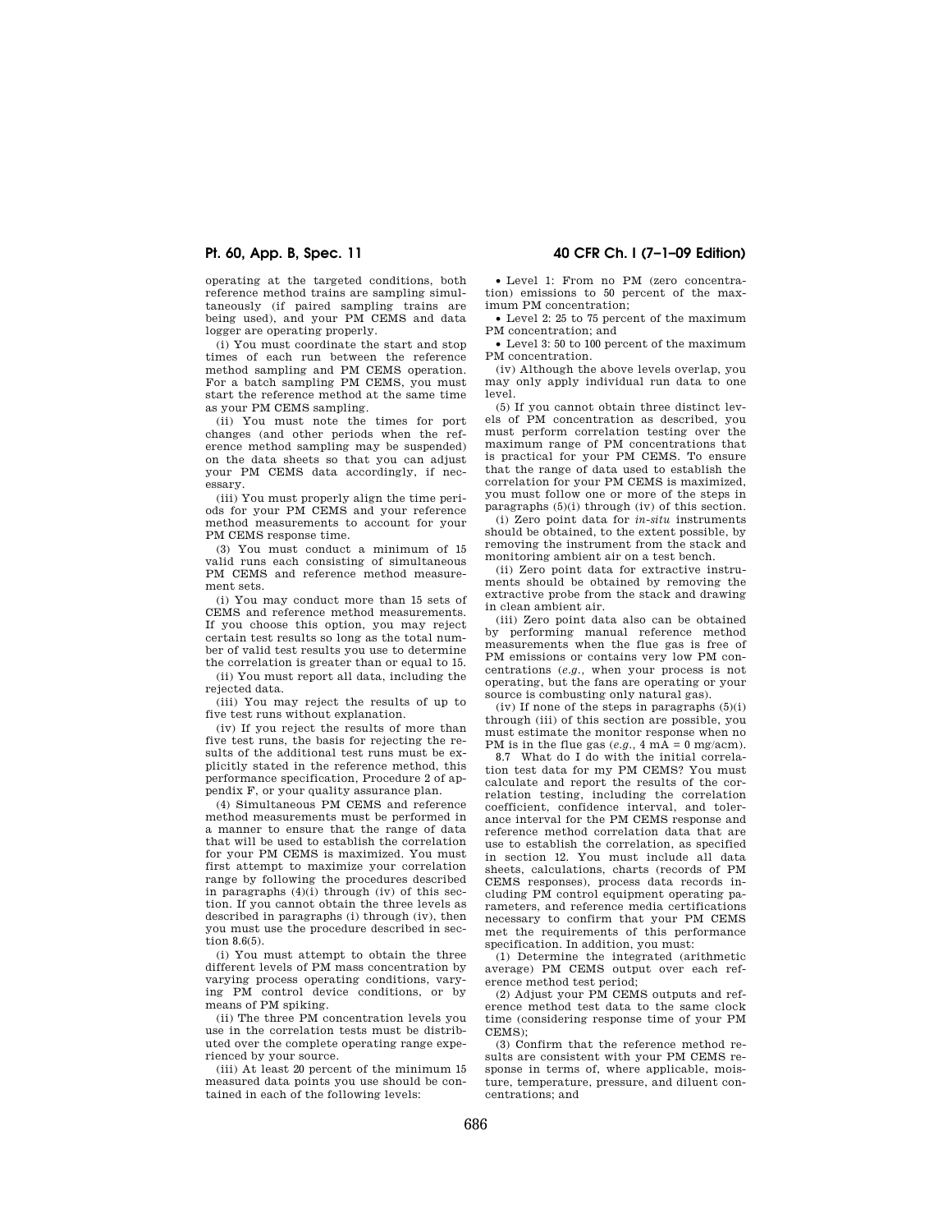operating at the targeted conditions, both reference method trains are sampling simultaneously (if paired sampling trains are being used), and your PM CEMS and data logger are operating properly.

(i) You must coordinate the start and stop times of each run between the reference method sampling and PM CEMS operation. For a batch sampling PM CEMS, you must start the reference method at the same time as your PM CEMS sampling.

(ii) You must note the times for port changes (and other periods when the reference method sampling may be suspended) on the data sheets so that you can adjust your PM CEMS data accordingly, if nec-.<br>essarv.

(iii) You must properly align the time periods for your PM CEMS and your reference method measurements to account for your PM CEMS response time.

(3) You must conduct a minimum of 15 valid runs each consisting of simultaneous PM CEMS and reference method measurement sets.

(i) You may conduct more than 15 sets of CEMS and reference method measurements. If you choose this option, you may reject certain test results so long as the total number of valid test results you use to determine the correlation is greater than or equal to 15.

(ii) You must report all data, including the rejected data.

(iii) You may reject the results of up to five test runs without explanation.

(iv) If you reject the results of more than five test runs, the basis for rejecting the results of the additional test runs must be explicitly stated in the reference method, this performance specification, Procedure 2 of appendix F, or your quality assurance plan.

(4) Simultaneous PM CEMS and reference method measurements must be performed in a manner to ensure that the range of data that will be used to establish the correlation for your PM CEMS is maximized. You must first attempt to maximize your correlation range by following the procedures described in paragraphs (4)(i) through (iv) of this section. If you cannot obtain the three levels as described in paragraphs (i) through (iv), then you must use the procedure described in section 8.6(5).

(i) You must attempt to obtain the three different levels of PM mass concentration by varying process operating conditions, varying PM control device conditions, or by means of PM spiking.

(ii) The three PM concentration levels you use in the correlation tests must be distributed over the complete operating range experienced by your source.

(iii) At least 20 percent of the minimum 15 measured data points you use should be contained in each of the following levels:

**Pt. 60, App. B, Spec. 11 40 CFR Ch. I (7–1–09 Edition)** 

• Level 1: From no PM (zero concentration) emissions to 50 percent of the maximum PM concentration;

• Level 2: 25 to 75 percent of the maximum PM concentration; and

• Level 3: 50 to 100 percent of the maximum PM concentration.

(iv) Although the above levels overlap, you may only apply individual run data to one level.

(5) If you cannot obtain three distinct levels of PM concentration as described, you must perform correlation testing over the maximum range of PM concentrations that is practical for your PM CEMS. To ensure that the range of data used to establish the correlation for your PM CEMS is maximized, you must follow one or more of the steps in paragraphs (5)(i) through (iv) of this section.

(i) Zero point data for *in-situ* instruments should be obtained, to the extent possible, by removing the instrument from the stack and monitoring ambient air on a test bench.

(ii) Zero point data for extractive instruments should be obtained by removing the extractive probe from the stack and drawing in clean ambient air.

(iii) Zero point data also can be obtained by performing manual reference method measurements when the flue gas is free of PM emissions or contains very low PM concentrations (*e.g.,* when your process is not operating, but the fans are operating or your source is combusting only natural gas).

 $(iv)$  If none of the steps in paragraphs  $(5)(i)$ through (iii) of this section are possible, you must estimate the monitor response when no PM is in the flue gas  $(e.g., 4 \text{ mA} = 0 \text{ mg}/\text{acm})$ .

8.7 What do I do with the initial correlation test data for my PM CEMS? You must calculate and report the results of the correlation testing, including the correlation coefficient, confidence interval, and tolerance interval for the PM CEMS response and reference method correlation data that are use to establish the correlation, as specified in section 12. You must include all data sheets, calculations, charts (records of PM CEMS responses), process data records including PM control equipment operating parameters, and reference media certifications necessary to confirm that your PM CEMS met the requirements of this performance specification. In addition, you must:

(1) Determine the integrated (arithmetic average) PM CEMS output over each reference method test period;

(2) Adjust your PM CEMS outputs and reference method test data to the same clock time (considering response time of your PM CEMS);

(3) Confirm that the reference method results are consistent with your PM CEMS response in terms of, where applicable, moisture, temperature, pressure, and diluent concentrations; and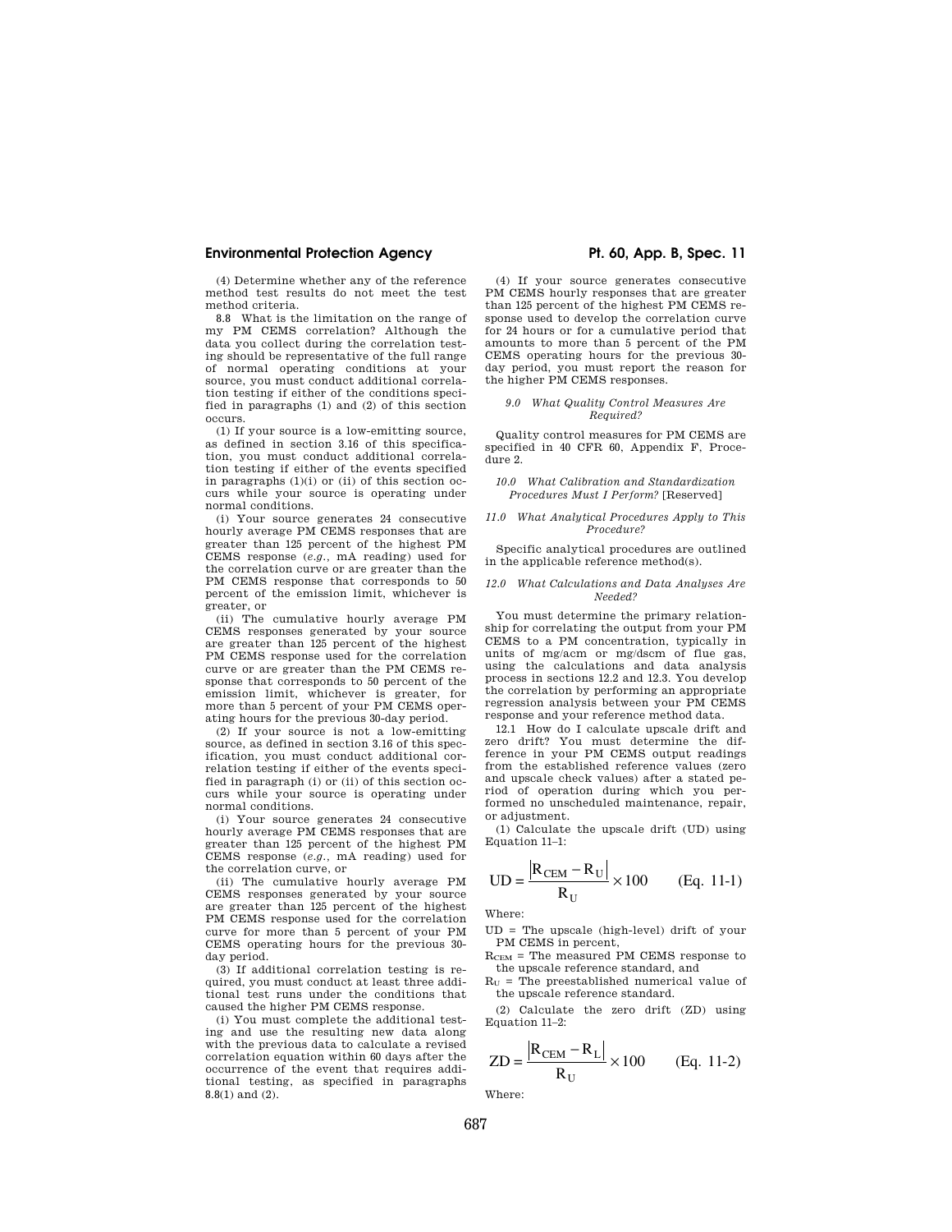(4) Determine whether any of the reference method test results do not meet the test method criteria.

8.8 What is the limitation on the range of my PM CEMS correlation? Although the data you collect during the correlation testing should be representative of the full range of normal operating conditions at your source, you must conduct additional correlation testing if either of the conditions specified in paragraphs (1) and (2) of this section occurs.

(1) If your source is a low-emitting source, as defined in section 3.16 of this specification, you must conduct additional correlation testing if either of the events specified in paragraphs  $(1)(i)$  or  $(ii)$  of this section occurs while your source is operating under normal conditions.

(i) Your source generates 24 consecutive hourly average PM CEMS responses that are greater than 125 percent of the highest PM CEMS response (*e.g.,* mA reading) used for the correlation curve or are greater than the PM CEMS response that corresponds to 50 percent of the emission limit, whichever is greater, or

(ii) The cumulative hourly average PM CEMS responses generated by your source are greater than 125 percent of the highest PM CEMS response used for the correlation curve or are greater than the PM CEMS response that corresponds to 50 percent of the emission limit, whichever is greater, for more than 5 percent of your PM CEMS operating hours for the previous 30-day period.

(2) If your source is not a low-emitting source, as defined in section 3.16 of this specification, you must conduct additional correlation testing if either of the events specified in paragraph (i) or (ii) of this section occurs while your source is operating under normal conditions.

(i) Your source generates 24 consecutive hourly average PM CEMS responses that are greater than 125 percent of the highest PM CEMS response (*e.g.,* mA reading) used for the correlation curve, or

(ii) The cumulative hourly average PM CEMS responses generated by your source are greater than 125 percent of the highest PM CEMS response used for the correlation curve for more than 5 percent of your PM CEMS operating hours for the previous 30 day period.

(3) If additional correlation testing is required, you must conduct at least three additional test runs under the conditions that caused the higher PM CEMS response.

(i) You must complete the additional testing and use the resulting new data along with the previous data to calculate a revised correlation equation within 60 days after the occurrence of the event that requires additional testing, as specified in paragraphs 8.8(1) and (2).

(4) If your source generates consecutive PM CEMS hourly responses that are greater than 125 percent of the highest PM CEMS response used to develop the correlation curve for 24 hours or for a cumulative period that amounts to more than 5 percent of the PM CEMS operating hours for the previous 30 day period, you must report the reason for the higher PM CEMS responses.

#### *9.0 What Quality Control Measures Are Required?*

Quality control measures for PM CEMS are specified in 40 CFR 60, Appendix F, Procedure 2.

#### *10.0 What Calibration and Standardization Procedures Must I Perform?* [Reserved]

#### *11.0 What Analytical Procedures Apply to This Procedure?*

Specific analytical procedures are outlined in the applicable reference method(s).

#### *12.0 What Calculations and Data Analyses Are Needed?*

You must determine the primary relationship for correlating the output from your PM CEMS to a PM concentration, typically in units of mg/acm or mg/dscm of flue gas, using the calculations and data analysis process in sections 12.2 and 12.3. You develop the correlation by performing an appropriate regression analysis between your PM CEMS response and your reference method data.

12.1 How do I calculate upscale drift and zero drift? You must determine the difference in your PM CEMS output readings from the established reference values (zero and upscale check values) after a stated period of operation during which you performed no unscheduled maintenance, repair, or adjustment.

(1) Calculate the upscale drift (UD) using Equation 11–1:

UD = 
$$
\frac{R_{\text{CEM}} - R_{\text{U}}}{R_{\text{U}}} \times 100
$$
 (Eq. 11-1)

Where:

UD = The upscale (high-level) drift of your PM CEMS in percent,

 $R_{CEM}$  = The measured PM CEMS response to the upscale reference standard, and

 $R_U$  = The preestablished numerical value of the upscale reference standard.

(2) Calculate the zero drift (ZD) using Equation 11–2:

$$
ZD = \frac{|R_{\text{CEM}} - R_{\text{L}}|}{R_{\text{U}}} \times 100
$$
 (Eq. 11-2)

Where: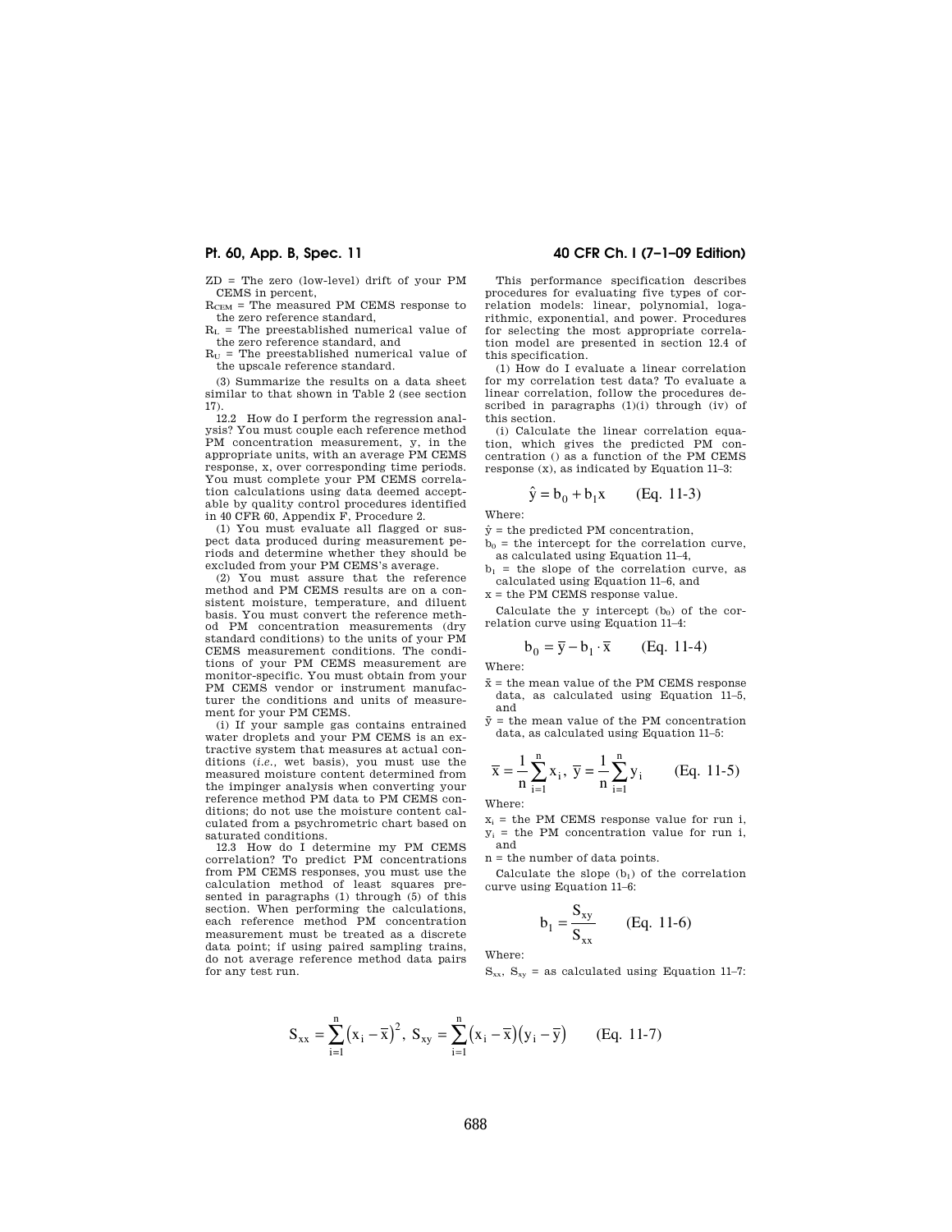ZD = The zero (low-level) drift of your PM CEMS in percent,

 $R_{\text{CEM}}$  = The measured PM CEMS response to the zero reference standard,

 $R_L$  = The preestablished numerical value of the zero reference standard, and

 $R_U$  = The preestablished numerical value of the upscale reference standard.

(3) Summarize the results on a data sheet similar to that shown in Table 2 (see section 17).

12.2 How do I perform the regression analysis? You must couple each reference method PM concentration measurement, y, in the appropriate units, with an average PM CEMS response, x, over corresponding time periods. You must complete your PM CEMS correlation calculations using data deemed acceptable by quality control procedures identified in 40 CFR 60, Appendix F, Procedure 2.

(1) You must evaluate all flagged or suspect data produced during measurement periods and determine whether they should be excluded from your PM CEMS's average.

(2) You must assure that the reference method and PM CEMS results are on a consistent moisture, temperature, and diluent basis. You must convert the reference method PM concentration measurements (dry standard conditions) to the units of your PM CEMS measurement conditions. The conditions of your PM CEMS measurement are monitor-specific. You must obtain from your PM CEMS vendor or instrument manufacturer the conditions and units of measurement for your PM CEMS.

(i) If your sample gas contains entrained water droplets and your PM CEMS is an extractive system that measures at actual conditions (*i.e.,* wet basis), you must use the measured moisture content determined from the impinger analysis when converting your reference method PM data to PM CEMS conditions; do not use the moisture content calculated from a psychrometric chart based on saturated conditions.

12.3 How do I determine my PM CEMS correlation? To predict PM concentrations from PM CEMS responses, you must use the calculation method of least squares presented in paragraphs (1) through (5) of this section. When performing the calculations, each reference method PM concentration measurement must be treated as a discrete data point; if using paired sampling trains, do not average reference method data pairs for any test run.

# **Pt. 60, App. B, Spec. 11 40 CFR Ch. I (7–1–09 Edition)**

This performance specification describes procedures for evaluating five types of correlation models: linear, polynomial, logarithmic, exponential, and power. Procedures for selecting the most appropriate correlation model are presented in section 12.4 of this specification.

(1) How do I evaluate a linear correlation for my correlation test data? To evaluate a linear correlation, follow the procedures described in paragraphs (1)(i) through (iv) of this section.

(i) Calculate the linear correlation equation, which gives the predicted PM concentration () as a function of the PM CEMS response  $(x)$ , as indicated by Equation 11–3:

$$
\hat{y} = b_0 + b_1 x
$$
 (Eq. 11-3)

Where:

 $\hat{y}$  = the predicted PM concentration,

 $b<sub>0</sub>$  = the intercept for the correlation curve, as calculated using Equation 11–4,

 $b_1$  = the slope of the correlation curve, as calculated using Equation 11–6, and

x = the PM CEMS response value.

Calculate the y intercept  $(b_0)$  of the correlation curve using Equation 11–4:

$$
\mathbf{b}_0 = \overline{\mathbf{y}} - \mathbf{b}_1 \cdot \overline{\mathbf{x}} \qquad \text{(Eq. 11-4)}
$$

Where:

- $\bar{x}$  = the mean value of the PM CEMS response data, as calculated using Equation 11–5, and
- $\bar{y}$  = the mean value of the PM concentration data, as calculated using Equation 11–5:

$$
\overline{x} = \frac{1}{n} \sum_{i=1}^{n} x_i, \ \overline{y} = \frac{1}{n} \sum_{i=1}^{n} y_i
$$
 (Eq. 11-5)

Where:

 $x_i$  = the PM CEMS response value for run i,  $y_i$  = the PM concentration value for run i, and

n = the number of data points.

Calculate the slope  $(b_1)$  of the correlation curve using Equation 11–6:

$$
b_1 = \frac{S_{xy}}{S_{xx}} \qquad (Eq. 11-6)
$$

Where:

 $S_{xx}$ ,  $S_{xy}$  = as calculated using Equation 11–7:

$$
S_{xx} = \sum_{i=1}^{n} (x_i - \overline{x})^2, S_{xy} = \sum_{i=1}^{n} (x_i - \overline{x})(y_i - \overline{y})
$$
 (Eq. 11-7)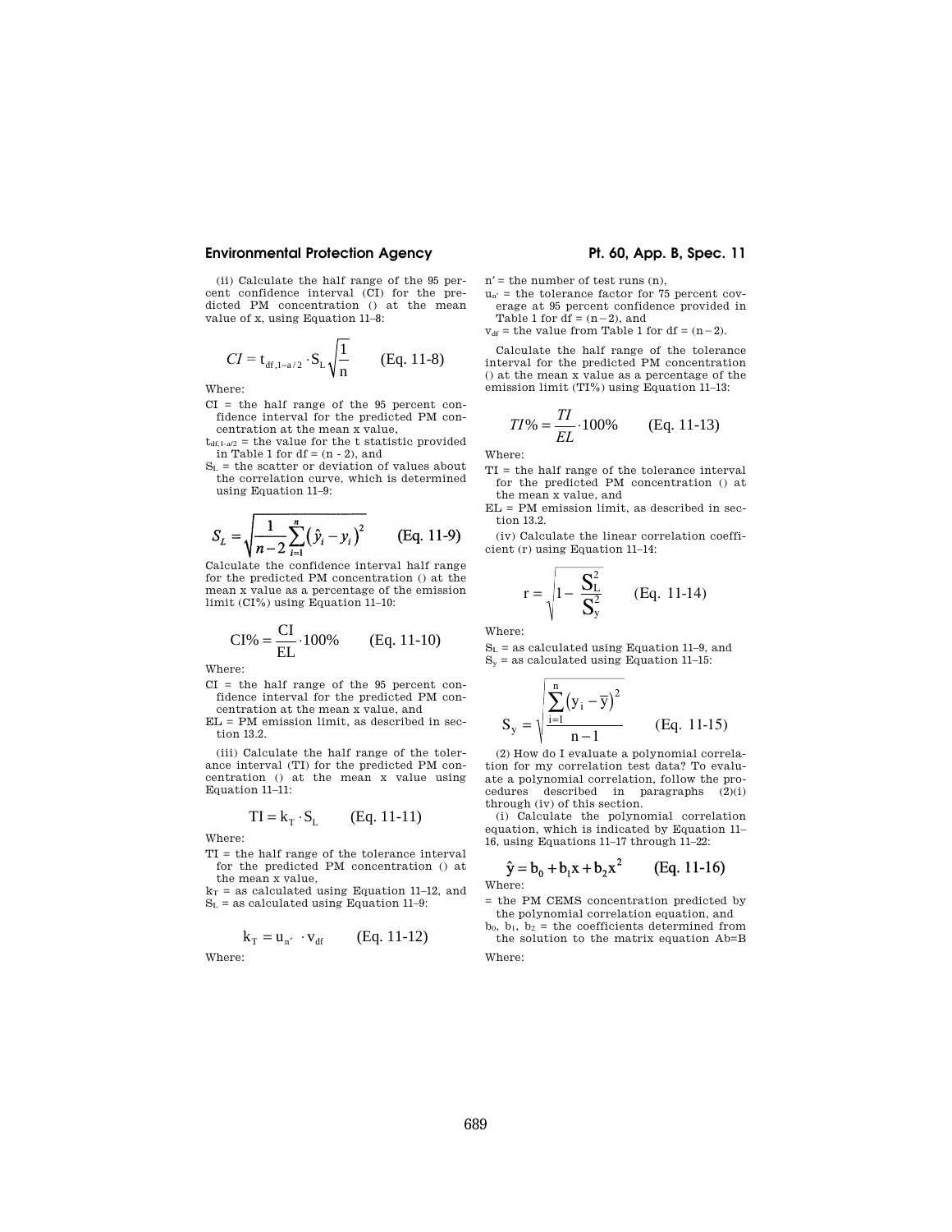(ii) Calculate the half range of the 95 percent confidence interval (CI) for the predicted PM concentration () at the mean value of x, using Equation 11–8:

$$
CI = t_{df,1-a/2} \cdot S_{L} \sqrt{\frac{1}{n}}
$$
 (Eq. 11-8)

Where:

- CI = the half range of the 95 percent confidence interval for the predicted PM concentration at the mean x value,
- $t_{df,1-a/2}$  = the value for the t statistic provided in Table 1 for  $df = (n - 2)$ , and
- $S_L$  = the scatter or deviation of values about the correlation curve, which is determined using Equation 11–9:

$$
S_L = \sqrt{\frac{1}{n-2} \sum_{i=1}^{n} (\hat{y}_i - y_i)^2}
$$
 (Eq. 11-9)

Calculate the confidence interval half range for the predicted PM concentration () at the mean x value as a percentage of the emission limit (CI%) using Equation 11–10:

$$
CI\% = \frac{CI}{EL} \cdot 100\% \qquad (Eq. 11-10)
$$

Where:

CI = the half range of the 95 percent confidence interval for the predicted PM con-

centration at the mean x value, and EL = PM emission limit, as described in section 13.2.

(iii) Calculate the half range of the tolerance interval (TI) for the predicted PM concentration () at the mean x value using Equation 11–11:

$$
TI = k_T \cdot S_L \qquad (Eq. 11-11)
$$

Where:

TI = the half range of the tolerance interval for the predicted PM concentration () at the mean x value,

 $k_T$  = as calculated using Equation 11–12, and  $S_L$  = as calculated using Equation 11-9:

$$
\mathbf{k}_{\mathrm{T}} = \mathbf{u}_{\mathrm{n'}} \cdot \mathbf{v}_{\mathrm{df}} \qquad \text{(Eq. 11-12)}
$$

Where:

 $n'$  = the number of test runs  $(n)$ .

 $u_{n'}$  = the tolerance factor for 75 percent coverage at 95 percent confidence provided in

Table 1 for  $df = (n-2)$ , and

 $v_{df}$  = the value from Table 1 for df =  $(n-2)$ .

Calculate the half range of the tolerance interval for the predicted PM concentration () at the mean x value as a percentage of the emission limit (TI%) using Equation 11–13:

$$
TI\% = \frac{TI}{EL} \cdot 100\% \qquad \text{(Eq. 11-13)}
$$

Where:

- TI = the half range of the tolerance interval for the predicted PM concentration () at the mean x value, and
- EL = PM emission limit, as described in section 13.2.

(iv) Calculate the linear correlation coefficient (r) using Equation 11–14:

$$
r = \sqrt{1 - \frac{S_L^2}{S_y^2}}
$$
 (Eq. 11-14)

Where:

 $S_L$  = as calculated using Equation 11–9, and  $S_y$  = as calculated using Equation 11–15:

$$
S_{y} = \sqrt{\frac{\sum_{i=1}^{n} (y_{i} - \overline{y})^{2}}{n-1}}
$$
 (Eq. 11-15)

(2) How do I evaluate a polynomial correlation for my correlation test data? To evaluate a polynomial correlation, follow the procedures described in paragraphs (2)(i) through (iv) of this section.

(i) Calculate the polynomial correlation equation, which is indicated by Equation 11– 16, using Equations 11–17 through 11–22:

$$
\hat{y} = b_0 + b_1 x + b_2 x^2
$$
 (Eq. 11-16)

Where:

= the PM CEMS concentration predicted by the polynomial correlation equation, and

 $b_0$ ,  $b_1$ ,  $b_2$  = the coefficients determined from the solution to the matrix equation Ab=B

Where: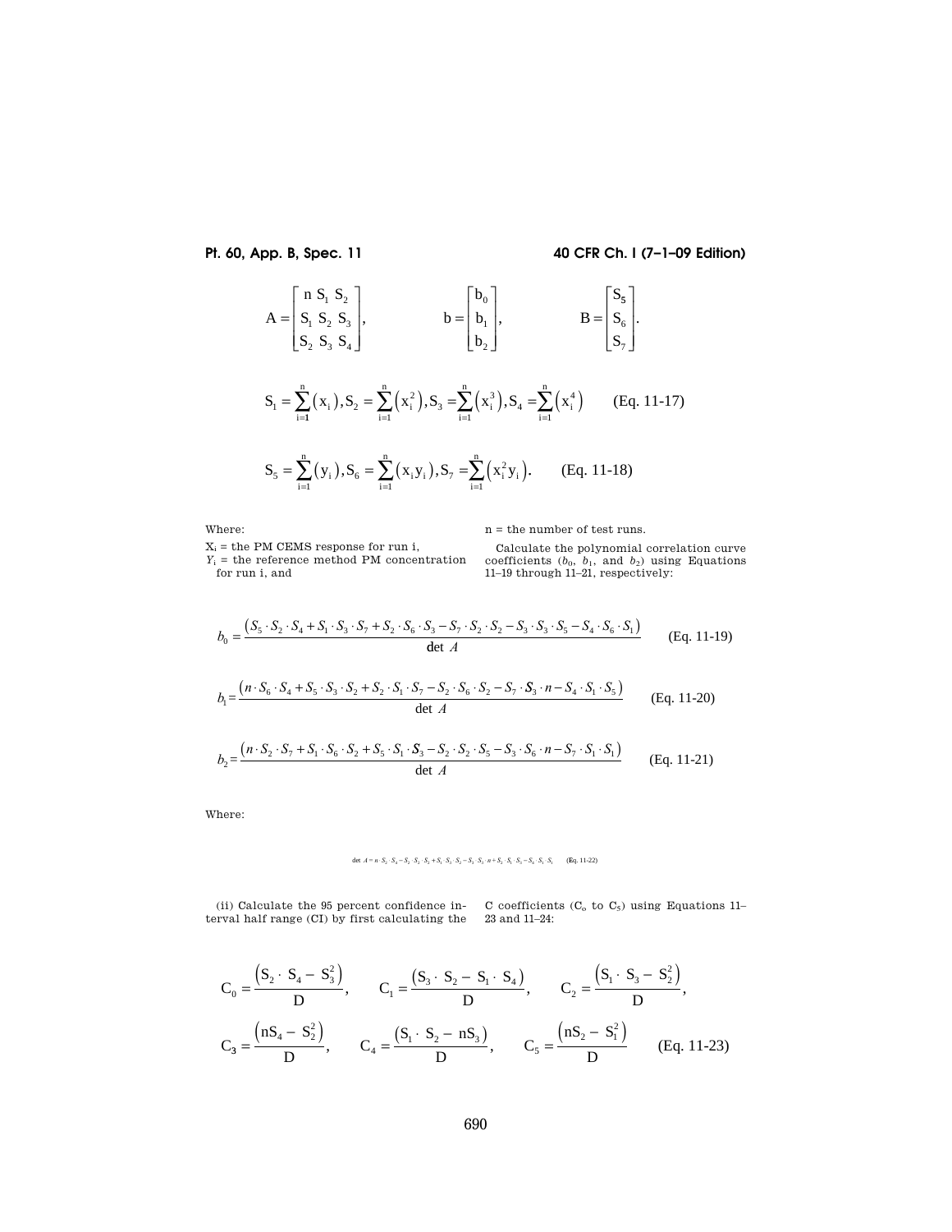**Pt. 60, App. B, Spec. 11 40 CFR Ch. I (7–1–09 Edition)** 

$$
A = \begin{bmatrix} n & S_1 & S_2 \\ S_1 & S_2 & S_3 \\ S_2 & S_3 & S_4 \end{bmatrix}, \qquad b = \begin{bmatrix} b_0 \\ b_1 \\ b_2 \end{bmatrix}, \qquad B = \begin{bmatrix} S_5 \\ S_6 \\ S_7 \end{bmatrix}.
$$

$$
S_1 = \sum_{i=1}^{n} (x_i), S_2 = \sum_{i=1}^{n} (x_i^2), S_3 = \sum_{i=1}^{n} (x_i^3), S_4 = \sum_{i=1}^{n} (x_i^4)
$$
 (Eq. 11-17)

$$
S_{5} = \sum_{i=1}^{n} (y_{i}), S_{6} = \sum_{i=1}^{n} (x_{i}y_{i}), S_{7} = \sum_{i=1}^{n} (x_{i}^{2}y_{i}).
$$
 (Eq. 11-18)

Where:

n = the number of test runs.

 $X_i$  = the PM CEMS response for run i,  $Y_i$  = the reference method PM concentration for run i, and

Calculate the polynomial correlation curve coefficients  $(b_0, b_1, \text{ and } b_2)$  using Equations 11–19 through 11–21, respectively:

$$
b_0 = \frac{(S_5 \cdot S_2 \cdot S_4 + S_1 \cdot S_3 \cdot S_7 + S_2 \cdot S_6 \cdot S_3 - S_7 \cdot S_2 \cdot S_2 - S_3 \cdot S_3 \cdot S_5 - S_4 \cdot S_6 \cdot S_1)}{\det A}
$$
(Eq. 11-19)  
\n
$$
b_1 = \frac{(n \cdot S_6 \cdot S_4 + S_5 \cdot S_3 \cdot S_2 + S_2 \cdot S_1 \cdot S_7 - S_2 \cdot S_6 \cdot S_2 - S_7 \cdot S_3 \cdot n - S_4 \cdot S_1 \cdot S_5)}{\det A}
$$
(Eq. 11-20)  
\n
$$
b_2 = \frac{(n \cdot S_2 \cdot S_7 + S_1 \cdot S_6 \cdot S_2 + S_5 \cdot S_1 \cdot S_3 - S_2 \cdot S_2 \cdot S_5 - S_3 \cdot S_6 \cdot n - S_7 \cdot S_1 \cdot S_1)}{\det A}
$$
(Eq. 11-21)

Where:

# $\det \ A=n\cdot S_2\cdot S_4-S_2\cdot S_2\cdot S_2+S_1\cdot S_3\cdot S_2-S_3\cdot S_3\cdot n+S_2\cdot S_1\cdot S_3-S_4\cdot S_1\cdot S_1 \qquad \textbf{(Eq. 11-22)}$

(ii) Calculate the 95 percent confidence in-(ii) Calculate the 95 percent confidence in-<br>
coefficients  $(C_0$  to  $C_5$ ) using Equations 11-<br>
terval half range (CI) by first calculating the 23 and 11-24:

$$
C_0 = \frac{(S_2 \cdot S_4 - S_3^2)}{D}, \qquad C_1 = \frac{(S_3 \cdot S_2 - S_1 \cdot S_4)}{D}, \qquad C_2 = \frac{(S_1 \cdot S_3 - S_2^2)}{D},
$$
  

$$
C_3 = \frac{(nS_4 - S_2^2)}{D}, \qquad C_4 = \frac{(S_1 \cdot S_2 - nS_3)}{D}, \qquad C_5 = \frac{(nS_2 - S_1^2)}{D} \qquad (Eq. 11-23)
$$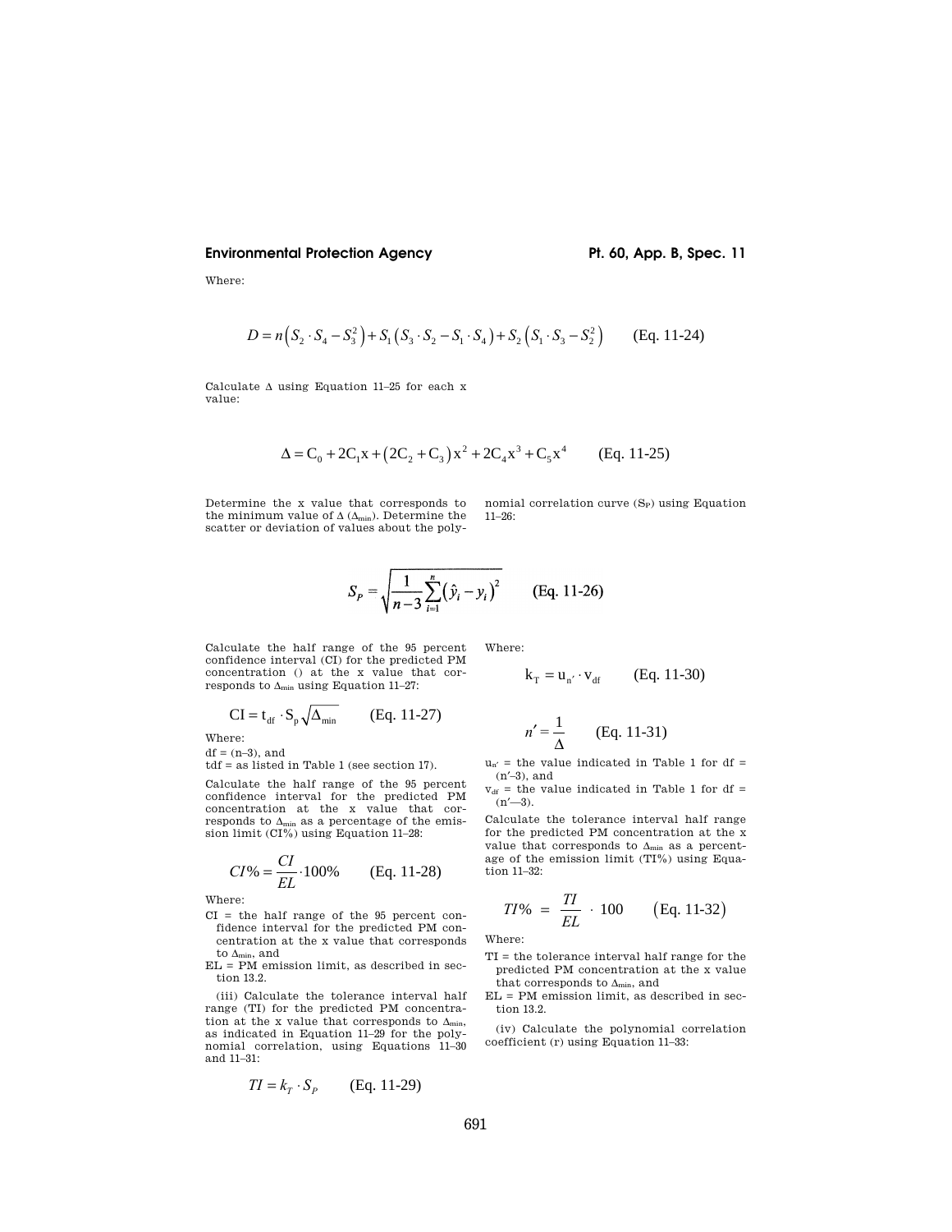Where:

$$
D = n(S_2 \cdot S_4 - S_3^2) + S_1(S_3 \cdot S_2 - S_1 \cdot S_4) + S_2(S_1 \cdot S_3 - S_2^2)
$$
 (Eq. 11-24)

Calculate  $\Delta$  using Equation 11–25 for each x value:

$$
\Delta = C_0 + 2C_1x + (2C_2 + C_3)x^2 + 2C_4x^3 + C_5x^4
$$
 (Eq. 11-25)

Determine the x value that corresponds to the minimum value of  $\Delta$  ( $\Delta_{min}$ ). Determine the scatter or deviation of values about the polynomial correlation curve  $(S_P)$  using Equation 11–26:

$$
S_p = \sqrt{\frac{1}{n-3} \sum_{i=1}^{n} (\hat{y}_i - y_i)^2}
$$
 (Eq. 11-26)

Calculate the half range of the 95 percent confidence interval (CI) for the predicted PM concentration () at the x value that corresponds to  $\Delta_{\min}$  using Equation 11–27:

Where:

$$
\mathbf{k}_{\mathrm{T}} = \mathbf{u}_{\mathrm{n}'} \cdot \mathbf{v}_{\mathrm{df}} \qquad \text{(Eq. 11-30)}
$$

$$
CI = t_{df} \cdot S_p \sqrt{\Delta_{min}} \qquad (Eq. 11-27)
$$

Where:  $df = (n-3)$ , and

tdf = as listed in Table 1 (see section 17).

Calculate the half range of the 95 percent confidence interval for the predicted PM concentration at the x value that corresponds to  $\Delta_{\min}$  as a percentage of the emission limit (CI%) using Equation 11–28:

$$
CI\% = \frac{CI}{EL} \cdot 100\% \qquad \text{(Eq. 11-28)}
$$

Where:

- CI = the half range of the 95 percent confidence interval for the predicted PM concentration at the x value that corresponds to  $\Delta_{\text{min}}$ , and
- $EL = PM$  emission limit, as described in section 13.2.

(iii) Calculate the tolerance interval half range (TI) for the predicted PM concentration at the x value that corresponds to  $\Delta_{\min}$ , as indicated in Equation 11–29 for the polynomial correlation, using Equations 11–30 and 11–31:

$$
TI = k_T \cdot S_P \qquad \text{(Eq. 11-29)}
$$

$$
n' = \frac{1}{\Delta} \qquad \text{(Eq. 11-31)}
$$

 $u_{n'}$  = the value indicated in Table 1 for df = (n′–3), and

 $v_{df}$  = the value indicated in Table 1 for df =  $(n'$ —3).

Calculate the tolerance interval half range for the predicted PM concentration at the x value that corresponds to  $\Delta_{\min}$  as a percentage of the emission limit (TI%) using Equation 11–32:

$$
TI\% = \frac{TI}{EL} \cdot 100 \qquad \text{(Eq. 11-32)}
$$

Where:

- TI = the tolerance interval half range for the predicted PM concentration at the x value that corresponds to  $\Delta_{\min},$  and
- EL = PM emission limit, as described in section 13.2.

(iv) Calculate the polynomial correlation coefficient (r) using Equation 11–33: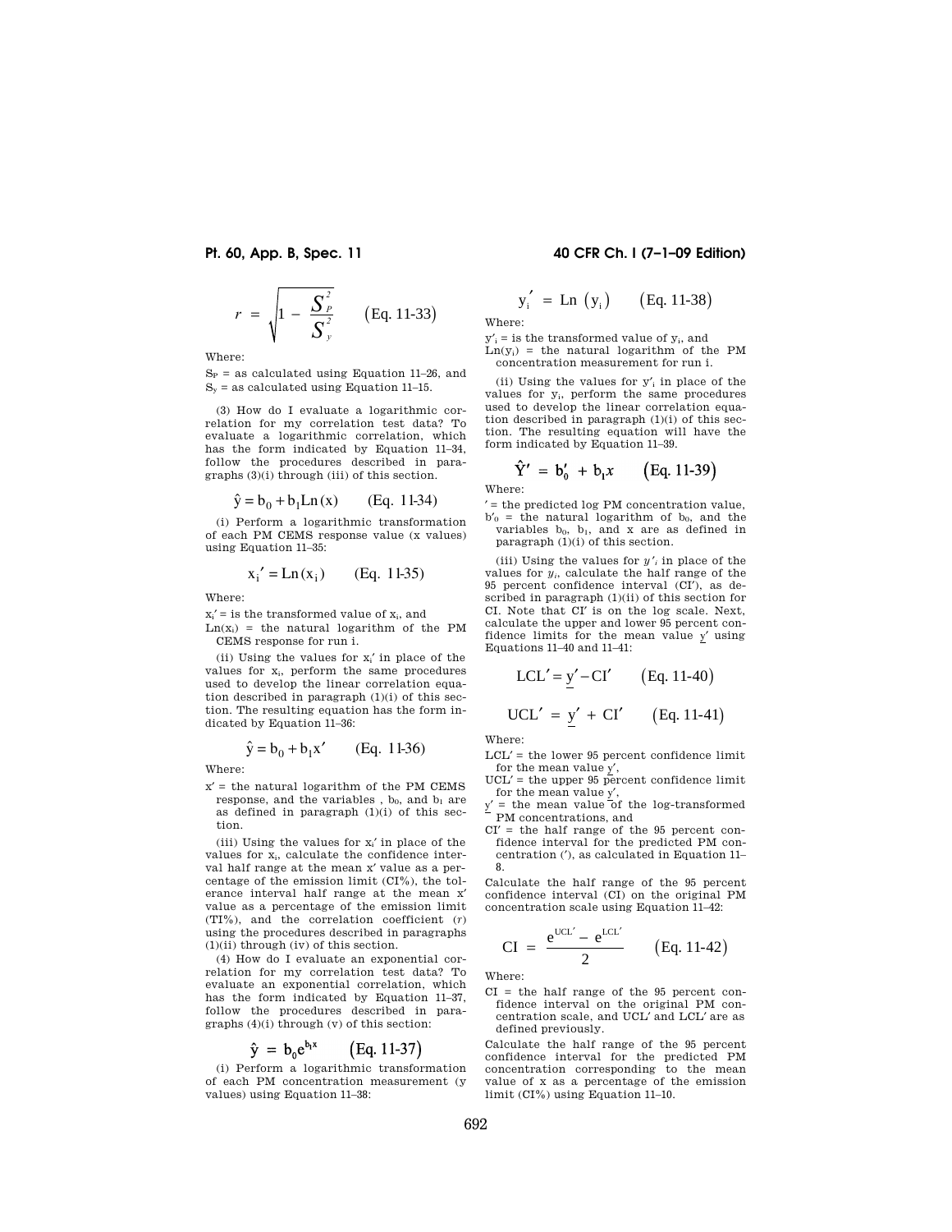$$
r = \sqrt{1 - \frac{S_P^2}{S_y^2}}
$$
 (Eq. 11-33)

Where:

 $S_P$  = as calculated using Equation 11–26, and  $S_y$  = as calculated using Equation 11-15.

(3) How do I evaluate a logarithmic correlation for my correlation test data? To evaluate a logarithmic correlation, which has the form indicated by Equation 11–34, follow the procedures described in paragraphs (3)(i) through (iii) of this section.

$$
\hat{y} = b_0 + b_1 \text{Ln}(x)
$$
 (Eq. 11-34)

(i) Perform a logarithmic transformation of each PM CEMS response value (x values) using Equation 11–35:

$$
x_i' = Ln(x_i)
$$
 (Eq. 11-35)

Where:

 $x_i'$  = is the transformed value of  $x_i$ , and  $Ln(x_i)$  = the natural logarithm of the PM CEMS response for run i.

(ii) Using the values for  $x_i'$  in place of the values for  $x_i$ , perform the same procedures used to develop the linear correlation equation described in paragraph (1)(i) of this section. The resulting equation has the form indicated by Equation 11–36:

$$
\hat{y} = b_0 + b_1 x'
$$
 (Eq. 11-36)

Where:

 $x' =$  the natural logarithm of the PM CEMS response, and the variables ,  $b_0$ , and  $b_1$  are as defined in paragraph (1)(i) of this section.

(iii) Using the values for  $x_i'$  in place of the values for x<sub>i</sub>, calculate the confidence interval half range at the mean x′ value as a percentage of the emission limit (CI%), the tolerance interval half range at the mean x′ value as a percentage of the emission limit (TI%), and the correlation coefficient (*r*) using the procedures described in paragraphs  $(1)(ii)$  through  $(iv)$  of this section.

(4) How do I evaluate an exponential correlation for my correlation test data? To evaluate an exponential correlation, which has the form indicated by Equation 11–37, follow the procedures described in paragraphs (4)(i) through (v) of this section:

$$
\hat{\mathbf{y}} = \mathbf{b}_0 \mathbf{e}^{\mathbf{b}_1 \mathbf{x}} \qquad \text{(Eq. 11-37)}
$$

(i) Perform a logarithmic transformation of each PM concentration measurement (y values) using Equation 11–38:

# **Pt. 60, App. B, Spec. 11 40 CFR Ch. I (7–1–09 Edition)**

$$
y'_i = Ln (y_i)
$$
 (Eq. 11-38)

Where:

 $v' = i$  is the transformed value of  $v_i$ , and  $Ln(y_i)$  = the natural logarithm of the PM concentration measurement for run i.

(ii) Using the values for y′<sup>i</sup> in place of the values for yi, perform the same procedures used to develop the linear correlation equation described in paragraph (1)(i) of this section. The resulting equation will have the form indicated by Equation 11–39.

$$
\hat{Y}' = b'_0 + b_1 x \qquad \text{(Eq. 11-39)}
$$

Where:

′ = the predicted log PM concentration value,  $b'_0$  = the natural logarithm of  $b_0$ , and the variables  $b_0$ ,  $b_1$ , and x are as defined in paragraph (1)(i) of this section.

(iii) Using the values for  $y'$  in place of the values for *yi*, calculate the half range of the 95 percent confidence interval (CI′), as described in paragraph (1)(ii) of this section for CI. Note that CI′ is on the log scale. Next, calculate the upper and lower 95 percent confidence limits for the mean value y′ using Equations 11–40 and 11–41:

$$
LCL' = \underline{y}' - CI' \qquad (Eq. 11-40)
$$
  
UCL' =  $\underline{y}' + CI' \qquad (Eq. 11-41)$ 

Where:

- LCL′ = the lower 95 percent confidence limit for the mean value y′,
- $UCL' =$  the upper 95 percent confidence limit for the mean value y′,
- $=$  the mean value of the log-transformed PM concentrations, and
- $CI' =$  the half range of the 95 percent confidence interval for the predicted PM concentration (′), as calculated in Equation 11– 8.

Calculate the half range of the 95 percent confidence interval (CI) on the original PM concentration scale using Equation 11–42:

CI = 
$$
\frac{e^{UCL'} - e^{LCL'}}{2}
$$
 (Eq. 11-42)

Where:

CI = the half range of the 95 percent confidence interval on the original PM concentration scale, and UCL′ and LCL′ are as defined previously.

Calculate the half range of the 95 percent confidence interval for the predicted PM concentration corresponding to the mean value of x as a percentage of the emission limit (CI%) using Equation 11–10.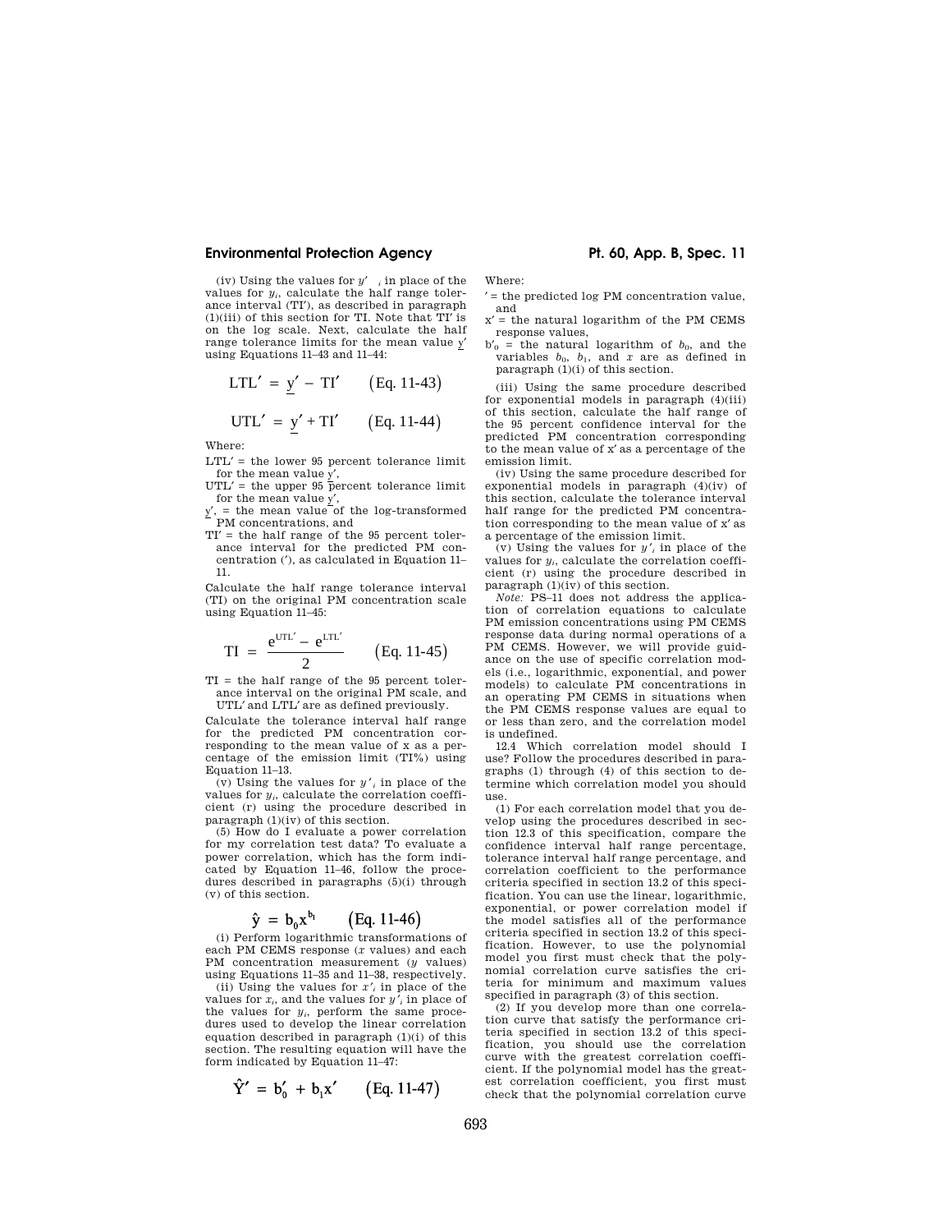(iv) Using the values for *y*′ *<sup>i</sup>* in place of the values for  $y_i$ , calculate the half range tolerance interval (TI′), as described in paragraph  $(1)(iii)$  of this section for TI. Note that TI' is on the log scale. Next, calculate the half range tolerance limits for the mean value y′ using Equations 11–43 and 11–44:

$$
LTL' = \underline{y}' - TI' \qquad (Eq. 11-43)
$$

$$
UTL' = \underline{y}' + TI' \qquad (Eq. 11-44)
$$

Where:

- ${\rm LTL'}$  = the lower 95 percent tolerance limit for the mean value y′,
- $UTL' =$  the upper 95 percent tolerance limit for the mean value  $y'$ ,

 $y'$ , = the mean value of the log-transformed<br>PM concentrations, and

TI′ = the half range of the 95 percent tolerance interval for the predicted PM concentration (′), as calculated in Equation 11– 11.

Calculate the half range tolerance interval (TI) on the original PM concentration scale using Equation 11–45:

$$
TI = \frac{e^{UTL'} - e^{LTL'}}{2}
$$
 (Eq. 11-45)

TI = the half range of the 95 percent tolerance interval on the original PM scale, and UTL′ and LTL′ are as defined previously.

Calculate the tolerance interval half range for the predicted PM concentration corresponding to the mean value of x as a percentage of the emission limit (TI%) using Equation 11–13.

(v) Using the values for  $y'$  in place of the values for  $y_i$ , calculate the correlation coefficient (r) using the procedure described in paragraph (1)(iv) of this section.

(5) How do I evaluate a power correlation for my correlation test data? To evaluate a power correlation, which has the form indicated by Equation 11–46, follow the procedures described in paragraphs (5)(i) through (v) of this section.

$$
\hat{\mathbf{y}} = \mathbf{b}_0 \mathbf{x}^{\mathbf{b}_1} \qquad \text{(Eq. 11-46)}
$$

(i) Perform logarithmic transformations of each PM CEMS response (*x* values) and each PM concentration measurement (*y* values) using Equations 11–35 and 11–38, respectively.

(ii) Using the values for  $x'$  in place of the values for *xi*, and the values for *y* ′*<sup>i</sup>* in place of the values for *yi*, perform the same procedures used to develop the linear correlation equation described in paragraph (1)(i) of this section. The resulting equation will have the form indicated by Equation 11–47:

$$
\hat{Y}' = b'_0 + b_1 x' \qquad (Eq. 11-47)
$$

Where:

- ′ = the predicted log PM concentration value, and
- $x'$  = the natural logarithm of the PM CEMS response values,
- $b'_0$  = the natural logarithm of  $b_0$ , and the variables  $b_0$ ,  $b_1$ , and  $x$  are as defined in paragraph (1)(i) of this section.

(iii) Using the same procedure described for exponential models in paragraph (4)(iii) of this section, calculate the half range of the 95 percent confidence interval for the predicted PM concentration corresponding to the mean value of x′ as a percentage of the emission limit.

(iv) Using the same procedure described for exponential models in paragraph (4)(iv) of this section, calculate the tolerance interval half range for the predicted PM concentration corresponding to the mean value of x′ as a percentage of the emission limit.

(v) Using the values for  $y'$  in place of the values for  $y_i$ , calculate the correlation coefficient (r) using the procedure described in paragraph (1)(iv) of this section.

*Note:* PS–11 does not address the application of correlation equations to calculate PM emission concentrations using PM CEMS response data during normal operations of a PM CEMS. However, we will provide guidance on the use of specific correlation models (i.e., logarithmic, exponential, and power models) to calculate PM concentrations in an operating PM CEMS in situations when the PM CEMS response values are equal to or less than zero, and the correlation model is undefined.

12.4 Which correlation model should I use? Follow the procedures described in paragraphs (1) through (4) of this section to determine which correlation model you should use.

(1) For each correlation model that you develop using the procedures described in section 12.3 of this specification, compare the confidence interval half range percentage, tolerance interval half range percentage, and correlation coefficient to the performance criteria specified in section 13.2 of this specification. You can use the linear, logarithmic, exponential, or power correlation model if the model satisfies all of the performance criteria specified in section 13.2 of this specification. However, to use the polynomial model you first must check that the polynomial correlation curve satisfies the criteria for minimum and maximum values specified in paragraph (3) of this section.

(2) If you develop more than one correlation curve that satisfy the performance criteria specified in section 13.2 of this specification, you should use the correlation curve with the greatest correlation coefficient. If the polynomial model has the greatest correlation coefficient, you first must check that the polynomial correlation curve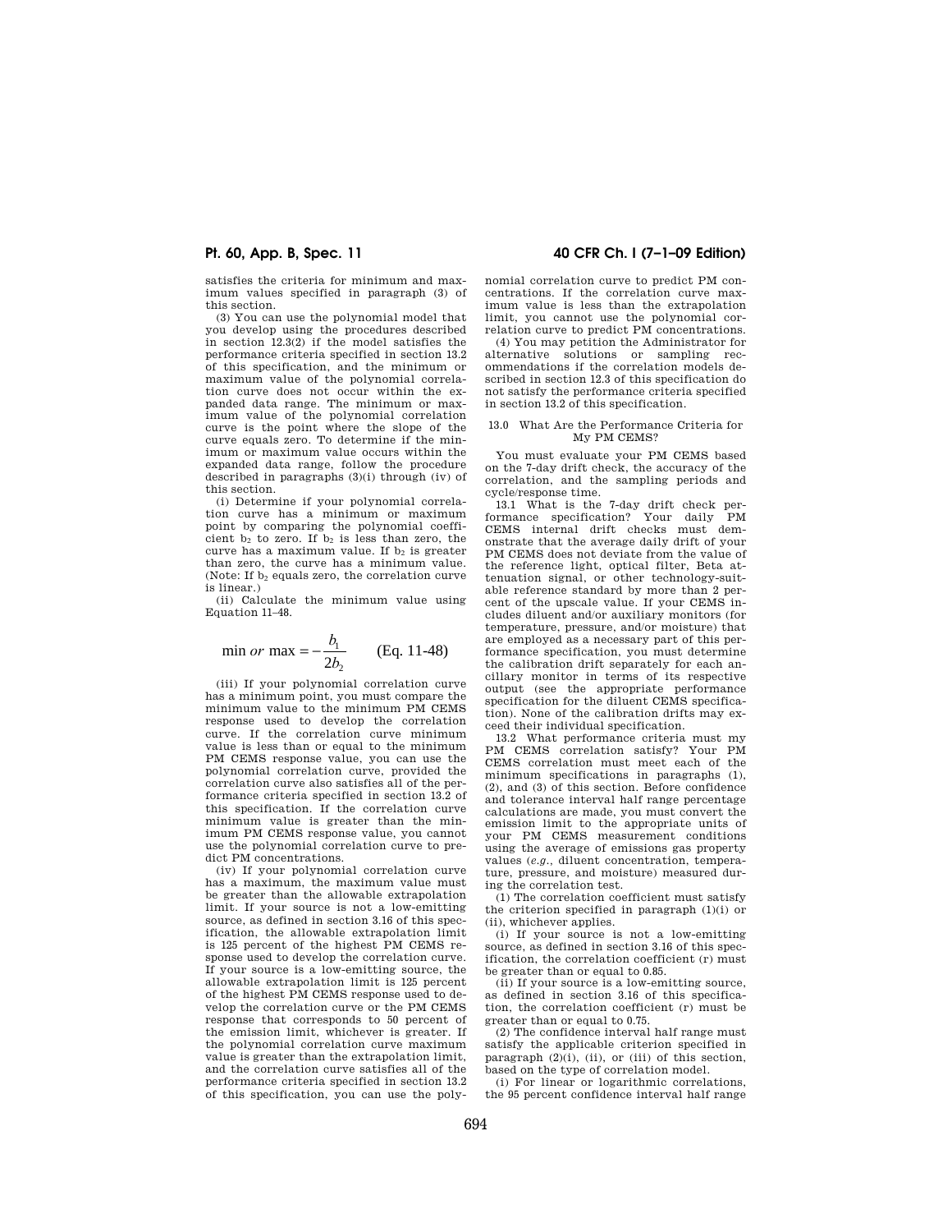satisfies the criteria for minimum and maximum values specified in paragraph (3) of this section.

(3) You can use the polynomial model that you develop using the procedures described in section 12.3(2) if the model satisfies the performance criteria specified in section 13.2 of this specification, and the minimum or maximum value of the polynomial correlation curve does not occur within the expanded data range. The minimum or maximum value of the polynomial correlation curve is the point where the slope of the curve equals zero. To determine if the minimum or maximum value occurs within the expanded data range, follow the procedure described in paragraphs (3)(i) through (iv) of this section.

(i) Determine if your polynomial correlation curve has a minimum or maximum point by comparing the polynomial coefficient  $b_2$  to zero. If  $b_2$  is less than zero, the curve has a maximum value. If  $b_2$  is greater than zero, the curve has a minimum value. (Note: If  $b_2$  equals zero, the correlation curve is linear.)

(ii) Calculate the minimum value using Equation 11–48.

$$
\min or \max = -\frac{b_1}{2b_2} \quad \text{(Eq. 11-48)}
$$

(iii) If your polynomial correlation curve has a minimum point, you must compare the minimum value to the minimum PM CEMS response used to develop the correlation curve. If the correlation curve minimum value is less than or equal to the minimum PM CEMS response value, you can use the polynomial correlation curve, provided the correlation curve also satisfies all of the performance criteria specified in section 13.2 of this specification. If the correlation curve minimum value is greater than the minimum PM CEMS response value, you cannot use the polynomial correlation curve to predict PM concentrations.

(iv) If your polynomial correlation curve has a maximum, the maximum value must be greater than the allowable extrapolation limit. If your source is not a low-emitting source, as defined in section 3.16 of this specification, the allowable extrapolation limit is 125 percent of the highest PM CEMS response used to develop the correlation curve. If your source is a low-emitting source, the allowable extrapolation limit is 125 percent of the highest PM CEMS response used to develop the correlation curve or the PM CEMS response that corresponds to 50 percent of the emission limit, whichever is greater. If the polynomial correlation curve maximum value is greater than the extrapolation limit, and the correlation curve satisfies all of the performance criteria specified in section 13.2 of this specification, you can use the poly-

# **Pt. 60, App. B, Spec. 11 40 CFR Ch. I (7–1–09 Edition)**

nomial correlation curve to predict PM concentrations. If the correlation curve maximum value is less than the extrapolation limit, you cannot use the polynomial correlation curve to predict PM concentrations.

(4) You may petition the Administrator for alternative solutions or sampling recommendations if the correlation models described in section 12.3 of this specification do not satisfy the performance criteria specified in section 13.2 of this specification.

#### 13.0 What Are the Performance Criteria for My PM CEMS?

You must evaluate your PM CEMS based on the 7-day drift check, the accuracy of the correlation, and the sampling periods and cycle/response time.

13.1 What is the 7-day drift check performance specification? Your daily PM CEMS internal drift checks must demonstrate that the average daily drift of your PM CEMS does not deviate from the value of the reference light, optical filter, Beta attenuation signal, or other technology-suitable reference standard by more than 2 percent of the upscale value. If your CEMS includes diluent and/or auxiliary monitors (for temperature, pressure, and/or moisture) that are employed as a necessary part of this performance specification, you must determine the calibration drift separately for each ancillary monitor in terms of its respective output (see the appropriate performance specification for the diluent CEMS specification). None of the calibration drifts may exceed their individual specification.

13.2 What performance criteria must my PM CEMS correlation satisfy? Your PM CEMS correlation must meet each of the minimum specifications in paragraphs (1), (2), and (3) of this section. Before confidence and tolerance interval half range percentage calculations are made, you must convert the emission limit to the appropriate units of your PM CEMS measurement conditions using the average of emissions gas property values (*e.g.,* diluent concentration, temperature, pressure, and moisture) measured during the correlation test.

(1) The correlation coefficient must satisfy the criterion specified in paragraph (1)(i) or (ii), whichever applies.

(i) If your source is not a low-emitting source, as defined in section 3.16 of this specification, the correlation coefficient (r) must be greater than or equal to 0.85.

(ii) If your source is a low-emitting source, as defined in section 3.16 of this specification, the correlation coefficient (r) must be greater than or equal to 0.75.

(2) The confidence interval half range must satisfy the applicable criterion specified in paragraph  $(2)(i)$ ,  $(ii)$ , or  $(iii)$  of this section, based on the type of correlation model.

(i) For linear or logarithmic correlations, the 95 percent confidence interval half range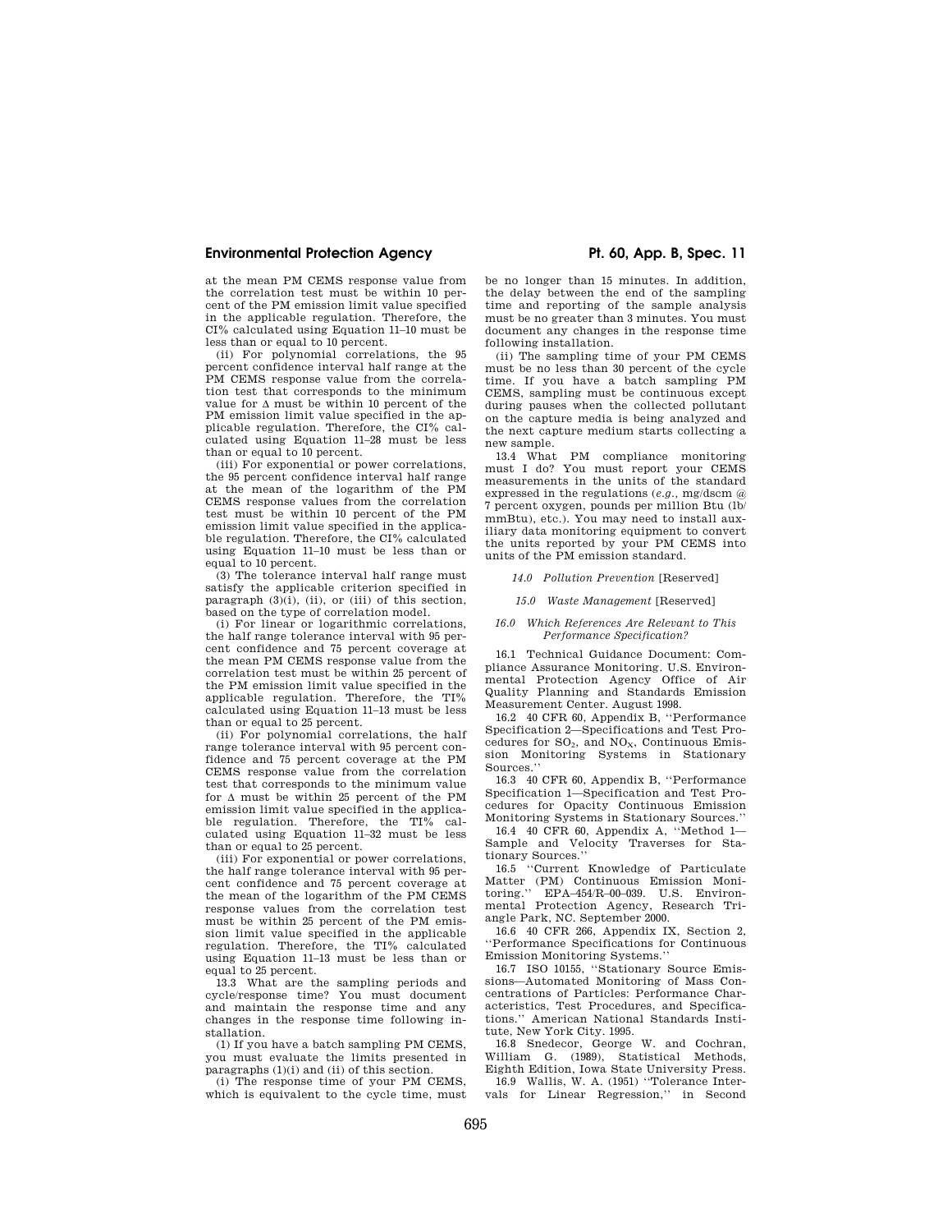at the mean PM CEMS response value from the correlation test must be within 10 percent of the PM emission limit value specified in the applicable regulation. Therefore, the CI% calculated using Equation 11–10 must be less than or equal to 10 percent.

(ii) For polynomial correlations, the 95 percent confidence interval half range at the PM CEMS response value from the correlation test that corresponds to the minimum value for  $\Delta$  must be within 10 percent of the PM emission limit value specified in the applicable regulation. Therefore, the CI% calculated using Equation 11–28 must be less than or equal to 10 percent.

(iii) For exponential or power correlations, the 95 percent confidence interval half range at the mean of the logarithm of the PM CEMS response values from the correlation test must be within 10 percent of the PM emission limit value specified in the applicable regulation. Therefore, the CI% calculated using Equation 11–10 must be less than or equal to 10 percent.

(3) The tolerance interval half range must satisfy the applicable criterion specified in paragraph  $(3)(i)$ ,  $(ii)$ , or  $(iii)$  of this section, based on the type of correlation model.

(i) For linear or logarithmic correlations, the half range tolerance interval with 95 percent confidence and 75 percent coverage at the mean PM CEMS response value from the correlation test must be within 25 percent of the PM emission limit value specified in the applicable regulation. Therefore, the TI% calculated using Equation 11–13 must be less than or equal to 25 percent.

(ii) For polynomial correlations, the half range tolerance interval with 95 percent confidence and 75 percent coverage at the PM CEMS response value from the correlation test that corresponds to the minimum value for  $\Delta$  must be within 25 percent of the PM emission limit value specified in the applicable regulation. Therefore, the TI% calculated using Equation 11–32 must be less than or equal to 25 percent.

(iii) For exponential or power correlations, the half range tolerance interval with 95 percent confidence and 75 percent coverage at the mean of the logarithm of the PM CEMS response values from the correlation test must be within 25 percent of the PM emission limit value specified in the applicable regulation. Therefore, the TI% calculated using Equation 11–13 must be less than or equal to 25 percent.

13.3 What are the sampling periods and cycle/response time? You must document and maintain the response time and any changes in the response time following installation.

(1) If you have a batch sampling PM CEMS, you must evaluate the limits presented in paragraphs (1)(i) and (ii) of this section.

(i) The response time of your PM CEMS, which is equivalent to the cycle time, must

be no longer than 15 minutes. In addition, the delay between the end of the sampling time and reporting of the sample analysis must be no greater than 3 minutes. You must document any changes in the response time following installation.

(ii) The sampling time of your PM CEMS must be no less than 30 percent of the cycle time. If you have a batch sampling PM CEMS, sampling must be continuous except during pauses when the collected pollutant on the capture media is being analyzed and the next capture medium starts collecting a new sample.

13.4 What PM compliance monitoring must I do? You must report your CEMS measurements in the units of the standard expressed in the regulations (*e.g.,* mg/dscm @ 7 percent oxygen, pounds per million Btu (lb/ mmBtu), etc.). You may need to install auxiliary data monitoring equipment to convert the units reported by your PM CEMS into units of the PM emission standard.

#### *14.0 Pollution Prevention* [Reserved]

### *15.0 Waste Management* [Reserved]

### *16.0 Which References Are Relevant to This Performance Specification?*

16.1 Technical Guidance Document: Compliance Assurance Monitoring. U.S. Environmental Protection Agency Office of Air Quality Planning and Standards Emission Measurement Center. August 1998.

16.2 40 CFR 60, Appendix B, ''Performance Specification 2—Specifications and Test Procedures for  $SO_2$ , and  $NO_X$ , Continuous Emission Monitoring Systems in Stationary Sources.''

16.3 40 CFR 60, Appendix B, ''Performance Specification 1—Specification and Test Procedures for Opacity Continuous Emission Monitoring Systems in Stationary Sources.''

16.4 40 CFR 60, Appendix A, ''Method 1— Sample and Velocity Traverses for Stationary Sources.''

16.5 ''Current Knowledge of Particulate Matter (PM) Continuous Emission Monitoring.'' EPA–454/R–00–039. U.S. Environmental Protection Agency, Research Triangle Park, NC. September 2000.

16.6 40 CFR 266, Appendix IX, Section 2, ''Performance Specifications for Continuous Emission Monitoring Systems.''

16.7 ISO 10155, ''Stationary Source Emissions—Automated Monitoring of Mass Concentrations of Particles: Performance Characteristics, Test Procedures, and Specifications.'' American National Standards Institute, New York City. 1995.

16.8 Snedecor, George W. and Cochran, William G. (1989), Statistical Methods, Eighth Edition, Iowa State University Press.

16.9 Wallis, W. A. (1951) ''Tolerance Intervals for Linear Regression,'' in Second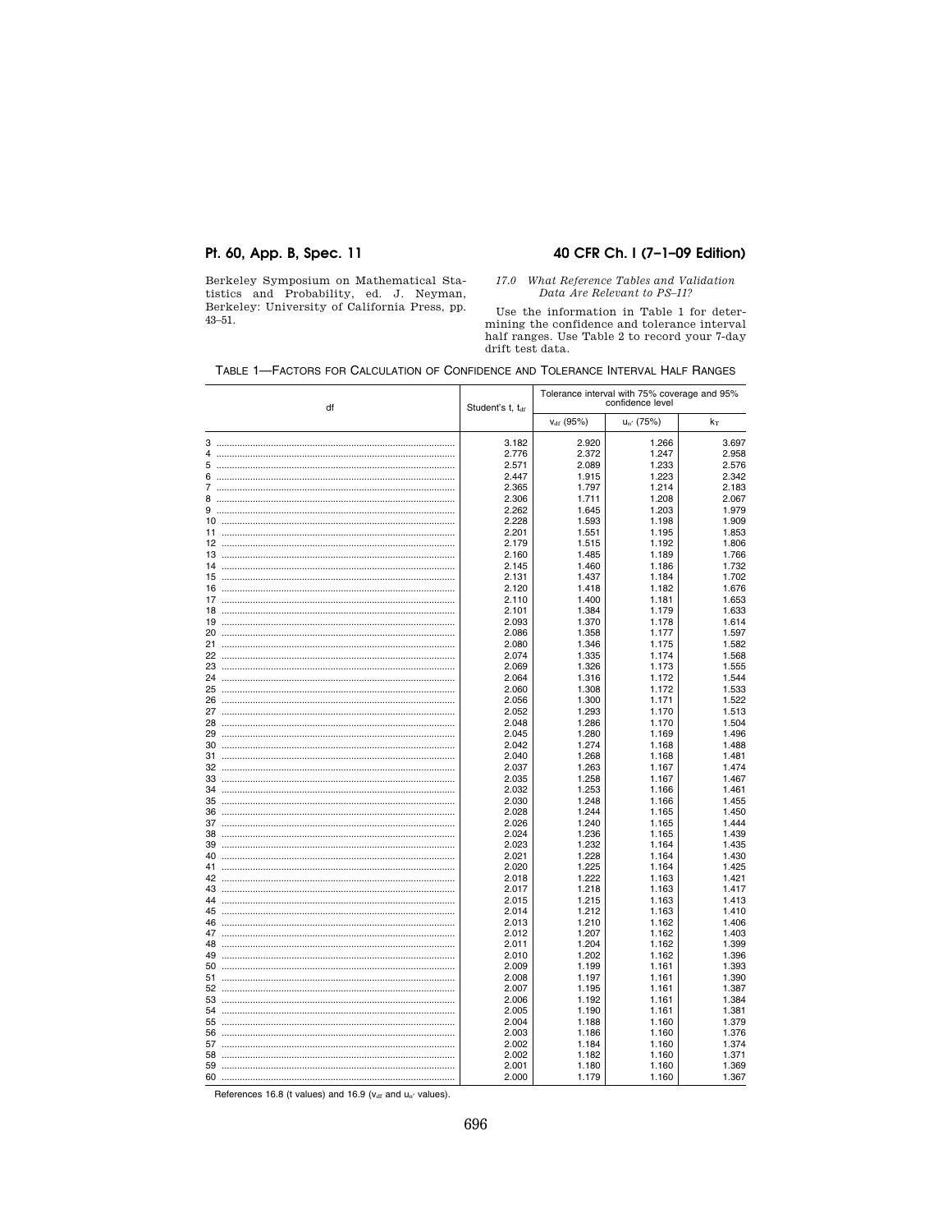# Pt. 60, App. B, Spec. 11

Berkeley Symposium on Mathematical Statistics and Probability, ed. J. Neyman, Berkeley: University of California Press, pp.  $43 - 51.$ 

# 40 CFR Ch. I (7-1-09 Edition)

# $\emph{17.0 What Reference Tables and Validation Data Are Relevant to PS–11?}$

Use the information in Table 1 for determining the confidence and tolerance interval<br>half ranges. Use Table 2 to record your 7-day drift test data.

| df |  | Student's t, tar | Tolerance interval with 75% coverage and 95%<br>confidence level |                |                |
|----|--|------------------|------------------------------------------------------------------|----------------|----------------|
|    |  |                  | $v_{df}$ (95%)                                                   | $u_{n'}$ (75%) | $k_T$          |
|    |  | 3.182            | 2.920                                                            | 1.266          | 3.697          |
| 4  |  | 2.776            | 2.372                                                            | 1.247          | 2.958          |
| 5  |  | 2.571            | 2.089                                                            | 1.233          | 2.576          |
| 6  |  | 2.447            | 1.915                                                            | 1.223          | 2.342          |
|    |  | 2.365            | 1.797                                                            | 1.214          | 2.183          |
| 8  |  | 2.306            | 1.711                                                            | 1.208          | 2.067          |
|    |  | 2.262            | 1.645                                                            | 1.203          | 1.979          |
|    |  | 2.228            | 1.593                                                            | 1.198          | 1.909          |
|    |  | 2.201            | 1.551                                                            | 1.195          | 1.853          |
|    |  | 2.179            | 1.515                                                            | 1.192          | 1.806          |
|    |  | 2.160            | 1.485                                                            | 1.189          | 1.766          |
|    |  | 2.145            | 1.460                                                            | 1.186          | 1.732          |
|    |  | 2.131            | 1.437                                                            | 1.184          | 1.702          |
|    |  | 2.120            | 1.418                                                            | 1.182          | 1.676          |
|    |  | 2.110            | 1.400                                                            | 1.181          | 1.653          |
|    |  | 2.101            | 1.384                                                            | 1.179          | 1.633          |
|    |  | 2.093            | 1.370                                                            | 1.178          | 1.614          |
|    |  | 2.086            | 1.358                                                            | 1.177          | 1.597          |
|    |  | 2.080            | 1.346                                                            | 1.175          | 1.582          |
|    |  | 2.074            | 1.335                                                            | 1.174          | 1.568          |
|    |  | 2.069            | 1.326                                                            | 1.173          | 1.555          |
|    |  | 2.064            | 1.316                                                            | 1.172          | 1.544          |
|    |  | 2.060            | 1.308                                                            | 1.172          | 1.533          |
|    |  | 2.056            | 1.300                                                            | 1.171          | 1.522          |
|    |  | 2.052            | 1.293                                                            | 1.170          | 1.513          |
|    |  | 2.048            | 1.286                                                            | 1.170          | 1.504          |
|    |  | 2.045            | 1.280                                                            | 1.169          | 1.496          |
|    |  | 2.042            | 1.274                                                            | 1.168          | 1.488          |
|    |  | 2.040            | 1.268                                                            | 1.168          | 1.481          |
|    |  | 2.037            | 1.263                                                            | 1.167          | 1.474          |
|    |  | 2.035            | 1.258                                                            | 1.167          | 1.467          |
|    |  | 2.032            | 1.253                                                            | 1.166          | 1.461          |
|    |  | 2.030            | 1.248                                                            | 1.166          | 1.455          |
|    |  | 2.028            | 1.244                                                            | 1.165          | 1.450          |
|    |  | 2.026            | 1.240                                                            | 1.165          | 1.444          |
|    |  | 2.024            | 1.236                                                            | 1.165          | 1.439          |
|    |  | 2.023            | 1.232                                                            | 1.164          | 1.435          |
|    |  | 2.021            | 1.228                                                            | 1.164          | 1.430          |
|    |  | 2.020            | 1.225                                                            | 1.164          | 1.425          |
|    |  | 2.018            | 1.222                                                            | 1.163          | 1.421          |
|    |  | 2.017            | 1.218                                                            | 1.163          | 1.417          |
|    |  | 2.015            | 1.215                                                            | 1.163          | 1.413          |
|    |  | 2.014            | 1.212<br>1.210                                                   | 1.163<br>1.162 | 1.410<br>1.406 |
|    |  | 2.013            |                                                                  |                |                |
|    |  | 2.012<br>2.011   | 1.207<br>1.204                                                   | 1.162<br>1.162 | 1.403<br>1.399 |
|    |  | 2.010            | 1.202                                                            | 1.162          | 1.396          |
|    |  | 2.009            | 1.199                                                            | 1.161          | 1.393          |
|    |  | 2.008            | 1.197                                                            | 1.161          | 1.390          |
|    |  | 2.007            | 1.195                                                            | 1.161          | 1.387          |
|    |  | 2.006            | 1.192                                                            | 1.161          | 1.384          |
|    |  | 2.005            | 1.190                                                            | 1.161          | 1.381          |
|    |  | 2.004            | 1.188                                                            | 1.160          | 1.379          |
|    |  | 2.003            | 1.186                                                            | 1.160          | 1.376          |
|    |  | 2.002            | 1.184                                                            | 1.160          | 1.374          |
|    |  | 2.002            | 1.182                                                            | 1.160          | 1.371          |
|    |  | 2.001            | 1.180                                                            | 1.160          | 1.369          |
|    |  | 2.000            | 1.179                                                            | 1.160          | 1.367          |

References 16.8 (t values) and 16.9 ( $v_{df}$  and  $u_{n'}$  values).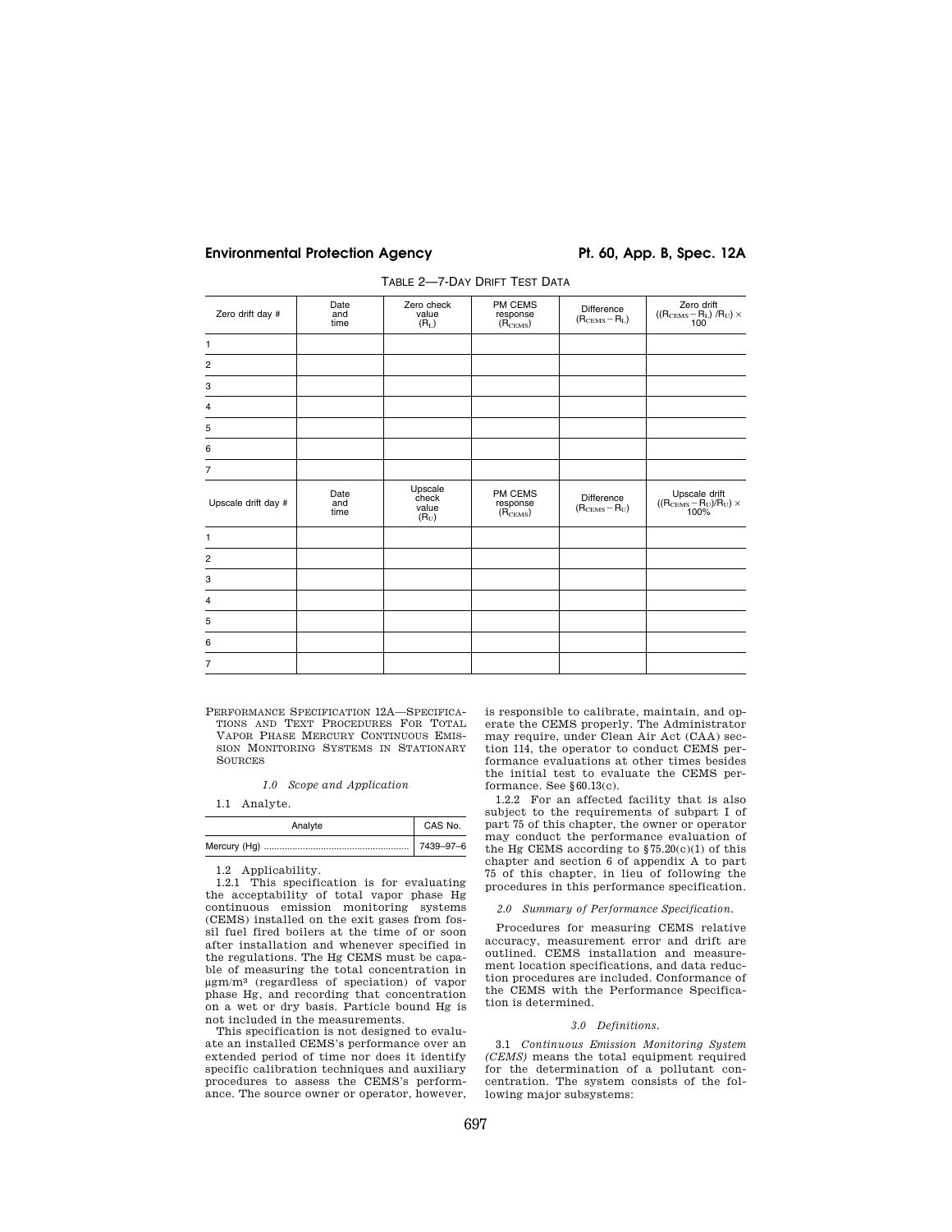| Zero drift day #    | Date<br>and<br>time | Zero check<br>value<br>$(R_L)$       | PM CEMS<br>response<br>(R <sub>CEMS</sub> ) | Difference<br>$(RCEMS - RL)$ | Zero drift<br>$((R_{\rm CEMS}\!-\!R_{\rm L})\!/R_{\rm U})\times 100$              |
|---------------------|---------------------|--------------------------------------|---------------------------------------------|------------------------------|-----------------------------------------------------------------------------------|
| $\mathbf{1}$        |                     |                                      |                                             |                              |                                                                                   |
| $\overline{c}$      |                     |                                      |                                             |                              |                                                                                   |
| 3                   |                     |                                      |                                             |                              |                                                                                   |
| $\overline{4}$      |                     |                                      |                                             |                              |                                                                                   |
| 5                   |                     |                                      |                                             |                              |                                                                                   |
| 6                   |                     |                                      |                                             |                              |                                                                                   |
| $\overline{7}$      |                     |                                      |                                             |                              |                                                                                   |
| Upscale drift day # | Date<br>and<br>time | Upscale<br>check<br>value<br>$(R_U)$ | PM CEMS<br>response<br>$(R_{\text{CEMS}})$  | Difference<br>$(RCEMS - RU)$ | Upscale drift<br>((R <sub>CEMS</sub> -R <sub>U</sub> )/R <sub>U</sub> ) ×<br>100% |
| $\mathbf{1}$        |                     |                                      |                                             |                              |                                                                                   |
| $\overline{c}$      |                     |                                      |                                             |                              |                                                                                   |
| 3                   |                     |                                      |                                             |                              |                                                                                   |
| $\overline{4}$      |                     |                                      |                                             |                              |                                                                                   |
| 5                   |                     |                                      |                                             |                              |                                                                                   |
| 6                   |                     |                                      |                                             |                              |                                                                                   |
| $\overline{7}$      |                     |                                      |                                             |                              |                                                                                   |
|                     |                     |                                      |                                             |                              |                                                                                   |

TABLE 2—7-DAY DRIFT TEST DATA

PERFORMANCE SPECIFICATION 12A—SPECIFICA-TIONS AND TEXT PROCEDURES FOR TOTAL VAPOR PHASE MERCURY CONTINUOUS EMIS-SION MONITORING SYSTEMS IN STATIONARY **SOURCES** 

*1.0 Scope and Application* 

1.1 Analyte.

| Analyte | CAS No.   |
|---------|-----------|
|         | 7439-97-6 |

1.2 Applicability.

1.2.1 This specification is for evaluating the acceptability of total vapor phase Hg continuous emission monitoring systems (CEMS) installed on the exit gases from fossil fuel fired boilers at the time of or soon after installation and whenever specified in the regulations. The Hg CEMS must be capable of measuring the total concentration in μgm/m3 (regardless of speciation) of vapor phase Hg, and recording that concentration on a wet or dry basis. Particle bound Hg is not included in the measurements.

This specification is not designed to evaluate an installed CEMS's performance over an extended period of time nor does it identify specific calibration techniques and auxiliary procedures to assess the CEMS's performance. The source owner or operator, however,

is responsible to calibrate, maintain, and operate the CEMS properly. The Administrator may require, under Clean Air Act (CAA) section 114, the operator to conduct CEMS performance evaluations at other times besides the initial test to evaluate the CEMS performance. See §60.13(c).

1.2.2 For an affected facility that is also subject to the requirements of subpart I of part 75 of this chapter, the owner or operator may conduct the performance evaluation of the Hg CEMS according to  $$75.20(c)(1)$  of this chapter and section 6 of appendix A to part 75 of this chapter, in lieu of following the procedures in this performance specification.

# *2.0 Summary of Performance Specification.*

Procedures for measuring CEMS relative accuracy, measurement error and drift are outlined. CEMS installation and measurement location specifications, and data reduction procedures are included. Conformance of the CEMS with the Performance Specification is determined.

### *3.0 Definitions.*

3.1 *Continuous Emission Monitoring System (CEMS)* means the total equipment required for the determination of a pollutant concentration. The system consists of the following major subsystems: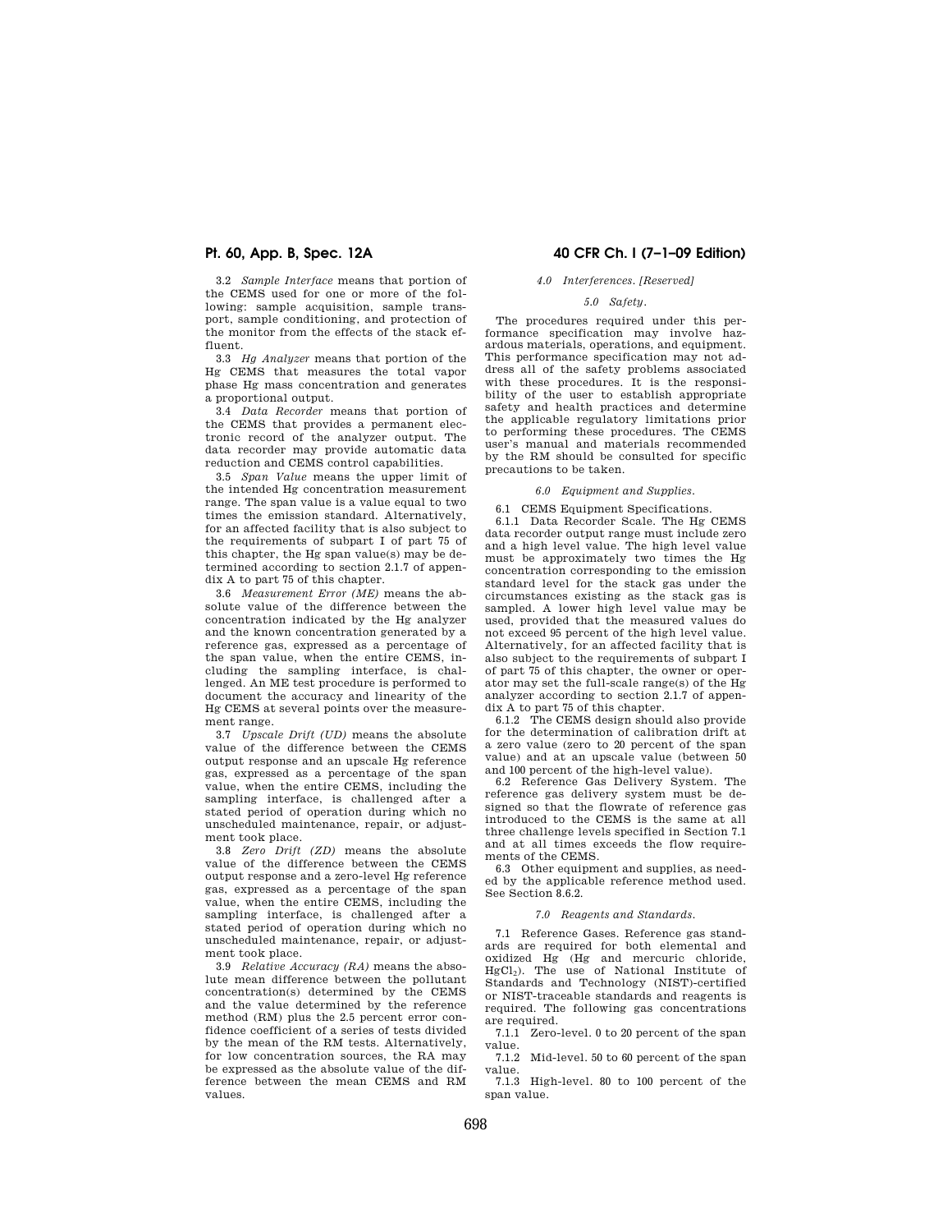3.2 *Sample Interface* means that portion of the CEMS used for one or more of the following: sample acquisition, sample transport, sample conditioning, and protection of the monitor from the effects of the stack effluent.

3.3 *Hg Analyzer* means that portion of the Hg CEMS that measures the total vapor phase Hg mass concentration and generates a proportional output.

3.4 *Data Recorder* means that portion of the CEMS that provides a permanent electronic record of the analyzer output. The data recorder may provide automatic data reduction and CEMS control capabilities.

3.5 *Span Value* means the upper limit of the intended Hg concentration measurement range. The span value is a value equal to two times the emission standard. Alternatively, for an affected facility that is also subject to the requirements of subpart I of part 75 of this chapter, the Hg span value(s) may be determined according to section 2.1.7 of appendix A to part 75 of this chapter.

3.6 *Measurement Error (ME)* means the absolute value of the difference between the concentration indicated by the Hg analyzer and the known concentration generated by a reference gas, expressed as a percentage of the span value, when the entire CEMS, including the sampling interface, is challenged. An ME test procedure is performed to document the accuracy and linearity of the Hg CEMS at several points over the measurement range.

3.7 *Upscale Drift (UD)* means the absolute value of the difference between the CEMS output response and an upscale Hg reference gas, expressed as a percentage of the span value, when the entire CEMS, including the sampling interface, is challenged after a stated period of operation during which no unscheduled maintenance, repair, or adjustment took place.

3.8 *Zero Drift (ZD)* means the absolute value of the difference between the CEMS output response and a zero-level Hg reference gas, expressed as a percentage of the span value, when the entire CEMS, including the sampling interface, is challenged after a stated period of operation during which no unscheduled maintenance, repair, or adjustment took place.

3.9 *Relative Accuracy (RA)* means the absolute mean difference between the pollutant concentration(s) determined by the CEMS and the value determined by the reference method (RM) plus the 2.5 percent error confidence coefficient of a series of tests divided by the mean of the RM tests. Alternatively, for low concentration sources, the RA may be expressed as the absolute value of the difference between the mean CEMS and RM values.

# **Pt. 60, App. B, Spec. 12A 40 CFR Ch. I (7–1–09 Edition)**

# *4.0 Interferences. [Reserved]*

# *5.0 Safety.*

The procedures required under this performance specification may involve hazardous materials, operations, and equipment. This performance specification may not address all of the safety problems associated with these procedures. It is the responsibility of the user to establish appropriate safety and health practices and determine the applicable regulatory limitations prior to performing these procedures. The CEMS user's manual and materials recommended by the RM should be consulted for specific precautions to be taken.

#### *6.0 Equipment and Supplies.*

6.1 CEMS Equipment Specifications.

6.1.1 Data Recorder Scale. The Hg CEMS data recorder output range must include zero and a high level value. The high level value must be approximately two times the Hg concentration corresponding to the emission standard level for the stack gas under the circumstances existing as the stack gas is sampled. A lower high level value may be used, provided that the measured values do not exceed 95 percent of the high level value. Alternatively, for an affected facility that is also subject to the requirements of subpart I of part 75 of this chapter, the owner or operator may set the full-scale range(s) of the Hg analyzer according to section 2.1.7 of appendix A to part 75 of this chapter.

6.1.2 The CEMS design should also provide for the determination of calibration drift at a zero value (zero to 20 percent of the span value) and at an upscale value (between 50 and 100 percent of the high-level value).

6.2 Reference Gas Delivery System. The reference gas delivery system must be designed so that the flowrate of reference gas introduced to the CEMS is the same at all three challenge levels specified in Section 7.1 and at all times exceeds the flow requirements of the CEMS.

6.3 Other equipment and supplies, as needed by the applicable reference method used. See Section 8.6.2.

### *7.0 Reagents and Standards.*

7.1 Reference Gases. Reference gas standards are required for both elemental and oxidized Hg (Hg and mercuric chloride,  $HgCl<sub>2</sub>$ ). The use of National Institute of Standards and Technology (NIST)-certified or NIST-traceable standards and reagents is required. The following gas concentrations are required.

7.1.1 Zero-level. 0 to 20 percent of the span value.

7.1.2 Mid-level. 50 to 60 percent of the span value.

7.1.3 High-level. 80 to 100 percent of the span value.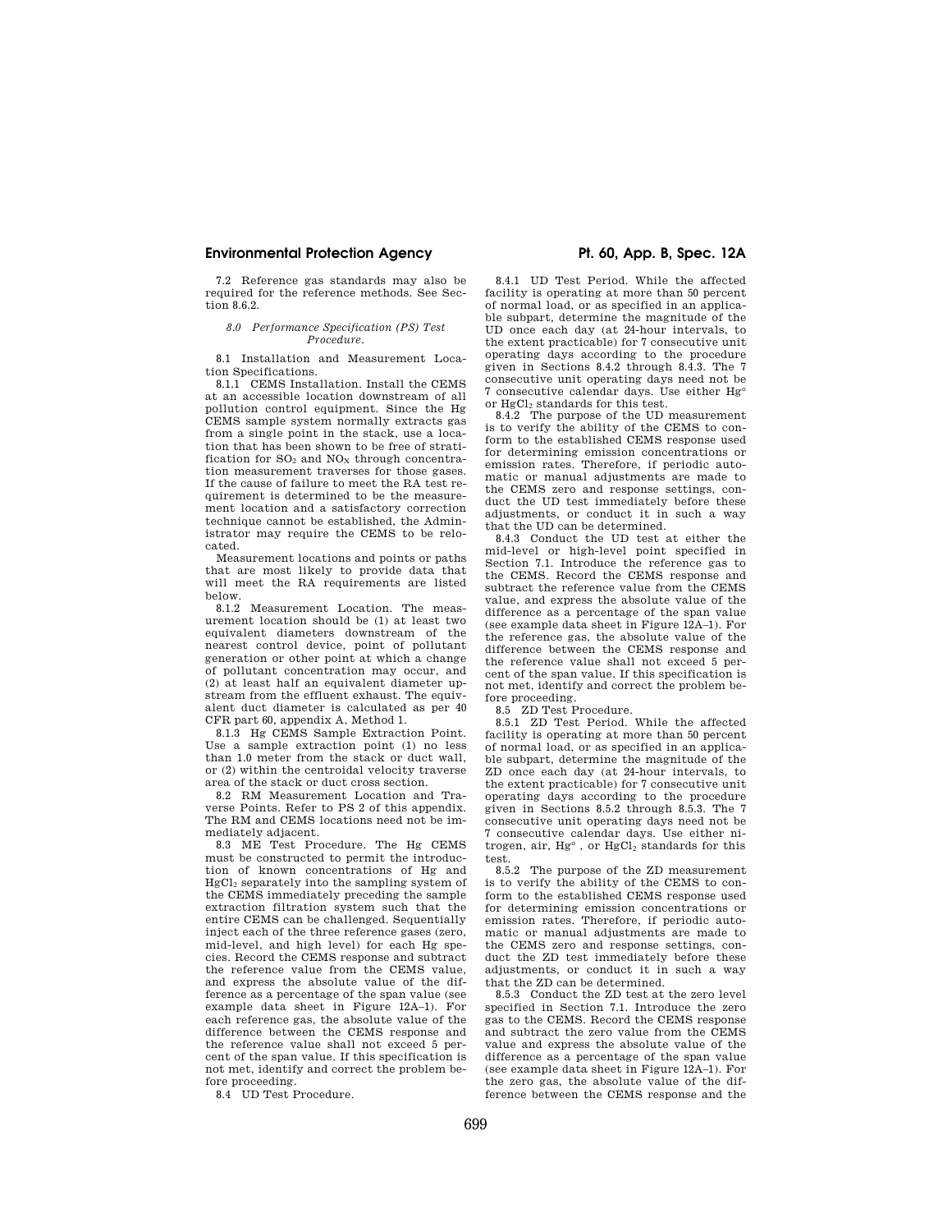7.2 Reference gas standards may also be required for the reference methods. See Section  $8.6.2$ .

#### *8.0 Performance Specification (PS) Test Procedure.*

8.1 Installation and Measurement Location Specifications.

8.1.1 CEMS Installation. Install the CEMS at an accessible location downstream of all pollution control equipment. Since the Hg CEMS sample system normally extracts gas from a single point in the stack, use a location that has been shown to be free of stratification for  $SO_2$  and  $NO_X$  through concentration measurement traverses for those gases. If the cause of failure to meet the RA test requirement is determined to be the measurement location and a satisfactory correction technique cannot be established, the Administrator may require the CEMS to be relocated.

Measurement locations and points or paths that are most likely to provide data that will meet the RA requirements are listed below.

8.1.2 Measurement Location. The measurement location should be (1) at least two equivalent diameters downstream of the nearest control device, point of pollutant generation or other point at which a change of pollutant concentration may occur, and (2) at least half an equivalent diameter upstream from the effluent exhaust. The equivalent duct diameter is calculated as per 40 CFR part 60, appendix A, Method 1.

8.1.3 Hg CEMS Sample Extraction Point. Use a sample extraction point (1) no less than 1.0 meter from the stack or duct wall, or (2) within the centroidal velocity traverse area of the stack or duct cross section.

8.2 RM Measurement Location and Traverse Points. Refer to PS 2 of this appendix. The RM and CEMS locations need not be immediately adjacent.

8.3 ME Test Procedure. The Hg CEMS must be constructed to permit the introduction of known concentrations of Hg and HgCl<sup>2</sup> separately into the sampling system of the CEMS immediately preceding the sample extraction filtration system such that the entire CEMS can be challenged. Sequentially inject each of the three reference gases (zero, mid-level, and high level) for each Hg species. Record the CEMS response and subtract the reference value from the CEMS value, and express the absolute value of the difference as a percentage of the span value (see example data sheet in Figure 12A–1). For each reference gas, the absolute value of the difference between the CEMS response and the reference value shall not exceed 5 percent of the span value. If this specification is not met, identify and correct the problem before proceeding.

8.4 UD Test Procedure.

8.4.1 UD Test Period. While the affected facility is operating at more than 50 percent of normal load, or as specified in an applicable subpart, determine the magnitude of the UD once each day (at 24-hour intervals, to the extent practicable) for 7 consecutive unit operating days according to the procedure given in Sections 8.4.2 through 8.4.3. The 7 consecutive unit operating days need not be 7 consecutive calendar days. Use either Hg° or HgCl<sub>2</sub> standards for this test.

8.4.2 The purpose of the UD measurement is to verify the ability of the CEMS to conform to the established CEMS response used for determining emission concentrations or emission rates. Therefore, if periodic automatic or manual adjustments are made to the CEMS zero and response settings, conduct the UD test immediately before these adjustments, or conduct it in such a way that the UD can be determined.

8.4.3 Conduct the UD test at either the mid-level or high-level point specified in Section 7.1. Introduce the reference gas to the CEMS. Record the CEMS response and subtract the reference value from the CEMS value, and express the absolute value of the difference as a percentage of the span value (see example data sheet in Figure 12A–1). For the reference gas, the absolute value of the difference between the CEMS response and the reference value shall not exceed 5 percent of the span value. If this specification is not met, identify and correct the problem before proceeding.

8.5 ZD Test Procedure.

8.5.1 ZD Test Period. While the affected facility is operating at more than 50 percent of normal load, or as specified in an applicable subpart, determine the magnitude of the ZD once each day (at 24-hour intervals, to the extent practicable) for 7 consecutive unit operating days according to the procedure given in Sections 8.5.2 through 8.5.3. The 7 consecutive unit operating days need not be 7 consecutive calendar days. Use either nitrogen, air, Hg°, or HgCl2 standards for this test.

8.5.2 The purpose of the ZD measurement is to verify the ability of the CEMS to conform to the established CEMS response used for determining emission concentrations or emission rates. Therefore, if periodic automatic or manual adjustments are made to the CEMS zero and response settings, conduct the ZD test immediately before these adjustments, or conduct it in such a way that the ZD can be determined.

8.5.3 Conduct the ZD test at the zero level specified in Section 7.1. Introduce the zero gas to the CEMS. Record the CEMS response and subtract the zero value from the CEMS value and express the absolute value of the difference as a percentage of the span value (see example data sheet in Figure 12A–1). For the zero gas, the absolute value of the difference between the CEMS response and the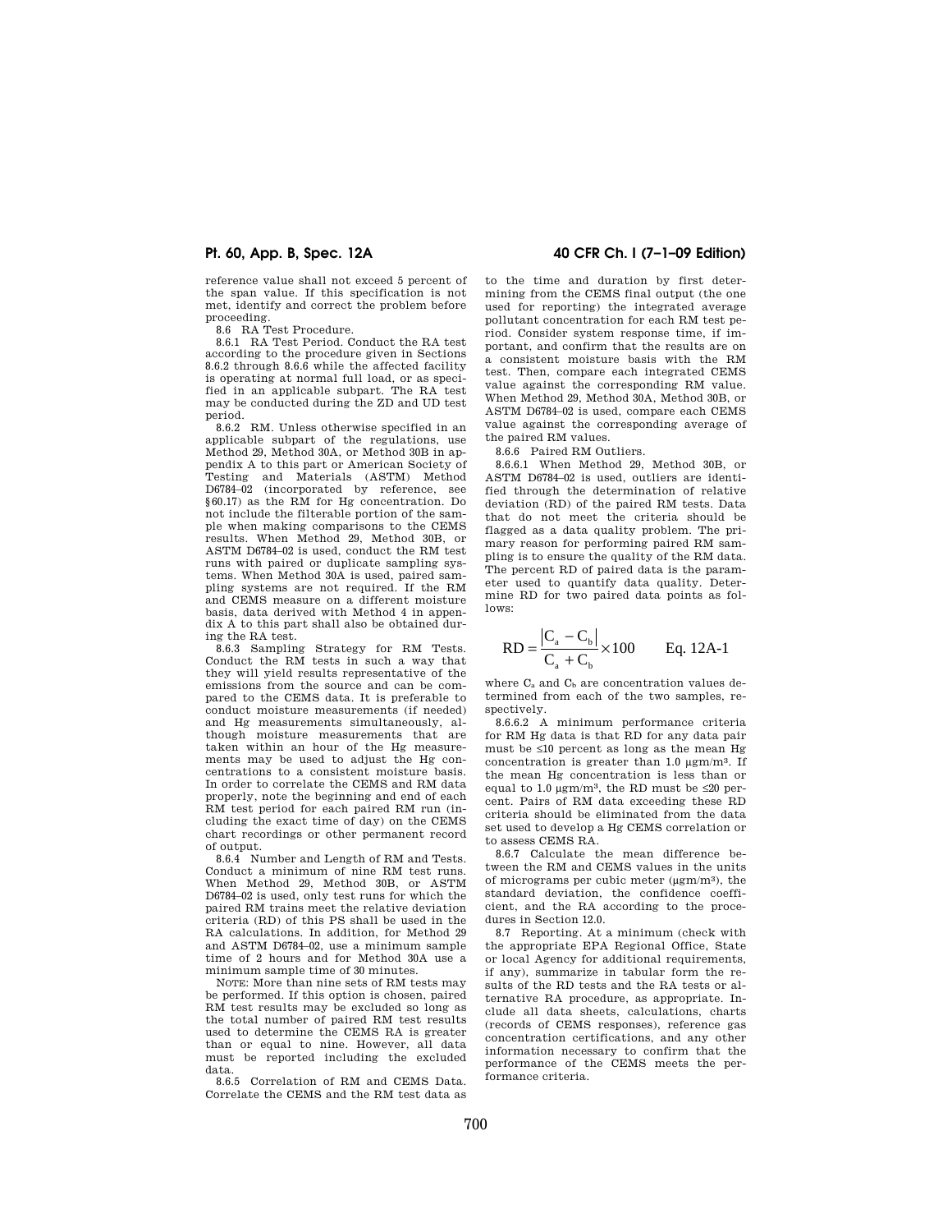reference value shall not exceed 5 percent of the span value. If this specification is not met, identify and correct the problem before proceeding.

8.6 RA Test Procedure.

8.6.1 RA Test Period. Conduct the RA test according to the procedure given in Sections 8.6.2 through 8.6.6 while the affected facility is operating at normal full load, or as specified in an applicable subpart. The RA test may be conducted during the ZD and UD test period.

8.6.2 RM. Unless otherwise specified in an applicable subpart of the regulations, use Method 29, Method 30A, or Method 30B in appendix A to this part or American Society of Testing and Materials (ASTM) Method D6784–02 (incorporated by reference, see §60.17) as the RM for Hg concentration. Do not include the filterable portion of the sample when making comparisons to the CEMS results. When Method 29, Method 30B, or ASTM D6784–02 is used, conduct the RM test runs with paired or duplicate sampling systems. When Method 30A is used, paired sampling systems are not required. If the RM and CEMS measure on a different moisture basis, data derived with Method 4 in appendix A to this part shall also be obtained during the RA test.

8.6.3 Sampling Strategy for RM Tests. Conduct the RM tests in such a way that they will yield results representative of the emissions from the source and can be compared to the CEMS data. It is preferable to conduct moisture measurements (if needed) and Hg measurements simultaneously, although moisture measurements that are taken within an hour of the Hg measurements may be used to adjust the Hg concentrations to a consistent moisture basis. In order to correlate the CEMS and RM data properly, note the beginning and end of each RM test period for each paired RM run (including the exact time of day) on the CEMS chart recordings or other permanent record of output.

8.6.4 Number and Length of RM and Tests. Conduct a minimum of nine RM test runs. When Method 29, Method 30B, or ASTM D6784–02 is used, only test runs for which the paired RM trains meet the relative deviation criteria (RD) of this PS shall be used in the RA calculations. In addition, for Method 29 and ASTM D6784–02, use a minimum sample time of 2 hours and for Method 30A use a minimum sample time of 30 minutes.

NOTE: More than nine sets of RM tests may be performed. If this option is chosen, paired RM test results may be excluded so long as the total number of paired RM test results used to determine the CEMS RA is greater than or equal to nine. However, all data must be reported including the excluded data.

8.6.5 Correlation of RM and CEMS Data. Correlate the CEMS and the RM test data as

# **Pt. 60, App. B, Spec. 12A 40 CFR Ch. I (7–1–09 Edition)**

to the time and duration by first determining from the CEMS final output (the one used for reporting) the integrated average pollutant concentration for each RM test period. Consider system response time, if important, and confirm that the results are on a consistent moisture basis with the RM test. Then, compare each integrated CEMS value against the corresponding RM value. When Method 29, Method 30A, Method 30B, or ASTM D6784–02 is used, compare each CEMS value against the corresponding average of the paired RM values.

8.6.6 Paired RM Outliers.

8.6.6.1 When Method 29, Method 30B, or ASTM D6784–02 is used, outliers are identified through the determination of relative deviation (RD) of the paired RM tests. Data that do not meet the criteria should be flagged as a data quality problem. The primary reason for performing paired RM sampling is to ensure the quality of the RM data. The percent RD of paired data is the parameter used to quantify data quality. Determine RD for two paired data points as follows:

$$
RD = \frac{|C_{a} - C_{b}|}{C_{a} + C_{b}} \times 100
$$
 Eq. 12A-1

where  $C_6$  and  $C_6$  are concentration values determined from each of the two samples, respectively.

8.6.6.2 A minimum performance criteria for RM Hg data is that RD for any data pair must be ≤10 percent as long as the mean Hg concentration is greater than 1.0 μgm/m3. If the mean Hg concentration is less than or equal to 1.0  $\mu$ gm/m<sup>3</sup>, the RD must be ≤20 percent. Pairs of RM data exceeding these RD criteria should be eliminated from the data set used to develop a Hg CEMS correlation or to assess CEMS RA.

8.6.7 Calculate the mean difference between the RM and CEMS values in the units of micrograms per cubic meter (μgm/m3), the standard deviation, the confidence coefficient, and the RA according to the procedures in Section 12.0.

8.7 Reporting. At a minimum (check with the appropriate EPA Regional Office, State or local Agency for additional requirements, if any), summarize in tabular form the results of the RD tests and the RA tests or alternative RA procedure, as appropriate. Include all data sheets, calculations, charts (records of CEMS responses), reference gas concentration certifications, and any other information necessary to confirm that the performance of the CEMS meets the performance criteria.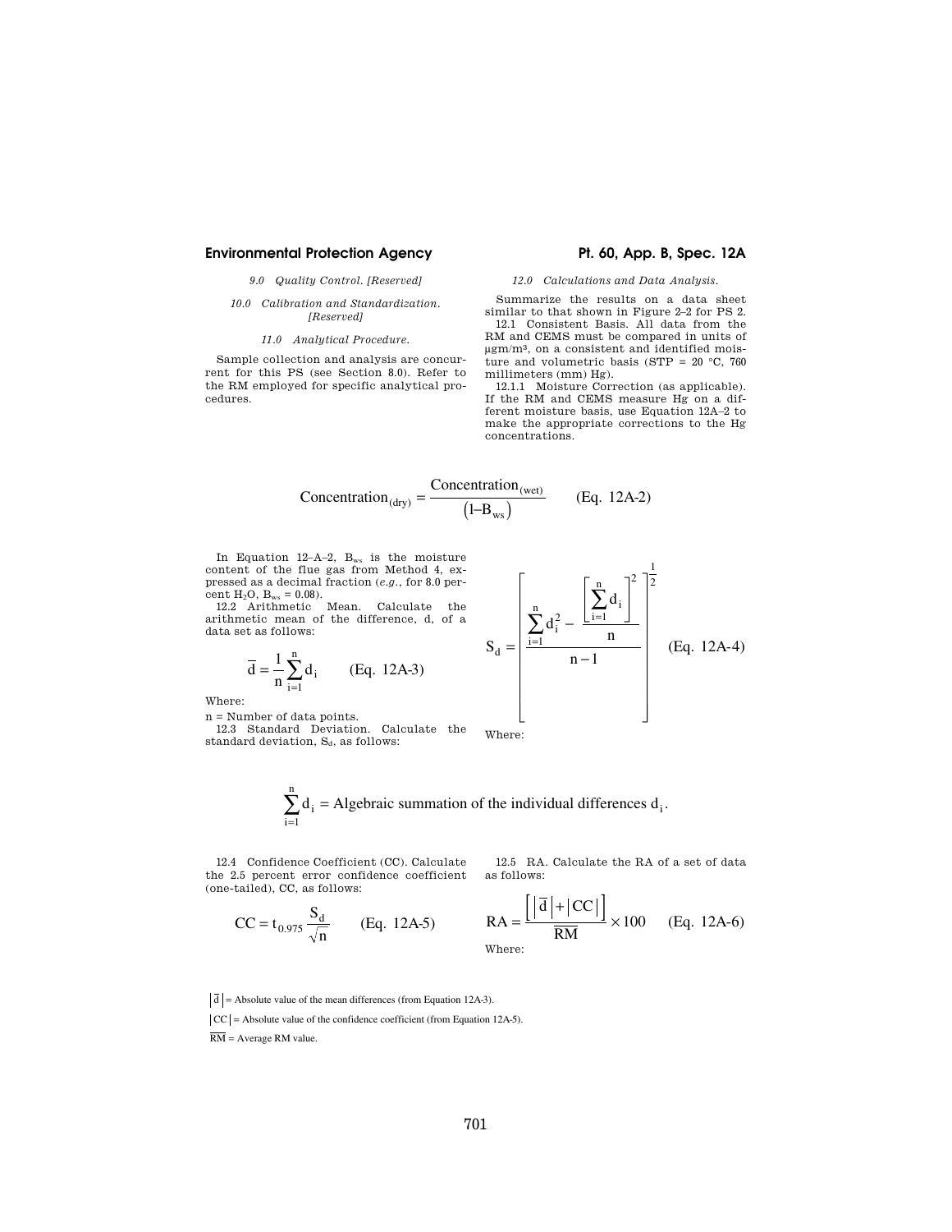# *9.0 Quality Control. [Reserved]*

### *10.0 Calibration and Standardization. [Reserved]*

# *11.0 Analytical Procedure.*

Sample collection and analysis are concurrent for this PS (see Section 8.0). Refer to the RM employed for specific analytical procedures.

#### *12.0 Calculations and Data Analysis.*

Summarize the results on a data sheet similar to that shown in Figure 2–2 for PS 2. 12.1 Consistent Basis. All data from the RM and CEMS must be compared in units of μgm/m3, on a consistent and identified moisture and volumetric basis (STP =  $20 °C$ , 760

millimeters (mm) Hg). 12.1.1 Moisture Correction (as applicable). If the RM and CEMS measure Hg on a different moisture basis, use Equation 12A–2 to make the appropriate corrections to the Hg concentrations.

$$
Concentration_{(dry)} = \frac{Concentration_{(wet)}}{(1 - B_{ws})}
$$
 (Eq. 12A-2)

In Equation 12-A-2, B<sub>ws</sub> is the moisture content of the flue gas from Method 4, expressed as a decimal fraction (*e.g.*, for 8.0 percent  $H_2O$ ,  $B_{ws} = 0.08$ ).

12.2 Arithmetic Mean. Calculate the arithmetic mean of the difference, d, of a data set as follows:

$$
\overline{d} = \frac{1}{n} \sum_{i=1}^{n} d_i
$$
 (Eq. 12A-3)

Where:

 $\mathbf{n}$  = Number of data points. 12.3 Standard Deviation. Calculate the standard deviation,  $S_d$ , as follows:



 $d_i$  = Algebraic summation of the individual differences  $d_i$ i n  $\sum d_i$  = Algebraic summation of the individual differences  $d_i$ . = 1

L.

12.4 Confidence Coefficient (CC). Calculate the 2.5 percent error confidence coefficient (one-tailed), CC, as follows:

12.5 RA. Calculate the RA of a set of data as follows:

$$
RA = \frac{\left| \left| \overline{d} \right| + \left| CC \right| \right|}{\overline{RM}} \times 100
$$
 (Eq. 12A-6)  
Where:

 $d$  = Absolute value of the mean differences (from Equation 12A-3).

 $= t_{0.975} \frac{S_d}{\sqrt{n}}$  (Eq. 12A-5)

 $|CC|$  = Absolute value of the confidence coefficient (from Equation 12A-5).

RM = Average RM value.

 $CC = t_{0.975} \frac{S}{A}$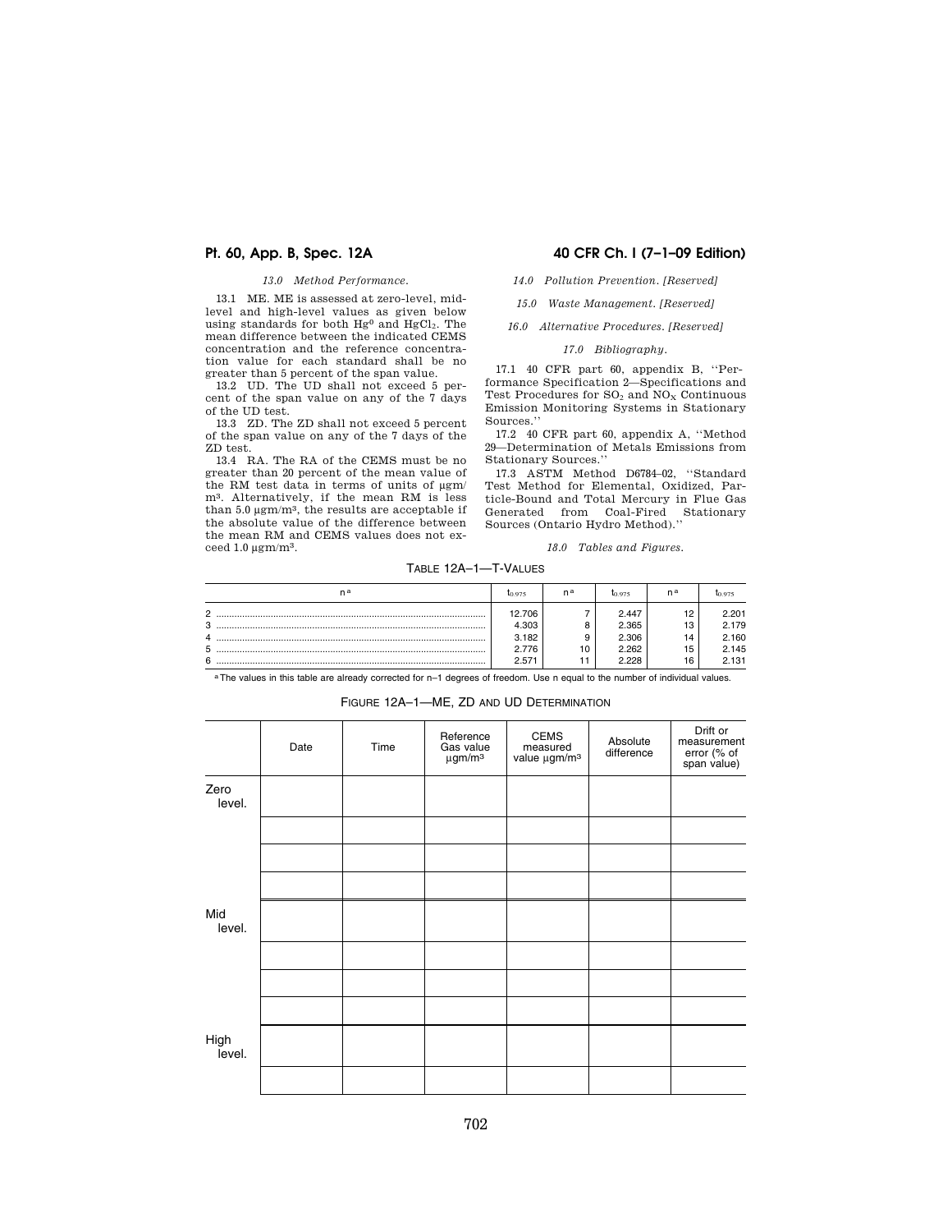# *13.0 Method Performance.*

13.1 ME. ME is assessed at zero-level, midlevel and high-level values as given below using standards for both Hg<sup>0</sup> and HgCl<sub>2</sub>. The mean difference between the indicated CEMS concentration and the reference concentration value for each standard shall be no greater than 5 percent of the span value.

13.2 UD. The UD shall not exceed 5 percent of the span value on any of the 7 days of the UD test.

13.3 ZD. The ZD shall not exceed 5 percent of the span value on any of the 7 days of the ZD test.

13.4 RA. The RA of the CEMS must be no greater than 20 percent of the mean value of the RM test data in terms of units of μgm/ m<sup>3</sup>. Alternatively, if the mean RM is less than 5.0 μgm/m3, the results are acceptable if the absolute value of the difference between the mean RM and CEMS values does not exceed 1.0 μgm/m3.

# **Pt. 60, App. B, Spec. 12A 40 CFR Ch. I (7–1–09 Edition)**

# *14.0 Pollution Prevention. [Reserved]*

*15.0 Waste Management. [Reserved]* 

*16.0 Alternative Procedures. [Reserved]* 

### *17.0 Bibliography.*

17.1 40 CFR part 60, appendix B, ''Performance Specification 2—Specifications and Test Procedures for  $SO_2$  and  $NO_X$  Continuous Emission Monitoring Systems in Stationary Sources.''

17.2 40 CFR part 60, appendix A, ''Method 29—Determination of Metals Emissions from Stationary Sources.''

17.3 ASTM Method D6784–02, ''Standard Test Method for Elemental, Oxidized, Particle-Bound and Total Mercury in Flue Gas Generated from Coal-Fired Stationary Sources (Ontario Hydro Method).''

### *18.0 Tables and Figures.*

# TABLE 12A–1—T-VALUES

| n a                      | <b>I</b> O 975                    | na | I0.975                           | n <sup>a</sup>       |                                  |
|--------------------------|-----------------------------------|----|----------------------------------|----------------------|----------------------------------|
| $\sim$<br>ີ              | 12.706<br>4.303<br>3.182<br>2.776 | 10 | 2.447<br>2.365<br>2.306<br>2.262 | 19<br>13<br>14<br>15 | 2.201<br>2.179<br>2.160<br>2.145 |
| $\overline{\phantom{0}}$ | 2.571                             |    | 2 228                            | 16                   | 2.131                            |

a The values in this table are already corrected for n-1 degrees of freedom. Use n equal to the number of individual values. FIGURE 12A–1—ME, ZD AND UD DETERMINATION

# Date | Time Reference Gas value μgm/m3 CEMS measured value μgm/m3 **Absolute** difference Drift or measurement error (% of span value) Zero level. Mid level. High level.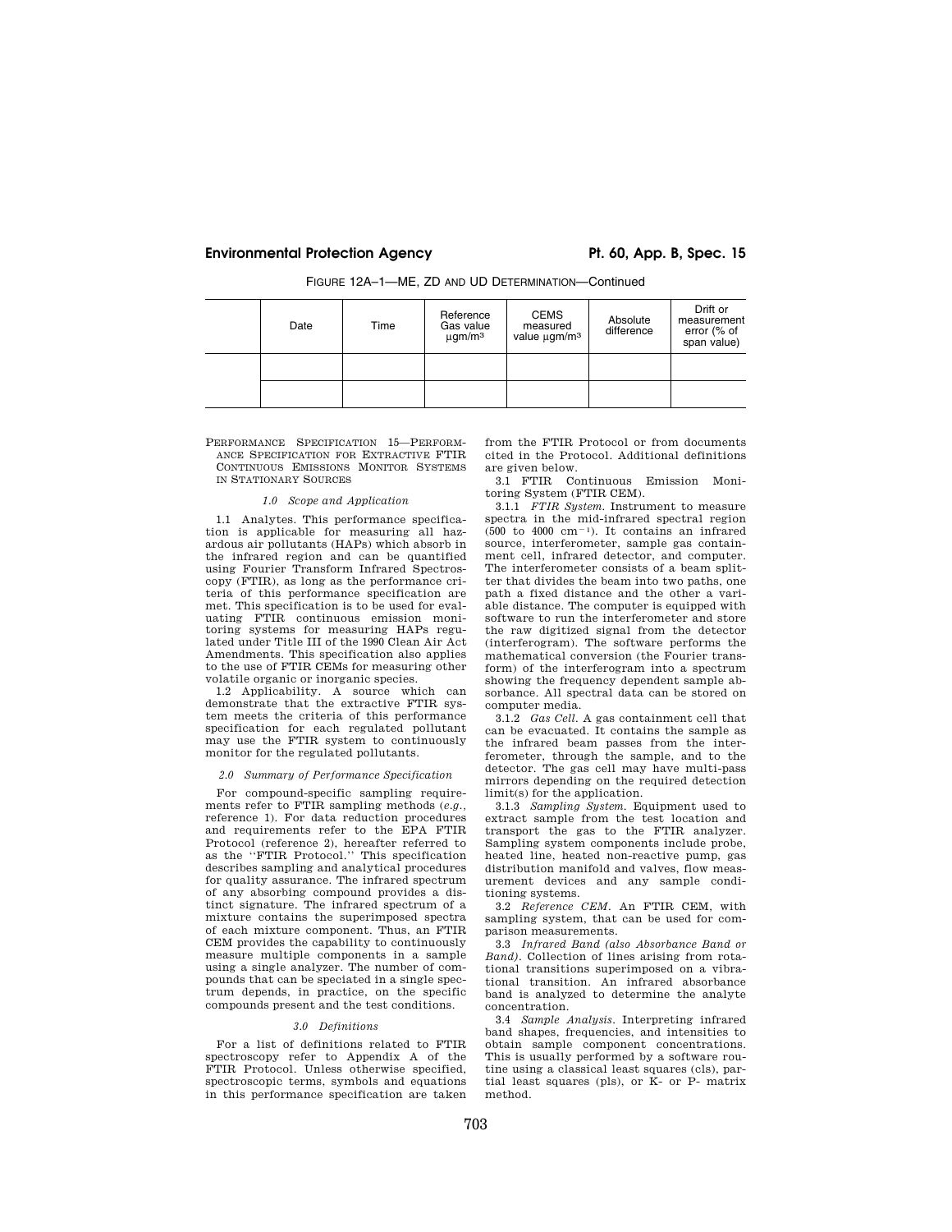| Date | Time | Reference<br>Gas value<br>$\mu$ gm/m <sup>3</sup> | <b>CEMS</b><br>measured<br>value ugm/m <sup>3</sup> | Absolute<br>difference | Drift or<br>measurement<br>error (% of<br>span value) |
|------|------|---------------------------------------------------|-----------------------------------------------------|------------------------|-------------------------------------------------------|
|      |      |                                                   |                                                     |                        |                                                       |
|      |      |                                                   |                                                     |                        |                                                       |

FIGURE 12A–1—ME, ZD AND UD DETERMINATION—Continued

PERFORMANCE SPECIFICATION 15—PERFORM-ANCE SPECIFICATION FOR EXTRACTIVE FTIR CONTINUOUS EMISSIONS MONITOR SYSTEMS IN STATIONARY SOURCES

### *1.0 Scope and Application*

1.1 Analytes. This performance specification is applicable for measuring all hazardous air pollutants (HAPs) which absorb in the infrared region and can be quantified using Fourier Transform Infrared Spectroscopy (FTIR), as long as the performance criteria of this performance specification are met. This specification is to be used for evaluating FTIR continuous emission monitoring systems for measuring HAPs regulated under Title III of the 1990 Clean Air Act Amendments. This specification also applies to the use of FTIR CEMs for measuring other volatile organic or inorganic species.

1.2 Applicability. A source which can demonstrate that the extractive FTIR system meets the criteria of this performance specification for each regulated pollutant may use the FTIR system to continuously monitor for the regulated pollutants.

### *2.0 Summary of Performance Specification*

For compound-specific sampling requirements refer to FTIR sampling methods (*e.g.,*  reference 1). For data reduction procedures and requirements refer to the EPA FTIR Protocol (reference 2), hereafter referred to as the ''FTIR Protocol.'' This specification describes sampling and analytical procedures for quality assurance. The infrared spectrum of any absorbing compound provides a distinct signature. The infrared spectrum of a mixture contains the superimposed spectra of each mixture component. Thus, an FTIR CEM provides the capability to continuously measure multiple components in a sample using a single analyzer. The number of compounds that can be speciated in a single spectrum depends, in practice, on the specific compounds present and the test conditions.

#### *3.0 Definitions*

For a list of definitions related to FTIR spectroscopy refer to Appendix A of the FTIR Protocol. Unless otherwise specified, spectroscopic terms, symbols and equations in this performance specification are taken

from the FTIR Protocol or from documents cited in the Protocol. Additional definitions are given below.

3.1 FTIR Continuous Emission Monitoring System (FTIR CEM).

3.1.1 *FTIR System*. Instrument to measure spectra in the mid-infrared spectral region  $(500 \text{ to } 4000 \text{ cm}^{-1})$ . It contains an infrared source, interferometer, sample gas containment cell, infrared detector, and computer. The interferometer consists of a beam splitter that divides the beam into two paths, one path a fixed distance and the other a variable distance. The computer is equipped with software to run the interferometer and store the raw digitized signal from the detector (interferogram). The software performs the mathematical conversion (the Fourier transform) of the interferogram into a spectrum showing the frequency dependent sample absorbance. All spectral data can be stored on computer media.

3.1.2 *Gas Cell*. A gas containment cell that can be evacuated. It contains the sample as the infrared beam passes from the interferometer, through the sample, and to the detector. The gas cell may have multi-pass mirrors depending on the required detection limit(s) for the application.

3.1.3 *Sampling System*. Equipment used to extract sample from the test location and transport the gas to the FTIR analyzer. Sampling system components include probe, heated line, heated non-reactive pump, gas distribution manifold and valves, flow measurement devices and any sample conditioning systems.

3.2 *Reference CEM*. An FTIR CEM, with sampling system, that can be used for comparison measurements.

3.3 *Infrared Band (also Absorbance Band or Band)*. Collection of lines arising from rotational transitions superimposed on a vibrational transition. An infrared absorbance band is analyzed to determine the analyte concentration.

3.4 *Sample Analysis*. Interpreting infrared band shapes, frequencies, and intensities to obtain sample component concentrations. This is usually performed by a software routine using a classical least squares (cls), partial least squares (pls), or K- or P- matrix method.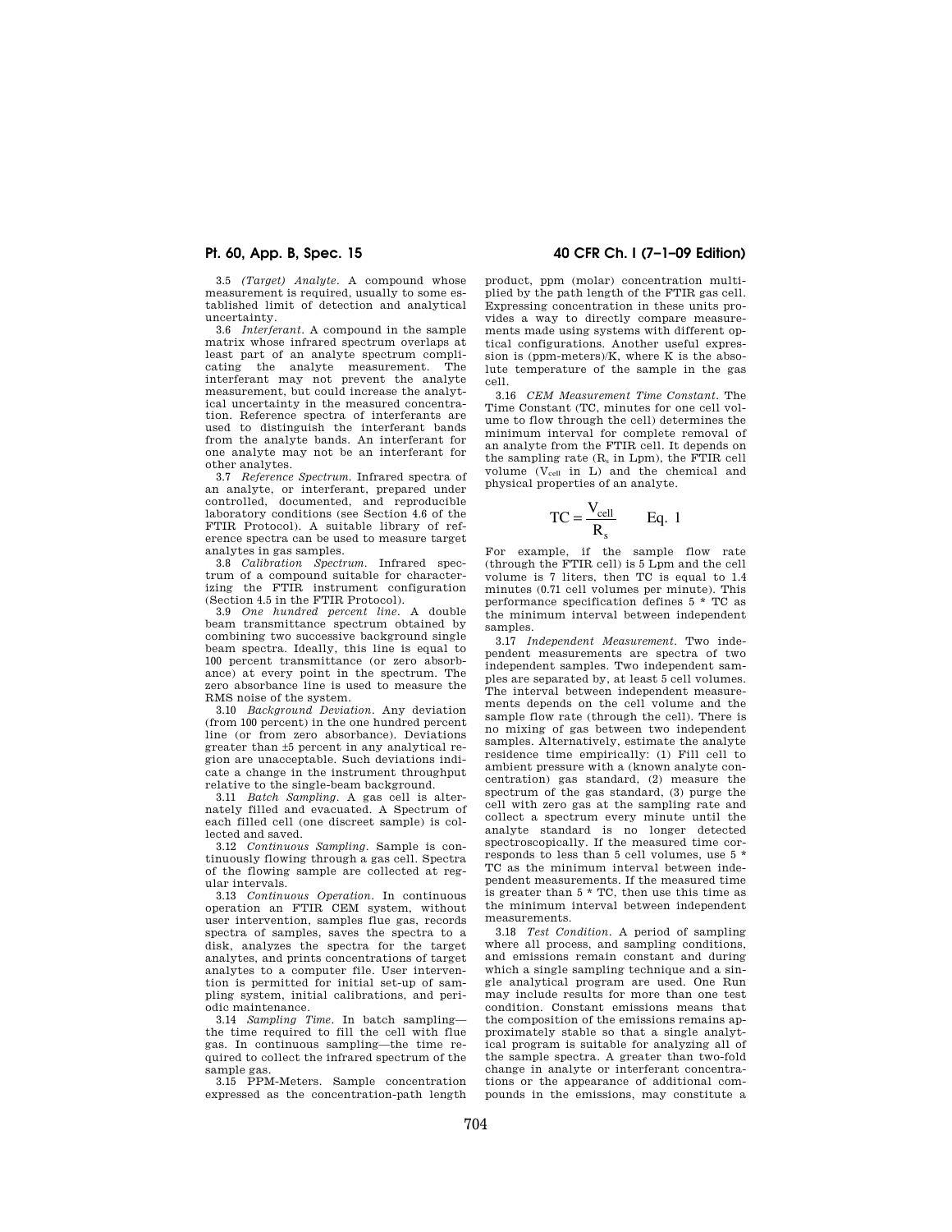3.5 *(Target) Analyte*. A compound whose measurement is required, usually to some established limit of detection and analytical uncertainty.

3.6 *Interferant*. A compound in the sample matrix whose infrared spectrum overlaps at least part of an analyte spectrum complicating the analyte measurement. The interferant may not prevent the analyte measurement, but could increase the analytical uncertainty in the measured concentration. Reference spectra of interferants are used to distinguish the interferant bands from the analyte bands. An interferant for one analyte may not be an interferant for other analytes.

3.7 *Reference Spectrum*. Infrared spectra of an analyte, or interferant, prepared under controlled, documented, and reproducible laboratory conditions (see Section 4.6 of the FTIR Protocol). A suitable library of reference spectra can be used to measure target analytes in gas samples.

3.8 *Calibration Spectrum*. Infrared spectrum of a compound suitable for characterizing the FTIR instrument configuration (Section 4.5 in the FTIR Protocol).

3.9 *One hundred percent line*. A double beam transmittance spectrum obtained by combining two successive background single beam spectra. Ideally, this line is equal to 100 percent transmittance (or zero absorbance) at every point in the spectrum. The zero absorbance line is used to measure the RMS noise of the system.

3.10 *Background Deviation*. Any deviation (from 100 percent) in the one hundred percent line (or from zero absorbance). Deviations greater than ±5 percent in any analytical region are unacceptable. Such deviations indicate a change in the instrument throughput relative to the single-beam background.

3.11 *Batch Sampling*. A gas cell is alternately filled and evacuated. A Spectrum of each filled cell (one discreet sample) is collected and saved.

3.12 *Continuous Sampling*. Sample is continuously flowing through a gas cell. Spectra of the flowing sample are collected at regular intervals.

3.13 *Continuous Operation*. In continuous operation an FTIR CEM system, without user intervention, samples flue gas, records spectra of samples, saves the spectra to a disk, analyzes the spectra for the target analytes, and prints concentrations of target analytes to a computer file. User intervention is permitted for initial set-up of sampling system, initial calibrations, and periodic maintenance.

3.14 *Sampling Time*. In batch sampling— the time required to fill the cell with flue gas. In continuous sampling—the time required to collect the infrared spectrum of the sample gas.

3.15 PPM-Meters. Sample concentration expressed as the concentration-path length

# **Pt. 60, App. B, Spec. 15 40 CFR Ch. I (7–1–09 Edition)**

product, ppm (molar) concentration multiplied by the path length of the FTIR gas cell. Expressing concentration in these units provides a way to directly compare measurements made using systems with different optical configurations. Another useful expression is (ppm-meters)/K, where K is the absolute temperature of the sample in the gas cell.

3.16 *CEM Measurement Time Constant*. The Time Constant (TC, minutes for one cell volume to flow through the cell) determines the minimum interval for complete removal of an analyte from the FTIR cell. It depends on the sampling rate (R<sup>s</sup> in Lpm), the FTIR cell volume  $(V_{cell}$  in L) and the chemical and physical properties of an analyte.

$$
TC = \frac{V_{cell}}{R_s} \qquad Eq. 1
$$

For example, if the sample flow rate (through the FTIR cell) is 5 Lpm and the cell volume is 7 liters, then TC is equal to 1.4 minutes (0.71 cell volumes per minute). This performance specification defines 5 \* TC as the minimum interval between independent samples.

3.17 *Independent Measurement*. Two independent measurements are spectra of two independent samples. Two independent samples are separated by, at least 5 cell volumes. The interval between independent measurements depends on the cell volume and the sample flow rate (through the cell). There is no mixing of gas between two independent samples. Alternatively, estimate the analyte residence time empirically: (1) Fill cell to ambient pressure with a (known analyte concentration) gas standard, (2) measure the spectrum of the gas standard, (3) purge the cell with zero gas at the sampling rate and collect a spectrum every minute until the analyte standard is no longer detected spectroscopically. If the measured time corresponds to less than 5 cell volumes, use 5 \* TC as the minimum interval between independent measurements. If the measured time is greater than 5 \* TC, then use this time as the minimum interval between independent measurements.

3.18 *Test Condition.* A period of sampling where all process, and sampling conditions, and emissions remain constant and during which a single sampling technique and a single analytical program are used. One Run may include results for more than one test condition. Constant emissions means that the composition of the emissions remains approximately stable so that a single analytical program is suitable for analyzing all of the sample spectra. A greater than two-fold change in analyte or interferant concentrations or the appearance of additional compounds in the emissions, may constitute a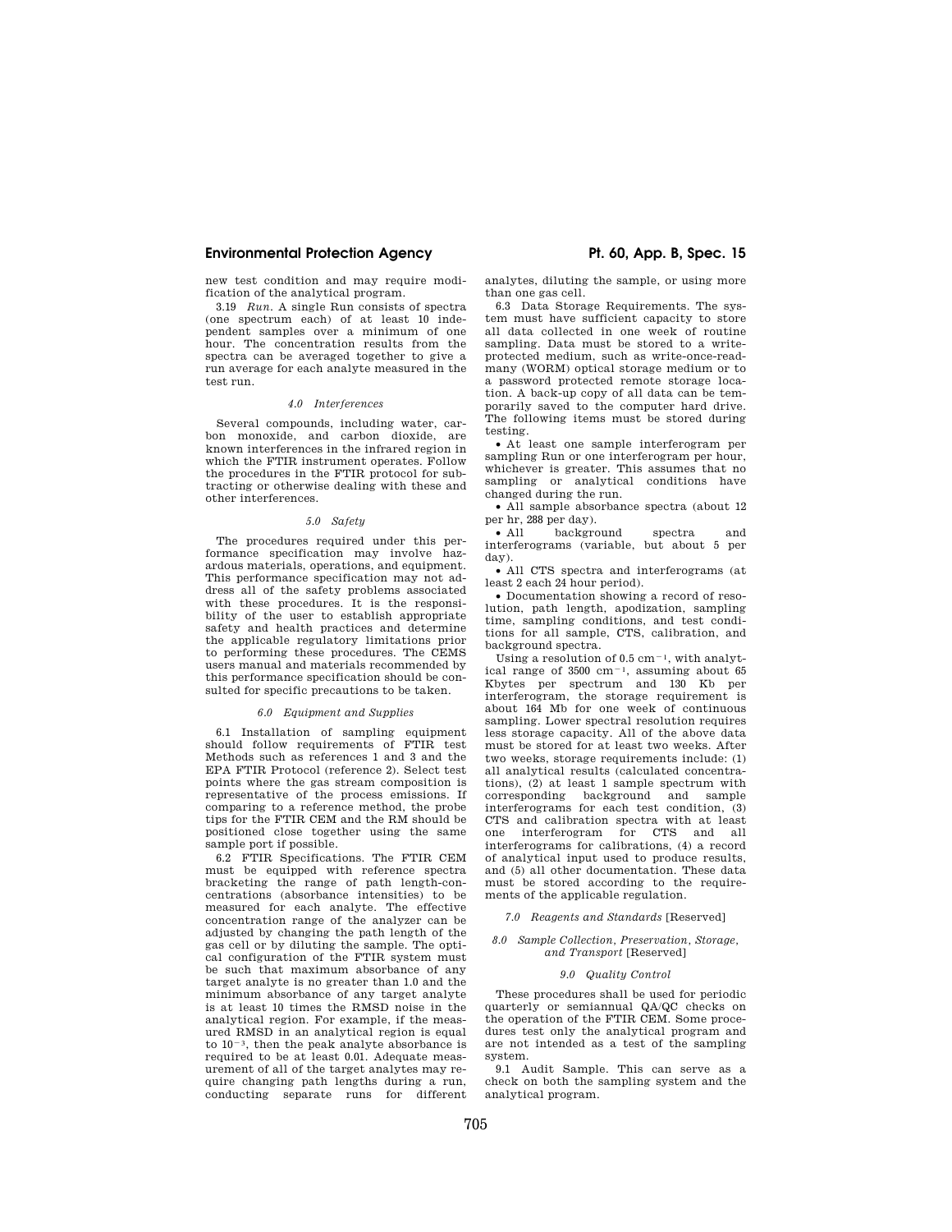new test condition and may require modification of the analytical program.

3.19 *Run.* A single Run consists of spectra (one spectrum each) of at least 10 independent samples over a minimum of one hour. The concentration results from the spectra can be averaged together to give a run average for each analyte measured in the test run.

### *4.0 Interferences*

Several compounds, including water, carbon monoxide, and carbon dioxide, are known interferences in the infrared region in which the FTIR instrument operates. Follow the procedures in the FTIR protocol for subtracting or otherwise dealing with these and other interferences.

# *5.0 Safety*

The procedures required under this performance specification may involve hazardous materials, operations, and equipment. This performance specification may not address all of the safety problems associated with these procedures. It is the responsibility of the user to establish appropriate safety and health practices and determine the applicable regulatory limitations prior to performing these procedures. The CEMS users manual and materials recommended by this performance specification should be consulted for specific precautions to be taken.

### *6.0 Equipment and Supplies*

6.1 Installation of sampling equipment should follow requirements of FTIR test Methods such as references 1 and 3 and the EPA FTIR Protocol (reference 2). Select test points where the gas stream composition is representative of the process emissions. If comparing to a reference method, the probe tips for the FTIR CEM and the RM should be positioned close together using the same sample port if possible.

6.2 FTIR Specifications. The FTIR CEM must be equipped with reference spectra bracketing the range of path length-concentrations (absorbance intensities) to be measured for each analyte. The effective concentration range of the analyzer can be adjusted by changing the path length of the gas cell or by diluting the sample. The optical configuration of the FTIR system must be such that maximum absorbance of any target analyte is no greater than 1.0 and the minimum absorbance of any target analyte is at least 10 times the RMSD noise in the analytical region. For example, if the measured RMSD in an analytical region is equal to  $10^{-3}$ , then the peak analyte absorbance is required to be at least 0.01. Adequate measurement of all of the target analytes may require changing path lengths during a run, conducting separate runs for different

analytes, diluting the sample, or using more than one gas cell.

6.3 Data Storage Requirements. The system must have sufficient capacity to store all data collected in one week of routine sampling. Data must be stored to a writeprotected medium, such as write-once-readmany (WORM) optical storage medium or to a password protected remote storage location. A back-up copy of all data can be temporarily saved to the computer hard drive. The following items must be stored during testing.

• At least one sample interferogram per sampling Run or one interferogram per hour, whichever is greater. This assumes that no sampling or analytical conditions have changed during the run.

• All sample absorbance spectra (about 12 per hr, 288 per day).

• All background spectra and interferograms (variable, but about 5 per day).

• All CTS spectra and interferograms (at least 2 each 24 hour period).

• Documentation showing a record of resolution, path length, apodization, sampling time, sampling conditions, and test conditions for all sample, CTS, calibration, and background spectra.

Using a resolution of  $0.5 \text{ cm}^{-1}$ , with analytical range of  $3500 \text{ cm}^{-1}$ , assuming about 65 Kbytes per spectrum and 130 Kb per interferogram, the storage requirement is about 164 Mb for one week of continuous sampling. Lower spectral resolution requires less storage capacity. All of the above data must be stored for at least two weeks. After two weeks, storage requirements include: (1) all analytical results (calculated concentrations), (2) at least 1 sample spectrum with corresponding background and sample interferograms for each test condition, (3) CTS and calibration spectra with at least one interferogram for CTS and all interferograms for calibrations, (4) a record of analytical input used to produce results, and (5) all other documentation. These data must be stored according to the requirements of the applicable regulation.

#### *7.0 Reagents and Standards* [Reserved]

### *8.0 Sample Collection, Preservation, Storage, and Transport* [Reserved]

# *9.0 Quality Control*

These procedures shall be used for periodic quarterly or semiannual QA/QC checks on the operation of the FTIR CEM. Some procedures test only the analytical program and are not intended as a test of the sampling system.

9.1 Audit Sample. This can serve as a check on both the sampling system and the analytical program.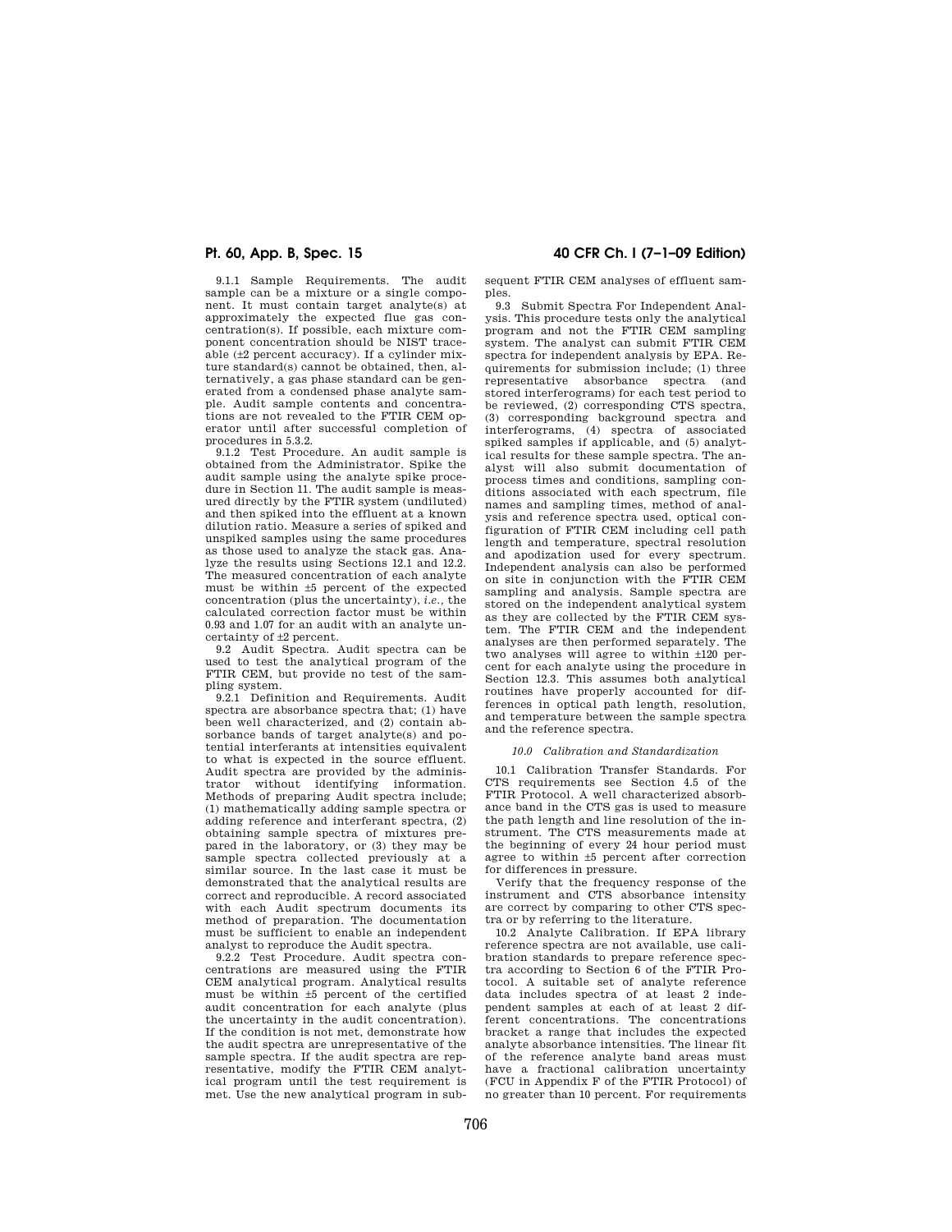9.1.1 Sample Requirements. The audit sample can be a mixture or a single component. It must contain target analyte(s) at approximately the expected flue gas concentration(s). If possible, each mixture component concentration should be NIST traceable (±2 percent accuracy). If a cylinder mixture standard(s) cannot be obtained, then, alternatively, a gas phase standard can be generated from a condensed phase analyte sample. Audit sample contents and concentrations are not revealed to the FTIR CEM operator until after successful completion of procedures in 5.3.2.

9.1.2 Test Procedure. An audit sample is obtained from the Administrator. Spike the audit sample using the analyte spike procedure in Section 11. The audit sample is measured directly by the FTIR system (undiluted) and then spiked into the effluent at a known dilution ratio. Measure a series of spiked and unspiked samples using the same procedures as those used to analyze the stack gas. Analyze the results using Sections 12.1 and 12.2. The measured concentration of each analyte must be within ±5 percent of the expected concentration (plus the uncertainty), *i.e.,* the calculated correction factor must be within 0.93 and 1.07 for an audit with an analyte uncertainty of ±2 percent.

9.2 Audit Spectra. Audit spectra can be used to test the analytical program of the FTIR CEM, but provide no test of the sampling system.

9.2.1 Definition and Requirements. Audit spectra are absorbance spectra that; (1) have been well characterized, and (2) contain absorbance bands of target analyte(s) and potential interferants at intensities equivalent to what is expected in the source effluent. Audit spectra are provided by the administrator without identifying information. Methods of preparing Audit spectra include; (1) mathematically adding sample spectra or adding reference and interferant spectra, (2) obtaining sample spectra of mixtures prepared in the laboratory, or (3) they may be sample spectra collected previously at a similar source. In the last case it must be demonstrated that the analytical results are correct and reproducible. A record associated with each Audit spectrum documents its method of preparation. The documentation must be sufficient to enable an independent analyst to reproduce the Audit spectra.

9.2.2 Test Procedure. Audit spectra concentrations are measured using the FTIR CEM analytical program. Analytical results must be within ±5 percent of the certified audit concentration for each analyte (plus the uncertainty in the audit concentration). If the condition is not met, demonstrate how the audit spectra are unrepresentative of the sample spectra. If the audit spectra are representative, modify the FTIR CEM analytical program until the test requirement is met. Use the new analytical program in sub-

# **Pt. 60, App. B, Spec. 15 40 CFR Ch. I (7–1–09 Edition)**

sequent FTIR CEM analyses of effluent samples.

9.3 Submit Spectra For Independent Analysis. This procedure tests only the analytical program and not the FTIR CEM sampling system. The analyst can submit FTIR CEM spectra for independent analysis by EPA. Requirements for submission include; (1) three representative absorbance spectra (and stored interferograms) for each test period to be reviewed, (2) corresponding CTS spectra, (3) corresponding background spectra and interferograms, (4) spectra of associated spiked samples if applicable, and (5) analytical results for these sample spectra. The an-alyst will also submit documentation of process times and conditions, sampling conditions associated with each spectrum, file names and sampling times, method of analysis and reference spectra used, optical configuration of FTIR CEM including cell path length and temperature, spectral resolution and apodization used for every spectrum. Independent analysis can also be performed on site in conjunction with the FTIR CEM sampling and analysis. Sample spectra are stored on the independent analytical system as they are collected by the FTIR CEM system. The FTIR CEM and the independent analyses are then performed separately. The two analyses will agree to within ±120 percent for each analyte using the procedure in Section 12.3. This assumes both analytical routines have properly accounted for differences in optical path length, resolution, and temperature between the sample spectra and the reference spectra.

### *10.0 Calibration and Standardization*

10.1 Calibration Transfer Standards. For CTS requirements see Section 4.5 of the FTIR Protocol. A well characterized absorbance band in the CTS gas is used to measure the path length and line resolution of the instrument. The CTS measurements made at the beginning of every 24 hour period must agree to within ±5 percent after correction for differences in pressure.

Verify that the frequency response of the instrument and CTS absorbance intensity are correct by comparing to other CTS spectra or by referring to the literature.

10.2 Analyte Calibration. If EPA library reference spectra are not available, use calibration standards to prepare reference spectra according to Section 6 of the FTIR Protocol. A suitable set of analyte reference data includes spectra of at least 2 independent samples at each of at least 2 different concentrations. The concentrations bracket a range that includes the expected analyte absorbance intensities. The linear fit of the reference analyte band areas must have a fractional calibration uncertainty (FCU in Appendix F of the FTIR Protocol) of no greater than 10 percent. For requirements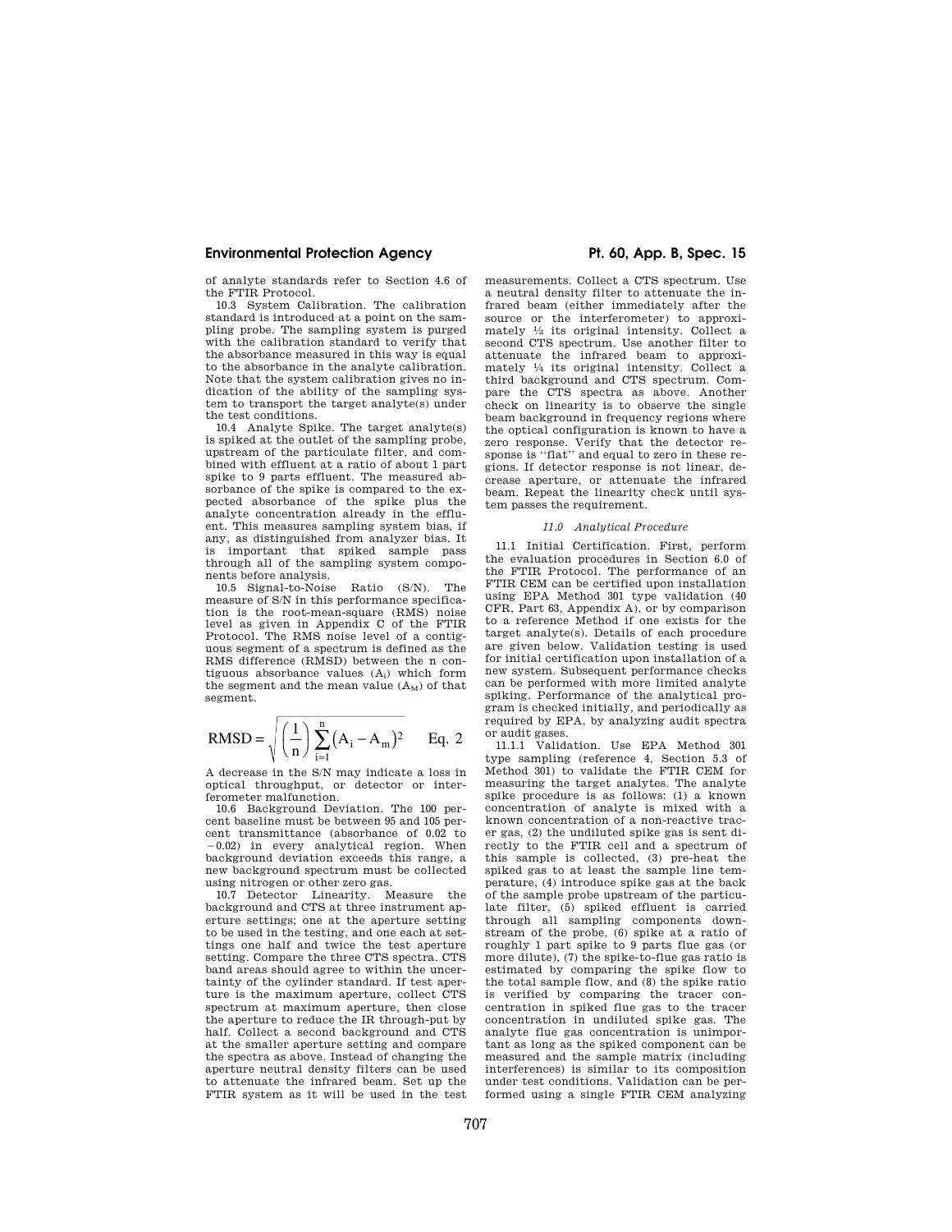of analyte standards refer to Section 4.6 of the FTIR Protocol.

10.3 System Calibration. The calibration standard is introduced at a point on the sampling probe. The sampling system is purged with the calibration standard to verify that the absorbance measured in this way is equal to the absorbance in the analyte calibration. Note that the system calibration gives no indication of the ability of the sampling system to transport the target analyte(s) under the test conditions.

10.4 Analyte Spike. The target analyte(s) is spiked at the outlet of the sampling probe, upstream of the particulate filter, and combined with effluent at a ratio of about 1 part spike to 9 parts effluent. The measured absorbance of the spike is compared to the expected absorbance of the spike plus the analyte concentration already in the effluent. This measures sampling system bias, if any, as distinguished from analyzer bias. It is important that spiked sample pass through all of the sampling system components before analysis.

10.5 Signal-to-Noise Ratio (S/N). The measure of S/N in this performance specification is the root-mean-square (RMS) noise level as given in Appendix C of the FTIR Protocol. The RMS noise level of a contiguous segment of a spectrum is defined as the RMS difference (RMSD) between the n contiguous absorbance values (Ai) which form the segment and the mean value  $(A_M)$  of that segment.

RMSD = 
$$
\sqrt{\left(\frac{1}{n}\right)\sum_{i=1}^{n}(A_i - A_m)^2}
$$
 Eq. 2

A decrease in the S/N may indicate a loss in optical throughput, or detector or interferometer malfunction.

10.6 Background Deviation. The 100 percent baseline must be between 95 and 105 percent transmittance (absorbance of 0.02 to  $-0.02$ ) in every analytical region. When background deviation exceeds this range, a new background spectrum must be collected using nitrogen or other zero gas.

10.7 Detector Linearity. Measure the background and CTS at three instrument aperture settings; one at the aperture setting to be used in the testing, and one each at settings one half and twice the test aperture setting. Compare the three CTS spectra. CTS band areas should agree to within the uncertainty of the cylinder standard. If test aperture is the maximum aperture, collect CTS spectrum at maximum aperture, then close the aperture to reduce the IR through-put by half. Collect a second background and CTS at the smaller aperture setting and compare the spectra as above. Instead of changing the aperture neutral density filters can be used to attenuate the infrared beam. Set up the FTIR system as it will be used in the test

measurements. Collect a CTS spectrum. Use a neutral density filter to attenuate the infrared beam (either immediately after the source or the interferometer) to approximately 1⁄2 its original intensity. Collect a second CTS spectrum. Use another filter to attenuate the infrared beam to approximately 1⁄4 its original intensity. Collect a third background and CTS spectrum. Compare the CTS spectra as above. Another check on linearity is to observe the single beam background in frequency regions where the optical configuration is known to have a zero response. Verify that the detector response is ''flat'' and equal to zero in these regions. If detector response is not linear, decrease aperture, or attenuate the infrared beam. Repeat the linearity check until system passes the requirement.

#### *11.0 Analytical Procedure*

11.1 Initial Certification. First, perform the evaluation procedures in Section 6.0 of the FTIR Protocol. The performance of an FTIR CEM can be certified upon installation using EPA Method 301 type validation (40 CFR, Part 63, Appendix A), or by comparison to a reference Method if one exists for the target analyte(s). Details of each procedure are given below. Validation testing is used for initial certification upon installation of a new system. Subsequent performance checks can be performed with more limited analyte spiking. Performance of the analytical program is checked initially, and periodically as required by EPA, by analyzing audit spectra or audit gases.

11.1.1 Validation. Use EPA Method 301 type sampling (reference 4, Section 5.3 of Method 301) to validate the FTIR CEM for measuring the target analytes. The analyte spike procedure is as follows: (1) a known concentration of analyte is mixed with a known concentration of a non-reactive tracer gas, (2) the undiluted spike gas is sent directly to the FTIR cell and a spectrum of this sample is collected, (3) pre-heat the spiked gas to at least the sample line temperature, (4) introduce spike gas at the back of the sample probe upstream of the particulate filter, (5) spiked effluent is carried through all sampling components downstream of the probe, (6) spike at a ratio of roughly 1 part spike to 9 parts flue gas (or more dilute), (7) the spike-to-flue gas ratio is estimated by comparing the spike flow to the total sample flow, and (8) the spike ratio is verified by comparing the tracer concentration in spiked flue gas to the tracer concentration in undiluted spike gas. The analyte flue gas concentration is unimportant as long as the spiked component can be measured and the sample matrix (including interferences) is similar to its composition under test conditions. Validation can be performed using a single FTIR CEM analyzing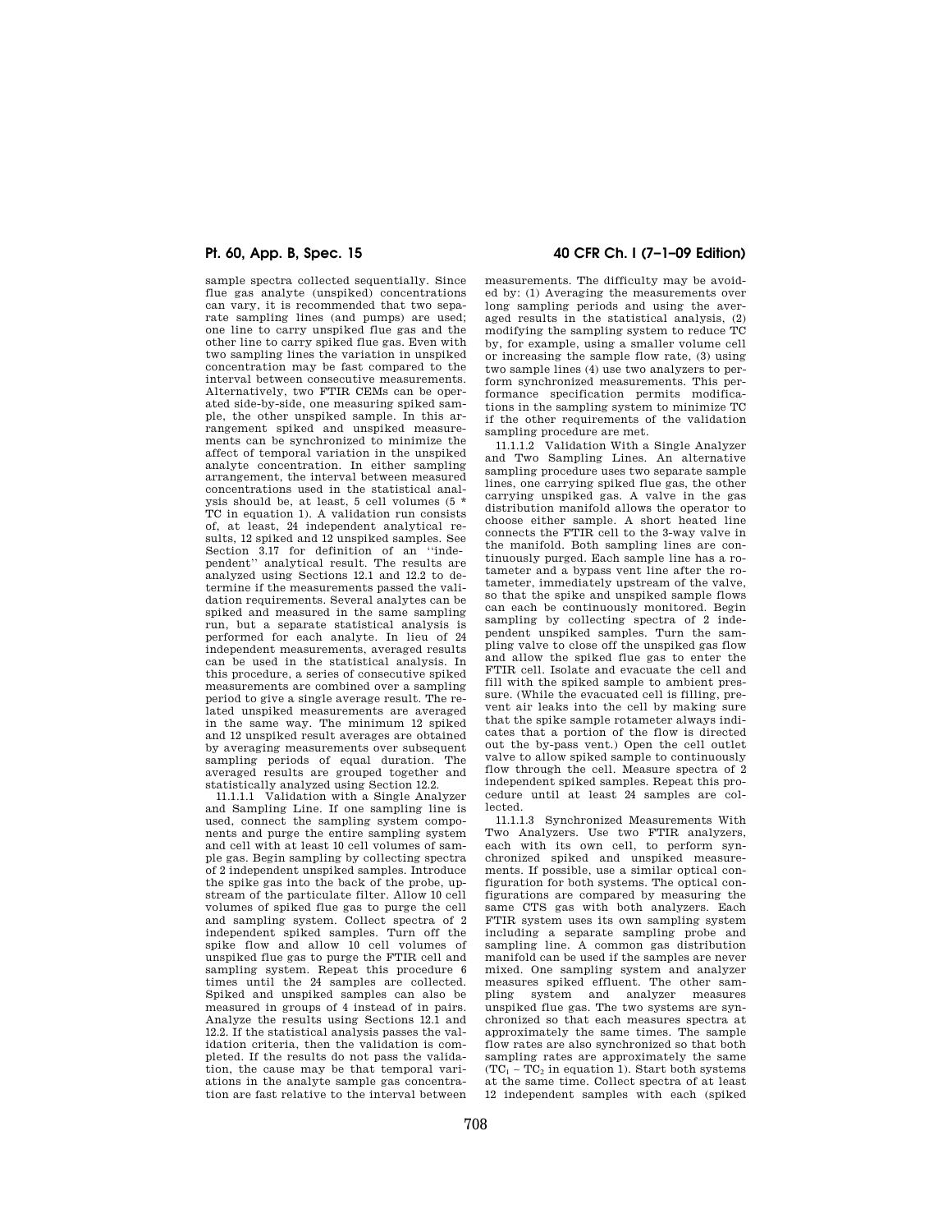sample spectra collected sequentially. Since flue gas analyte (unspiked) concentrations can vary, it is recommended that two separate sampling lines (and pumps) are used; one line to carry unspiked flue gas and the other line to carry spiked flue gas. Even with two sampling lines the variation in unspiked concentration may be fast compared to the interval between consecutive measurements. Alternatively, two FTIR CEMs can be operated side-by-side, one measuring spiked sample, the other unspiked sample. In this arrangement spiked and unspiked measurements can be synchronized to minimize the affect of temporal variation in the unspiked analyte concentration. In either sampling arrangement, the interval between measured concentrations used in the statistical analysis should be, at least, 5 cell volumes (5 \* TC in equation 1). A validation run consists of, at least, 24 independent analytical results, 12 spiked and 12 unspiked samples. See Section 3.17 for definition of an ''inde-pendent'' analytical result. The results are analyzed using Sections 12.1 and 12.2 to determine if the measurements passed the validation requirements. Several analytes can be spiked and measured in the same sampling run, but a separate statistical analysis is performed for each analyte. In lieu of 24 independent measurements, averaged results can be used in the statistical analysis. In this procedure, a series of consecutive spiked measurements are combined over a sampling period to give a single average result. The related unspiked measurements are averaged in the same way. The minimum 12 spiked and 12 unspiked result averages are obtained by averaging measurements over subsequent sampling periods of equal duration. The averaged results are grouped together and statistically analyzed using Section 12.2.

11.1.1.1 Validation with a Single Analyzer and Sampling Line. If one sampling line is used, connect the sampling system components and purge the entire sampling system and cell with at least 10 cell volumes of sample gas. Begin sampling by collecting spectra of 2 independent unspiked samples. Introduce the spike gas into the back of the probe, upstream of the particulate filter. Allow 10 cell volumes of spiked flue gas to purge the cell and sampling system. Collect spectra of 2 independent spiked samples. Turn off the spike flow and allow 10 cell volumes of unspiked flue gas to purge the FTIR cell and sampling system. Repeat this procedure 6 times until the 24 samples are collected. Spiked and unspiked samples can also be measured in groups of 4 instead of in pairs. Analyze the results using Sections 12.1 and 12.2. If the statistical analysis passes the validation criteria, then the validation is completed. If the results do not pass the validation, the cause may be that temporal variations in the analyte sample gas concentration are fast relative to the interval between

# **Pt. 60, App. B, Spec. 15 40 CFR Ch. I (7–1–09 Edition)**

measurements. The difficulty may be avoided by: (1) Averaging the measurements over long sampling periods and using the averaged results in the statistical analysis, (2) modifying the sampling system to reduce TC by, for example, using a smaller volume cell or increasing the sample flow rate, (3) using two sample lines (4) use two analyzers to perform synchronized measurements. This performance specification permits modifications in the sampling system to minimize TC if the other requirements of the validation sampling procedure are met.

11.1.1.2 Validation With a Single Analyzer and Two Sampling Lines. An alternative sampling procedure uses two separate sample lines, one carrying spiked flue gas, the other carrying unspiked gas. A valve in the gas distribution manifold allows the operator to choose either sample. A short heated line connects the FTIR cell to the 3-way valve in the manifold. Both sampling lines are continuously purged. Each sample line has a rotameter and a bypass vent line after the rotameter, immediately upstream of the valve, so that the spike and unspiked sample flows can each be continuously monitored. Begin sampling by collecting spectra of 2 independent unspiked samples. Turn the sampling valve to close off the unspiked gas flow and allow the spiked flue gas to enter the FTIR cell. Isolate and evacuate the cell and fill with the spiked sample to ambient pressure. (While the evacuated cell is filling, prevent air leaks into the cell by making sure that the spike sample rotameter always indicates that a portion of the flow is directed out the by-pass vent.) Open the cell outlet valve to allow spiked sample to continuously flow through the cell. Measure spectra of 2 independent spiked samples. Repeat this procedure until at least 24 samples are collected.

11.1.1.3 Synchronized Measurements With Two Analyzers. Use two FTIR analyzers, each with its own cell, to perform synchronized spiked and unspiked measurements. If possible, use a similar optical configuration for both systems. The optical configurations are compared by measuring the same CTS gas with both analyzers. Each FTIR system uses its own sampling system including a separate sampling probe and sampling line. A common gas distribution manifold can be used if the samples are never mixed. One sampling system and analyzer measures spiked effluent. The other sampling system and analyzer measures unspiked flue gas. The two systems are synchronized so that each measures spectra at approximately the same times. The sample flow rates are also synchronized so that both sampling rates are approximately the same  $(TC_1 - TC_2$  in equation 1). Start both systems at the same time. Collect spectra of at least 12 independent samples with each (spiked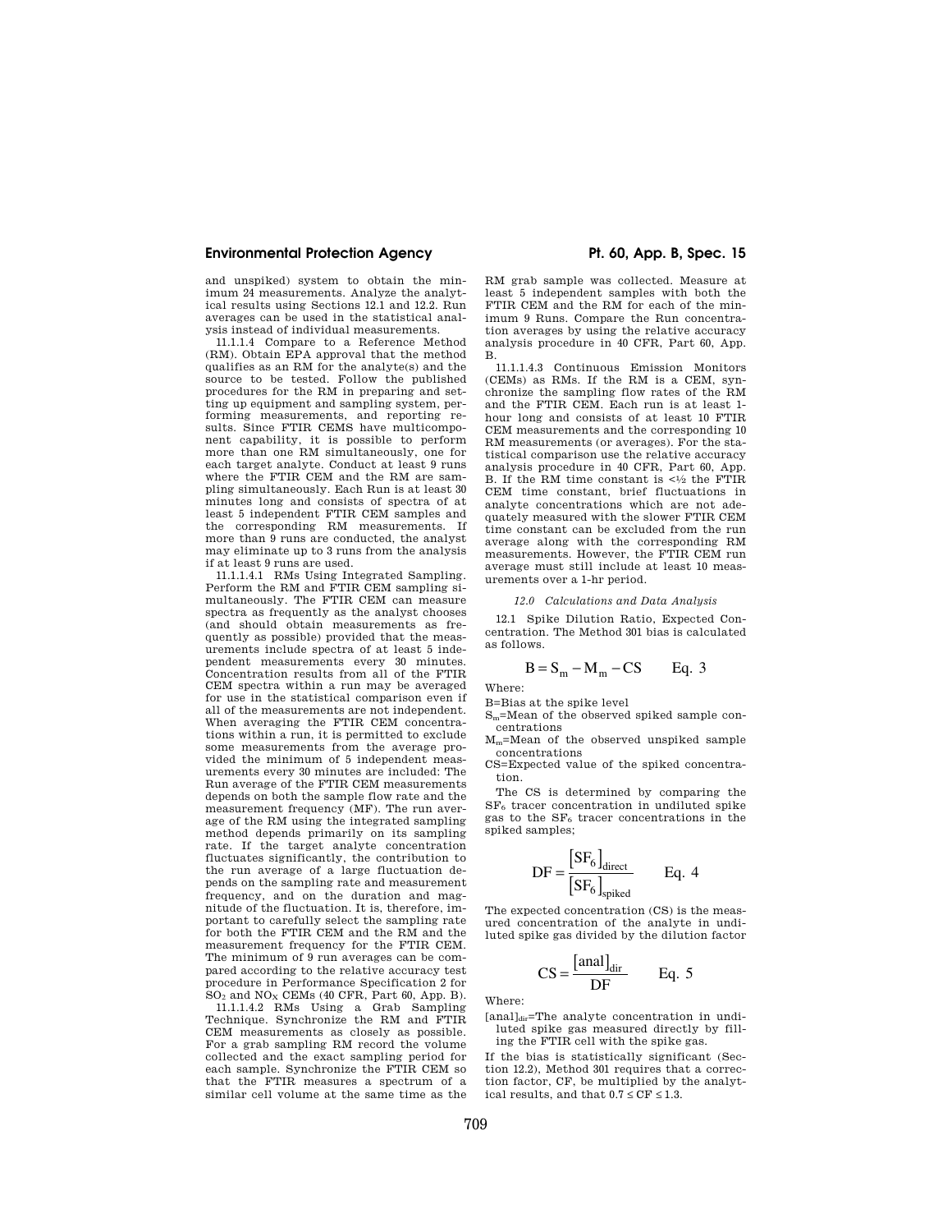and unspiked) system to obtain the minimum 24 measurements. Analyze the analytical results using Sections 12.1 and 12.2. Run averages can be used in the statistical analysis instead of individual measurements.

11.1.1.4 Compare to a Reference Method (RM). Obtain EPA approval that the method qualifies as an RM for the analyte(s) and the  $\,$ source to be tested. Follow the published procedures for the RM in preparing and setting up equipment and sampling system, performing measurements, and reporting results. Since FTIR CEMS have multicomponent capability, it is possible to perform more than one RM simultaneously, one for each target analyte. Conduct at least 9 runs where the FTIR CEM and the RM are sampling simultaneously. Each Run is at least 30 minutes long and consists of spectra of at least 5 independent FTIR CEM samples and the corresponding RM measurements. If more than 9 runs are conducted, the analyst may eliminate up to 3 runs from the analysis if at least 9 runs are used.

11.1.1.4.1 RMs Using Integrated Sampling. Perform the RM and FTIR CEM sampling simultaneously. The FTIR CEM can measure spectra as frequently as the analyst chooses (and should obtain measurements as frequently as possible) provided that the measurements include spectra of at least 5 independent measurements every 30 minutes. Concentration results from all of the FTIR CEM spectra within a run may be averaged for use in the statistical comparison even if all of the measurements are not independent. When averaging the FTIR CEM concentrations within a run, it is permitted to exclude some measurements from the average provided the minimum of 5 independent measurements every 30 minutes are included: The Run average of the FTIR CEM measurements depends on both the sample flow rate and the measurement frequency (MF). The run average of the RM using the integrated sampling method depends primarily on its sampling rate. If the target analyte concentration fluctuates significantly, the contribution to the run average of a large fluctuation depends on the sampling rate and measurement frequency, and on the duration and magnitude of the fluctuation. It is, therefore, important to carefully select the sampling rate for both the FTIR CEM and the RM and the measurement frequency for the FTIR CEM. The minimum of 9 run averages can be compared according to the relative accuracy test procedure in Performance Specification 2 for  $\mathrm{SO}_2$  and  $\mathrm{NO}_X$  CEMs (40 CFR, Part 60, App. B).

11.1.1.4.2 RMs Using a Grab Sampling Technique. Synchronize the RM and FTIR CEM measurements as closely as possible. For a grab sampling RM record the volume collected and the exact sampling period for each sample. Synchronize the FTIR CEM so that the FTIR measures a spectrum of a similar cell volume at the same time as the

RM grab sample was collected. Measure at least 5 independent samples with both the FTIR CEM and the RM for each of the minimum 9 Runs. Compare the Run concentration averages by using the relative accuracy analysis procedure in 40 CFR, Part 60, App. B.

11.1.1.4.3 Continuous Emission Monitors (CEMs) as RMs. If the RM is a CEM, synchronize the sampling flow rates of the RM and the FTIR CEM. Each run is at least 1 hour long and consists of at least 10 FTIR CEM measurements and the corresponding 10 RM measurements (or averages). For the statistical comparison use the relative accuracy analysis procedure in 40 CFR, Part 60, App. B. If the RM time constant is  $<\frac{1}{2}$  the FTIR CEM time constant, brief fluctuations in analyte concentrations which are not adequately measured with the slower FTIR CEM time constant can be excluded from the run average along with the corresponding RM measurements. However, the FTIR CEM run average must still include at least 10 measurements over a 1-hr period.

#### *12.0 Calculations and Data Analysis*

12.1 Spike Dilution Ratio, Expected Concentration. The Method 301 bias is calculated as follows.

$$
B = S_m - M_m - CS \qquad Eq. 3
$$

Where:

B=Bias at the spike level

Sm=Mean of the observed spiked sample concentrations

Mm=Mean of the observed unspiked sample concentrations

CS=Expected value of the spiked concentration.

The CS is determined by comparing the SF<sup>6</sup> tracer concentration in undiluted spike gas to the  $SF<sub>6</sub>$  tracer concentrations in the spiked samples;

$$
DF = \frac{[SF_6]_{direct}}{[SF_6]_{spiked}} \qquad Eq. 4
$$

The expected concentration (CS) is the measured concentration of the analyte in undiluted spike gas divided by the dilution factor

$$
CS = \frac{[anal]_{dir}}{DF} \qquad Eq. 5
$$

Where:

[anal]<sub>dir</sub>=The analyte concentration in undiluted spike gas measured directly by filling the FTIR cell with the spike gas.

If the bias is statistically significant (Section 12.2), Method 301 requires that a correction factor, CF, be multiplied by the analytical results, and that  $0.7 \leq CF \leq 1.3$ .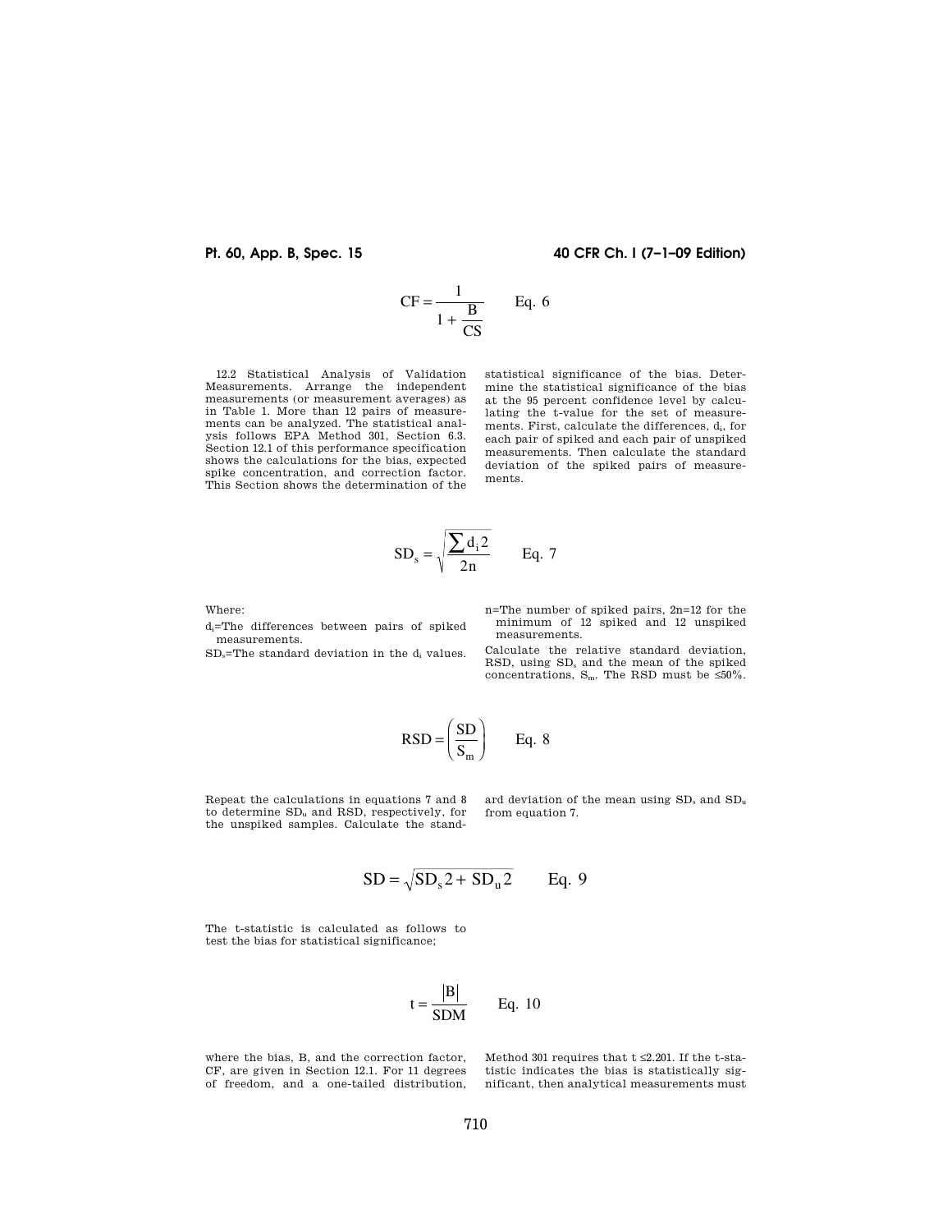**Pt. 60, App. B, Spec. 15 40 CFR Ch. I (7–1–09 Edition)** 

$$
CF = \frac{1}{1 + \frac{B}{CS}} \qquad Eq.
$$

6

12.2 Statistical Analysis of Validation Measurements. Arrange the independent measurements (or measurement averages) as in Table 1. More than 12 pairs of measure-ments can be analyzed. The statistical analysis follows EPA Method 301, Section 6.3. Section 12.1 of this performance specification shows the calculations for the bias, expected spike concentration, and correction factor. This Section shows the determination of the

statistical significance of the bias. Determine the statistical significance of the bias at the 95 percent confidence level by calculating the t-value for the set of measurements. First, calculate the differences,  $d_i$ , for each pair of spiked and each pair of unspiked measurements. Then calculate the standard deviation of the spiked pairs of measurements.

$$
SD_s = \sqrt{\frac{\sum d_i 2}{2n}} \qquad Eq. 7
$$

Where:

di=The differences between pairs of spiked measurements.

 $SD_s$ =The standard deviation in the d<sub>i</sub> values.

n=The number of spiked pairs, 2n=12 for the minimum of 12 spiked and 12 unspiked measurements.

Calculate the relative standard deviation, RSD, using SD<sup>s</sup> and the mean of the spiked concentrations,  $S_m$ . The RSD must be ≤50%.

$$
RSD = \left(\frac{SD}{S_m}\right) \qquad Eq. 8
$$

Repeat the calculations in equations 7 and 8 to determine SD<sup>u</sup> and RSD, respectively, for the unspiked samples. Calculate the standard deviation of the mean using SD<sub>s</sub> and SD<sub>u</sub> from equation 7.

$$
SD = \sqrt{SD_s 2 + SD_u 2}
$$
 Eq. 9

The t-statistic is calculated as follows to test the bias for statistical significance;

$$
t = \frac{|B|}{SDM}
$$
 Eq. 10

where the bias, B, and the correction factor, CF, are given in Section 12.1. For 11 degrees of freedom, and a one-tailed distribution,

Method 301 requires that t $\leq 2.201.$  If the t-statistic indicates the bias is statistically significant, then analytical measurements must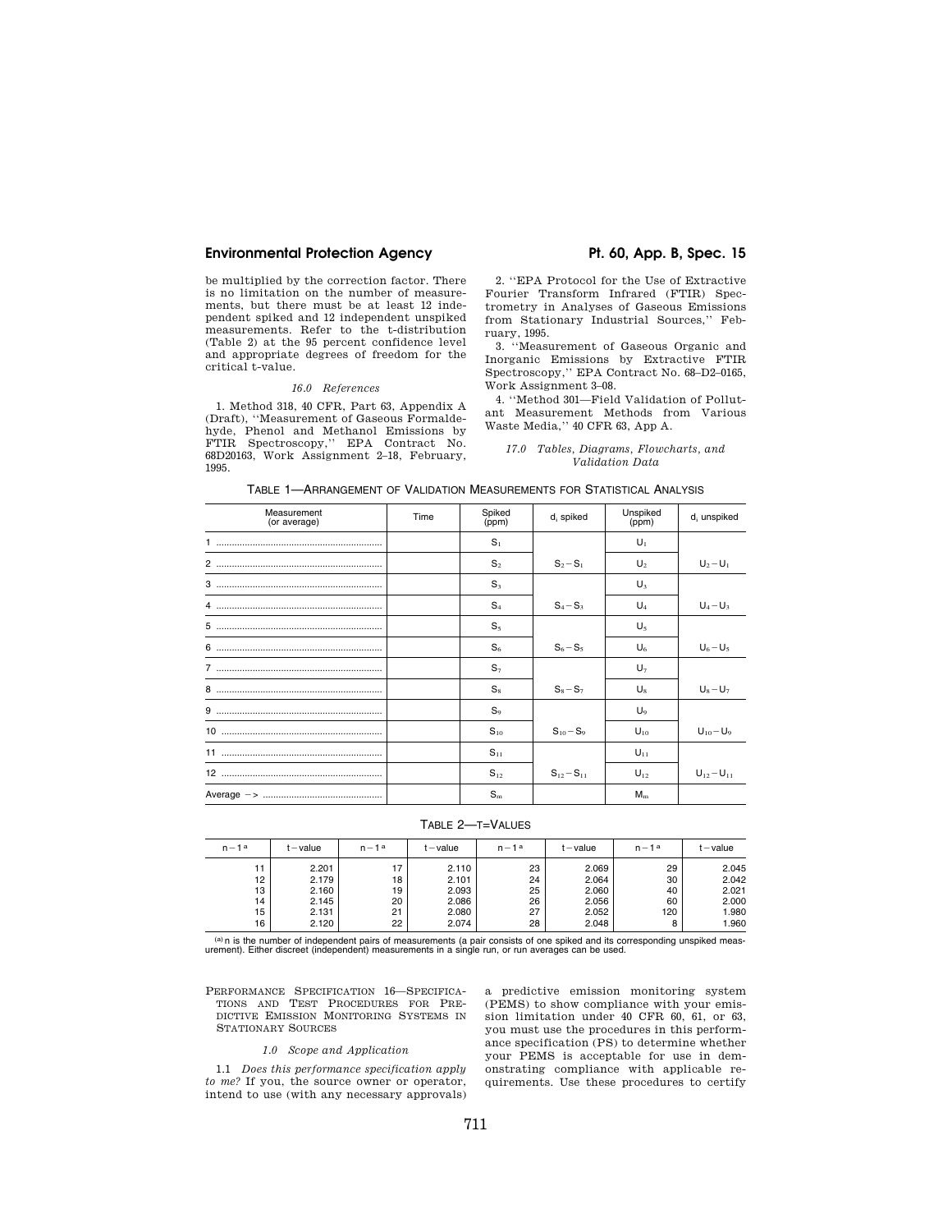be multiplied by the correction factor. There is no limitation on the number of measurements, but there must be at least 12 independent spiked and 12 independent unspiked measurements. Refer to the t-distribution (Table 2) at the 95 percent confidence level and appropriate degrees of freedom for the critical t-value.

# *16.0 References*

1. Method 318, 40 CFR, Part 63, Appendix A (Draft), ''Measurement of Gaseous Formaldehyde, Phenol and Methanol Emissions by FTIR Spectroscopy,'' EPA Contract No. 68D20163, Work Assignment 2–18, February, 1995.

2. ''EPA Protocol for the Use of Extractive Fourier Transform Infrared (FTIR) Spectrometry in Analyses of Gaseous Emissions from Stationary Industrial Sources,'' February, 1995.

3. ''Measurement of Gaseous Organic and Inorganic Emissions by Extractive FTIR Spectroscopy,'' EPA Contract No. 68–D2–0165, Work Assignment 3–08.

4. ''Method 301—Field Validation of Pollutant Measurement Methods from Various Waste Media,'' 40 CFR 63, App A.

*17.0 Tables, Diagrams, Flowcharts, and Validation Data* 

| TABLE 1-ARRANGEMENT OF VALIDATION MEASUREMENTS FOR STATISTICAL ANALYSIS |  |  |  |
|-------------------------------------------------------------------------|--|--|--|
|-------------------------------------------------------------------------|--|--|--|

| Measurement<br>(or average) | Time | Spiked<br>(ppm) | $d_i$ spiked      | Unspiked<br>(ppm) | $d_i$ unspiked    |
|-----------------------------|------|-----------------|-------------------|-------------------|-------------------|
|                             |      | $S_1$           |                   | $U_1$             |                   |
|                             |      | S <sub>2</sub>  | $S_2 - S_1$       | $U_2$             | $U_2 - U_1$       |
|                             |      | $S_3$           |                   | $U_3$             |                   |
|                             |      | $S_4$           | $S_4 - S_3$       | $U_4$             | $U_4-U_3$         |
|                             |      | $S_5$           |                   | $U_5$             |                   |
|                             |      | $S_6$           | $S_6 - S_5$       | $U_6$             | $U_6 - U_5$       |
|                             |      | $S_7$           |                   | $U_7$             |                   |
|                             |      | $S_8$           | $S_8 - S_7$       | $U_{8}$           | $U_8-U_7$         |
|                             |      | $S_9$           |                   | U <sub>9</sub>    |                   |
|                             |      | $S_{10}$        | $S_{10} - S_9$    | $U_{10}$          | $U_{10} - U_9$    |
|                             |      | $S_{11}$        |                   | $U_{11}$          |                   |
|                             |      | $S_{12}$        | $S_{12} - S_{11}$ | $U_{12}$          | $U_{12} - U_{11}$ |
|                             |      | $S_{\rm m}$     |                   | $M_{\rm m}$       |                   |

TABLE 2—T=VALUES

| $n-1a$ | $t - value$ | $n-1$ a | $t - value$ | $n-1a$ | $t - value$ | $n-1a$ | $t - value$ |
|--------|-------------|---------|-------------|--------|-------------|--------|-------------|
| 11     | 2.201       | 17      | 2.110       | 23     | 2.069       | 29     | 2.045       |
| 12     | 2.179       | 18      | 2.101       | 24     | 2.064       | 30     | 2.042       |
| 13     | 2.160       | 19      | 2.093       | 25     | 2.060       | 40     | 2.021       |
| 14     | 2.145       | 20      | 2.086       | 26     | 2.056       | 60     | 2.000       |
| 15     | 2.131       | 21      | 2.080       | 27     | 2.052       | 120    | 1.980       |
| 16     | 2.120       | 22      | 2.074       | 28     | 2.048       | 8      | 1.960       |
|        |             |         |             |        |             |        |             |

<sup>(a)</sup>n is the number of independent pairs of measurements (a pair consists of one spiked and its corresponding unspiked meas-<br>urement). Either discreet (independent) measurements in a single run, or run averages can be use

PERFORMANCE SPECIFICATION 16—SPECIFICA-TIONS AND TEST PROCEDURES FOR PRE-DICTIVE EMISSION MONITORING SYSTEMS IN STATIONARY SOURCES

# *1.0 Scope and Application*

1.1 *Does this performance specification apply to me?* If you, the source owner or operator, intend to use (with any necessary approvals)

a predictive emission monitoring system (PEMS) to show compliance with your emission limitation under 40 CFR 60, 61, or 63, you must use the procedures in this performance specification (PS) to determine whether your PEMS is acceptable for use in demonstrating compliance with applicable requirements. Use these procedures to certify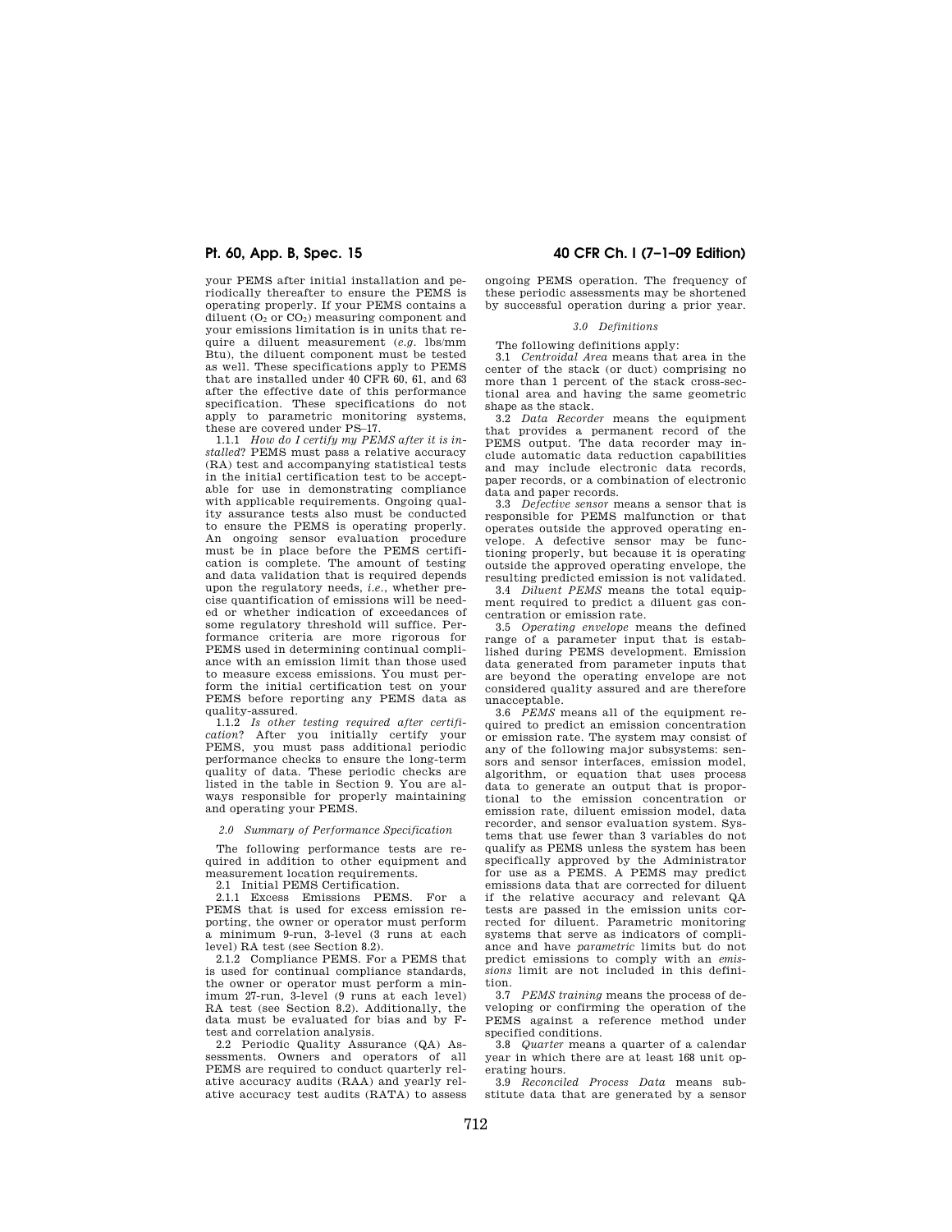your PEMS after initial installation and periodically thereafter to ensure the PEMS is operating properly. If your PEMS contains a diluent  $(0<sub>2</sub>$  or  $C<sub>0</sub>$ ) measuring component and your emissions limitation is in units that require a diluent measurement (*e.g.* lbs/mm Btu), the diluent component must be tested as well. These specifications apply to PEMS that are installed under 40 CFR 60, 61, and 63 after the effective date of this performance specification. These specifications do not apply to parametric monitoring systems. these are covered under PS–17.

1.1.1 *How do I certify my PEMS after it is installed*? PEMS must pass a relative accuracy (RA) test and accompanying statistical tests in the initial certification test to be acceptable for use in demonstrating compliance with applicable requirements. Ongoing quality assurance tests also must be conducted to ensure the PEMS is operating properly. An ongoing sensor evaluation procedure must be in place before the PEMS certification is complete. The amount of testing and data validation that is required depends upon the regulatory needs, *i.e.*, whether precise quantification of emissions will be needed or whether indication of exceedances of some regulatory threshold will suffice. Performance criteria are more rigorous for PEMS used in determining continual compliance with an emission limit than those used to measure excess emissions. You must perform the initial certification test on your PEMS before reporting any PEMS data as quality-assured.

1.1.2 *Is other testing required after certification*? After you initially certify your PEMS, you must pass additional periodic performance checks to ensure the long-term quality of data. These periodic checks are listed in the table in Section 9. You are always responsible for properly maintaining and operating your PEMS.

#### *2.0 Summary of Performance Specification*

The following performance tests are required in addition to other equipment and measurement location requirements.

2.1 Initial PEMS Certification.

2.1.1 Excess Emissions PEMS. For a PEMS that is used for excess emission reporting, the owner or operator must perform a minimum 9-run, 3-level (3 runs at each level) RA test (see Section 8.2).

2.1.2 Compliance PEMS. For a PEMS that is used for continual compliance standards, the owner or operator must perform a minimum 27-run, 3-level (9 runs at each level) RA test (see Section 8.2). Additionally, the data must be evaluated for bias and by Ftest and correlation analysis.

2.2 Periodic Quality Assurance (QA) Assessments. Owners and operators of all PEMS are required to conduct quarterly relative accuracy audits (RAA) and yearly relative accuracy test audits (RATA) to assess

# **Pt. 60, App. B, Spec. 15 40 CFR Ch. I (7–1–09 Edition)**

ongoing PEMS operation. The frequency of these periodic assessments may be shortened by successful operation during a prior year.

#### *3.0 Definitions*

The following definitions apply:

3.1 *Centroidal Area* means that area in the center of the stack (or duct) comprising no more than 1 percent of the stack cross-sectional area and having the same geometric shape as the stack.

3.2 *Data Recorder* means the equipment that provides a permanent record of the PEMS output. The data recorder may include automatic data reduction capabilities and may include electronic data records, paper records, or a combination of electronic data and paper records.

3.3 *Defective sensor* means a sensor that is responsible for PEMS malfunction or that operates outside the approved operating envelope. A defective sensor may be functioning properly, but because it is operating outside the approved operating envelope, the resulting predicted emission is not validated.

3.4 *Diluent PEMS* means the total equipment required to predict a diluent gas concentration or emission rate.

3.5 *Operating envelope* means the defined range of a parameter input that is established during PEMS development. Emission data generated from parameter inputs that are beyond the operating envelope are not considered quality assured and are therefore unacceptable.

3.6 *PEMS* means all of the equipment required to predict an emission concentration or emission rate. The system may consist of any of the following major subsystems: sensors and sensor interfaces, emission model, algorithm, or equation that uses process data to generate an output that is proportional to the emission concentration or emission rate, diluent emission model, data recorder, and sensor evaluation system. Systems that use fewer than 3 variables do not qualify as PEMS unless the system has been specifically approved by the Administrator for use as a PEMS. A PEMS may predict emissions data that are corrected for diluent if the relative accuracy and relevant QA tests are passed in the emission units corrected for diluent. Parametric monitoring systems that serve as indicators of compliance and have *parametric* limits but do not predict emissions to comply with an *emissions* limit are not included in this definition.

3.7 *PEMS training* means the process of developing or confirming the operation of the PEMS against a reference method under specified conditions.

3.8 *Quarter* means a quarter of a calendar year in which there are at least 168 unit operating hours.

3.9 *Reconciled Process Data* means substitute data that are generated by a sensor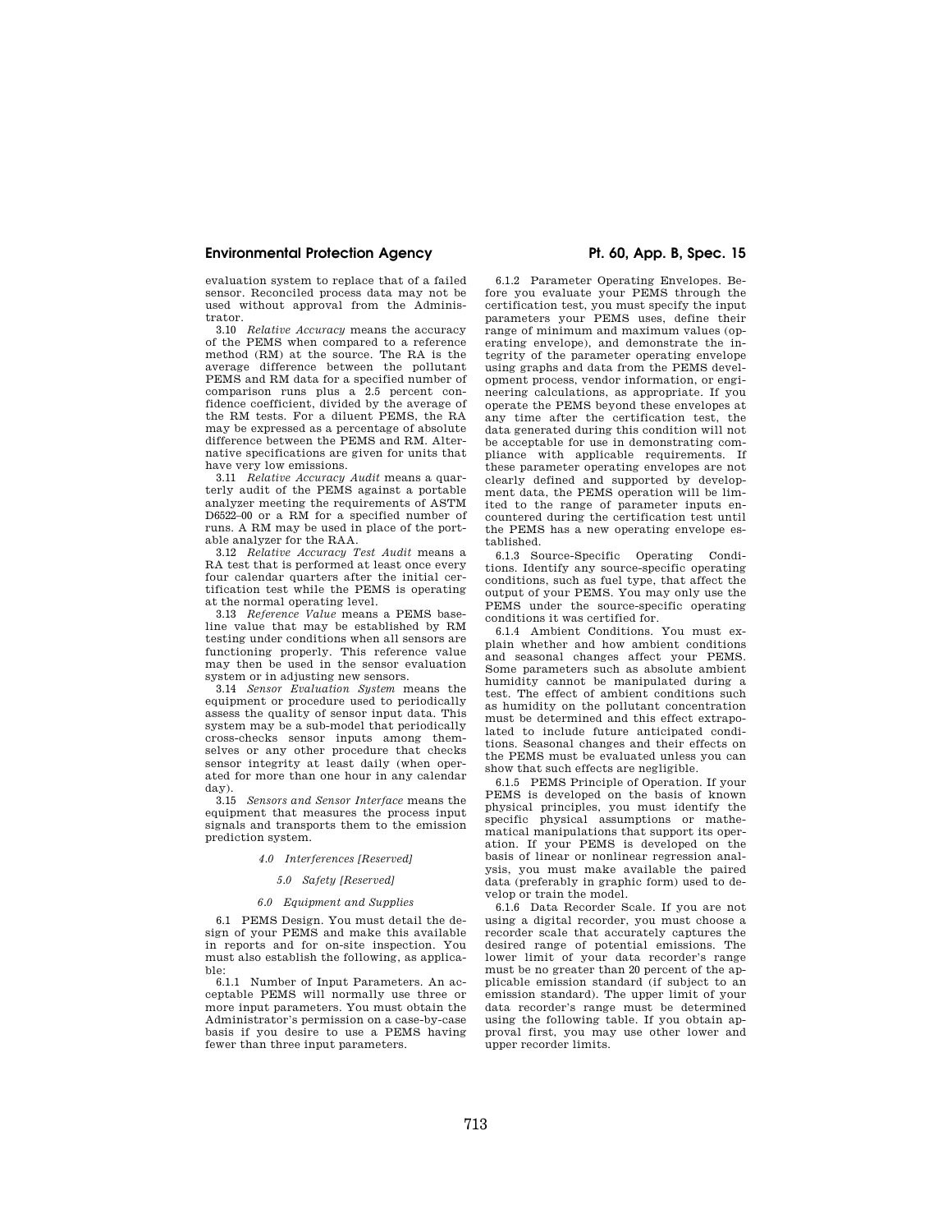evaluation system to replace that of a failed sensor. Reconciled process data may not be used without approval from the Administrator.

3.10 *Relative Accuracy* means the accuracy of the PEMS when compared to a reference method (RM) at the source. The RA is the average difference between the pollutant PEMS and RM data for a specified number of comparison runs plus a 2.5 percent confidence coefficient, divided by the average of the RM tests. For a diluent PEMS, the RA may be expressed as a percentage of absolute difference between the PEMS and RM. Alternative specifications are given for units that have very low emissions.

3.11 *Relative Accuracy Audit* means a quarterly audit of the PEMS against a portable analyzer meeting the requirements of ASTM D6522–00 or a RM for a specified number of runs. A RM may be used in place of the portable analyzer for the RAA.

3.12 *Relative Accuracy Test Audit* means a RA test that is performed at least once every four calendar quarters after the initial certification test while the PEMS is operating at the normal operating level.

3.13 *Reference Value* means a PEMS baseline value that may be established by RM testing under conditions when all sensors are functioning properly. This reference value may then be used in the sensor evaluation system or in adjusting new sensors.

3.14 *Sensor Evaluation System* means the equipment or procedure used to periodically assess the quality of sensor input data. This system may be a sub-model that periodically cross-checks sensor inputs among themselves or any other procedure that checks sensor integrity at least daily (when operated for more than one hour in any calendar day).

3.15 *Sensors and Sensor Interface* means the equipment that measures the process input signals and transports them to the emission prediction system.

### *4.0 Interferences [Reserved]*

#### *5.0 Safety [Reserved]*

#### *6.0 Equipment and Supplies*

6.1 PEMS Design. You must detail the design of your PEMS and make this available in reports and for on-site inspection. You must also establish the following, as applicable:

6.1.1 Number of Input Parameters. An acceptable PEMS will normally use three or more input parameters. You must obtain the Administrator's permission on a case-by-case basis if you desire to use a PEMS having fewer than three input parameters.

6.1.2 Parameter Operating Envelopes. Before you evaluate your PEMS through the certification test, you must specify the input parameters your PEMS uses, define their range of minimum and maximum values (operating envelope), and demonstrate the integrity of the parameter operating envelope using graphs and data from the PEMS development process, vendor information, or engineering calculations, as appropriate. If you operate the PEMS beyond these envelopes at any time after the certification test, the data generated during this condition will not be acceptable for use in demonstrating compliance with applicable requirements. If these parameter operating envelopes are not clearly defined and supported by development data, the PEMS operation will be limited to the range of parameter inputs encountered during the certification test until the PEMS has a new operating envelope established.

6.1.3 Source-Specific Operating Conditions. Identify any source-specific operating conditions, such as fuel type, that affect the output of your PEMS. You may only use the PEMS under the source-specific operating conditions it was certified for.

6.1.4 Ambient Conditions. You must explain whether and how ambient conditions and seasonal changes affect your PEMS. Some parameters such as absolute ambient humidity cannot be manipulated during a test. The effect of ambient conditions such as humidity on the pollutant concentration must be determined and this effect extrapolated to include future anticipated conditions. Seasonal changes and their effects on the PEMS must be evaluated unless you can show that such effects are negligible.

6.1.5 PEMS Principle of Operation. If your PEMS is developed on the basis of known physical principles, you must identify the specific physical assumptions or mathematical manipulations that support its operation. If your PEMS is developed on the basis of linear or nonlinear regression analysis, you must make available the paired data (preferably in graphic form) used to develop or train the model.

6.1.6 Data Recorder Scale. If you are not using a digital recorder, you must choose a recorder scale that accurately captures the desired range of potential emissions. The lower limit of your data recorder's range must be no greater than 20 percent of the applicable emission standard (if subject to an emission standard). The upper limit of your data recorder's range must be determined using the following table. If you obtain approval first, you may use other lower and upper recorder limits.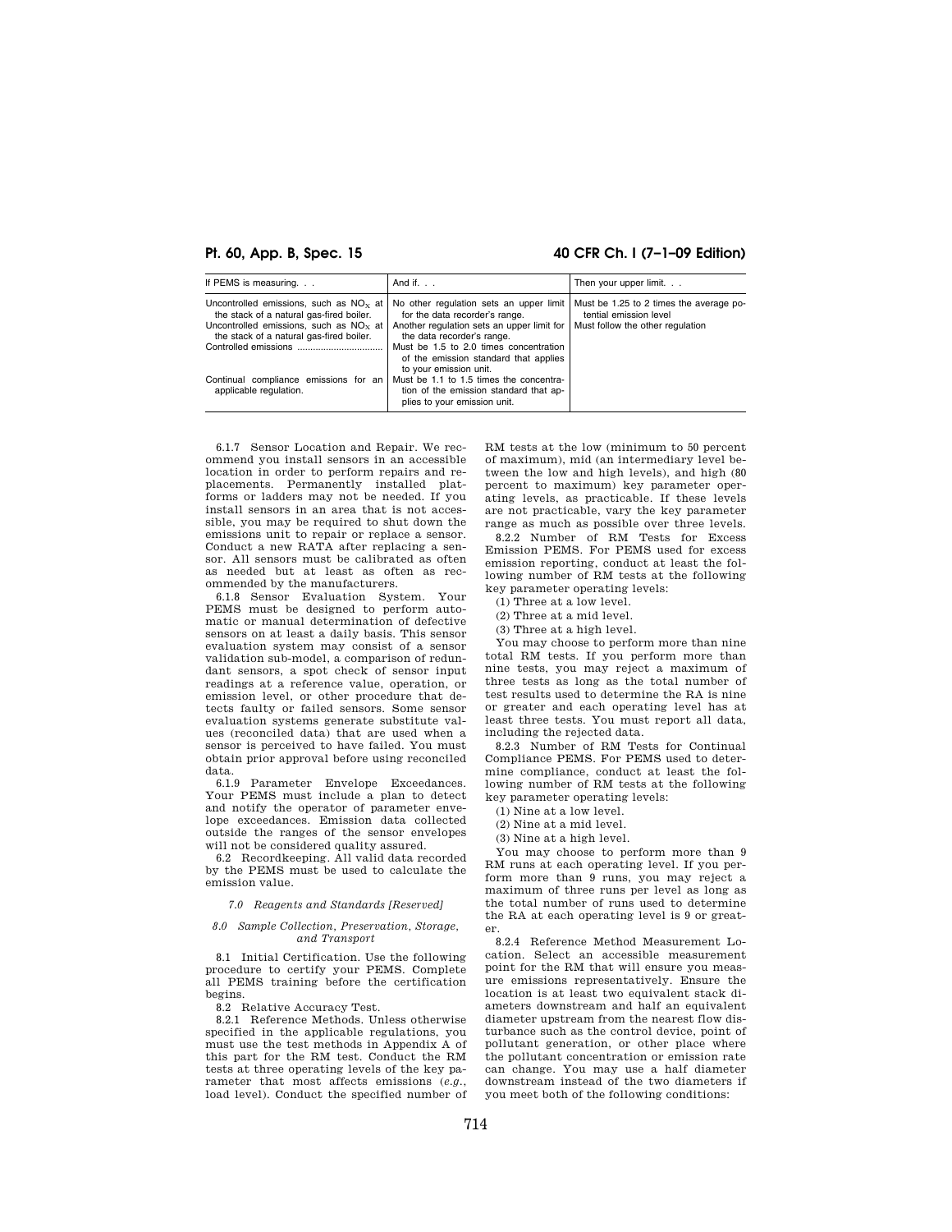## **Pt. 60, App. B, Spec. 15 40 CFR Ch. I (7–1–09 Edition)**

| If PEMS is measuring.                                                                                                                                                                                                                           | And if. $\ldots$                                                                                                                                                                                                                                                                                                                                                                        | Then your upper limit.                                                                                |
|-------------------------------------------------------------------------------------------------------------------------------------------------------------------------------------------------------------------------------------------------|-----------------------------------------------------------------------------------------------------------------------------------------------------------------------------------------------------------------------------------------------------------------------------------------------------------------------------------------------------------------------------------------|-------------------------------------------------------------------------------------------------------|
| Uncontrolled emissions, such as $NOx$ at<br>the stack of a natural gas-fired boiler.<br>Uncontrolled emissions, such as $NOx$ at<br>the stack of a natural gas-fired boiler.<br>Continual compliance emissions for an<br>applicable regulation. | No other regulation sets an upper limit<br>for the data recorder's range.<br>Another regulation sets an upper limit for<br>the data recorder's range.<br>Must be 1.5 to 2.0 times concentration<br>of the emission standard that applies<br>to your emission unit.<br>Must be 1.1 to 1.5 times the concentra-<br>tion of the emission standard that ap-<br>plies to your emission unit. | Must be 1.25 to 2 times the average po-<br>tential emission level<br>Must follow the other regulation |

6.1.7 Sensor Location and Repair. We recommend you install sensors in an accessible location in order to perform repairs and replacements. Permanently installed platforms or ladders may not be needed. If you install sensors in an area that is not accessible, you may be required to shut down the emissions unit to repair or replace a sensor. Conduct a new RATA after replacing a sensor. All sensors must be calibrated as often as needed but at least as often as recommended by the manufacturers.

6.1.8 Sensor Evaluation System. Your PEMS must be designed to perform automatic or manual determination of defective sensors on at least a daily basis. This sensor evaluation system may consist of a sensor validation sub-model, a comparison of redundant sensors, a spot check of sensor input readings at a reference value, operation, or emission level, or other procedure that detects faulty or failed sensors. Some sensor evaluation systems generate substitute values (reconciled data) that are used when a sensor is perceived to have failed. You must obtain prior approval before using reconciled data.

6.1.9 Parameter Envelope Exceedances. Your PEMS must include a plan to detect and notify the operator of parameter envelope exceedances. Emission data collected outside the ranges of the sensor envelopes will not be considered quality assured.

6.2 Recordkeeping. All valid data recorded by the PEMS must be used to calculate the emission value.

#### *7.0 Reagents and Standards [Reserved]*

#### *8.0 Sample Collection, Preservation, Storage, and Transport*

8.1 Initial Certification. Use the following procedure to certify your PEMS. Complete all PEMS training before the certification begins.

8.2 Relative Accuracy Test.

8.2.1 Reference Methods. Unless otherwise specified in the applicable regulations, you must use the test methods in Appendix A of this part for the RM test. Conduct the RM tests at three operating levels of the key parameter that most affects emissions (*e.g.*, load level). Conduct the specified number of RM tests at the low (minimum to 50 percent of maximum), mid (an intermediary level between the low and high levels), and high (80 percent to maximum) key parameter operating levels, as practicable. If these levels are not practicable, vary the key parameter range as much as possible over three levels.

8.2.2 Number of RM Tests for Excess Emission PEMS. For PEMS used for excess emission reporting, conduct at least the following number of RM tests at the following key parameter operating levels:

(1) Three at a low level.

- (2) Three at a mid level.
- (3) Three at a high level.

You may choose to perform more than nine total RM tests. If you perform more than nine tests, you may reject a maximum of three tests as long as the total number of test results used to determine the RA is nine or greater and each operating level has at least three tests. You must report all data, including the rejected data.

8.2.3 Number of RM Tests for Continual Compliance PEMS. For PEMS used to determine compliance, conduct at least the following number of RM tests at the following key parameter operating levels:

(1) Nine at a low level.

- (2) Nine at a mid level.
- (3) Nine at a high level.

You may choose to perform more than 9 RM runs at each operating level. If you perform more than 9 runs, you may reject a maximum of three runs per level as long as the total number of runs used to determine the RA at each operating level is 9 or greater.

8.2.4 Reference Method Measurement Location. Select an accessible measurement point for the RM that will ensure you measure emissions representatively. Ensure the location is at least two equivalent stack diameters downstream and half an equivalent diameter upstream from the nearest flow disturbance such as the control device, point of pollutant generation, or other place where the pollutant concentration or emission rate can change. You may use a half diameter downstream instead of the two diameters if you meet both of the following conditions: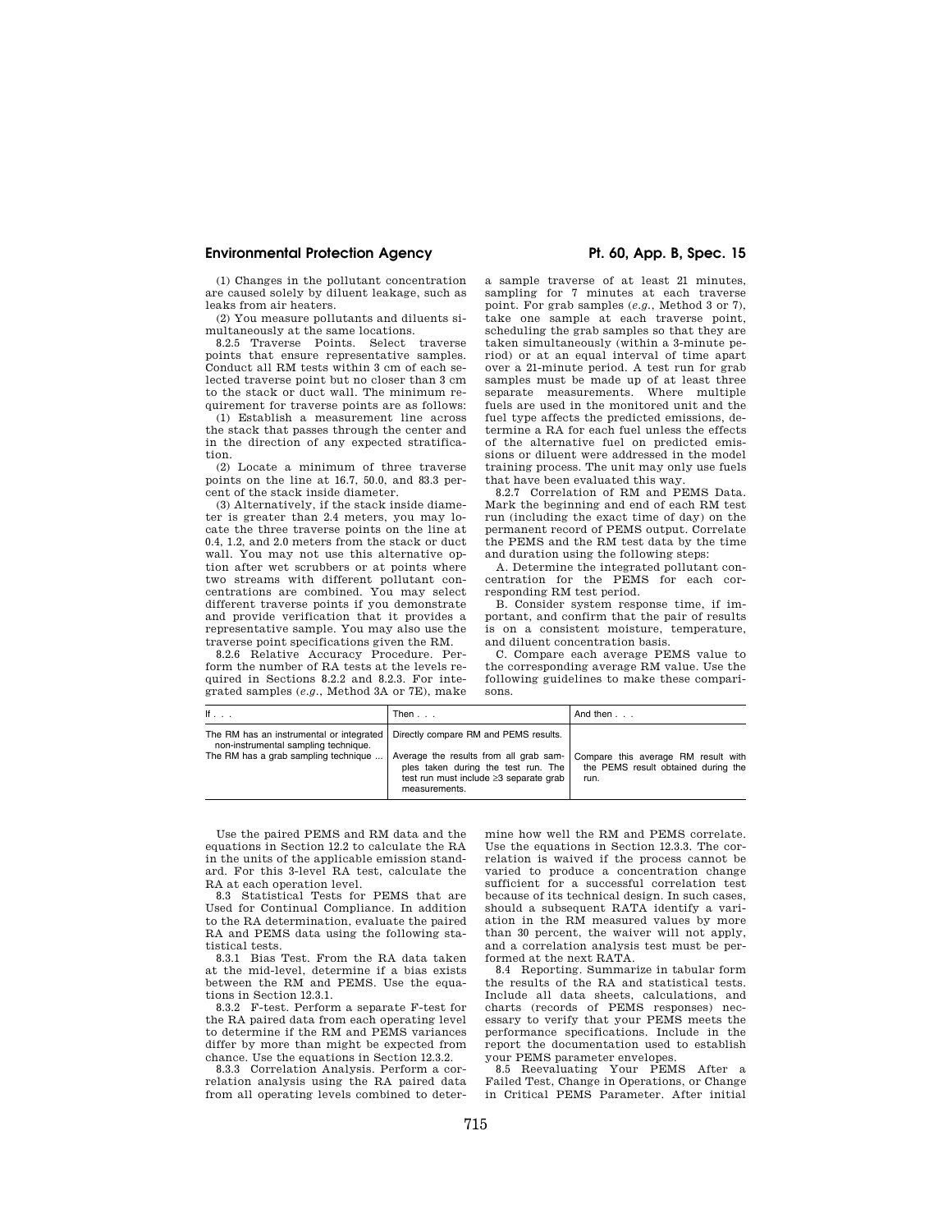(1) Changes in the pollutant concentration are caused solely by diluent leakage, such as leaks from air heaters.

(2) You measure pollutants and diluents simultaneously at the same locations.

8.2.5 Traverse Points. Select traverse points that ensure representative samples. Conduct all RM tests within 3 cm of each selected traverse point but no closer than 3 cm to the stack or duct wall. The minimum requirement for traverse points are as follows:

(1) Establish a measurement line across the stack that passes through the center and in the direction of any expected stratification.

(2) Locate a minimum of three traverse points on the line at 16.7, 50.0, and 83.3 percent of the stack inside diameter.

(3) Alternatively, if the stack inside diameter is greater than 2.4 meters, you may locate the three traverse points on the line at 0.4, 1.2, and 2.0 meters from the stack or duct wall. You may not use this alternative option after wet scrubbers or at points where two streams with different pollutant concentrations are combined. You may select different traverse points if you demonstrate and provide verification that it provides a representative sample. You may also use the traverse point specifications given the RM.

8.2.6 Relative Accuracy Procedure. Perform the number of RA tests at the levels required in Sections 8.2.2 and 8.2.3. For integrated samples (*e.g.*, Method 3A or 7E), make

a sample traverse of at least 21 minutes, sampling for 7 minutes at each traverse point. For grab samples (*e.g.*, Method 3 or 7), take one sample at each traverse point, scheduling the grab samples so that they are taken simultaneously (within a 3-minute period) or at an equal interval of time apart over a 21-minute period. A test run for grab samples must be made up of at least three separate measurements. Where multiple fuels are used in the monitored unit and the fuel type affects the predicted emissions, determine a RA for each fuel unless the effects of the alternative fuel on predicted emissions or diluent were addressed in the model training process. The unit may only use fuels that have been evaluated this way.

8.2.7 Correlation of RM and PEMS Data. Mark the beginning and end of each RM test run (including the exact time of day) on the permanent record of PEMS output. Correlate the PEMS and the RM test data by the time and duration using the following steps:

A. Determine the integrated pollutant concentration for the PEMS for each corresponding RM test period.

B. Consider system response time, if important, and confirm that the pair of results is on a consistent moisture, temperature, and diluent concentration basis.

C. Compare each average PEMS value to the corresponding average RM value. Use the following guidelines to make these comparisons.

| lf                                                                                                                       | Then                                                                                                                                                                              | And then                                                                           |
|--------------------------------------------------------------------------------------------------------------------------|-----------------------------------------------------------------------------------------------------------------------------------------------------------------------------------|------------------------------------------------------------------------------------|
| The RM has an instrumental or integrated<br>non-instrumental sampling technique.<br>The RM has a grab sampling technique | Directly compare RM and PEMS results.<br>Average the results from all grab sam-<br>ples taken during the test run. The<br>test run must include ≥3 separate grab<br>measurements. | Compare this average RM result with<br>the PEMS result obtained during the<br>run. |

Use the paired PEMS and RM data and the equations in Section 12.2 to calculate the RA in the units of the applicable emission standard. For this 3-level RA test, calculate the RA at each operation level.

8.3 Statistical Tests for PEMS that are Used for Continual Compliance. In addition to the RA determination, evaluate the paired RA and PEMS data using the following statistical tests.

8.3.1 Bias Test. From the RA data taken at the mid-level, determine if a bias exists between the RM and PEMS. Use the equations in Section 12.3.1.

8.3.2 F-test. Perform a separate F-test for the RA paired data from each operating level to determine if the RM and PEMS variances differ by more than might be expected from chance. Use the equations in Section 12.3.2.

8.3.3 Correlation Analysis. Perform a correlation analysis using the RA paired data from all operating levels combined to deter-

mine how well the RM and PEMS correlate. Use the equations in Section 12.3.3. The correlation is waived if the process cannot be varied to produce a concentration change sufficient for a successful correlation test because of its technical design. In such cases, should a subsequent RATA identify a variation in the RM measured values by more than 30 percent, the waiver will not apply, and a correlation analysis test must be performed at the next RATA.

8.4 Reporting. Summarize in tabular form the results of the RA and statistical tests. Include all data sheets, calculations, and charts (records of PEMS responses) necessary to verify that your PEMS meets the performance specifications. Include in the report the documentation used to establish your PEMS parameter envelopes.

8.5 Reevaluating Your PEMS After a Failed Test, Change in Operations, or Change in Critical PEMS Parameter. After initial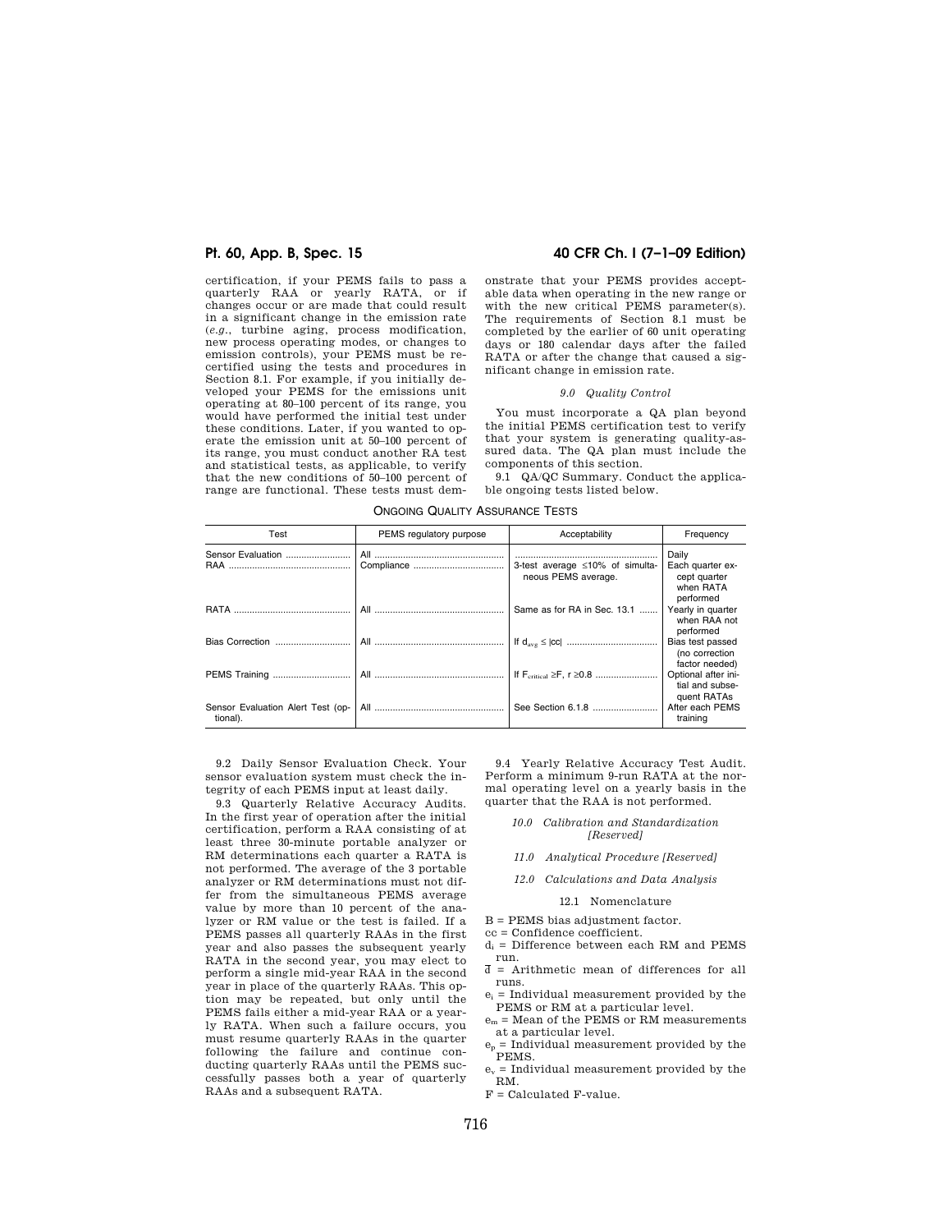certification, if your PEMS fails to pass a quarterly RAA or yearly RATA, or if changes occur or are made that could result in a significant change in the emission rate (*e.g.*, turbine aging, process modification, new process operating modes, or changes to emission controls), your PEMS must be recertified using the tests and procedures in Section 8.1. For example, if you initially developed your PEMS for the emissions unit operating at 80–100 percent of its range, you would have performed the initial test under these conditions. Later, if you wanted to operate the emission unit at 50–100 percent of its range, you must conduct another RA test and statistical tests, as applicable, to verify that the new conditions of 50–100 percent of range are functional. These tests must dem-

### **Pt. 60, App. B, Spec. 15 40 CFR Ch. I (7–1–09 Edition)**

onstrate that your PEMS provides acceptable data when operating in the new range or with the new critical PEMS parameter(s). The requirements of Section 8.1 must be completed by the earlier of 60 unit operating days or 180 calendar days after the failed RATA or after the change that caused a significant change in emission rate.

#### *9.0 Quality Control*

You must incorporate a QA plan beyond the initial PEMS certification test to verify that your system is generating quality-assured data. The QA plan must include the components of this section.

9.1 QA/QC Summary. Conduct the applicable ongoing tests listed below.

| Test                                          | PEMS regulatory purpose | Acceptability                                          | Frequency                                                   |
|-----------------------------------------------|-------------------------|--------------------------------------------------------|-------------------------------------------------------------|
| Sensor Evaluation                             |                         | 3-test average ≤10% of simulta-<br>neous PEMS average. | Daily<br>Each quarter ex-<br>cept quarter<br>when RATA      |
|                                               | All                     | Same as for RA in Sec. 13.1                            | performed<br>Yearly in quarter<br>when RAA not<br>performed |
|                                               |                         |                                                        | Bias test passed<br>(no correction<br>factor needed)        |
| PEMS Training                                 |                         |                                                        | Optional after ini-<br>tial and subse-<br>quent RATAs       |
| Sensor Evaluation Alert Test (op-<br>tional). |                         |                                                        | After each PEMS<br>training                                 |

ONGOING QUALITY ASSURANCE TESTS

9.2 Daily Sensor Evaluation Check. Your sensor evaluation system must check the integrity of each PEMS input at least daily.

9.3 Quarterly Relative Accuracy Audits. In the first year of operation after the initial certification, perform a RAA consisting of at least three 30-minute portable analyzer or RM determinations each quarter a RATA is not performed. The average of the 3 portable analyzer or RM determinations must not differ from the simultaneous PEMS average value by more than 10 percent of the analyzer or RM value or the test is failed. If a PEMS passes all quarterly RAAs in the first year and also passes the subsequent yearly RATA in the second year, you may elect to perform a single mid-year RAA in the second year in place of the quarterly RAAs. This option may be repeated, but only until the PEMS fails either a mid-year RAA or a yearly RATA. When such a failure occurs, you must resume quarterly RAAs in the quarter following the failure and continue conducting quarterly RAAs until the PEMS successfully passes both a year of quarterly RAAs and a subsequent RATA.

9.4 Yearly Relative Accuracy Test Audit. Perform a minimum 9-run RATA at the normal operating level on a yearly basis in the quarter that the RAA is not performed.

#### *10.0 Calibration and Standardization [Reserved]*

- *11.0 Analytical Procedure [Reserved]*
- *12.0 Calculations and Data Analysis* 
	- 12.1 Nomenclature
- B = PEMS bias adjustment factor.
- cc = Confidence coefficient.
- $d_i$  = Difference between each RM and PEMS run.
- $\bar{d}$  = Arithmetic mean of differences for all runs.
- $e_i$  = Individual measurement provided by the PEMS or RM at a particular level.
- $e_m$  = Mean of the PEMS or RM measurements at a particular level.
- at a particular level.<br>  $e_p =$  Individual measurement provided by the PEMS.
- $e_v$  = Individual measurement provided by the RM.
- $F =$ Calculated F-value.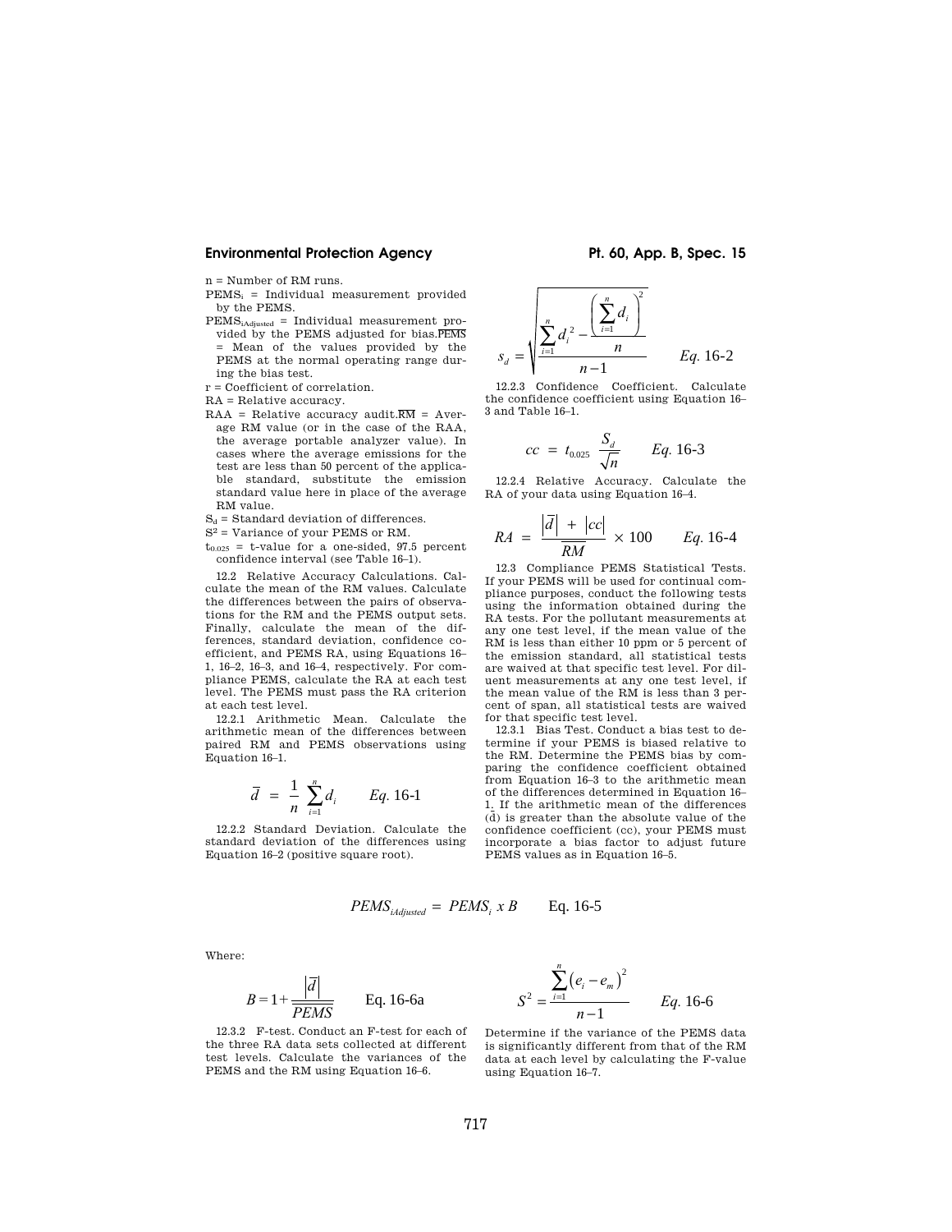$n =$  Number of RM runs.

- $PEMS_i = Individual measurement provided$ by the PEMS.
- PEMSiAdjusted = Individual measurement provided by the PEMS adjusted for bias.PEMS = Mean of the values provided by the PEMS at the normal operating range during the bias test.
- r = Coefficient of correlation.

RA = Relative accuracy.

- $RAA = Relative accuracy audit.RM = Aver$ age RM value (or in the case of the RAA, the average portable analyzer value). In cases where the average emissions for the test are less than 50 percent of the applicable standard, substitute the emission standard value here in place of the average RM value.
- $S_d$  = Standard deviation of differences.
- S2 = Variance of your PEMS or RM.
- $t_{0.025}$  = t-value for a one-sided, 97.5 percent confidence interval (see Table 16–1).

12.2 Relative Accuracy Calculations. Calculate the mean of the RM values. Calculate the differences between the pairs of observations for the RM and the PEMS output sets. Finally, calculate the mean of the differences, standard deviation, confidence coefficient, and PEMS RA, using Equations 16– 1, 16–2, 16–3, and 16–4, respectively. For compliance PEMS, calculate the RA at each test level. The PEMS must pass the RA criterion at each test level.

12.2.1 Arithmetic Mean. Calculate the arithmetic mean of the differences between paired RM and PEMS observations using Equation 16–1.

$$
\overline{d} = \frac{1}{n} \sum_{i=1}^{n} d_i
$$
 Eq. 16-1

12.2.2 Standard Deviation. Calculate the standard deviation of the differences using Equation 16–2 (positive square root).

$$
s_d = \sqrt{\frac{\sum_{i=1}^{n} d_i^2 - \frac{\left(\sum_{i=1}^{n} d_i\right)^2}{n}}{n-1}}
$$
 Eq. 16-2

12.2.3 Confidence Coefficient. Calculate the confidence coefficient using Equation 16– 3 and Table 16–1.

$$
cc = t_{0.025} \frac{S_d}{\sqrt{n}} \qquad Eq. 16-3
$$

12.2.4 Relative Accuracy. Calculate the RA of your data using Equation 16–4.

$$
RA = \frac{\left|\overline{d}\right| + \left|cc\right|}{\overline{RM}} \times 100 \qquad Eq. 16-4
$$

12.3 Compliance PEMS Statistical Tests. If your PEMS will be used for continual compliance purposes, conduct the following tests using the information obtained during the RA tests. For the pollutant measurements at any one test level, if the mean value of the RM is less than either 10 ppm or 5 percent of the emission standard, all statistical tests are waived at that specific test level. For diluent measurements at any one test level, if the mean value of the RM is less than 3 percent of span, all statistical tests are waived for that specific test level.

12.3.1 Bias Test. Conduct a bias test to determine if your PEMS is biased relative to the RM. Determine the PEMS bias by comparing the confidence coefficient obtained from Equation 16–3 to the arithmetic mean of the differences determined in Equation 16– 1. If the arithmetic mean of the differences  $(\bar{d})$  is greater than the absolute value of the confidence coefficient (cc), your PEMS must incorporate a bias factor to adjust future PEMS values as in Equation 16–5.

$$
PEMS_{iAdjusted} = PEMS_i \times B
$$
 Eq. 16-5

Where:

$$
B = 1 + \frac{\left|\overline{d}\right|}{PEMS}
$$
 Eq. 16-6a

*S*  $e_i - e$ *n Eq.* 16-6  $\sum_{i=1}$ <sup>(e<sub>i</sub> – e<sub>m</sub>)</sup> 2  $=\frac{i-1}{n-1}$  $(e_i - e_m)$ −  $\sum_{i=1}$ Determine if the variance of the PEMS data

*n*

12.3.2 F-test. Conduct an F-test for each of the three RA data sets collected at different test levels. Calculate the variances of the PEMS and the RM using Equation 16–6.

is significantly different from that of the RM data at each level by calculating the F-value using Equation 16–7.

2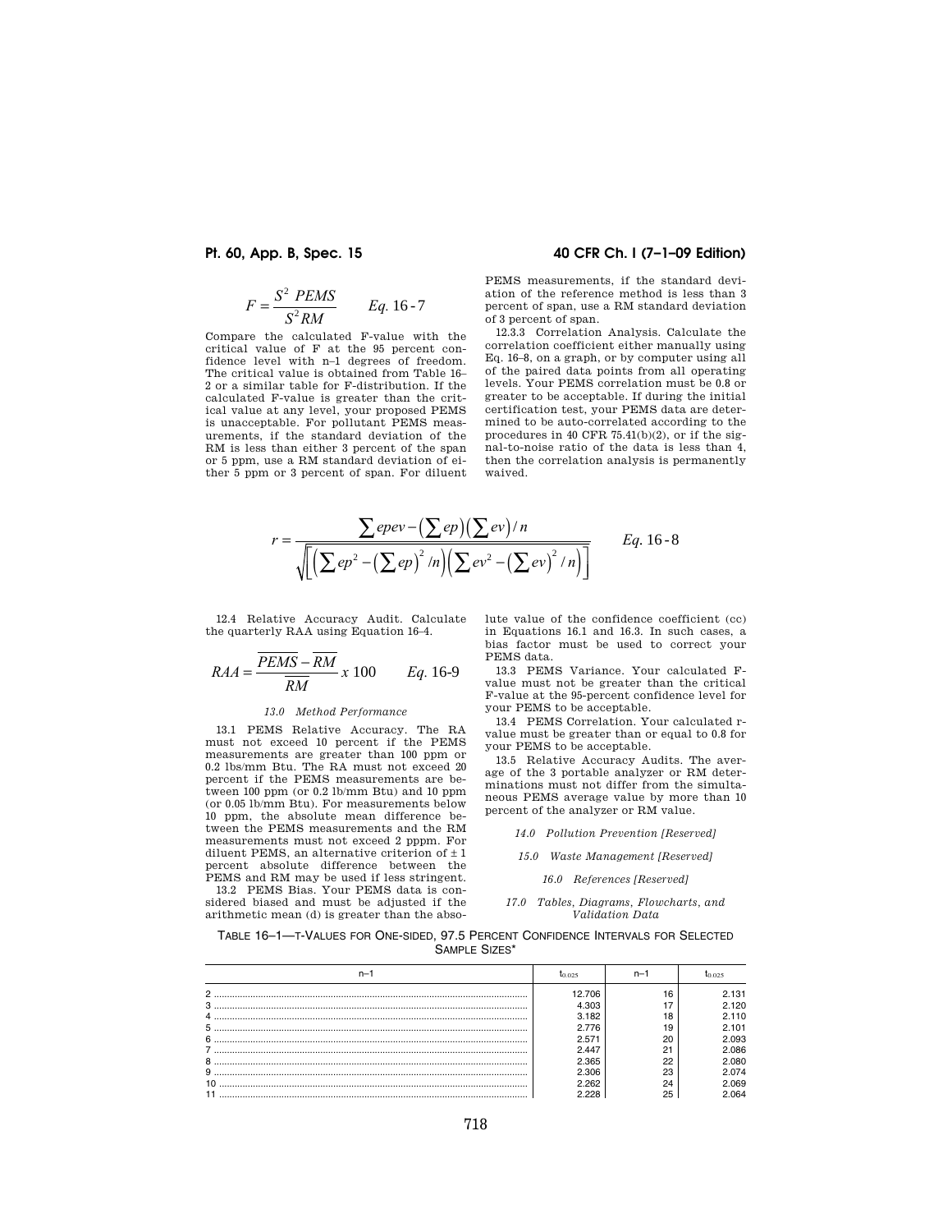$$
F = \frac{S^2 \text{ PEMS}}{S^2 \text{RM}} \qquad \text{Eq. 16-7}
$$

Compare the calculated F-value with the critical value of F at the 95 percent confidence level with n–1 degrees of freedom. The critical value is obtained from Table 16– 2 or a similar table for F-distribution. If the calculated F-value is greater than the critical value at any level, your proposed PEMS is unacceptable. For pollutant PEMS measurements, if the standard deviation of the RM is less than either 3 percent of the span or 5 ppm, use a RM standard deviation of either 5 ppm or 3 percent of span. For diluent

### **Pt. 60, App. B, Spec. 15 40 CFR Ch. I (7–1–09 Edition)**

PEMS measurements, if the standard deviation of the reference method is less than 3 percent of span, use a RM standard deviation of 3 percent of span.

12.3.3 Correlation Analysis. Calculate the correlation coefficient either manually using Eq. 16–8, on a graph, or by computer using all of the paired data points from all operating levels. Your PEMS correlation must be 0.8 or greater to be acceptable. If during the initial certification test, your PEMS data are determined to be auto-correlated according to the procedures in 40 CFR 75.41(b)(2), or if the signal-to-noise ratio of the data is less than 4, then the correlation analysis is permanently waived.

$$
r = \frac{\sum epev - (\sum ep)(\sum ev)/n}{\sqrt{\left[\left(\sum ep^2 - (\sum ep)^2/n\right)\left(\sum ev^2 - (\sum ev)^2/n\right)\right]}} \qquad Eq. 16-8
$$

12.4 Relative Accuracy Audit. Calculate the quarterly RAA using Equation 16–4.

$$
RAA = \frac{\overline{PEMS} - \overline{RM}}{\overline{RM}} \times 100 \qquad Eq. 16-9
$$

#### *13.0 Method Performance*

13.1 PEMS Relative Accuracy. The RA must not exceed 10 percent if the PEMS measurements are greater than 100 ppm or 0.2 lbs/mm Btu. The RA must not exceed 20 percent if the PEMS measurements are between 100 ppm (or 0.2 lb/mm Btu) and 10 ppm (or 0.05 lb/mm Btu). For measurements below 10 ppm, the absolute mean difference between the PEMS measurements and the RM measurements must not exceed 2 pppm. For diluent PEMS, an alternative criterion of  $\pm$  1 percent absolute difference between the PEMS and RM may be used if less stringent.

13.2 PEMS Bias. Your PEMS data is considered biased and must be adjusted if the arithmetic mean (d) is greater than the absolute value of the confidence coefficient (cc) in Equations 16.1 and 16.3. In such cases, a bias factor must be used to correct your PEMS data.

13.3 PEMS Variance. Your calculated Fvalue must not be greater than the critical F-value at the 95-percent confidence level for your PEMS to be acceptable.

13.4 PEMS Correlation. Your calculated rvalue must be greater than or equal to 0.8 for your PEMS to be acceptable.

13.5 Relative Accuracy Audits. The average of the 3 portable analyzer or RM determinations must not differ from the simultaneous PEMS average value by more than 10 percent of the analyzer or RM value.

*14.0 Pollution Prevention [Reserved]* 

*15.0 Waste Management [Reserved]* 

*16.0 References [Reserved]* 

#### *17.0 Tables, Diagrams, Flowcharts, and Validation Data*

TABLE 16–1—T-VALUES FOR ONE-SIDED, 97.5 PERCENT CONFIDENCE INTERVALS FOR SELECTED SAMPLE SIZES\*

|   | <b>ს</b> ი ი25 | n-        | <b>40.025</b> |  |
|---|----------------|-----------|---------------|--|
| ◠ | 12.706         | 16        | 2.131         |  |
| 3 | 4.303          |           | 2.120         |  |
|   | 3.182          | 18        | 2.110         |  |
| 5 | 2 776          | 19        | 2.101         |  |
| 6 | 2.571          | 20        | 2.093         |  |
|   | 2.447          | $^{\sim}$ | 2.086         |  |
| 8 | 2.365          | 22        | 2.080         |  |
| 9 | 2.306          | 23        | 2.074         |  |
|   |                | 24        | 2.069         |  |
|   |                | 25        | .064          |  |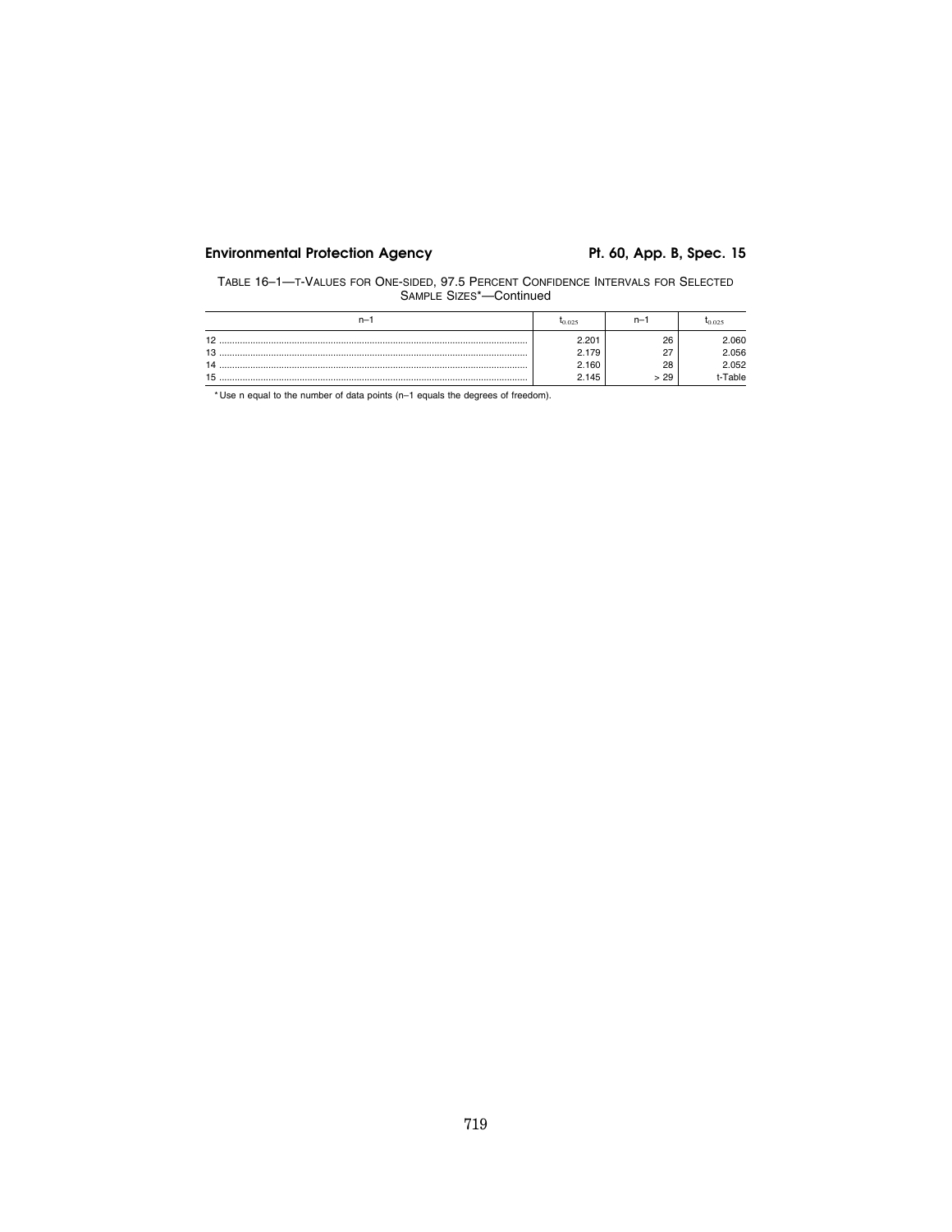TABLE 16–1—T-VALUES FOR ONE-SIDED, 97.5 PERCENT CONFIDENCE INTERVALS FOR SELECTED SAMPLE SIZES\*—Continued

| n- | $I_{0.025}$ | n-                 | <b>40.025</b> |  |
|----|-------------|--------------------|---------------|--|
| 10 | 2.201       | 26                 | .060          |  |
| 10 | 2.179       | $\sim$<br><u>.</u> | 2.056         |  |
|    | 2.160       | 28                 | 2.052         |  |
|    | 2.145       | 29                 | Table         |  |

\* Use n equal to the number of data points (n–1 equals the degrees of freedom).